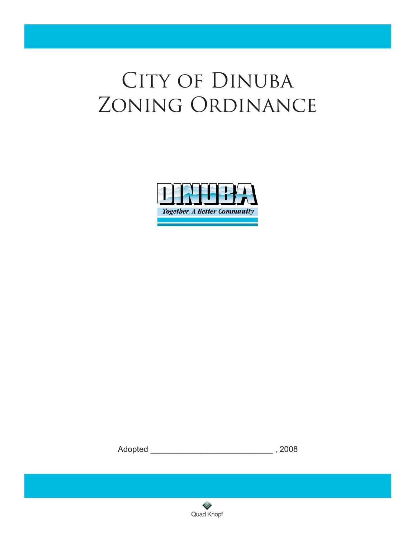# CITY OF DINUBA Zoning Ordinance



Adopted \_\_\_\_\_\_\_\_\_\_\_\_\_\_\_\_\_\_\_\_\_\_\_\_\_\_\_ , 2008



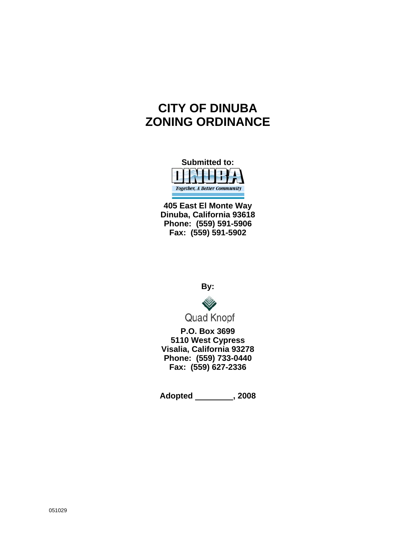# **CITY OF DINUBA ZONING ORDINANCE**



**405 East El Monte Way Dinuba, California 93618 Phone: (559) 591-5906 Fax: (559) 591-5902** 

**By:** 



**P.O. Box 3699 5110 West Cypress Visalia, California 93278 Phone: (559) 733-0440 Fax: (559) 627-2336** 

**Adopted , 2008**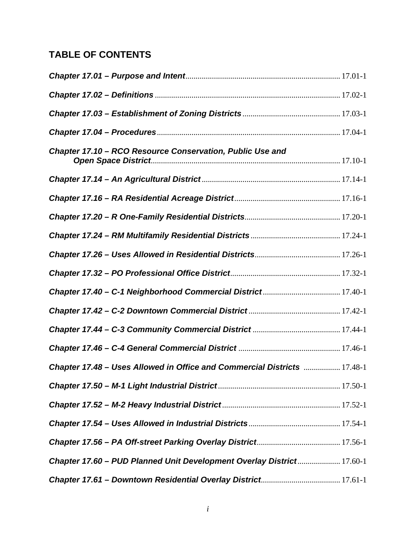## **TABLE OF CONTENTS**

| Chapter 17.10 - RCO Resource Conservation, Public Use and                       |  |
|---------------------------------------------------------------------------------|--|
|                                                                                 |  |
|                                                                                 |  |
|                                                                                 |  |
|                                                                                 |  |
|                                                                                 |  |
|                                                                                 |  |
|                                                                                 |  |
|                                                                                 |  |
|                                                                                 |  |
|                                                                                 |  |
| <b>Chapter 17.48 - Uses Allowed in Office and Commercial Districts  17.48-1</b> |  |
|                                                                                 |  |
|                                                                                 |  |
|                                                                                 |  |
|                                                                                 |  |
| Chapter 17.60 - PUD Planned Unit Development Overlay District 17.60-1           |  |
|                                                                                 |  |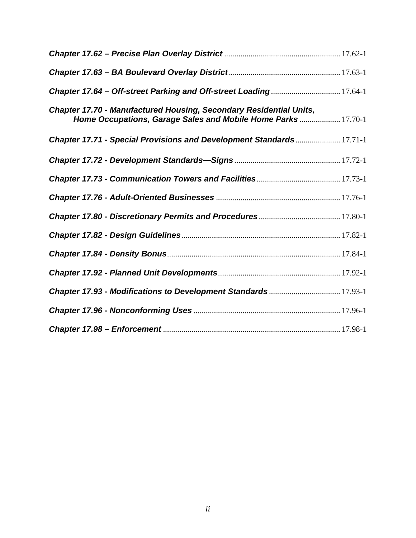| Chapter 17.64 - Off-street Parking and Off-street Loading 17.64-1                                                                         |  |
|-------------------------------------------------------------------------------------------------------------------------------------------|--|
| <b>Chapter 17.70 - Manufactured Housing, Secondary Residential Units,</b><br>Home Occupations, Garage Sales and Mobile Home Parks 17.70-1 |  |
| Chapter 17.71 - Special Provisions and Development Standards 17.71-1                                                                      |  |
|                                                                                                                                           |  |
|                                                                                                                                           |  |
|                                                                                                                                           |  |
|                                                                                                                                           |  |
|                                                                                                                                           |  |
|                                                                                                                                           |  |
|                                                                                                                                           |  |
| Chapter 17.93 - Modifications to Development Standards 17.93-1                                                                            |  |
|                                                                                                                                           |  |
|                                                                                                                                           |  |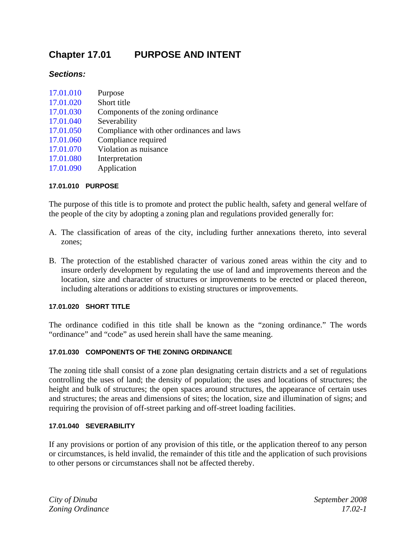## **Chapter 17.01 PURPOSE AND INTENT**

#### *Sections:*

| 17.01.010 | Purpose                                   |
|-----------|-------------------------------------------|
| 17.01.020 | Short title                               |
| 17.01.030 | Components of the zoning ordinance        |
| 17.01.040 | Severability                              |
| 17.01.050 | Compliance with other ordinances and laws |
| 17.01.060 | Compliance required                       |
| 17.01.070 | Violation as nuisance                     |
| 17.01.080 | Interpretation                            |
| 17.01.090 | Application                               |

#### **17.01.010 PURPOSE**

The purpose of this title is to promote and protect the public health, safety and general welfare of the people of the city by adopting a zoning plan and regulations provided generally for:

- A. The classification of areas of the city, including further annexations thereto, into several zones;
- B. The protection of the established character of various zoned areas within the city and to insure orderly development by regulating the use of land and improvements thereon and the location, size and character of structures or improvements to be erected or placed thereon, including alterations or additions to existing structures or improvements.

#### **17.01.020 SHORT TITLE**

The ordinance codified in this title shall be known as the "zoning ordinance." The words "ordinance" and "code" as used herein shall have the same meaning.

#### **17.01.030 COMPONENTS OF THE ZONING ORDINANCE**

The zoning title shall consist of a zone plan designating certain districts and a set of regulations controlling the uses of land; the density of population; the uses and locations of structures; the height and bulk of structures; the open spaces around structures, the appearance of certain uses and structures; the areas and dimensions of sites; the location, size and illumination of signs; and requiring the provision of off-street parking and off-street loading facilities.

#### **17.01.040 SEVERABILITY**

If any provisions or portion of any provision of this title, or the application thereof to any person or circumstances, is held invalid, the remainder of this title and the application of such provisions to other persons or circumstances shall not be affected thereby.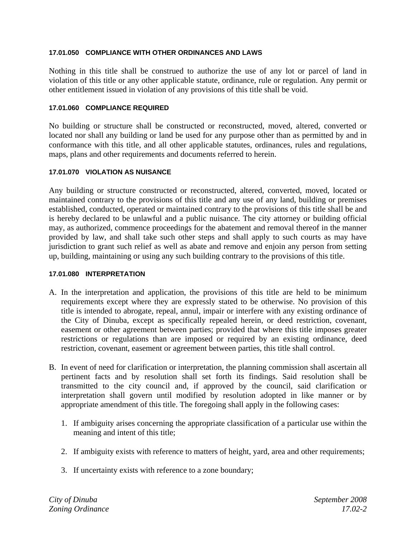#### **17.01.050 COMPLIANCE WITH OTHER ORDINANCES AND LAWS**

Nothing in this title shall be construed to authorize the use of any lot or parcel of land in violation of this title or any other applicable statute, ordinance, rule or regulation. Any permit or other entitlement issued in violation of any provisions of this title shall be void.

#### **17.01.060 COMPLIANCE REQUIRED**

No building or structure shall be constructed or reconstructed, moved, altered, converted or located nor shall any building or land be used for any purpose other than as permitted by and in conformance with this title, and all other applicable statutes, ordinances, rules and regulations, maps, plans and other requirements and documents referred to herein.

#### **17.01.070 VIOLATION AS NUISANCE**

Any building or structure constructed or reconstructed, altered, converted, moved, located or maintained contrary to the provisions of this title and any use of any land, building or premises established, conducted, operated or maintained contrary to the provisions of this title shall be and is hereby declared to be unlawful and a public nuisance. The city attorney or building official may, as authorized, commence proceedings for the abatement and removal thereof in the manner provided by law, and shall take such other steps and shall apply to such courts as may have jurisdiction to grant such relief as well as abate and remove and enjoin any person from setting up, building, maintaining or using any such building contrary to the provisions of this title.

#### **17.01.080 INTERPRETATION**

- A. In the interpretation and application, the provisions of this title are held to be minimum requirements except where they are expressly stated to be otherwise. No provision of this title is intended to abrogate, repeal, annul, impair or interfere with any existing ordinance of the City of Dinuba, except as specifically repealed herein, or deed restriction, covenant, easement or other agreement between parties; provided that where this title imposes greater restrictions or regulations than are imposed or required by an existing ordinance, deed restriction, covenant, easement or agreement between parties, this title shall control.
- B. In event of need for clarification or interpretation, the planning commission shall ascertain all pertinent facts and by resolution shall set forth its findings. Said resolution shall be transmitted to the city council and, if approved by the council, said clarification or interpretation shall govern until modified by resolution adopted in like manner or by appropriate amendment of this title. The foregoing shall apply in the following cases:
	- 1. If ambiguity arises concerning the appropriate classification of a particular use within the meaning and intent of this title;
	- 2. If ambiguity exists with reference to matters of height, yard, area and other requirements;
	- 3. If uncertainty exists with reference to a zone boundary;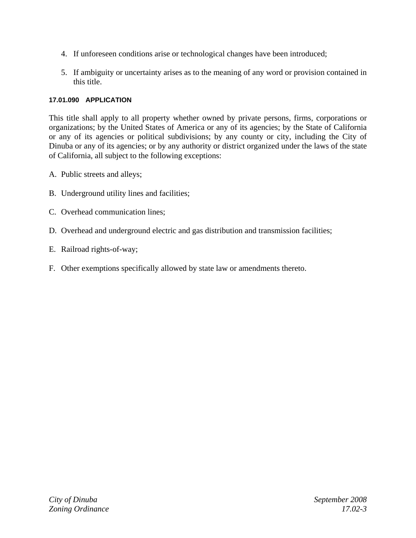- 4. If unforeseen conditions arise or technological changes have been introduced;
- 5. If ambiguity or uncertainty arises as to the meaning of any word or provision contained in this title.

#### **17.01.090 APPLICATION**

This title shall apply to all property whether owned by private persons, firms, corporations or organizations; by the United States of America or any of its agencies; by the State of California or any of its agencies or political subdivisions; by any county or city, including the City of Dinuba or any of its agencies; or by any authority or district organized under the laws of the state of California, all subject to the following exceptions:

- A. Public streets and alleys;
- B. Underground utility lines and facilities;
- C. Overhead communication lines;
- D. Overhead and underground electric and gas distribution and transmission facilities;
- E. Railroad rights-of-way;
- F. Other exemptions specifically allowed by state law or amendments thereto.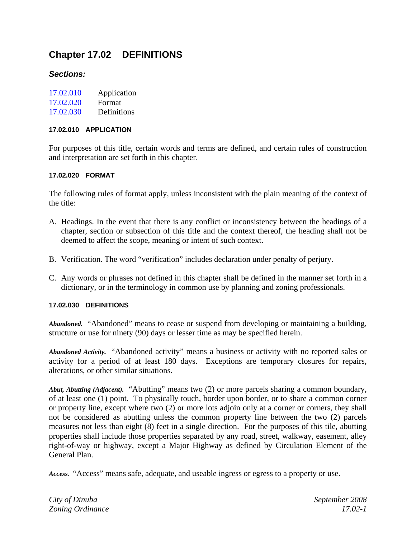## **Chapter 17.02 DEFINITIONS**

#### *Sections:*

| 17.02.010 | Application |
|-----------|-------------|
|           |             |

- 17.02.020 Format
- 17.02.030 Definitions

#### **17.02.010 APPLICATION**

For purposes of this title, certain words and terms are defined, and certain rules of construction and interpretation are set forth in this chapter.

#### **17.02.020 FORMAT**

The following rules of format apply, unless inconsistent with the plain meaning of the context of the title:

- A. Headings. In the event that there is any conflict or inconsistency between the headings of a chapter, section or subsection of this title and the context thereof, the heading shall not be deemed to affect the scope, meaning or intent of such context.
- B. Verification. The word "verification" includes declaration under penalty of perjury.
- C. Any words or phrases not defined in this chapter shall be defined in the manner set forth in a dictionary, or in the terminology in common use by planning and zoning professionals.

#### **17.02.030 DEFINITIONS**

*Abandoned.* "Abandoned" means to cease or suspend from developing or maintaining a building, structure or use for ninety (90) days or lesser time as may be specified herein.

*Abandoned Activity.* "Abandoned activity" means a business or activity with no reported sales or activity for a period of at least 180 days. Exceptions are temporary closures for repairs, alterations, or other similar situations.

*Abut, Abutting (Adjacent).* "Abutting" means two (2) or more parcels sharing a common boundary, of at least one (1) point. To physically touch, border upon border, or to share a common corner or property line, except where two (2) or more lots adjoin only at a corner or corners, they shall not be considered as abutting unless the common property line between the two (2) parcels measures not less than eight (8) feet in a single direction. For the purposes of this tile, abutting properties shall include those properties separated by any road, street, walkway, easement, alley right-of-way or highway, except a Major Highway as defined by Circulation Element of the General Plan.

*Access.* "Access" means safe, adequate, and useable ingress or egress to a property or use.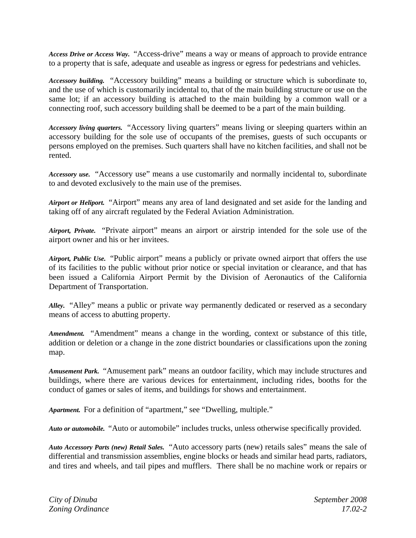*Access Drive or Access Way.* "Access-drive" means a way or means of approach to provide entrance to a property that is safe, adequate and useable as ingress or egress for pedestrians and vehicles.

*Accessory building.* "Accessory building" means a building or structure which is subordinate to, and the use of which is customarily incidental to, that of the main building structure or use on the same lot; if an accessory building is attached to the main building by a common wall or a connecting roof, such accessory building shall be deemed to be a part of the main building.

*Accessory living quarters.* "Accessory living quarters" means living or sleeping quarters within an accessory building for the sole use of occupants of the premises, guests of such occupants or persons employed on the premises. Such quarters shall have no kitchen facilities, and shall not be rented.

*Accessory use.* "Accessory use" means a use customarily and normally incidental to, subordinate to and devoted exclusively to the main use of the premises.

*Airport or Heliport.* "Airport" means any area of land designated and set aside for the landing and taking off of any aircraft regulated by the Federal Aviation Administration.

*Airport, Private.* "Private airport" means an airport or airstrip intended for the sole use of the airport owner and his or her invitees.

*Airport, Public Use.* "Public airport" means a publicly or private owned airport that offers the use of its facilities to the public without prior notice or special invitation or clearance, and that has been issued a California Airport Permit by the Division of Aeronautics of the California Department of Transportation.

*Alley.* "Alley" means a public or private way permanently dedicated or reserved as a secondary means of access to abutting property.

*Amendment.* "Amendment" means a change in the wording, context or substance of this title, addition or deletion or a change in the zone district boundaries or classifications upon the zoning map.

*Amusement Park.* "Amusement park" means an outdoor facility, which may include structures and buildings, where there are various devices for entertainment, including rides, booths for the conduct of games or sales of items, and buildings for shows and entertainment.

*Apartment.* For a definition of "apartment," see "Dwelling, multiple."

*Auto or automobile.* "Auto or automobile" includes trucks, unless otherwise specifically provided.

*Auto Accessory Parts (new) Retail Sales.* "Auto accessory parts (new) retails sales" means the sale of differential and transmission assemblies, engine blocks or heads and similar head parts, radiators, and tires and wheels, and tail pipes and mufflers. There shall be no machine work or repairs or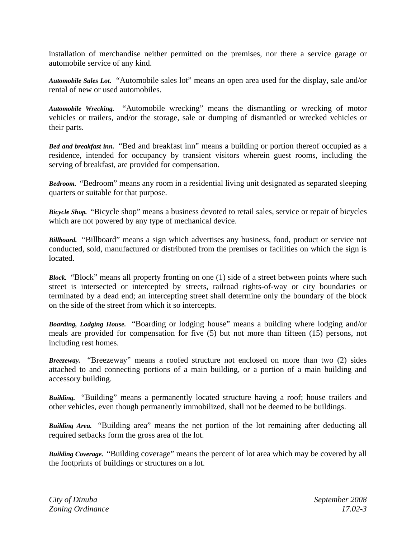installation of merchandise neither permitted on the premises, nor there a service garage or automobile service of any kind.

*Automobile Sales Lot***.** "Automobile sales lot" means an open area used for the display, sale and/or rental of new or used automobiles.

*Automobile Wrecking.* "Automobile wrecking" means the dismantling or wrecking of motor vehicles or trailers, and/or the storage, sale or dumping of dismantled or wrecked vehicles or their parts.

*Bed and breakfast inn.* "Bed and breakfast inn" means a building or portion thereof occupied as a residence, intended for occupancy by transient visitors wherein guest rooms, including the serving of breakfast, are provided for compensation.

*Bedroom.* "Bedroom" means any room in a residential living unit designated as separated sleeping quarters or suitable for that purpose.

*Bicycle Shop.* "Bicycle shop" means a business devoted to retail sales, service or repair of bicycles which are not powered by any type of mechanical device.

*Billboard.* "Billboard" means a sign which advertises any business, food, product or service not conducted, sold, manufactured or distributed from the premises or facilities on which the sign is located.

*Block.* "Block" means all property fronting on one (1) side of a street between points where such street is intersected or intercepted by streets, railroad rights-of-way or city boundaries or terminated by a dead end; an intercepting street shall determine only the boundary of the block on the side of the street from which it so intercepts.

*Boarding, Lodging House.* "Boarding or lodging house" means a building where lodging and/or meals are provided for compensation for five (5) but not more than fifteen (15) persons, not including rest homes.

*Breezeway.* "Breezeway" means a roofed structure not enclosed on more than two (2) sides attached to and connecting portions of a main building, or a portion of a main building and accessory building.

*Building.* "Building" means a permanently located structure having a roof; house trailers and other vehicles, even though permanently immobilized, shall not be deemed to be buildings.

*Building Area.* "Building area" means the net portion of the lot remaining after deducting all required setbacks form the gross area of the lot.

*Building Coverage.* "Building coverage" means the percent of lot area which may be covered by all the footprints of buildings or structures on a lot.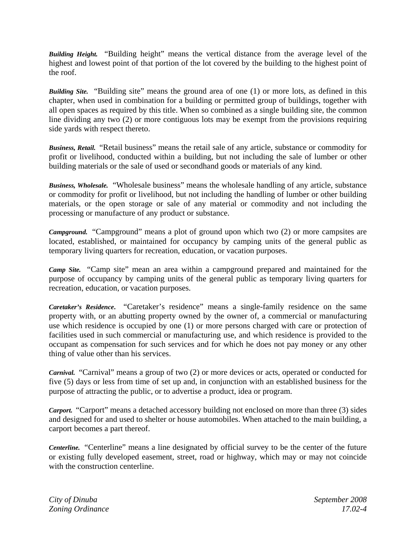*Building Height.* "Building height" means the vertical distance from the average level of the highest and lowest point of that portion of the lot covered by the building to the highest point of the roof.

*Building Site.* "Building site" means the ground area of one (1) or more lots, as defined in this chapter, when used in combination for a building or permitted group of buildings, together with all open spaces as required by this title. When so combined as a single building site, the common line dividing any two (2) or more contiguous lots may be exempt from the provisions requiring side yards with respect thereto.

*Business, Retail.* "Retail business" means the retail sale of any article, substance or commodity for profit or livelihood, conducted within a building, but not including the sale of lumber or other building materials or the sale of used or secondhand goods or materials of any kind.

*Business, Wholesale.* "Wholesale business" means the wholesale handling of any article, substance or commodity for profit or livelihood, but not including the handling of lumber or other building materials, or the open storage or sale of any material or commodity and not including the processing or manufacture of any product or substance.

*Campground.* "Campground" means a plot of ground upon which two (2) or more campsites are located, established, or maintained for occupancy by camping units of the general public as temporary living quarters for recreation, education, or vacation purposes.

*Camp Site.* "Camp site" mean an area within a campground prepared and maintained for the purpose of occupancy by camping units of the general public as temporary living quarters for recreation, education, or vacation purposes.

*Caretaker's Residence***.** "Caretaker's residence" means a single-family residence on the same property with, or an abutting property owned by the owner of, a commercial or manufacturing use which residence is occupied by one (1) or more persons charged with care or protection of facilities used in such commercial or manufacturing use, and which residence is provided to the occupant as compensation for such services and for which he does not pay money or any other thing of value other than his services.

*Carnival.* "Carnival" means a group of two (2) or more devices or acts, operated or conducted for five (5) days or less from time of set up and, in conjunction with an established business for the purpose of attracting the public, or to advertise a product, idea or program.

*Carport.* "Carport" means a detached accessory building not enclosed on more than three (3) sides and designed for and used to shelter or house automobiles. When attached to the main building, a carport becomes a part thereof.

*Centerline.* "Centerline" means a line designated by official survey to be the center of the future or existing fully developed easement, street, road or highway, which may or may not coincide with the construction centerline.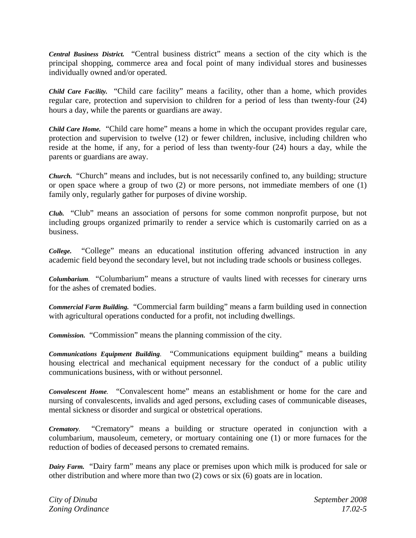*Central Business District.* "Central business district" means a section of the city which is the principal shopping, commerce area and focal point of many individual stores and businesses individually owned and/or operated.

*Child Care Facility.* "Child care facility" means a facility, other than a home, which provides regular care, protection and supervision to children for a period of less than twenty-four (24) hours a day, while the parents or guardians are away.

*Child Care Home.* "Child care home" means a home in which the occupant provides regular care, protection and supervision to twelve (12) or fewer children, inclusive, including children who reside at the home, if any, for a period of less than twenty-four (24) hours a day, while the parents or guardians are away.

*Church.* "Church" means and includes, but is not necessarily confined to, any building; structure or open space where a group of two (2) or more persons, not immediate members of one (1) family only, regularly gather for purposes of divine worship.

*Club.* "Club" means an association of persons for some common nonprofit purpose, but not including groups organized primarily to render a service which is customarily carried on as a business.

*College.*"College" means an educational institution offering advanced instruction in any academic field beyond the secondary level, but not including trade schools or business colleges.

*Columbarium.* "Columbarium" means a structure of vaults lined with recesses for cinerary urns for the ashes of cremated bodies.

*Commercial Farm Building.* "Commercial farm building" means a farm building used in connection with agricultural operations conducted for a profit, not including dwellings.

*Commission.* "Commission" means the planning commission of the city.

*Communications Equipment Building.* "Communications equipment building" means a building housing electrical and mechanical equipment necessary for the conduct of a public utility communications business, with or without personnel.

*Convalescent Home.* "Convalescent home" means an establishment or home for the care and nursing of convalescents, invalids and aged persons, excluding cases of communicable diseases, mental sickness or disorder and surgical or obstetrical operations.

*Crematory.* "Crematory" means a building or structure operated in conjunction with a columbarium, mausoleum, cemetery, or mortuary containing one (1) or more furnaces for the reduction of bodies of deceased persons to cremated remains.

*Dairy Farm.* "Dairy farm" means any place or premises upon which milk is produced for sale or other distribution and where more than two (2) cows or six (6) goats are in location.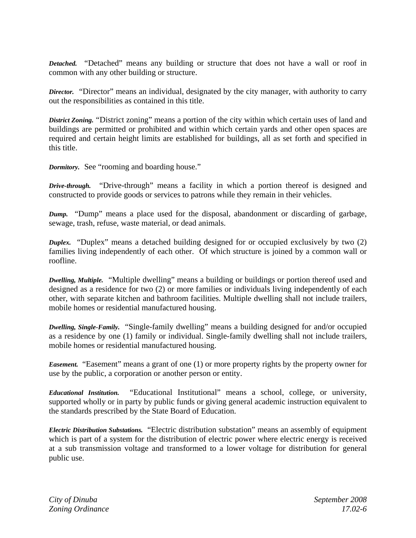*Detached.*"Detached" means any building or structure that does not have a wall or roof in common with any other building or structure.

*Director.*"Director" means an individual, designated by the city manager, with authority to carry out the responsibilities as contained in this title.

*District Zoning.* "District zoning" means a portion of the city within which certain uses of land and buildings are permitted or prohibited and within which certain yards and other open spaces are required and certain height limits are established for buildings, all as set forth and specified in this title.

*Dormitory.*See "rooming and boarding house."

*Drive-through.* "Drive-through" means a facility in which a portion thereof is designed and constructed to provide goods or services to patrons while they remain in their vehicles.

*Dump.* "Dump" means a place used for the disposal, abandonment or discarding of garbage, sewage, trash, refuse, waste material, or dead animals.

*Duplex.* "Duplex" means a detached building designed for or occupied exclusively by two (2) families living independently of each other. Of which structure is joined by a common wall or roofline.

*Dwelling, Multiple.*"Multiple dwelling" means a building or buildings or portion thereof used and designed as a residence for two (2) or more families or individuals living independently of each other, with separate kitchen and bathroom facilities. Multiple dwelling shall not include trailers, mobile homes or residential manufactured housing.

*Dwelling, Single-Family.* "Single-family dwelling" means a building designed for and/or occupied as a residence by one (1) family or individual. Single-family dwelling shall not include trailers, mobile homes or residential manufactured housing.

*Easement.* "Easement" means a grant of one (1) or more property rights by the property owner for use by the public, a corporation or another person or entity.

*Educational Institution.* "Educational Institutional" means a school, college, or university, supported wholly or in party by public funds or giving general academic instruction equivalent to the standards prescribed by the State Board of Education.

*Electric Distribution Substations.* "Electric distribution substation" means an assembly of equipment which is part of a system for the distribution of electric power where electric energy is received at a sub transmission voltage and transformed to a lower voltage for distribution for general public use.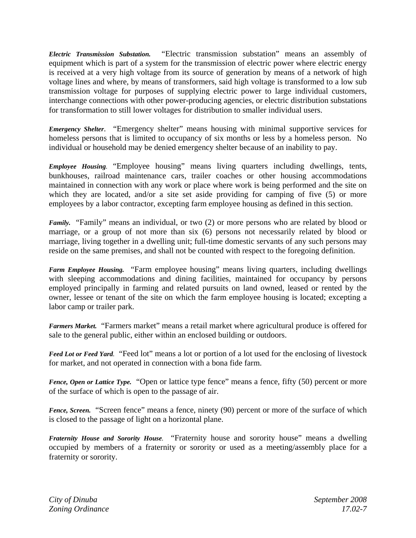*Electric Transmission Substation.* "Electric transmission substation" means an assembly of equipment which is part of a system for the transmission of electric power where electric energy is received at a very high voltage from its source of generation by means of a network of high voltage lines and where, by means of transformers, said high voltage is transformed to a low sub transmission voltage for purposes of supplying electric power to large individual customers, interchange connections with other power-producing agencies, or electric distribution substations for transformation to still lower voltages for distribution to smaller individual users.

*Emergency Shelter*. "Emergency shelter" means housing with minimal supportive services for homeless persons that is limited to occupancy of six months or less by a homeless person. No individual or household may be denied emergency shelter because of an inability to pay.

*Employee Housing.* "Employee housing" means living quarters including dwellings, tents, bunkhouses, railroad maintenance cars, trailer coaches or other housing accommodations maintained in connection with any work or place where work is being performed and the site on which they are located, and/or a site set aside providing for camping of five (5) or more employees by a labor contractor, excepting farm employee housing as defined in this section.

*Family.* "Family" means an individual, or two (2) or more persons who are related by blood or marriage, or a group of not more than six (6) persons not necessarily related by blood or marriage, living together in a dwelling unit; full-time domestic servants of any such persons may reside on the same premises, and shall not be counted with respect to the foregoing definition.

*Farm Employee Housing.* "Farm employee housing" means living quarters, including dwellings with sleeping accommodations and dining facilities, maintained for occupancy by persons employed principally in farming and related pursuits on land owned, leased or rented by the owner, lessee or tenant of the site on which the farm employee housing is located; excepting a labor camp or trailer park.

*Farmers Market.*"Farmers market" means a retail market where agricultural produce is offered for sale to the general public, either within an enclosed building or outdoors.

*Feed Lot or Feed Yard.*"Feed lot" means a lot or portion of a lot used for the enclosing of livestock for market, and not operated in connection with a bona fide farm.

*Fence, Open or Lattice Type.* "Open or lattice type fence" means a fence, fifty (50) percent or more of the surface of which is open to the passage of air.

*Fence, Screen.* "Screen fence" means a fence, ninety (90) percent or more of the surface of which is closed to the passage of light on a horizontal plane.

*Fraternity House and Sorority House.* "Fraternity house and sorority house" means a dwelling occupied by members of a fraternity or sorority or used as a meeting/assembly place for a fraternity or sorority.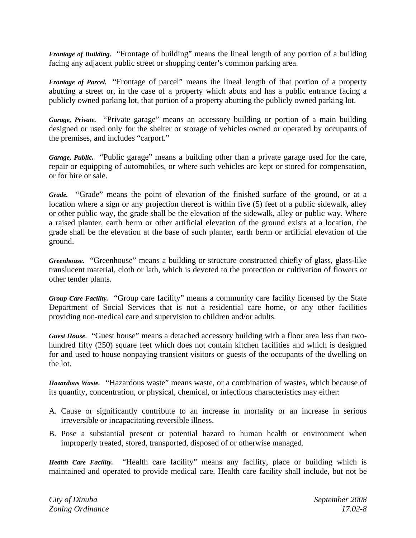*Frontage of Building.* "Frontage of building" means the lineal length of any portion of a building facing any adjacent public street or shopping center's common parking area.

*Frontage of Parcel.* "Frontage of parcel" means the lineal length of that portion of a property abutting a street or, in the case of a property which abuts and has a public entrance facing a publicly owned parking lot, that portion of a property abutting the publicly owned parking lot.

*Garage, Private.* "Private garage" means an accessory building or portion of a main building designed or used only for the shelter or storage of vehicles owned or operated by occupants of the premises, and includes "carport."

*Garage, Public.* "Public garage" means a building other than a private garage used for the care, repair or equipping of automobiles, or where such vehicles are kept or stored for compensation, or for hire or sale.

*Grade.*"Grade" means the point of elevation of the finished surface of the ground, or at a location where a sign or any projection thereof is within five (5) feet of a public sidewalk, alley or other public way, the grade shall be the elevation of the sidewalk, alley or public way. Where a raised planter, earth berm or other artificial elevation of the ground exists at a location, the grade shall be the elevation at the base of such planter, earth berm or artificial elevation of the ground.

*Greenhouse.* "Greenhouse" means a building or structure constructed chiefly of glass, glass-like translucent material, cloth or lath, which is devoted to the protection or cultivation of flowers or other tender plants.

*Group Care Facility.*"Group care facility" means a community care facility licensed by the State Department of Social Services that is not a residential care home, or any other facilities providing non-medical care and supervision to children and/or adults.

*Guest House.* "Guest house" means a detached accessory building with a floor area less than twohundred fifty (250) square feet which does not contain kitchen facilities and which is designed for and used to house nonpaying transient visitors or guests of the occupants of the dwelling on the lot.

*Hazardous Waste.* "Hazardous waste" means waste, or a combination of wastes, which because of its quantity, concentration, or physical, chemical, or infectious characteristics may either:

- A. Cause or significantly contribute to an increase in mortality or an increase in serious irreversible or incapacitating reversible illness.
- B. Pose a substantial present or potential hazard to human health or environment when improperly treated, stored, transported, disposed of or otherwise managed.

*Health Care Facility.*"Health care facility" means any facility, place or building which is maintained and operated to provide medical care. Health care facility shall include, but not be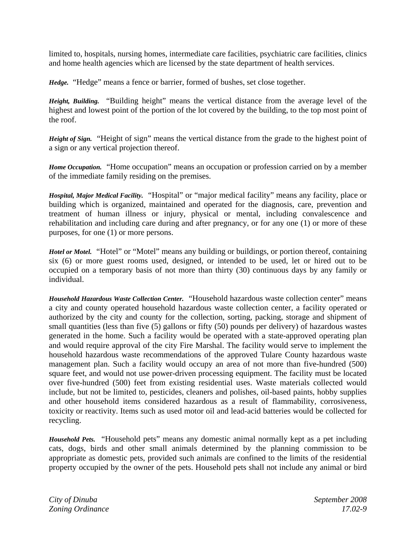limited to, hospitals, nursing homes, intermediate care facilities, psychiatric care facilities, clinics and home health agencies which are licensed by the state department of health services.

*Hedge.* "Hedge" means a fence or barrier, formed of bushes, set close together.

*Height, Building.* "Building height" means the vertical distance from the average level of the highest and lowest point of the portion of the lot covered by the building, to the top most point of the roof.

*Height of Sign.*"Height of sign" means the vertical distance from the grade to the highest point of a sign or any vertical projection thereof.

*Home Occupation.*"Home occupation" means an occupation or profession carried on by a member of the immediate family residing on the premises.

*Hospital, Major Medical Facility.*"Hospital" or "major medical facility" means any facility, place or building which is organized, maintained and operated for the diagnosis, care, prevention and treatment of human illness or injury, physical or mental, including convalescence and rehabilitation and including care during and after pregnancy, or for any one (1) or more of these purposes, for one (1) or more persons.

*Hotel or Motel.*"Hotel" or "Motel" means any building or buildings, or portion thereof, containing six (6) or more guest rooms used, designed, or intended to be used, let or hired out to be occupied on a temporary basis of not more than thirty (30) continuous days by any family or individual.

*Household Hazardous Waste Collection Center.*"Household hazardous waste collection center" means a city and county operated household hazardous waste collection center, a facility operated or authorized by the city and county for the collection, sorting, packing, storage and shipment of small quantities (less than five (5) gallons or fifty (50) pounds per delivery) of hazardous wastes generated in the home. Such a facility would be operated with a state-approved operating plan and would require approval of the city Fire Marshal. The facility would serve to implement the household hazardous waste recommendations of the approved Tulare County hazardous waste management plan. Such a facility would occupy an area of not more than five-hundred (500) square feet, and would not use power-driven processing equipment. The facility must be located over five-hundred (500) feet from existing residential uses. Waste materials collected would include, but not be limited to, pesticides, cleaners and polishes, oil-based paints, hobby supplies and other household items considered hazardous as a result of flammability, corrosiveness, toxicity or reactivity. Items such as used motor oil and lead-acid batteries would be collected for recycling.

*Household Pets.*"Household pets" means any domestic animal normally kept as a pet including cats, dogs, birds and other small animals determined by the planning commission to be appropriate as domestic pets, provided such animals are confined to the limits of the residential property occupied by the owner of the pets. Household pets shall not include any animal or bird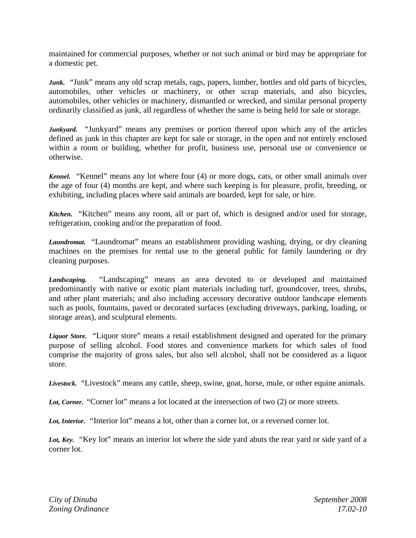maintained for commercial purposes, whether or not such animal or bird may be appropriate for a domestic pet.

*Junk.* "Junk" means any old scrap metals, rags, papers, lumber, bottles and old parts of bicycles, automobiles, other vehicles or machinery, or other scrap materials, and also bicycles, automobiles, other vehicles or machinery, dismantled or wrecked, and similar personal property ordinarily classified as junk, all regardless of whether the same is being held for sale or storage.

*Junkyard.*"Junkyard" means any premises or portion thereof upon which any of the articles defined as junk in this chapter are kept for sale or storage, in the open and not entirely enclosed within a room or building, whether for profit, business use, personal use or convenience or otherwise.

*Kennel.*"Kennel" means any lot where four (4) or more dogs, cats, or other small animals over the age of four (4) months are kept, and where such keeping is for pleasure, profit, breeding, or exhibiting, including places where said animals are boarded, kept for sale, or hire.

*Kitchen.* "Kitchen" means any room, all or part of, which is designed and/or used for storage, refrigeration, cooking and/or the preparation of food.

*Laundromat.* "Laundromat" means an establishment providing washing, drying, or dry cleaning machines on the premises for rental use to the general public for family laundering or dry cleaning purposes.

*Landscaping.* "Landscaping" means an area devoted to or developed and maintained predominantly with native or exotic plant materials including turf, groundcover, trees, shrubs, and other plant materials; and also including accessory decorative outdoor landscape elements such as pools, fountains, paved or decorated surfaces (excluding driveways, parking, loading, or storage areas), and sculptural elements.

*Liquor Store.*"Liquor store" means a retail establishment designed and operated for the primary purpose of selling alcohol. Food stores and convenience markets for which sales of food comprise the majority of gross sales, but also sell alcohol, shall not be considered as a liquor store.

*Livestock.* "Livestock" means any cattle, sheep, swine, goat, horse, mule, or other equine animals.

Lot, Corner. "Corner lot" means a lot located at the intersection of two (2) or more streets.

Lot, Interior. "Interior lot" means a lot, other than a corner lot, or a reversed corner lot.

Lot, Key. "Key lot" means an interior lot where the side yard abuts the rear yard or side yard of a corner lot.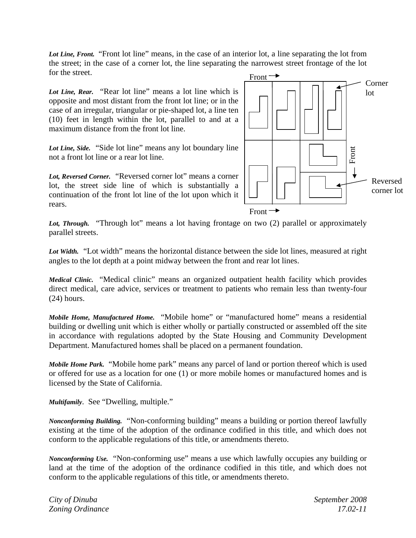Lot Line, Front. "Front lot line" means, in the case of an interior lot, a line separating the lot from the street; in the case of a corner lot, the line separating the narrowest street frontage of the lot for the street.

Lot Line, Rear. "Rear lot line" means a lot line which is opposite and most distant from the front lot line; or in the case of an irregular, triangular or pie-shaped lot, a line ten (10) feet in length within the lot, parallel to and at a maximum distance from the front lot line.

*Lot Line, Side.*"Side lot line" means any lot boundary line not a front lot line or a rear lot line.

*Lot, Reversed Corner.*"Reversed corner lot" means a corner lot, the street side line of which is substantially a continuation of the front lot line of the lot upon which it rears.



Lot, Through. "Through lot" means a lot having frontage on two (2) parallel or approximately parallel streets.

*Lot Width.*"Lot width" means the horizontal distance between the side lot lines, measured at right angles to the lot depth at a point midway between the front and rear lot lines.

*Medical Clinic.* "Medical clinic" means an organized outpatient health facility which provides direct medical, care advice, services or treatment to patients who remain less than twenty-four (24) hours.

*Mobile Home, Manufactured Home.*"Mobile home" or "manufactured home" means a residential building or dwelling unit which is either wholly or partially constructed or assembled off the site in accordance with regulations adopted by the State Housing and Community Development Department. Manufactured homes shall be placed on a permanent foundation.

*Mobile Home Park.* "Mobile home park" means any parcel of land or portion thereof which is used or offered for use as a location for one (1) or more mobile homes or manufactured homes and is licensed by the State of California.

*Multifamily*. See "Dwelling, multiple."

*Nonconforming Building.* "Non-conforming building" means a building or portion thereof lawfully existing at the time of the adoption of the ordinance codified in this title, and which does not conform to the applicable regulations of this title, or amendments thereto.

*Nonconforming Use.* "Non-conforming use" means a use which lawfully occupies any building or land at the time of the adoption of the ordinance codified in this title, and which does not conform to the applicable regulations of this title, or amendments thereto.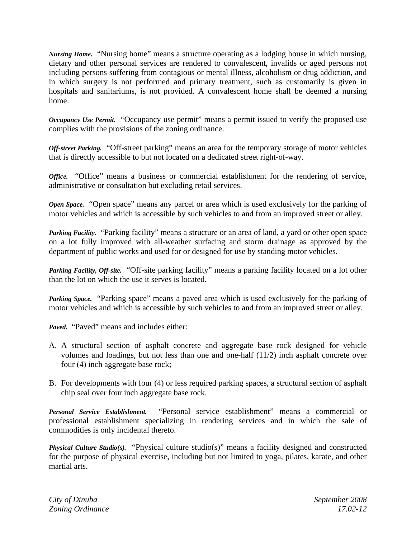*Nursing Home.* "Nursing home" means a structure operating as a lodging house in which nursing, dietary and other personal services are rendered to convalescent, invalids or aged persons not including persons suffering from contagious or mental illness, alcoholism or drug addiction, and in which surgery is not performed and primary treatment, such as customarily is given in hospitals and sanitariums, is not provided. A convalescent home shall be deemed a nursing home.

*Occupancy Use Permit.* "Occupancy use permit" means a permit issued to verify the proposed use complies with the provisions of the zoning ordinance.

*Off-street Parking.* "Off-street parking" means an area for the temporary storage of motor vehicles that is directly accessible to but not located on a dedicated street right-of-way.

*Office.* "Office" means a business or commercial establishment for the rendering of service, administrative or consultation but excluding retail services.

*Open Space.* "Open space" means any parcel or area which is used exclusively for the parking of motor vehicles and which is accessible by such vehicles to and from an improved street or alley.

*Parking Facility.* "Parking facility" means a structure or an area of land, a yard or other open space on a lot fully improved with all-weather surfacing and storm drainage as approved by the department of public works and used for or designed for use by standing motor vehicles.

*Parking Facility, Off-site.* "Off-site parking facility" means a parking facility located on a lot other than the lot on which the use it serves is located.

*Parking Space.* "Parking space" means a paved area which is used exclusively for the parking of motor vehicles and which is accessible by such vehicles to and from an improved street or alley.

*Paved.* "Paved" means and includes either:

- A. A structural section of asphalt concrete and aggregate base rock designed for vehicle volumes and loadings, but not less than one and one-half (11/2) inch asphalt concrete over four (4) inch aggregate base rock;
- B. For developments with four (4) or less required parking spaces, a structural section of asphalt chip seal over four inch aggregate base rock.

*Personal Service Establishment.* "Personal service establishment" means a commercial or professional establishment specializing in rendering services and in which the sale of commodities is only incidental thereto.

*Physical Culture Studio(s).* "Physical culture studio(s)" means a facility designed and constructed for the purpose of physical exercise, including but not limited to yoga, pilates, karate, and other martial arts.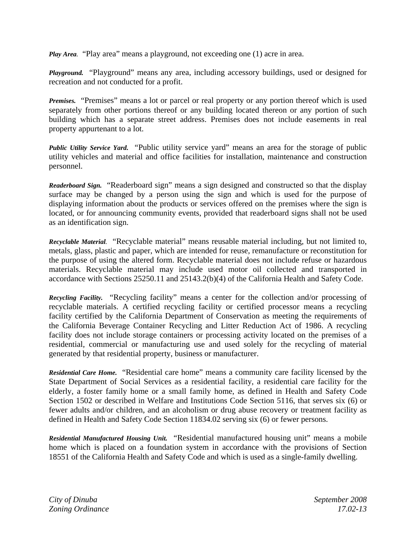*Play Area.* "Play area" means a playground, not exceeding one (1) acre in area.

*Playground.* "Playground" means any area, including accessory buildings, used or designed for recreation and not conducted for a profit.

*Premises.* "Premises" means a lot or parcel or real property or any portion thereof which is used separately from other portions thereof or any building located thereon or any portion of such building which has a separate street address. Premises does not include easements in real property appurtenant to a lot.

*Public Utility Service Yard.* "Public utility service yard" means an area for the storage of public utility vehicles and material and office facilities for installation, maintenance and construction personnel.

*Readerboard Sign.* "Readerboard sign" means a sign designed and constructed so that the display surface may be changed by a person using the sign and which is used for the purpose of displaying information about the products or services offered on the premises where the sign is located, or for announcing community events, provided that readerboard signs shall not be used as an identification sign.

*Recyclable Material.* "Recyclable material" means reusable material including, but not limited to, metals, glass, plastic and paper, which are intended for reuse, remanufacture or reconstitution for the purpose of using the altered form. Recyclable material does not include refuse or hazardous materials. Recyclable material may include used motor oil collected and transported in accordance with Sections 25250.11 and 25143.2(b)(4) of the California Health and Safety Code.

*Recycling Facility.* "Recycling facility" means a center for the collection and/or processing of recyclable materials. A certified recycling facility or certified processor means a recycling facility certified by the California Department of Conservation as meeting the requirements of the California Beverage Container Recycling and Litter Reduction Act of 1986. A recycling facility does not include storage containers or processing activity located on the premises of a residential, commercial or manufacturing use and used solely for the recycling of material generated by that residential property, business or manufacturer.

*Residential Care Home.* "Residential care home" means a community care facility licensed by the State Department of Social Services as a residential facility, a residential care facility for the elderly, a foster family home or a small family home, as defined in Health and Safety Code Section 1502 or described in Welfare and Institutions Code Section 5116, that serves six (6) or fewer adults and/or children, and an alcoholism or drug abuse recovery or treatment facility as defined in Health and Safety Code Section 11834.02 serving six (6) or fewer persons.

*Residential Manufactured Housing Unit.* "Residential manufactured housing unit" means a mobile home which is placed on a foundation system in accordance with the provisions of Section 18551 of the California Health and Safety Code and which is used as a single-family dwelling.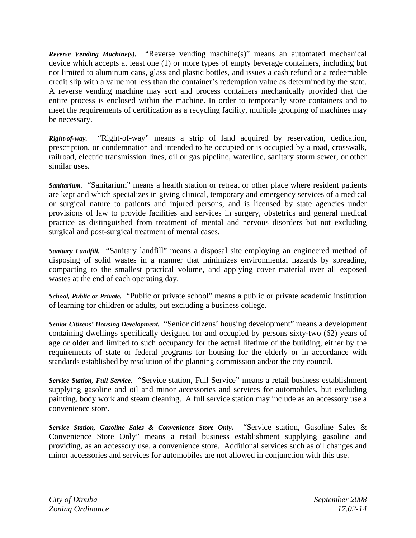*Reverse Vending Machine(s).* "Reverse vending machine(s)" means an automated mechanical device which accepts at least one (1) or more types of empty beverage containers, including but not limited to aluminum cans, glass and plastic bottles, and issues a cash refund or a redeemable credit slip with a value not less than the container's redemption value as determined by the state. A reverse vending machine may sort and process containers mechanically provided that the entire process is enclosed within the machine. In order to temporarily store containers and to meet the requirements of certification as a recycling facility, multiple grouping of machines may be necessary.

*Right-of-way.* "Right-of-way" means a strip of land acquired by reservation, dedication, prescription, or condemnation and intended to be occupied or is occupied by a road, crosswalk, railroad, electric transmission lines, oil or gas pipeline, waterline, sanitary storm sewer, or other similar uses.

*Sanitarium.*"Sanitarium" means a health station or retreat or other place where resident patients are kept and which specializes in giving clinical, temporary and emergency services of a medical or surgical nature to patients and injured persons, and is licensed by state agencies under provisions of law to provide facilities and services in surgery, obstetrics and general medical practice as distinguished from treatment of mental and nervous disorders but not excluding surgical and post-surgical treatment of mental cases.

*Sanitary Landfill.* "Sanitary landfill" means a disposal site employing an engineered method of disposing of solid wastes in a manner that minimizes environmental hazards by spreading, compacting to the smallest practical volume, and applying cover material over all exposed wastes at the end of each operating day.

*School, Public or Private.* "Public or private school" means a public or private academic institution of learning for children or adults, but excluding a business college.

*Senior Citizens' Housing Development.* "Senior citizens' housing development" means a development containing dwellings specifically designed for and occupied by persons sixty-two (62) years of age or older and limited to such occupancy for the actual lifetime of the building, either by the requirements of state or federal programs for housing for the elderly or in accordance with standards established by resolution of the planning commission and/or the city council.

*Service Station, Full Service.* "Service station, Full Service" means a retail business establishment supplying gasoline and oil and minor accessories and services for automobiles, but excluding painting, body work and steam cleaning. A full service station may include as an accessory use a convenience store.

*Service Station, Gasoline Sales & Convenience Store Only***.** "Service station, Gasoline Sales & Convenience Store Only" means a retail business establishment supplying gasoline and providing, as an accessory use, a convenience store. Additional services such as oil changes and minor accessories and services for automobiles are not allowed in conjunction with this use.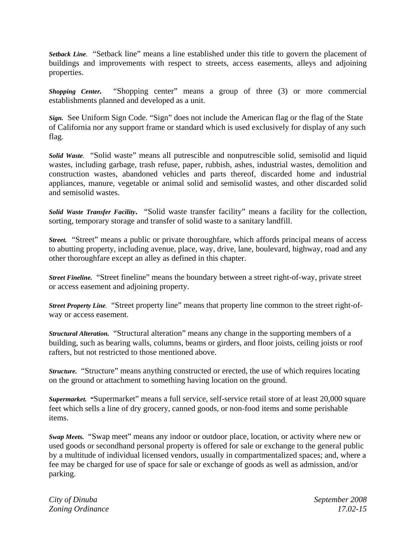*Setback Line.* "Setback line" means a line established under this title to govern the placement of buildings and improvements with respect to streets, access easements, alleys and adjoining properties.

*Shopping Center.* "Shopping center" means a group of three (3) or more commercial establishments planned and developed as a unit.

*Sign.* See Uniform Sign Code. "Sign" does not include the American flag or the flag of the State of California nor any support frame or standard which is used exclusively for display of any such flag.

*Solid Waste.*"Solid waste" means all putrescible and nonputrescible solid, semisolid and liquid wastes, including garbage, trash refuse, paper, rubbish, ashes, industrial wastes, demolition and construction wastes, abandoned vehicles and parts thereof, discarded home and industrial appliances, manure, vegetable or animal solid and semisolid wastes, and other discarded solid and semisolid wastes.

*Solid Waste Transfer Facility***.** "Solid waste transfer facility" means a facility for the collection, sorting, temporary storage and transfer of solid waste to a sanitary landfill.

*Street.* "Street" means a public or private thoroughfare, which affords principal means of access to abutting property, including avenue, place, way, drive, lane, boulevard, highway, road and any other thoroughfare except an alley as defined in this chapter.

*Street Fineline.* "Street fineline" means the boundary between a street right-of-way, private street or access easement and adjoining property.

*Street Property Line.* "Street property line" means that property line common to the street right-ofway or access easement.

*Structural Alteration.* "Structural alteration" means any change in the supporting members of a building, such as bearing walls, columns, beams or girders, and floor joists, ceiling joists or roof rafters, but not restricted to those mentioned above.

*Structure.* "Structure" means anything constructed or erected, the use of which requires locating on the ground or attachment to something having location on the ground.

*Supermarket. "*Supermarket" means a full service, self-service retail store of at least 20,000 square feet which sells a line of dry grocery, canned goods, or non-food items and some perishable items.

*Swap Meets.* "Swap meet" means any indoor or outdoor place, location, or activity where new or used goods or secondhand personal property is offered for sale or exchange to the general public by a multitude of individual licensed vendors, usually in compartmentalized spaces; and, where a fee may be charged for use of space for sale or exchange of goods as well as admission, and/or parking.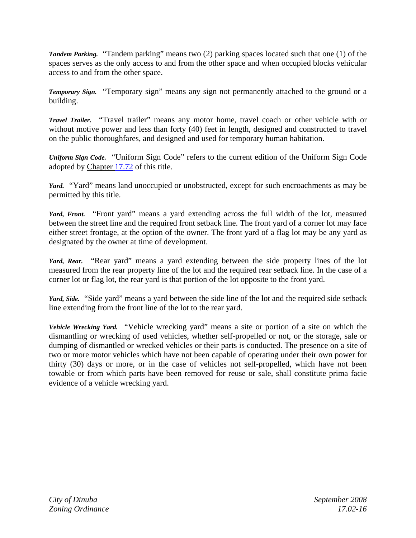*Tandem Parking.*"Tandem parking" means two (2) parking spaces located such that one (1) of the spaces serves as the only access to and from the other space and when occupied blocks vehicular access to and from the other space.

*Temporary Sign.*"Temporary sign" means any sign not permanently attached to the ground or a building.

*Travel Trailer.*"Travel trailer" means any motor home, travel coach or other vehicle with or without motive power and less than forty (40) feet in length, designed and constructed to travel on the public thoroughfares, and designed and used for temporary human habitation.

*Uniform Sign Code.*"Uniform Sign Code" refers to the current edition of the Uniform Sign Code adopted by Chapter 17.72 of this title.

*Yard.* "Yard" means land unoccupied or unobstructed, except for such encroachments as may be permitted by this title.

Yard, Front. "Front yard" means a yard extending across the full width of the lot, measured between the street line and the required front setback line. The front yard of a corner lot may face either street frontage, at the option of the owner. The front yard of a flag lot may be any yard as designated by the owner at time of development.

Yard, Rear. "Rear yard" means a yard extending between the side property lines of the lot measured from the rear property line of the lot and the required rear setback line. In the case of a corner lot or flag lot, the rear yard is that portion of the lot opposite to the front yard.

*Yard, Side.*"Side yard" means a yard between the side line of the lot and the required side setback line extending from the front line of the lot to the rear yard.

*Vehicle Wrecking Yard.*"Vehicle wrecking yard" means a site or portion of a site on which the dismantling or wrecking of used vehicles, whether self-propelled or not, or the storage, sale or dumping of dismantled or wrecked vehicles or their parts is conducted. The presence on a site of two or more motor vehicles which have not been capable of operating under their own power for thirty (30) days or more, or in the case of vehicles not self-propelled, which have not been towable or from which parts have been removed for reuse or sale, shall constitute prima facie evidence of a vehicle wrecking yard.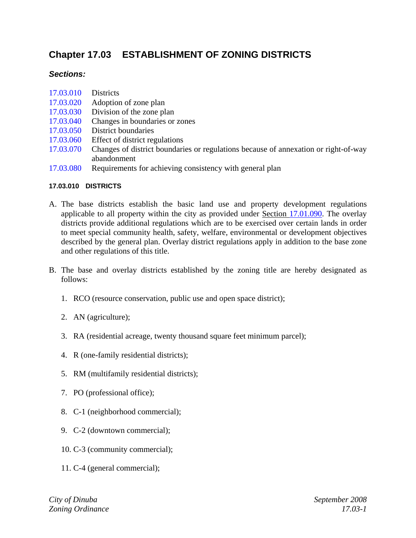## **Chapter 17.03 ESTABLISHMENT OF ZONING DISTRICTS**

#### *Sections:*

- 17.03.010 Districts
- 17.03.020 Adoption of zone plan
- 17.03.030 Division of the zone plan
- 17.03.040 Changes in boundaries or zones
- 17.03.050 District boundaries
- 17.03.060 Effect of district regulations
- 17.03.070 Changes of district boundaries or regulations because of annexation or right-of-way abandonment
- 17.03.080 Requirements for achieving consistency with general plan

#### **17.03.010 DISTRICTS**

- A. The base districts establish the basic land use and property development regulations applicable to all property within the city as provided under Section 17.01.090. The overlay districts provide additional regulations which are to be exercised over certain lands in order to meet special community health, safety, welfare, environmental or development objectives described by the general plan. Overlay district regulations apply in addition to the base zone and other regulations of this title.
- B. The base and overlay districts established by the zoning title are hereby designated as follows:
	- 1. RCO (resource conservation, public use and open space district);
	- 2. AN (agriculture);
	- 3. RA (residential acreage, twenty thousand square feet minimum parcel);
	- 4. R (one-family residential districts);
	- 5. RM (multifamily residential districts);
	- 7. PO (professional office);
	- 8. C-1 (neighborhood commercial);
	- 9. C-2 (downtown commercial);
	- 10. C-3 (community commercial);
	- 11. C-4 (general commercial);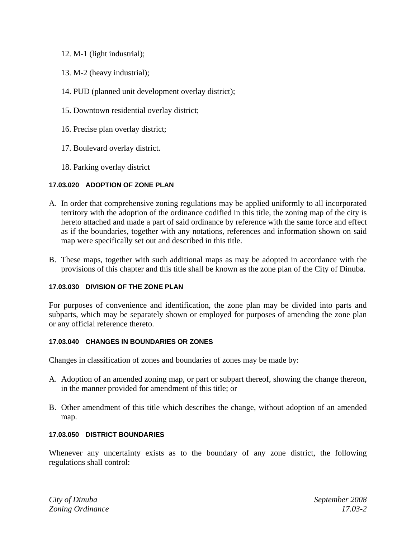- 12. M-1 (light industrial);
- 13. M-2 (heavy industrial);
- 14. PUD (planned unit development overlay district);
- 15. Downtown residential overlay district;
- 16. Precise plan overlay district;
- 17. Boulevard overlay district.
- 18. Parking overlay district

#### **17.03.020 ADOPTION OF ZONE PLAN**

- A. In order that comprehensive zoning regulations may be applied uniformly to all incorporated territory with the adoption of the ordinance codified in this title, the zoning map of the city is hereto attached and made a part of said ordinance by reference with the same force and effect as if the boundaries, together with any notations, references and information shown on said map were specifically set out and described in this title.
- B. These maps, together with such additional maps as may be adopted in accordance with the provisions of this chapter and this title shall be known as the zone plan of the City of Dinuba.

#### **17.03.030 DIVISION OF THE ZONE PLAN**

For purposes of convenience and identification, the zone plan may be divided into parts and subparts, which may be separately shown or employed for purposes of amending the zone plan or any official reference thereto.

#### **17.03.040 CHANGES IN BOUNDARIES OR ZONES**

Changes in classification of zones and boundaries of zones may be made by:

- A. Adoption of an amended zoning map, or part or subpart thereof, showing the change thereon, in the manner provided for amendment of this title; or
- B. Other amendment of this title which describes the change, without adoption of an amended map.

#### **17.03.050 DISTRICT BOUNDARIES**

Whenever any uncertainty exists as to the boundary of any zone district, the following regulations shall control: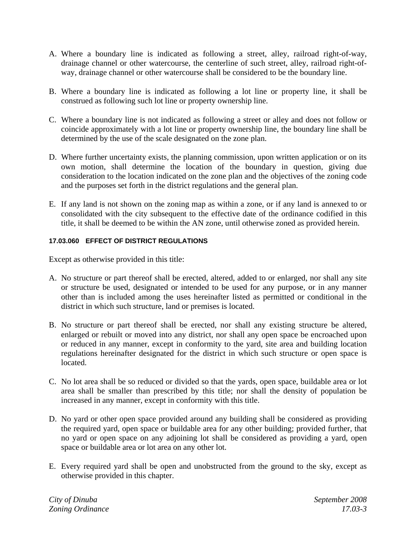- A. Where a boundary line is indicated as following a street, alley, railroad right-of-way, drainage channel or other watercourse, the centerline of such street, alley, railroad right-ofway, drainage channel or other watercourse shall be considered to be the boundary line.
- B. Where a boundary line is indicated as following a lot line or property line, it shall be construed as following such lot line or property ownership line.
- C. Where a boundary line is not indicated as following a street or alley and does not follow or coincide approximately with a lot line or property ownership line, the boundary line shall be determined by the use of the scale designated on the zone plan.
- D. Where further uncertainty exists, the planning commission, upon written application or on its own motion, shall determine the location of the boundary in question, giving due consideration to the location indicated on the zone plan and the objectives of the zoning code and the purposes set forth in the district regulations and the general plan.
- E. If any land is not shown on the zoning map as within a zone, or if any land is annexed to or consolidated with the city subsequent to the effective date of the ordinance codified in this title, it shall be deemed to be within the AN zone, until otherwise zoned as provided herein.

#### **17.03.060 EFFECT OF DISTRICT REGULATIONS**

Except as otherwise provided in this title:

- A. No structure or part thereof shall be erected, altered, added to or enlarged, nor shall any site or structure be used, designated or intended to be used for any purpose, or in any manner other than is included among the uses hereinafter listed as permitted or conditional in the district in which such structure, land or premises is located.
- B. No structure or part thereof shall be erected, nor shall any existing structure be altered, enlarged or rebuilt or moved into any district, nor shall any open space be encroached upon or reduced in any manner, except in conformity to the yard, site area and building location regulations hereinafter designated for the district in which such structure or open space is located.
- C. No lot area shall be so reduced or divided so that the yards, open space, buildable area or lot area shall be smaller than prescribed by this title; nor shall the density of population be increased in any manner, except in conformity with this title.
- D. No yard or other open space provided around any building shall be considered as providing the required yard, open space or buildable area for any other building; provided further, that no yard or open space on any adjoining lot shall be considered as providing a yard, open space or buildable area or lot area on any other lot.
- E. Every required yard shall be open and unobstructed from the ground to the sky, except as otherwise provided in this chapter.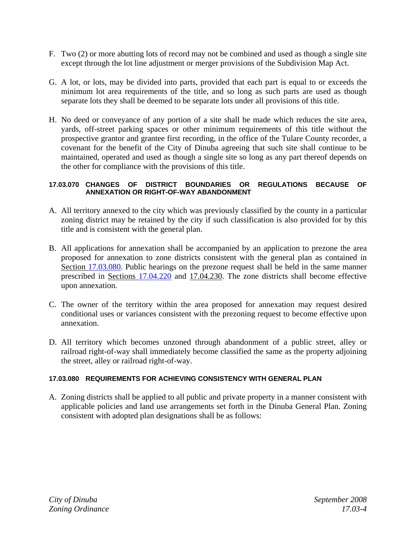- F. Two (2) or more abutting lots of record may not be combined and used as though a single site except through the lot line adjustment or merger provisions of the Subdivision Map Act.
- G. A lot, or lots, may be divided into parts, provided that each part is equal to or exceeds the minimum lot area requirements of the title, and so long as such parts are used as though separate lots they shall be deemed to be separate lots under all provisions of this title.
- H. No deed or conveyance of any portion of a site shall be made which reduces the site area, yards, off-street parking spaces or other minimum requirements of this title without the prospective grantor and grantee first recording, in the office of the Tulare County recorder, a covenant for the benefit of the City of Dinuba agreeing that such site shall continue to be maintained, operated and used as though a single site so long as any part thereof depends on the other for compliance with the provisions of this title.

#### **17.03.070 CHANGES OF DISTRICT BOUNDARIES OR REGULATIONS BECAUSE OF ANNEXATION OR RIGHT-OF-WAY ABANDONMENT**

- A. All territory annexed to the city which was previously classified by the county in a particular zoning district may be retained by the city if such classification is also provided for by this title and is consistent with the general plan.
- B. All applications for annexation shall be accompanied by an application to prezone the area proposed for annexation to zone districts consistent with the general plan as contained in Section 17.03.080. Public hearings on the prezone request shall be held in the same manner prescribed in Sections 17.04.220 and 17.04.230. The zone districts shall become effective upon annexation.
- C. The owner of the territory within the area proposed for annexation may request desired conditional uses or variances consistent with the prezoning request to become effective upon annexation.
- D. All territory which becomes unzoned through abandonment of a public street, alley or railroad right-of-way shall immediately become classified the same as the property adjoining the street, alley or railroad right-of-way.

#### **17.03.080 REQUIREMENTS FOR ACHIEVING CONSISTENCY WITH GENERAL PLAN**

A. Zoning districts shall be applied to all public and private property in a manner consistent with applicable policies and land use arrangements set forth in the Dinuba General Plan. Zoning consistent with adopted plan designations shall be as follows: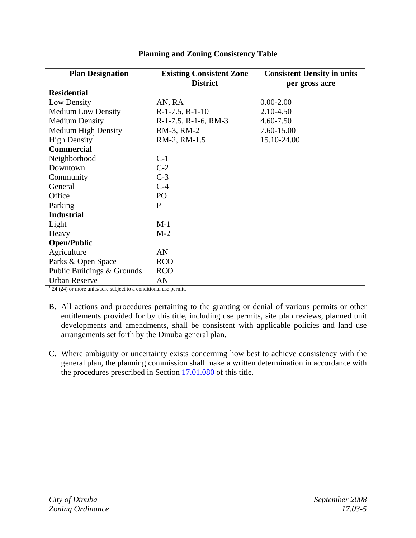| <b>Plan Designation</b>    | <b>Existing Consistent Zone</b> | <b>Consistent Density in units</b> |
|----------------------------|---------------------------------|------------------------------------|
|                            | <b>District</b>                 | per gross acre                     |
| <b>Residential</b>         |                                 |                                    |
| Low Density                | AN, RA                          | $0.00 - 2.00$                      |
| <b>Medium Low Density</b>  | $R-1-7.5$ , $R-1-10$            | 2.10-4.50                          |
| <b>Medium Density</b>      | $R-1-7.5$ , $R-1-6$ , $RM-3$    | 4.60-7.50                          |
| <b>Medium High Density</b> | RM-3, RM-2                      | 7.60-15.00                         |
| High Density <sup>1</sup>  | RM-2, RM-1.5                    | 15.10-24.00                        |
| <b>Commercial</b>          |                                 |                                    |
| Neighborhood               | $C-1$                           |                                    |
| Downtown                   | $C-2$                           |                                    |
| Community                  | $C-3$                           |                                    |
| General                    | $C-4$                           |                                    |
| Office                     | PO <sub>1</sub>                 |                                    |
| Parking                    | P                               |                                    |
| <b>Industrial</b>          |                                 |                                    |
| Light                      | $M-1$                           |                                    |
| Heavy                      | $M-2$                           |                                    |
| <b>Open/Public</b>         |                                 |                                    |
| Agriculture                | AN                              |                                    |
| Parks & Open Space         | <b>RCO</b>                      |                                    |
| Public Buildings & Grounds | <b>RCO</b>                      |                                    |
| <b>Urban Reserve</b>       | AN                              |                                    |

#### **Planning and Zoning Consistency Table**

 $124(24)$  or more units/acre subject to a conditional use permit.

- B. All actions and procedures pertaining to the granting or denial of various permits or other entitlements provided for by this title, including use permits, site plan reviews, planned unit developments and amendments, shall be consistent with applicable policies and land use arrangements set forth by the Dinuba general plan.
- C. Where ambiguity or uncertainty exists concerning how best to achieve consistency with the general plan, the planning commission shall make a written determination in accordance with the procedures prescribed in Section 17.01.080 of this title.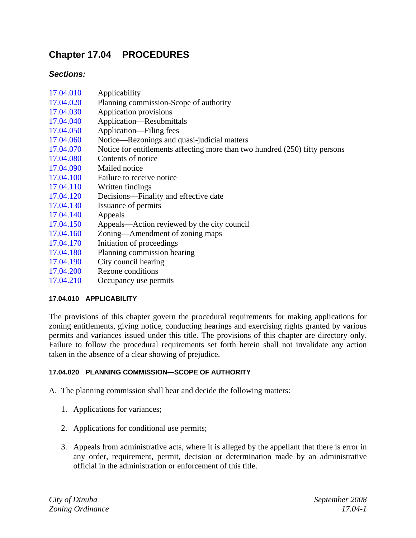## **Chapter 17.04 PROCEDURES**

#### *Sections:*

| 17.04.010 | Applicability                                                               |
|-----------|-----------------------------------------------------------------------------|
| 17.04.020 | Planning commission-Scope of authority                                      |
| 17.04.030 | Application provisions                                                      |
| 17.04.040 | Application—Resubmittals                                                    |
| 17.04.050 | Application—Filing fees                                                     |
| 17.04.060 | Notice—Rezonings and quasi-judicial matters                                 |
| 17.04.070 | Notice for entitlements affecting more than two hundred (250) fifty persons |
| 17.04.080 | Contents of notice                                                          |
| 17.04.090 | Mailed notice                                                               |
| 17.04.100 | Failure to receive notice                                                   |
| 17.04.110 | Written findings                                                            |
| 17.04.120 | Decisions—Finality and effective date                                       |
| 17.04.130 | Issuance of permits                                                         |
| 17.04.140 | Appeals                                                                     |
| 17.04.150 | Appeals—Action reviewed by the city council                                 |
| 17.04.160 | Zoning—Amendment of zoning maps                                             |
| 17.04.170 | Initiation of proceedings                                                   |
| 17.04.180 | Planning commission hearing                                                 |
| 17.04.190 | City council hearing                                                        |
| 17.04.200 | Rezone conditions                                                           |
| 17.04.210 | Occupancy use permits                                                       |

#### **17.04.010 APPLICABILITY**

The provisions of this chapter govern the procedural requirements for making applications for zoning entitlements, giving notice, conducting hearings and exercising rights granted by various permits and variances issued under this title. The provisions of this chapter are directory only. Failure to follow the procedural requirements set forth herein shall not invalidate any action taken in the absence of a clear showing of prejudice.

#### **17.04.020 PLANNING COMMISSION—SCOPE OF AUTHORITY**

A. The planning commission shall hear and decide the following matters:

- 1. Applications for variances;
- 2. Applications for conditional use permits;
- 3. Appeals from administrative acts, where it is alleged by the appellant that there is error in any order, requirement, permit, decision or determination made by an administrative official in the administration or enforcement of this title.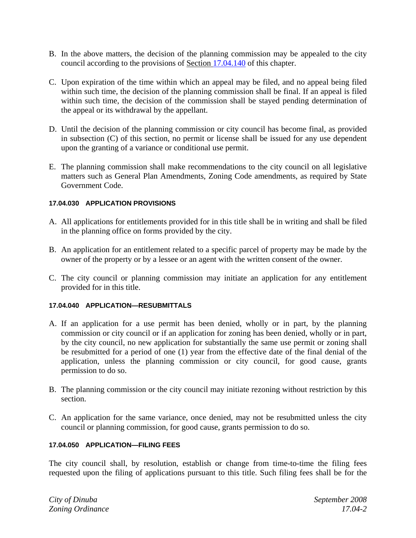- B. In the above matters, the decision of the planning commission may be appealed to the city council according to the provisions of Section 17.04.140 of this chapter.
- C. Upon expiration of the time within which an appeal may be filed, and no appeal being filed within such time, the decision of the planning commission shall be final. If an appeal is filed within such time, the decision of the commission shall be stayed pending determination of the appeal or its withdrawal by the appellant.
- D. Until the decision of the planning commission or city council has become final, as provided in subsection (C) of this section, no permit or license shall be issued for any use dependent upon the granting of a variance or conditional use permit.
- E. The planning commission shall make recommendations to the city council on all legislative matters such as General Plan Amendments, Zoning Code amendments, as required by State Government Code.

#### **17.04.030 APPLICATION PROVISIONS**

- A. All applications for entitlements provided for in this title shall be in writing and shall be filed in the planning office on forms provided by the city.
- B. An application for an entitlement related to a specific parcel of property may be made by the owner of the property or by a lessee or an agent with the written consent of the owner.
- C. The city council or planning commission may initiate an application for any entitlement provided for in this title.

#### **17.04.040 APPLICATION—RESUBMITTALS**

- A. If an application for a use permit has been denied, wholly or in part, by the planning commission or city council or if an application for zoning has been denied, wholly or in part, by the city council, no new application for substantially the same use permit or zoning shall be resubmitted for a period of one (1) year from the effective date of the final denial of the application, unless the planning commission or city council, for good cause, grants permission to do so.
- B. The planning commission or the city council may initiate rezoning without restriction by this section.
- C. An application for the same variance, once denied, may not be resubmitted unless the city council or planning commission, for good cause, grants permission to do so.

#### **17.04.050 APPLICATION—FILING FEES**

The city council shall, by resolution, establish or change from time-to-time the filing fees requested upon the filing of applications pursuant to this title. Such filing fees shall be for the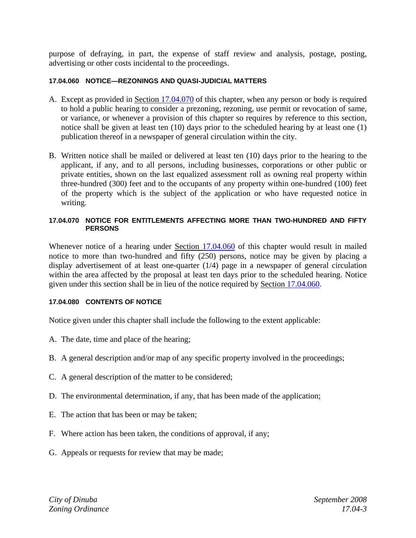purpose of defraying, in part, the expense of staff review and analysis, postage, posting, advertising or other costs incidental to the proceedings.

#### **17.04.060 NOTICE—REZONINGS AND QUASI-JUDICIAL MATTERS**

- A. Except as provided in Section 17.04.070 of this chapter, when any person or body is required to hold a public hearing to consider a prezoning, rezoning, use permit or revocation of same, or variance, or whenever a provision of this chapter so requires by reference to this section, notice shall be given at least ten (10) days prior to the scheduled hearing by at least one (1) publication thereof in a newspaper of general circulation within the city.
- B. Written notice shall be mailed or delivered at least ten (10) days prior to the hearing to the applicant, if any, and to all persons, including businesses, corporations or other public or private entities, shown on the last equalized assessment roll as owning real property within three-hundred (300) feet and to the occupants of any property within one-hundred (100) feet of the property which is the subject of the application or who have requested notice in writing.

#### **17.04.070 NOTICE FOR ENTITLEMENTS AFFECTING MORE THAN TWO-HUNDRED AND FIFTY PERSONS**

Whenever notice of a hearing under Section 17.04.060 of this chapter would result in mailed notice to more than two-hundred and fifty (250) persons, notice may be given by placing a display advertisement of at least one-quarter (1/4) page in a newspaper of general circulation within the area affected by the proposal at least ten days prior to the scheduled hearing. Notice given under this section shall be in lieu of the notice required by Section 17.04.060.

#### **17.04.080 CONTENTS OF NOTICE**

Notice given under this chapter shall include the following to the extent applicable:

- A. The date, time and place of the hearing;
- B. A general description and/or map of any specific property involved in the proceedings;
- C. A general description of the matter to be considered;
- D. The environmental determination, if any, that has been made of the application;
- E. The action that has been or may be taken;
- F. Where action has been taken, the conditions of approval, if any;
- G. Appeals or requests for review that may be made;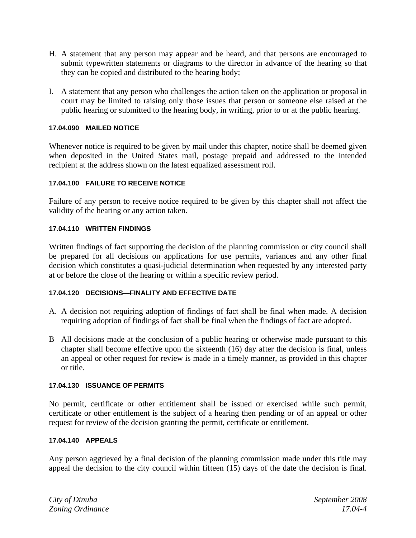- H. A statement that any person may appear and be heard, and that persons are encouraged to submit typewritten statements or diagrams to the director in advance of the hearing so that they can be copied and distributed to the hearing body;
- I. A statement that any person who challenges the action taken on the application or proposal in court may be limited to raising only those issues that person or someone else raised at the public hearing or submitted to the hearing body, in writing, prior to or at the public hearing.

#### **17.04.090 MAILED NOTICE**

Whenever notice is required to be given by mail under this chapter, notice shall be deemed given when deposited in the United States mail, postage prepaid and addressed to the intended recipient at the address shown on the latest equalized assessment roll.

#### **17.04.100 FAILURE TO RECEIVE NOTICE**

Failure of any person to receive notice required to be given by this chapter shall not affect the validity of the hearing or any action taken.

#### **17.04.110 WRITTEN FINDINGS**

Written findings of fact supporting the decision of the planning commission or city council shall be prepared for all decisions on applications for use permits, variances and any other final decision which constitutes a quasi-judicial determination when requested by any interested party at or before the close of the hearing or within a specific review period.

#### **17.04.120 DECISIONS—FINALITY AND EFFECTIVE DATE**

- A. A decision not requiring adoption of findings of fact shall be final when made. A decision requiring adoption of findings of fact shall be final when the findings of fact are adopted.
- B All decisions made at the conclusion of a public hearing or otherwise made pursuant to this chapter shall become effective upon the sixteenth (16) day after the decision is final, unless an appeal or other request for review is made in a timely manner, as provided in this chapter or title.

#### **17.04.130 ISSUANCE OF PERMITS**

No permit, certificate or other entitlement shall be issued or exercised while such permit, certificate or other entitlement is the subject of a hearing then pending or of an appeal or other request for review of the decision granting the permit, certificate or entitlement.

#### **17.04.140 APPEALS**

Any person aggrieved by a final decision of the planning commission made under this title may appeal the decision to the city council within fifteen (15) days of the date the decision is final.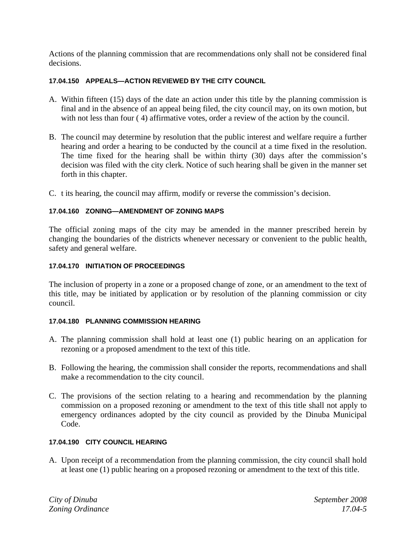Actions of the planning commission that are recommendations only shall not be considered final decisions.

#### **17.04.150 APPEALS—ACTION REVIEWED BY THE CITY COUNCIL**

- A. Within fifteen (15) days of the date an action under this title by the planning commission is final and in the absence of an appeal being filed, the city council may, on its own motion, but with not less than four (4) affirmative votes, order a review of the action by the council.
- B. The council may determine by resolution that the public interest and welfare require a further hearing and order a hearing to be conducted by the council at a time fixed in the resolution. The time fixed for the hearing shall be within thirty (30) days after the commission's decision was filed with the city clerk. Notice of such hearing shall be given in the manner set forth in this chapter.
- C. t its hearing, the council may affirm, modify or reverse the commission's decision.

#### **17.04.160 ZONING—AMENDMENT OF ZONING MAPS**

The official zoning maps of the city may be amended in the manner prescribed herein by changing the boundaries of the districts whenever necessary or convenient to the public health, safety and general welfare.

#### **17.04.170 INITIATION OF PROCEEDINGS**

The inclusion of property in a zone or a proposed change of zone, or an amendment to the text of this title, may be initiated by application or by resolution of the planning commission or city council.

#### **17.04.180 PLANNING COMMISSION HEARING**

- A. The planning commission shall hold at least one (1) public hearing on an application for rezoning or a proposed amendment to the text of this title.
- B. Following the hearing, the commission shall consider the reports, recommendations and shall make a recommendation to the city council.
- C. The provisions of the section relating to a hearing and recommendation by the planning commission on a proposed rezoning or amendment to the text of this title shall not apply to emergency ordinances adopted by the city council as provided by the Dinuba Municipal Code.

#### **17.04.190 CITY COUNCIL HEARING**

A. Upon receipt of a recommendation from the planning commission, the city council shall hold at least one (1) public hearing on a proposed rezoning or amendment to the text of this title.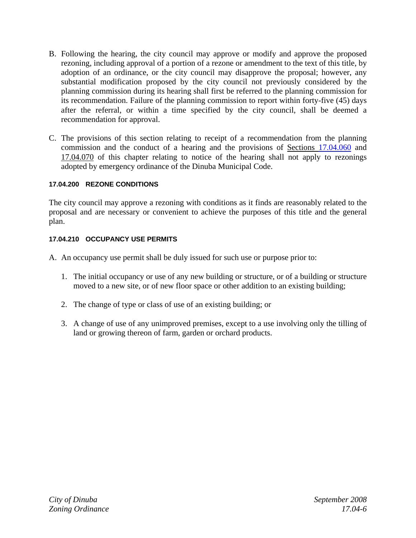- B. Following the hearing, the city council may approve or modify and approve the proposed rezoning, including approval of a portion of a rezone or amendment to the text of this title, by adoption of an ordinance, or the city council may disapprove the proposal; however, any substantial modification proposed by the city council not previously considered by the planning commission during its hearing shall first be referred to the planning commission for its recommendation. Failure of the planning commission to report within forty-five (45) days after the referral, or within a time specified by the city council, shall be deemed a recommendation for approval.
- C. The provisions of this section relating to receipt of a recommendation from the planning commission and the conduct of a hearing and the provisions of Sections 17.04.060 and 17.04.070 of this chapter relating to notice of the hearing shall not apply to rezonings adopted by emergency ordinance of the Dinuba Municipal Code.

#### **17.04.200 REZONE CONDITIONS**

The city council may approve a rezoning with conditions as it finds are reasonably related to the proposal and are necessary or convenient to achieve the purposes of this title and the general plan.

#### **17.04.210 OCCUPANCY USE PERMITS**

- A. An occupancy use permit shall be duly issued for such use or purpose prior to:
	- 1. The initial occupancy or use of any new building or structure, or of a building or structure moved to a new site, or of new floor space or other addition to an existing building;
	- 2. The change of type or class of use of an existing building; or
	- 3. A change of use of any unimproved premises, except to a use involving only the tilling of land or growing thereon of farm, garden or orchard products.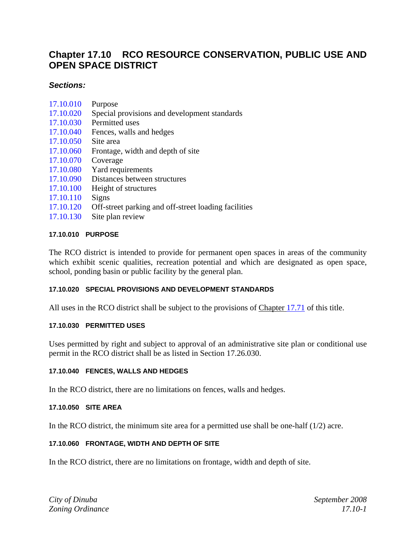### **Chapter 17.10 RCO RESOURCE CONSERVATION, PUBLIC USE AND OPEN SPACE DISTRICT**

#### *Sections:*

- 17.10.010 Purpose
- 17.10.020 Special provisions and development standards
- 17.10.030 Permitted uses
- 17.10.040 Fences, walls and hedges
- 17.10.050 Site area
- 17.10.060 Frontage, width and depth of site
- 17.10.070 Coverage
- 17.10.080 Yard requirements
- 17.10.090 Distances between structures
- 17.10.100 Height of structures
- 17.10.110 Signs
- 17.10.120 Off-street parking and off-street loading facilities
- 17.10.130 Site plan review

#### **17.10.010 PURPOSE**

The RCO district is intended to provide for permanent open spaces in areas of the community which exhibit scenic qualities, recreation potential and which are designated as open space, school, ponding basin or public facility by the general plan.

#### **17.10.020 SPECIAL PROVISIONS AND DEVELOPMENT STANDARDS**

All uses in the RCO district shall be subject to the provisions of Chapter 17.71 of this title.

#### **17.10.030 PERMITTED USES**

Uses permitted by right and subject to approval of an administrative site plan or conditional use permit in the RCO district shall be as listed in Section 17.26.030.

#### **17.10.040 FENCES, WALLS AND HEDGES**

In the RCO district, there are no limitations on fences, walls and hedges.

#### **17.10.050 SITE AREA**

In the RCO district, the minimum site area for a permitted use shall be one-half  $(1/2)$  acre.

#### **17.10.060 FRONTAGE, WIDTH AND DEPTH OF SITE**

In the RCO district, there are no limitations on frontage, width and depth of site.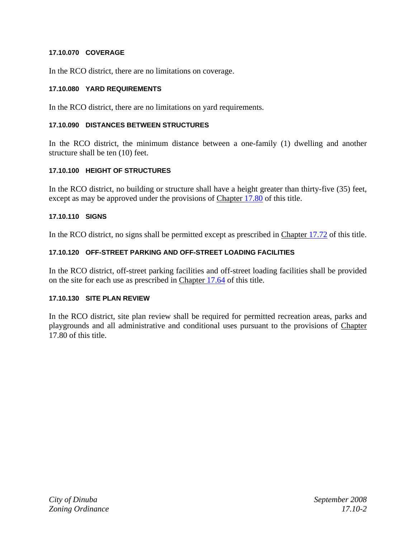#### **17.10.070 COVERAGE**

In the RCO district, there are no limitations on coverage.

#### **17.10.080 YARD REQUIREMENTS**

In the RCO district, there are no limitations on yard requirements.

#### **17.10.090 DISTANCES BETWEEN STRUCTURES**

In the RCO district, the minimum distance between a one-family (1) dwelling and another structure shall be ten (10) feet.

#### **17.10.100 HEIGHT OF STRUCTURES**

In the RCO district, no building or structure shall have a height greater than thirty-five (35) feet, except as may be approved under the provisions of Chapter 17.80 of this title.

#### **17.10.110 SIGNS**

In the RCO district, no signs shall be permitted except as prescribed in Chapter 17.72 of this title.

#### **17.10.120 OFF-STREET PARKING AND OFF-STREET LOADING FACILITIES**

In the RCO district, off-street parking facilities and off-street loading facilities shall be provided on the site for each use as prescribed in Chapter 17.64 of this title.

#### **17.10.130 SITE PLAN REVIEW**

In the RCO district, site plan review shall be required for permitted recreation areas, parks and playgrounds and all administrative and conditional uses pursuant to the provisions of Chapter 17.80 of this title.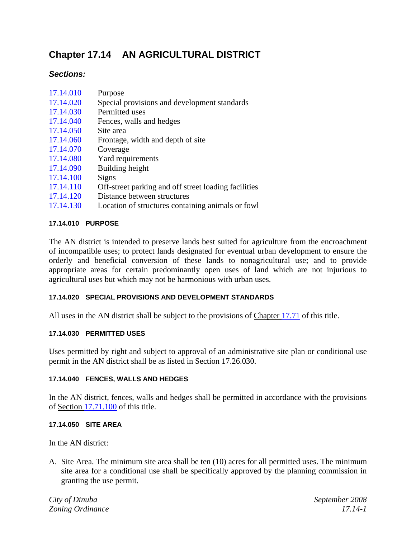# **Chapter 17.14 AN AGRICULTURAL DISTRICT**

# *Sections:*

| 17.14.010 | Purpose |  |  |
|-----------|---------|--|--|
| .         |         |  |  |

- 17.14.020 Special provisions and development standards
- 17.14.030 Permitted uses
- 17.14.040 Fences, walls and hedges
- 17.14.050 Site area
- 17.14.060 Frontage, width and depth of site
- 17.14.070 Coverage
- 17.14.080 Yard requirements
- 17.14.090 Building height
- 17.14.100 Signs
- 17.14.110 Off-street parking and off street loading facilities
- 17.14.120 Distance between structures
- 17.14.130 Location of structures containing animals or fowl

## **17.14.010 PURPOSE**

The AN district is intended to preserve lands best suited for agriculture from the encroachment of incompatible uses; to protect lands designated for eventual urban development to ensure the orderly and beneficial conversion of these lands to nonagricultural use; and to provide appropriate areas for certain predominantly open uses of land which are not injurious to agricultural uses but which may not be harmonious with urban uses.

## **17.14.020 SPECIAL PROVISIONS AND DEVELOPMENT STANDARDS**

All uses in the AN district shall be subject to the provisions of Chapter 17.71 of this title.

## **17.14.030 PERMITTED USES**

Uses permitted by right and subject to approval of an administrative site plan or conditional use permit in the AN district shall be as listed in Section 17.26.030.

## **17.14.040 FENCES, WALLS AND HEDGES**

In the AN district, fences, walls and hedges shall be permitted in accordance with the provisions of Section 17.71.100 of this title.

#### **17.14.050 SITE AREA**

In the AN district:

A. Site Area. The minimum site area shall be ten (10) acres for all permitted uses. The minimum site area for a conditional use shall be specifically approved by the planning commission in granting the use permit.

*City of Dinuba September 2008 Zoning Ordinance 17.14-1*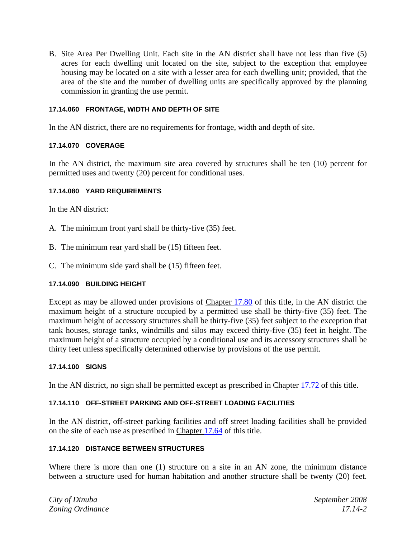B. Site Area Per Dwelling Unit. Each site in the AN district shall have not less than five (5) acres for each dwelling unit located on the site, subject to the exception that employee housing may be located on a site with a lesser area for each dwelling unit; provided, that the area of the site and the number of dwelling units are specifically approved by the planning commission in granting the use permit.

#### **17.14.060 FRONTAGE, WIDTH AND DEPTH OF SITE**

In the AN district, there are no requirements for frontage, width and depth of site.

#### **17.14.070 COVERAGE**

In the AN district, the maximum site area covered by structures shall be ten (10) percent for permitted uses and twenty (20) percent for conditional uses.

#### **17.14.080 YARD REQUIREMENTS**

In the AN district:

- A. The minimum front yard shall be thirty-five (35) feet.
- B. The minimum rear yard shall be (15) fifteen feet.
- C. The minimum side yard shall be (15) fifteen feet.

#### **17.14.090 BUILDING HEIGHT**

Except as may be allowed under provisions of Chapter 17.80 of this title, in the AN district the maximum height of a structure occupied by a permitted use shall be thirty-five (35) feet. The maximum height of accessory structures shall be thirty-five (35) feet subject to the exception that tank houses, storage tanks, windmills and silos may exceed thirty-five (35) feet in height. The maximum height of a structure occupied by a conditional use and its accessory structures shall be thirty feet unless specifically determined otherwise by provisions of the use permit.

#### **17.14.100 SIGNS**

In the AN district, no sign shall be permitted except as prescribed in Chapter 17.72 of this title.

#### **17.14.110 OFF-STREET PARKING AND OFF-STREET LOADING FACILITIES**

In the AN district, off-street parking facilities and off street loading facilities shall be provided on the site of each use as prescribed in Chapter 17.64 of this title.

#### **17.14.120 DISTANCE BETWEEN STRUCTURES**

Where there is more than one (1) structure on a site in an AN zone, the minimum distance between a structure used for human habitation and another structure shall be twenty (20) feet.

*City of Dinuba September 2008 Zoning Ordinance 17.14-2*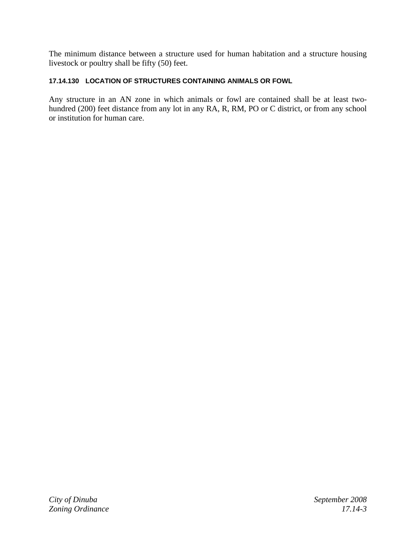The minimum distance between a structure used for human habitation and a structure housing livestock or poultry shall be fifty (50) feet.

#### **17.14.130 LOCATION OF STRUCTURES CONTAINING ANIMALS OR FOWL**

Any structure in an AN zone in which animals or fowl are contained shall be at least twohundred (200) feet distance from any lot in any RA, R, RM, PO or C district, or from any school or institution for human care.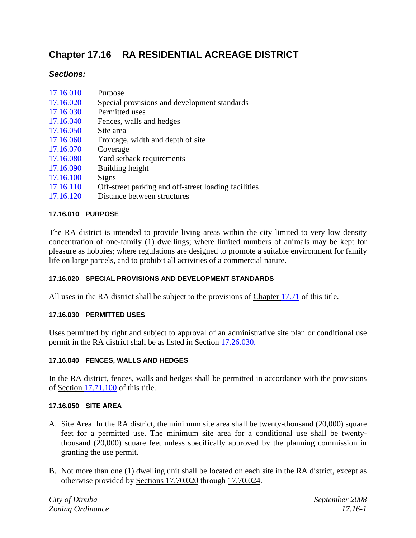# **Chapter 17.16 RA RESIDENTIAL ACREAGE DISTRICT**

## *Sections:*

| 17.16.010 | Purpose                                      |
|-----------|----------------------------------------------|
| 17.16.020 | Special provisions and development standards |
| 17.16.030 | Permitted uses                               |
| 17.16.040 | Fences, walls and hedges                     |
| 17.16.050 | Site area                                    |
| 17.16.060 | Frontage, width and depth of site            |
| 17.16.070 | Coverage                                     |
| 17.16.080 | Yard setback requirements                    |
| 17.16.090 | Building height                              |
| 17.16.100 | Signs                                        |

- 17.16.110 Off-street parking and off-street loading facilities
- 17.16.120 Distance between structures

#### **17.16.010 PURPOSE**

The RA district is intended to provide living areas within the city limited to very low density concentration of one-family (1) dwellings; where limited numbers of animals may be kept for pleasure as hobbies; where regulations are designed to promote a suitable environment for family life on large parcels, and to prohibit all activities of a commercial nature.

#### **17.16.020 SPECIAL PROVISIONS AND DEVELOPMENT STANDARDS**

All uses in the RA district shall be subject to the provisions of Chapter 17.71 of this title.

#### **17.16.030 PERMITTED USES**

Uses permitted by right and subject to approval of an administrative site plan or conditional use permit in the RA district shall be as listed in Section 17.26.030.

#### **17.16.040 FENCES, WALLS AND HEDGES**

In the RA district, fences, walls and hedges shall be permitted in accordance with the provisions of Section 17.71.100 of this title.

#### **17.16.050 SITE AREA**

- A. Site Area. In the RA district, the minimum site area shall be twenty-thousand (20,000) square feet for a permitted use. The minimum site area for a conditional use shall be twentythousand (20,000) square feet unless specifically approved by the planning commission in granting the use permit.
- B. Not more than one (1) dwelling unit shall be located on each site in the RA district, except as otherwise provided by Sections 17.70.020 through 17.70.024.

*City of Dinuba September 2008 Zoning Ordinance 17.16-1*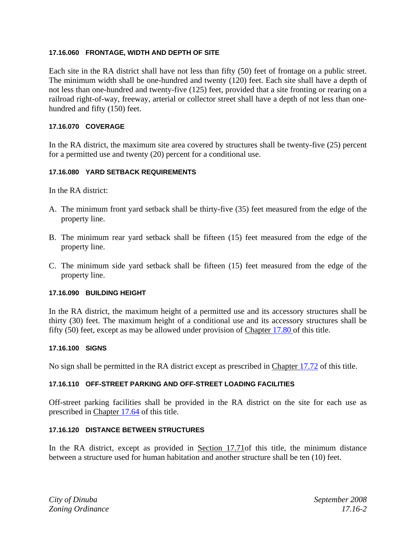#### **17.16.060 FRONTAGE, WIDTH AND DEPTH OF SITE**

Each site in the RA district shall have not less than fifty (50) feet of frontage on a public street. The minimum width shall be one-hundred and twenty (120) feet. Each site shall have a depth of not less than one-hundred and twenty-five (125) feet, provided that a site fronting or rearing on a railroad right-of-way, freeway, arterial or collector street shall have a depth of not less than onehundred and fifty (150) feet.

#### **17.16.070 COVERAGE**

In the RA district, the maximum site area covered by structures shall be twenty-five (25) percent for a permitted use and twenty (20) percent for a conditional use.

## **17.16.080 YARD SETBACK REQUIREMENTS**

In the RA district:

- A. The minimum front yard setback shall be thirty-five (35) feet measured from the edge of the property line.
- B. The minimum rear yard setback shall be fifteen (15) feet measured from the edge of the property line.
- C. The minimum side yard setback shall be fifteen (15) feet measured from the edge of the property line.

#### **17.16.090 BUILDING HEIGHT**

In the RA district, the maximum height of a permitted use and its accessory structures shall be thirty (30) feet. The maximum height of a conditional use and its accessory structures shall be fifty (50) feet, except as may be allowed under provision of Chapter 17.80 of this title.

#### **17.16.100 SIGNS**

No sign shall be permitted in the RA district except as prescribed in Chapter 17.72 of this title.

#### **17.16.110 OFF-STREET PARKING AND OFF-STREET LOADING FACILITIES**

Off-street parking facilities shall be provided in the RA district on the site for each use as prescribed in Chapter 17.64 of this title.

#### **17.16.120 DISTANCE BETWEEN STRUCTURES**

In the RA district, except as provided in Section 17.71of this title, the minimum distance between a structure used for human habitation and another structure shall be ten (10) feet.

*City of Dinuba September 2008 Zoning Ordinance 17.16-2*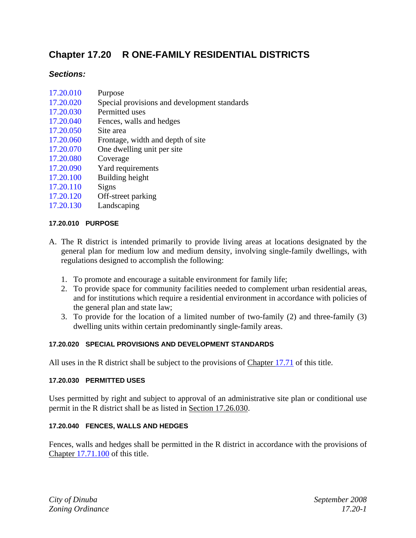# **Chapter 17.20 R ONE-FAMILY RESIDENTIAL DISTRICTS**

## *Sections:*

- 17.20.010 Purpose
- 17.20.020 Special provisions and development standards
- 17.20.030 Permitted uses
- 17.20.040 Fences, walls and hedges
- 17.20.050 Site area
- 17.20.060 Frontage, width and depth of site
- 17.20.070 One dwelling unit per site
- 17.20.080 Coverage
- 17.20.090 Yard requirements
- 17.20.100 Building height
- 17.20.110 Signs
- 17.20.120 Off-street parking
- 17.20.130 Landscaping

## **17.20.010 PURPOSE**

- A. The R district is intended primarily to provide living areas at locations designated by the general plan for medium low and medium density, involving single-family dwellings, with regulations designed to accomplish the following:
	- 1. To promote and encourage a suitable environment for family life;
	- 2. To provide space for community facilities needed to complement urban residential areas, and for institutions which require a residential environment in accordance with policies of the general plan and state law;
	- 3. To provide for the location of a limited number of two-family (2) and three-family (3) dwelling units within certain predominantly single-family areas.

## **17.20.020 SPECIAL PROVISIONS AND DEVELOPMENT STANDARDS**

All uses in the R district shall be subject to the provisions of Chapter 17.71 of this title.

## **17.20.030 PERMITTED USES**

Uses permitted by right and subject to approval of an administrative site plan or conditional use permit in the R district shall be as listed in Section 17.26.030.

## **17.20.040 FENCES, WALLS AND HEDGES**

Fences, walls and hedges shall be permitted in the R district in accordance with the provisions of Chapter 17.71.100 of this title.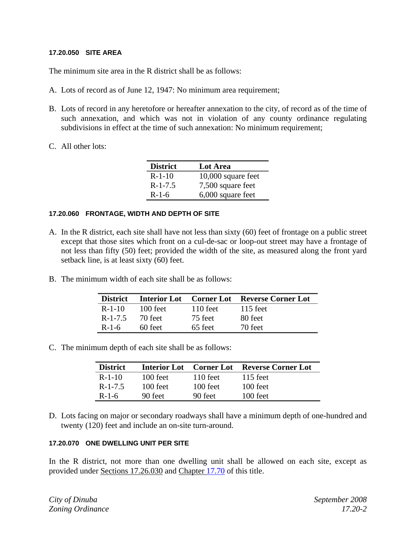#### **17.20.050 SITE AREA**

The minimum site area in the R district shall be as follows:

- A. Lots of record as of June 12, 1947: No minimum area requirement;
- B. Lots of record in any heretofore or hereafter annexation to the city, of record as of the time of such annexation, and which was not in violation of any county ordinance regulating subdivisions in effect at the time of such annexation: No minimum requirement;
- C. All other lots:

| <b>District</b> | <b>Lot Area</b>      |
|-----------------|----------------------|
| $R-1-10$        | $10,000$ square feet |
| $R-1-7.5$       | 7,500 square feet    |
| $R-1-6$         | 6,000 square feet    |

#### **17.20.060 FRONTAGE, WIDTH AND DEPTH OF SITE**

- A. In the R district, each site shall have not less than sixty (60) feet of frontage on a public street except that those sites which front on a cul-de-sac or loop-out street may have a frontage of not less than fifty (50) feet; provided the width of the site, as measured along the front yard setback line, is at least sixty (60) feet.
- B. The minimum width of each site shall be as follows:

| <b>District</b> |            |            | <b>Interior Lot</b> Corner Lot Reverse Corner Lot |
|-----------------|------------|------------|---------------------------------------------------|
| $R-1-10$        | $100$ feet | $110$ feet | $115$ feet                                        |
| $R-1-7.5$       | 70 feet    | 75 feet    | 80 feet                                           |
| $R-1-6$         | $60$ feet  | 65 feet    | 70 feet                                           |

C. The minimum depth of each site shall be as follows:

| <b>District</b> | <b>Interior Lot</b> Corner Lot |            | <b>Reverse Corner Lot</b> |
|-----------------|--------------------------------|------------|---------------------------|
| $R-1-10$        | $100$ feet                     | $110$ feet | $115$ feet                |
| $R - 1 - 7.5$   | $100$ feet                     | 100 feet   | $100$ feet                |
| $R-1-6$         | 90 feet                        | 90 feet    | $100$ feet                |

D. Lots facing on major or secondary roadways shall have a minimum depth of one-hundred and twenty (120) feet and include an on-site turn-around.

#### **17.20.070 ONE DWELLING UNIT PER SITE**

In the R district, not more than one dwelling unit shall be allowed on each site, except as provided under Sections 17.26.030 and Chapter 17.70 of this title.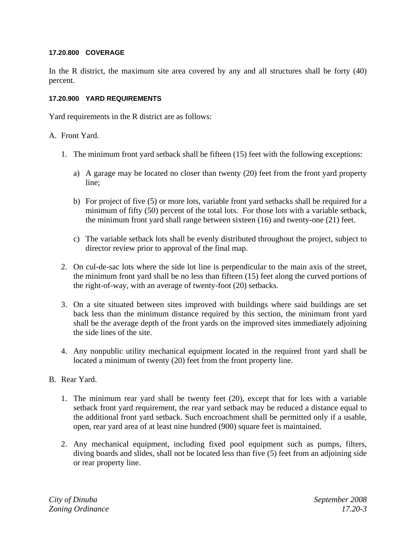#### **17.20.800 COVERAGE**

In the R district, the maximum site area covered by any and all structures shall be forty (40) percent.

#### **17.20.900 YARD REQUIREMENTS**

Yard requirements in the R district are as follows:

## A. Front Yard.

- 1. The minimum front yard setback shall be fifteen (15) feet with the following exceptions:
	- a) A garage may be located no closer than twenty (20) feet from the front yard property line;
	- b) For project of five (5) or more lots, variable front yard setbacks shall be required for a minimum of fifty (50) percent of the total lots. For those lots with a variable setback, the minimum front yard shall range between sixteen (16) and twenty-one (21) feet.
	- c) The variable setback lots shall be evenly distributed throughout the project, subject to director review prior to approval of the final map.
- 2. On cul-de-sac lots where the side lot line is perpendicular to the main axis of the street, the minimum front yard shall be no less than fifteen (15) feet along the curved portions of the right-of-way, with an average of twenty-foot (20) setbacks.
- 3. On a site situated between sites improved with buildings where said buildings are set back less than the minimum distance required by this section, the minimum front yard shall be the average depth of the front yards on the improved sites immediately adjoining the side lines of the site.
- 4. Any nonpublic utility mechanical equipment located in the required front yard shall be located a minimum of twenty (20) feet from the front property line.

## B. Rear Yard.

- 1. The minimum rear yard shall be twenty feet (20), except that for lots with a variable setback front yard requirement, the rear yard setback may be reduced a distance equal to the additional front yard setback. Such encroachment shall be permitted only if a usable, open, rear yard area of at least nine hundred (900) square feet is maintained.
- 2. Any mechanical equipment, including fixed pool equipment such as pumps, filters, diving boards and slides, shall not be located less than five (5) feet from an adjoining side or rear property line.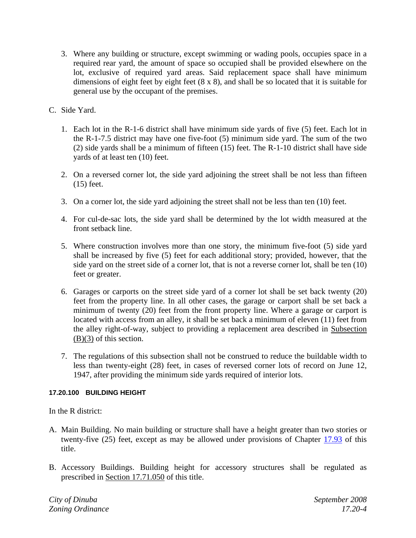- 3. Where any building or structure, except swimming or wading pools, occupies space in a required rear yard, the amount of space so occupied shall be provided elsewhere on the lot, exclusive of required yard areas. Said replacement space shall have minimum dimensions of eight feet by eight feet (8 x 8), and shall be so located that it is suitable for general use by the occupant of the premises.
- C. Side Yard.
	- 1. Each lot in the R-1-6 district shall have minimum side yards of five (5) feet. Each lot in the R-1-7.5 district may have one five-foot (5) minimum side yard. The sum of the two (2) side yards shall be a minimum of fifteen (15) feet. The R-1-10 district shall have side yards of at least ten (10) feet.
	- 2. On a reversed corner lot, the side yard adjoining the street shall be not less than fifteen (15) feet.
	- 3. On a corner lot, the side yard adjoining the street shall not be less than ten (10) feet.
	- 4. For cul-de-sac lots, the side yard shall be determined by the lot width measured at the front setback line.
	- 5. Where construction involves more than one story, the minimum five-foot (5) side yard shall be increased by five (5) feet for each additional story; provided, however, that the side yard on the street side of a corner lot, that is not a reverse corner lot, shall be ten (10) feet or greater.
	- 6. Garages or carports on the street side yard of a corner lot shall be set back twenty (20) feet from the property line. In all other cases, the garage or carport shall be set back a minimum of twenty (20) feet from the front property line. Where a garage or carport is located with access from an alley, it shall be set back a minimum of eleven (11) feet from the alley right-of-way, subject to providing a replacement area described in Subsection (B)(3) of this section.
	- 7. The regulations of this subsection shall not be construed to reduce the buildable width to less than twenty-eight (28) feet, in cases of reversed corner lots of record on June 12, 1947, after providing the minimum side yards required of interior lots.

## **17.20.100 BUILDING HEIGHT**

In the R district:

- A. Main Building. No main building or structure shall have a height greater than two stories or twenty-five (25) feet, except as may be allowed under provisions of Chapter 17.93 of this title.
- B. Accessory Buildings. Building height for accessory structures shall be regulated as prescribed in Section 17.71.050 of this title.

*City of Dinuba September 2008 Zoning Ordinance 17.20-4*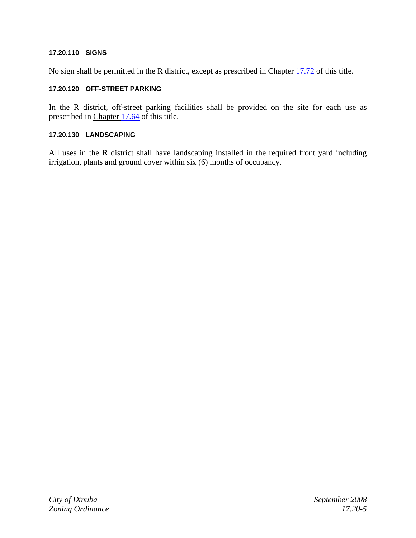#### **17.20.110 SIGNS**

No sign shall be permitted in the R district, except as prescribed in Chapter 17.72 of this title.

## **17.20.120 OFF-STREET PARKING**

In the R district, off-street parking facilities shall be provided on the site for each use as prescribed in Chapter 17.64 of this title.

#### **17.20.130 LANDSCAPING**

All uses in the R district shall have landscaping installed in the required front yard including irrigation, plants and ground cover within six (6) months of occupancy.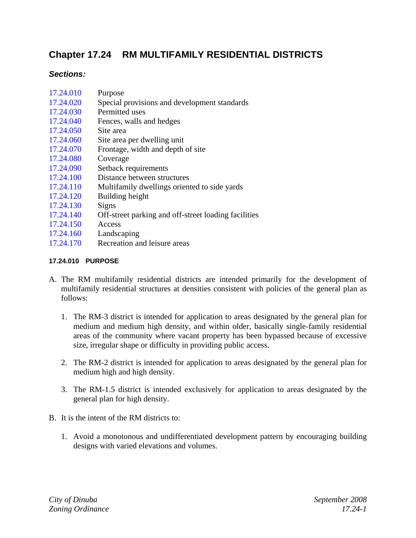# **Chapter 17.24 RM MULTIFAMILY RESIDENTIAL DISTRICTS**

## *Sections:*

- 17.24.010 Purpose
- 17.24.020 Special provisions and development standards
- 17.24.030 Permitted uses
- 17.24.040 Fences, walls and hedges
- 17.24.050 Site area
- 17.24.060 Site area per dwelling unit
- 17.24.070 Frontage, width and depth of site
- 17.24.080 Coverage
- 17.24.090 Setback requirements
- 17.24.100 Distance between structures
- 17.24.110 Multifamily dwellings oriented to side yards
- 17.24.120 Building height
- 17.24.130 Signs
- 17.24.140 Off-street parking and off-street loading facilities
- 17.24.150 Access
- 17.24.160 Landscaping
- 17.24.170 Recreation and leisure areas

## **17.24.010 PURPOSE**

- A. The RM multifamily residential districts are intended primarily for the development of multifamily residential structures at densities consistent with policies of the general plan as follows:
	- 1. The RM-3 district is intended for application to areas designated by the general plan for medium and medium high density, and within older, basically single-family residential areas of the community where vacant property has been bypassed because of excessive size, irregular shape or difficulty in providing public access.
	- 2. The RM-2 district is intended for application to areas designated by the general plan for medium high and high density.
	- 3. The RM-1.5 district is intended exclusively for application to areas designated by the general plan for high density.
- B. It is the intent of the RM districts to:
	- 1. Avoid a monotonous and undifferentiated development pattern by encouraging building designs with varied elevations and volumes.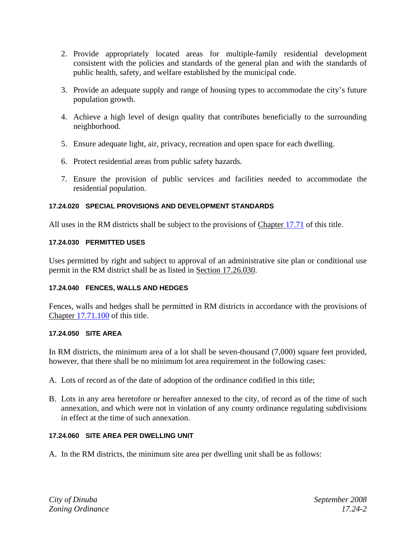- 2. Provide appropriately located areas for multiple-family residential development consistent with the policies and standards of the general plan and with the standards of public health, safety, and welfare established by the municipal code.
- 3. Provide an adequate supply and range of housing types to accommodate the city's future population growth.
- 4. Achieve a high level of design quality that contributes beneficially to the surrounding neighborhood.
- 5. Ensure adequate light, air, privacy, recreation and open space for each dwelling.
- 6. Protect residential areas from public safety hazards.
- 7. Ensure the provision of public services and facilities needed to accommodate the residential population.

## **17.24.020 SPECIAL PROVISIONS AND DEVELOPMENT STANDARDS**

All uses in the RM districts shall be subject to the provisions of Chapter 17.71 of this title.

## **17.24.030 PERMITTED USES**

Uses permitted by right and subject to approval of an administrative site plan or conditional use permit in the RM district shall be as listed in Section 17.26.030.

## **17.24.040 FENCES, WALLS AND HEDGES**

Fences, walls and hedges shall be permitted in RM districts in accordance with the provisions of Chapter 17.71.100 of this title.

#### **17.24.050 SITE AREA**

In RM districts, the minimum area of a lot shall be seven-thousand (7,000) square feet provided, however, that there shall be no minimum lot area requirement in the following cases:

- A. Lots of record as of the date of adoption of the ordinance codified in this title;
- B. Lots in any area heretofore or hereafter annexed to the city, of record as of the time of such annexation, and which were not in violation of any county ordinance regulating subdivisions in effect at the time of such annexation.

#### **17.24.060 SITE AREA PER DWELLING UNIT**

A. In the RM districts, the minimum site area per dwelling unit shall be as follows: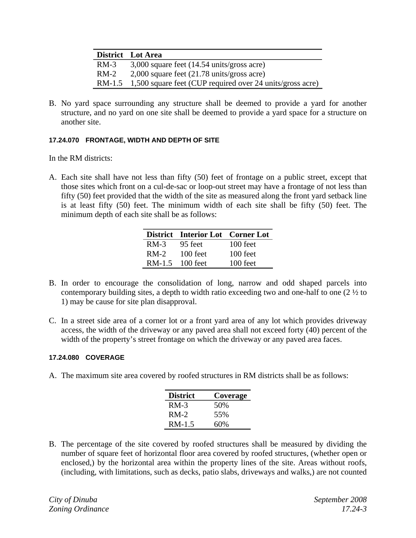|        | District Lot Area                                                |
|--------|------------------------------------------------------------------|
| $RM-3$ | $3,000$ square feet $(14.54 \text{ units/gross acre})$           |
| $RM-2$ | $2,000$ square feet $(21.78 \text{ units}/\text{gross acre})$    |
|        | RM-1.5 1,500 square feet (CUP required over 24 units/gross acre) |

B. No yard space surrounding any structure shall be deemed to provide a yard for another structure, and no yard on one site shall be deemed to provide a yard space for a structure on another site.

## **17.24.070 FRONTAGE, WIDTH AND DEPTH OF SITE**

In the RM districts:

A. Each site shall have not less than fifty (50) feet of frontage on a public street, except that those sites which front on a cul-de-sac or loop-out street may have a frontage of not less than fifty (50) feet provided that the width of the site as measured along the front yard setback line is at least fifty (50) feet. The minimum width of each site shall be fifty (50) feet. The minimum depth of each site shall be as follows:

|          | District Interior Lot Corner Lot |            |
|----------|----------------------------------|------------|
| $RM-3$   | 95 feet                          | $100$ feet |
| $RM-2$   | $100$ feet                       | 100 feet   |
| $RM-1.5$ | $100$ feet                       | 100 feet   |

- B. In order to encourage the consolidation of long, narrow and odd shaped parcels into contemporary building sites, a depth to width ratio exceeding two and one-half to one (2 ½ to 1) may be cause for site plan disapproval.
- C. In a street side area of a corner lot or a front yard area of any lot which provides driveway access, the width of the driveway or any paved area shall not exceed forty (40) percent of the width of the property's street frontage on which the driveway or any paved area faces.

#### **17.24.080 COVERAGE**

A. The maximum site area covered by roofed structures in RM districts shall be as follows:

| <b>District</b> | Coverage |
|-----------------|----------|
| $RM-3$          | 50%      |
| $RM-2$          | 55%      |
| RM-1.5          | 60%      |

B. The percentage of the site covered by roofed structures shall be measured by dividing the number of square feet of horizontal floor area covered by roofed structures, (whether open or enclosed,) by the horizontal area within the property lines of the site. Areas without roofs, (including, with limitations, such as decks, patio slabs, driveways and walks,) are not counted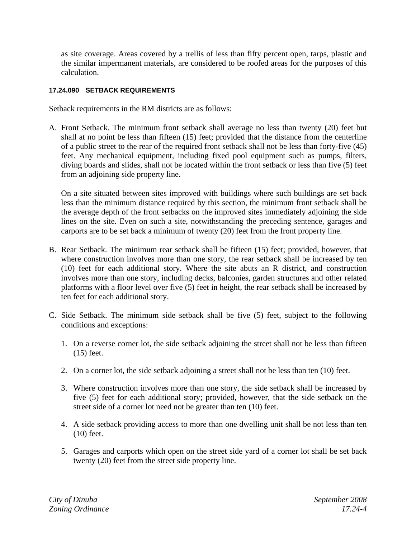as site coverage. Areas covered by a trellis of less than fifty percent open, tarps, plastic and the similar impermanent materials, are considered to be roofed areas for the purposes of this calculation.

## **17.24.090 SETBACK REQUIREMENTS**

Setback requirements in the RM districts are as follows:

A. Front Setback. The minimum front setback shall average no less than twenty (20) feet but shall at no point be less than fifteen (15) feet; provided that the distance from the centerline of a public street to the rear of the required front setback shall not be less than forty-five (45) feet. Any mechanical equipment, including fixed pool equipment such as pumps, filters, diving boards and slides, shall not be located within the front setback or less than five (5) feet from an adjoining side property line.

On a site situated between sites improved with buildings where such buildings are set back less than the minimum distance required by this section, the minimum front setback shall be the average depth of the front setbacks on the improved sites immediately adjoining the side lines on the site. Even on such a site, notwithstanding the preceding sentence, garages and carports are to be set back a minimum of twenty (20) feet from the front property line.

- B. Rear Setback. The minimum rear setback shall be fifteen (15) feet; provided, however, that where construction involves more than one story, the rear setback shall be increased by ten (10) feet for each additional story. Where the site abuts an R district, and construction involves more than one story, including decks, balconies, garden structures and other related platforms with a floor level over five (5) feet in height, the rear setback shall be increased by ten feet for each additional story.
- C. Side Setback. The minimum side setback shall be five (5) feet, subject to the following conditions and exceptions:
	- 1. On a reverse corner lot, the side setback adjoining the street shall not be less than fifteen (15) feet.
	- 2. On a corner lot, the side setback adjoining a street shall not be less than ten (10) feet.
	- 3. Where construction involves more than one story, the side setback shall be increased by five (5) feet for each additional story; provided, however, that the side setback on the street side of a corner lot need not be greater than ten (10) feet.
	- 4. A side setback providing access to more than one dwelling unit shall be not less than ten (10) feet.
	- 5. Garages and carports which open on the street side yard of a corner lot shall be set back twenty (20) feet from the street side property line.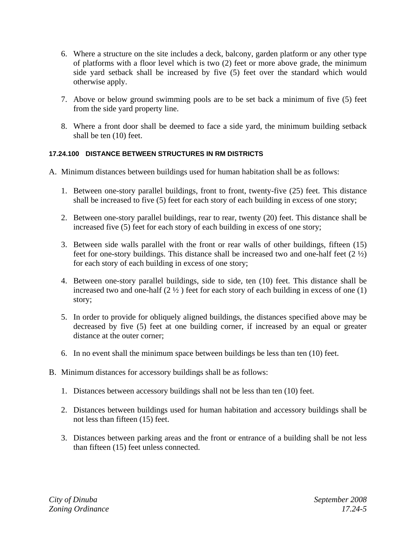- 6. Where a structure on the site includes a deck, balcony, garden platform or any other type of platforms with a floor level which is two (2) feet or more above grade, the minimum side yard setback shall be increased by five (5) feet over the standard which would otherwise apply.
- 7. Above or below ground swimming pools are to be set back a minimum of five (5) feet from the side yard property line.
- 8. Where a front door shall be deemed to face a side yard, the minimum building setback shall be ten (10) feet.

## **17.24.100 DISTANCE BETWEEN STRUCTURES IN RM DISTRICTS**

- A. Minimum distances between buildings used for human habitation shall be as follows:
	- 1. Between one-story parallel buildings, front to front, twenty-five (25) feet. This distance shall be increased to five (5) feet for each story of each building in excess of one story;
	- 2. Between one-story parallel buildings, rear to rear, twenty (20) feet. This distance shall be increased five (5) feet for each story of each building in excess of one story;
	- 3. Between side walls parallel with the front or rear walls of other buildings, fifteen (15) feet for one-story buildings. This distance shall be increased two and one-half feet (2 ½) for each story of each building in excess of one story;
	- 4. Between one-story parallel buildings, side to side, ten (10) feet. This distance shall be increased two and one-half  $(2 \frac{1}{2})$  feet for each story of each building in excess of one (1) story;
	- 5. In order to provide for obliquely aligned buildings, the distances specified above may be decreased by five (5) feet at one building corner, if increased by an equal or greater distance at the outer corner;
	- 6. In no event shall the minimum space between buildings be less than ten (10) feet.
- B. Minimum distances for accessory buildings shall be as follows:
	- 1. Distances between accessory buildings shall not be less than ten (10) feet.
	- 2. Distances between buildings used for human habitation and accessory buildings shall be not less than fifteen (15) feet.
	- 3. Distances between parking areas and the front or entrance of a building shall be not less than fifteen (15) feet unless connected.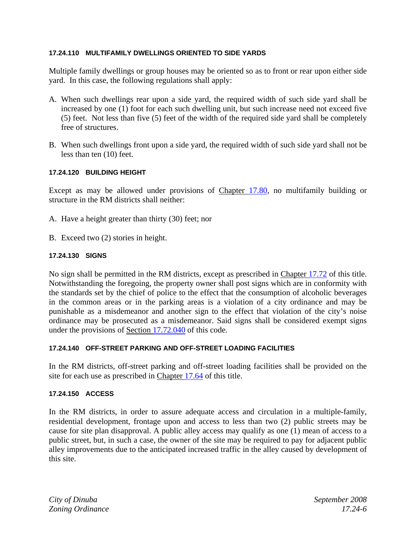#### **17.24.110 MULTIFAMILY DWELLINGS ORIENTED TO SIDE YARDS**

Multiple family dwellings or group houses may be oriented so as to front or rear upon either side yard. In this case, the following regulations shall apply:

- A. When such dwellings rear upon a side yard, the required width of such side yard shall be increased by one (1) foot for each such dwelling unit, but such increase need not exceed five (5) feet. Not less than five (5) feet of the width of the required side yard shall be completely free of structures.
- B. When such dwellings front upon a side yard, the required width of such side yard shall not be less than ten (10) feet.

## **17.24.120 BUILDING HEIGHT**

Except as may be allowed under provisions of Chapter 17.80, no multifamily building or structure in the RM districts shall neither:

- A. Have a height greater than thirty (30) feet; nor
- B. Exceed two (2) stories in height.

## **17.24.130 SIGNS**

No sign shall be permitted in the RM districts, except as prescribed in Chapter 17.72 of this title. Notwithstanding the foregoing, the property owner shall post signs which are in conformity with the standards set by the chief of police to the effect that the consumption of alcoholic beverages in the common areas or in the parking areas is a violation of a city ordinance and may be punishable as a misdemeanor and another sign to the effect that violation of the city's noise ordinance may be prosecuted as a misdemeanor. Said signs shall be considered exempt signs under the provisions of Section 17.72.040 of this code.

## **17.24.140 OFF-STREET PARKING AND OFF-STREET LOADING FACILITIES**

In the RM districts, off-street parking and off-street loading facilities shall be provided on the site for each use as prescribed in Chapter 17.64 of this title.

## **17.24.150 ACCESS**

In the RM districts, in order to assure adequate access and circulation in a multiple-family, residential development, frontage upon and access to less than two (2) public streets may be cause for site plan disapproval. A public alley access may qualify as one (1) mean of access to a public street, but, in such a case, the owner of the site may be required to pay for adjacent public alley improvements due to the anticipated increased traffic in the alley caused by development of this site.

*City of Dinuba September 2008 Zoning Ordinance 17.24-6*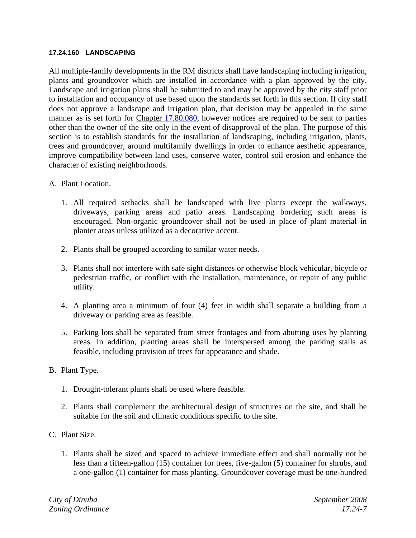#### **17.24.160 LANDSCAPING**

All multiple-family developments in the RM districts shall have landscaping including irrigation, plants and groundcover which are installed in accordance with a plan approved by the city. Landscape and irrigation plans shall be submitted to and may be approved by the city staff prior to installation and occupancy of use based upon the standards set forth in this section. If city staff does not approve a landscape and irrigation plan, that decision may be appealed in the same manner as is set forth for Chapter 17.80.080, however notices are required to be sent to parties other than the owner of the site only in the event of disapproval of the plan. The purpose of this section is to establish standards for the installation of landscaping, including irrigation, plants, trees and groundcover, around multifamily dwellings in order to enhance aesthetic appearance, improve compatibility between land uses, conserve water, control soil erosion and enhance the character of existing neighborhoods.

- A. Plant Location.
	- 1. All required setbacks shall be landscaped with live plants except the walkways, driveways, parking areas and patio areas. Landscaping bordering such areas is encouraged. Non-organic groundcover shall not be used in place of plant material in planter areas unless utilized as a decorative accent.
	- 2. Plants shall be grouped according to similar water needs.
	- 3. Plants shall not interfere with safe sight distances or otherwise block vehicular, bicycle or pedestrian traffic, or conflict with the installation, maintenance, or repair of any public utility.
	- 4. A planting area a minimum of four (4) feet in width shall separate a building from a driveway or parking area as feasible.
	- 5. Parking lots shall be separated from street frontages and from abutting uses by planting areas. In addition, planting areas shall be interspersed among the parking stalls as feasible, including provision of trees for appearance and shade.
- B. Plant Type.
	- 1. Drought-tolerant plants shall be used where feasible.
	- 2. Plants shall complement the architectural design of structures on the site, and shall be suitable for the soil and climatic conditions specific to the site.
- C. Plant Size.
	- 1. Plants shall be sized and spaced to achieve immediate effect and shall normally not be less than a fifteen-gallon (15) container for trees, five-gallon (5) container for shrubs, and a one-gallon (1) container for mass planting. Groundcover coverage must be one-hundred

*City of Dinuba September 2008 Zoning Ordinance 17.24-7*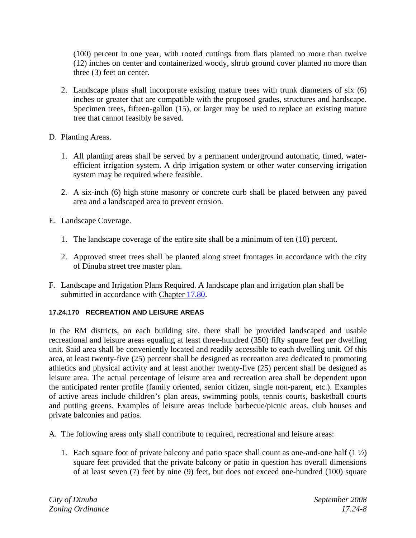(100) percent in one year, with rooted cuttings from flats planted no more than twelve (12) inches on center and containerized woody, shrub ground cover planted no more than three (3) feet on center.

- 2. Landscape plans shall incorporate existing mature trees with trunk diameters of six (6) inches or greater that are compatible with the proposed grades, structures and hardscape. Specimen trees, fifteen-gallon (15), or larger may be used to replace an existing mature tree that cannot feasibly be saved.
- D. Planting Areas.
	- 1. All planting areas shall be served by a permanent underground automatic, timed, waterefficient irrigation system. A drip irrigation system or other water conserving irrigation system may be required where feasible.
	- 2. A six-inch (6) high stone masonry or concrete curb shall be placed between any paved area and a landscaped area to prevent erosion.
- E. Landscape Coverage.
	- 1. The landscape coverage of the entire site shall be a minimum of ten (10) percent.
	- 2. Approved street trees shall be planted along street frontages in accordance with the city of Dinuba street tree master plan.
- F. Landscape and Irrigation Plans Required. A landscape plan and irrigation plan shall be submitted in accordance with Chapter 17.80.

# **17.24.170 RECREATION AND LEISURE AREAS**

In the RM districts, on each building site, there shall be provided landscaped and usable recreational and leisure areas equaling at least three-hundred (350) fifty square feet per dwelling unit. Said area shall be conveniently located and readily accessible to each dwelling unit. Of this area, at least twenty-five (25) percent shall be designed as recreation area dedicated to promoting athletics and physical activity and at least another twenty-five (25) percent shall be designed as leisure area. The actual percentage of leisure area and recreation area shall be dependent upon the anticipated renter profile (family oriented, senior citizen, single non-parent, etc.). Examples of active areas include children's plan areas, swimming pools, tennis courts, basketball courts and putting greens. Examples of leisure areas include barbecue/picnic areas, club houses and private balconies and patios.

A. The following areas only shall contribute to required, recreational and leisure areas:

1. Each square foot of private balcony and patio space shall count as one-and-one half  $(1 \frac{1}{2})$ square feet provided that the private balcony or patio in question has overall dimensions of at least seven (7) feet by nine (9) feet, but does not exceed one-hundred (100) square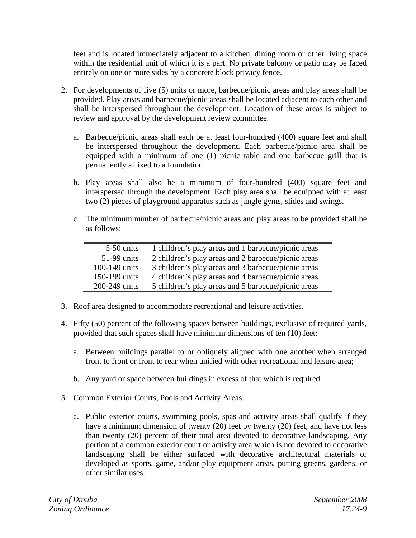feet and is located immediately adjacent to a kitchen, dining room or other living space within the residential unit of which it is a part. No private balcony or patio may be faced entirely on one or more sides by a concrete block privacy fence.

- 2. For developments of five (5) units or more, barbecue/picnic areas and play areas shall be provided. Play areas and barbecue/picnic areas shall be located adjacent to each other and shall be interspersed throughout the development. Location of these areas is subject to review and approval by the development review committee.
	- a. Barbecue/picnic areas shall each be at least four-hundred (400) square feet and shall be interspersed throughout the development. Each barbecue/picnic area shall be equipped with a minimum of one (1) picnic table and one barbecue grill that is permanently affixed to a foundation.
	- b. Play areas shall also be a minimum of four-hundred (400) square feet and interspersed through the development. Each play area shall be equipped with at least two (2) pieces of playground apparatus such as jungle gyms, slides and swings.
	- c. The minimum number of barbecue/picnic areas and play areas to be provided shall be as follows:

| 5-50 units    | 1 children's play areas and 1 barbecue/picnic areas |
|---------------|-----------------------------------------------------|
| 51-99 units   | 2 children's play areas and 2 barbecue/picnic areas |
| 100-149 units | 3 children's play areas and 3 barbecue/picnic areas |
| 150-199 units | 4 children's play areas and 4 barbecue/picnic areas |
| 200-249 units | 5 children's play areas and 5 barbecue/picnic areas |

- 3. Roof area designed to accommodate recreational and leisure activities.
- 4. Fifty (50) percent of the following spaces between buildings, exclusive of required yards, provided that such spaces shall have minimum dimensions of ten (10) feet:
	- a. Between buildings parallel to or obliquely aligned with one another when arranged front to front or front to rear when unified with other recreational and leisure area;
	- b. Any yard or space between buildings in excess of that which is required.
- 5. Common Exterior Courts, Pools and Activity Areas.
	- a. Public exterior courts, swimming pools, spas and activity areas shall qualify if they have a minimum dimension of twenty (20) feet by twenty (20) feet, and have not less than twenty (20) percent of their total area devoted to decorative landscaping. Any portion of a common exterior court or activity area which is not devoted to decorative landscaping shall be either surfaced with decorative architectural materials or developed as sports, game, and/or play equipment areas, putting greens, gardens, or other similar uses.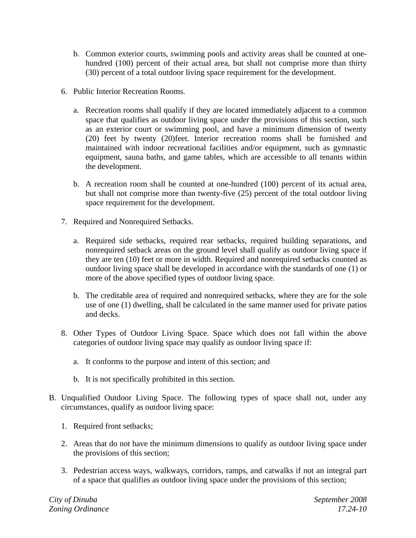- b. Common exterior courts, swimming pools and activity areas shall be counted at onehundred (100) percent of their actual area, but shall not comprise more than thirty (30) percent of a total outdoor living space requirement for the development.
- 6. Public Interior Recreation Rooms.
	- a. Recreation rooms shall qualify if they are located immediately adjacent to a common space that qualifies as outdoor living space under the provisions of this section, such as an exterior court or swimming pool, and have a minimum dimension of twenty (20) feet by twenty (20)feet. Interior recreation rooms shall be furnished and maintained with indoor recreational facilities and/or equipment, such as gymnastic equipment, sauna baths, and game tables, which are accessible to all tenants within the development.
	- b. A recreation room shall be counted at one-hundred (100) percent of its actual area, but shall not comprise more than twenty-five (25) percent of the total outdoor living space requirement for the development.
- 7. Required and Nonrequired Setbacks.
	- a. Required side setbacks, required rear setbacks, required building separations, and nonrequired setback areas on the ground level shall qualify as outdoor living space if they are ten (10) feet or more in width. Required and nonrequired setbacks counted as outdoor living space shall be developed in accordance with the standards of one (1) or more of the above specified types of outdoor living space.
	- b. The creditable area of required and nonrequired setbacks, where they are for the sole use of one (1) dwelling, shall be calculated in the same manner used for private patios and decks.
- 8. Other Types of Outdoor Living Space. Space which does not fall within the above categories of outdoor living space may qualify as outdoor living space if:
	- a. It conforms to the purpose and intent of this section; and
	- b. It is not specifically prohibited in this section.
- B. Unqualified Outdoor Living Space. The following types of space shall not, under any circumstances, qualify as outdoor living space:
	- 1. Required front setbacks;
	- 2. Areas that do not have the minimum dimensions to qualify as outdoor living space under the provisions of this section;
	- 3. Pedestrian access ways, walkways, corridors, ramps, and catwalks if not an integral part of a space that qualifies as outdoor living space under the provisions of this section;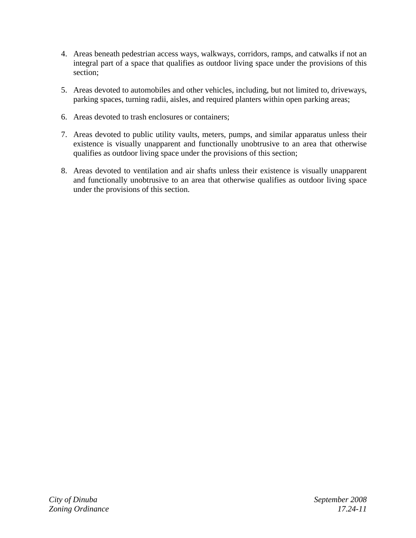- 4. Areas beneath pedestrian access ways, walkways, corridors, ramps, and catwalks if not an integral part of a space that qualifies as outdoor living space under the provisions of this section;
- 5. Areas devoted to automobiles and other vehicles, including, but not limited to, driveways, parking spaces, turning radii, aisles, and required planters within open parking areas;
- 6. Areas devoted to trash enclosures or containers;
- 7. Areas devoted to public utility vaults, meters, pumps, and similar apparatus unless their existence is visually unapparent and functionally unobtrusive to an area that otherwise qualifies as outdoor living space under the provisions of this section;
- 8. Areas devoted to ventilation and air shafts unless their existence is visually unapparent and functionally unobtrusive to an area that otherwise qualifies as outdoor living space under the provisions of this section.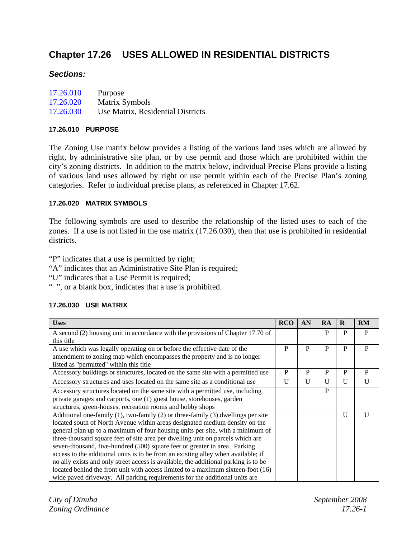# **Chapter 17.26 USES ALLOWED IN RESIDENTIAL DISTRICTS**

## *Sections:*

| 17.26.010 | Purpose                           |
|-----------|-----------------------------------|
| 17.26.020 | Matrix Symbols                    |
| 17.26.030 | Use Matrix, Residential Districts |

#### **17.26.010 PURPOSE**

The Zoning Use matrix below provides a listing of the various land uses which are allowed by right, by administrative site plan, or by use permit and those which are prohibited within the city's zoning districts. In addition to the matrix below, individual Precise Plans provide a listing of various land uses allowed by right or use permit within each of the Precise Plan's zoning categories. Refer to individual precise plans, as referenced in Chapter 17.62.

#### **17.26.020 MATRIX SYMBOLS**

The following symbols are used to describe the relationship of the listed uses to each of the zones. If a use is not listed in the use matrix (17.26.030), then that use is prohibited in residential districts.

"P" indicates that a use is permitted by right;

- "A" indicates that an Administrative Site Plan is required;
- "U" indicates that a Use Permit is required;
- " ", or a blank box, indicates that a use is prohibited.

#### **17.26.030 USE MATRIX**

| <b>Uses</b>                                                                                                        | <b>RCO</b>   | AN           | <b>RA</b>    | $\bf{R}$     | <b>RM</b>    |
|--------------------------------------------------------------------------------------------------------------------|--------------|--------------|--------------|--------------|--------------|
| A second (2) housing unit in accordance with the provisions of Chapter 17.70 of                                    |              |              | P            | P            | P            |
| this title                                                                                                         |              |              |              |              |              |
| A use which was legally operating on or before the effective date of the                                           | P            | P            | P            | P            | P            |
| amendment to zoning map which encompasses the property and is no longer<br>listed as "permitted" within this title |              |              |              |              |              |
| Accessory buildings or structures, located on the same site with a permitted use                                   | P            | P            | P            | P            | P            |
| Accessory structures and uses located on the same site as a conditional use                                        | $\mathbf{U}$ | $\mathbf{U}$ | $\mathbf{I}$ | $\mathbf{U}$ | $\mathbf{U}$ |
| Accessory structures located on the same site with a permitted use, including                                      |              |              | P            |              |              |
| private garages and carports, one (1) guest house, storehouses, garden                                             |              |              |              |              |              |
| structures, green-houses, recreation rooms and hobby shops                                                         |              |              |              |              |              |
| Additional one-family (1), two-family (2) or three-family (3) dwellings per site                                   |              |              |              | U            | U            |
| located south of North Avenue within areas designated medium density on the                                        |              |              |              |              |              |
| general plan up to a maximum of four housing units per site, with a minimum of                                     |              |              |              |              |              |
| three-thousand square feet of site area per dwelling unit on parcels which are                                     |              |              |              |              |              |
| seven-thousand, five-hundred (500) square feet or greater in area. Parking                                         |              |              |              |              |              |
| access to the additional units is to be from an existing alley when available; if                                  |              |              |              |              |              |
| no ally exists and only street access is available, the additional parking is to be                                |              |              |              |              |              |
| located behind the front unit with access limited to a maximum sixteen-foot (16)                                   |              |              |              |              |              |
| wide paved driveway. All parking requirements for the additional units are                                         |              |              |              |              |              |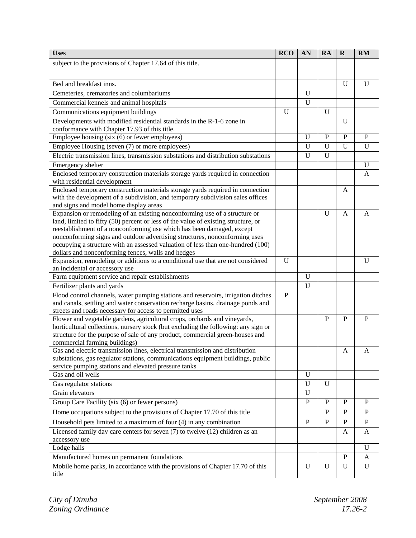| <b>Uses</b>                                                                                                                                                   | <b>RCO</b> | AN           | RA           | $\mathbf R$  | <b>RM</b>      |
|---------------------------------------------------------------------------------------------------------------------------------------------------------------|------------|--------------|--------------|--------------|----------------|
| subject to the provisions of Chapter 17.64 of this title.                                                                                                     |            |              |              |              |                |
|                                                                                                                                                               |            |              |              |              |                |
| Bed and breakfast inns.                                                                                                                                       |            |              |              | U            | $\mathbf U$    |
|                                                                                                                                                               |            | $\mathbf U$  |              |              |                |
| Cemeteries, crematories and columbariums                                                                                                                      |            |              |              |              |                |
| Commercial kennels and animal hospitals                                                                                                                       |            | $\mathbf U$  |              |              |                |
| Communications equipment buildings                                                                                                                            | U          |              | U            |              |                |
| Developments with modified residential standards in the R-1-6 zone in                                                                                         |            |              |              | U            |                |
| conformance with Chapter 17.93 of this title.                                                                                                                 |            |              |              |              |                |
| Employee housing (six (6) or fewer employees)                                                                                                                 |            | $\mathbf U$  | $\mathbf{P}$ | $\mathbf{P}$ | $\mathbf{P}$   |
| Employee Housing (seven (7) or more employees)                                                                                                                |            | $\mathbf U$  | $\mathbf U$  | $\mathbf U$  | U              |
| Electric transmission lines, transmission substations and distribution substations                                                                            |            | $\mathbf U$  | $\mathbf U$  |              |                |
| Emergency shelter                                                                                                                                             |            |              |              |              | U              |
| Enclosed temporary construction materials storage yards required in connection                                                                                |            |              |              |              | $\mathbf{A}$   |
| with residential development                                                                                                                                  |            |              |              |              |                |
| Enclosed temporary construction materials storage yards required in connection                                                                                |            |              |              | A            |                |
| with the development of a subdivision, and temporary subdivision sales offices                                                                                |            |              |              |              |                |
| and signs and model home display areas                                                                                                                        |            |              |              |              |                |
| Expansion or remodeling of an existing nonconforming use of a structure or                                                                                    |            |              | $\mathbf U$  | $\mathbf{A}$ | A              |
| land, limited to fifty (50) percent or less of the value of existing structure, or                                                                            |            |              |              |              |                |
| reestablishment of a nonconforming use which has been damaged, except                                                                                         |            |              |              |              |                |
| nonconforming signs and outdoor advertising structures, nonconforming uses<br>occupying a structure with an assessed valuation of less than one-hundred (100) |            |              |              |              |                |
| dollars and nonconforming fences, walls and hedges                                                                                                            |            |              |              |              |                |
| Expansion, remodeling or additions to a conditional use that are not considered                                                                               | U          |              |              |              | $\mathbf U$    |
| an incidental or accessory use                                                                                                                                |            |              |              |              |                |
| Farm equipment service and repair establishments                                                                                                              |            | $\mathbf U$  |              |              |                |
| Fertilizer plants and yards                                                                                                                                   |            | $\mathbf U$  |              |              |                |
| Flood control channels, water pumping stations and reservoirs, irrigation ditches                                                                             | P          |              |              |              |                |
| and canals, settling and water conservation recharge basins, drainage ponds and                                                                               |            |              |              |              |                |
| streets and roads necessary for access to permitted uses                                                                                                      |            |              |              |              |                |
| Flower and vegetable gardens, agricultural crops, orchards and vineyards,                                                                                     |            |              | $\mathbf{P}$ | $\mathbf{P}$ | $\mathbf P$    |
| horticultural collections, nursery stock (but excluding the following: any sign or                                                                            |            |              |              |              |                |
| structure for the purpose of sale of any product, commercial green-houses and                                                                                 |            |              |              |              |                |
| commercial farming buildings)                                                                                                                                 |            |              |              |              |                |
| Gas and electric transmission lines, electrical transmission and distribution                                                                                 |            |              |              | A            | $\overline{A}$ |
| substations, gas regulator stations, communications equipment buildings, public                                                                               |            |              |              |              |                |
| service pumping stations and elevated pressure tanks                                                                                                          |            |              |              |              |                |
| Gas and oil wells                                                                                                                                             |            | U            |              |              |                |
| Gas regulator stations                                                                                                                                        |            | $\mathbf U$  | $\mathbf U$  |              |                |
| Grain elevators                                                                                                                                               |            | $\mathbf U$  |              |              |                |
| Group Care Facility (six (6) or fewer persons)                                                                                                                |            | $\mathbf{P}$ | $\mathbf{P}$ | $\mathbf{P}$ | $\mathbf{P}$   |
| Home occupations subject to the provisions of Chapter 17.70 of this title                                                                                     |            |              | P            | P            | $\mathbf P$    |
| Household pets limited to a maximum of four $(4)$ in any combination                                                                                          |            | $\mathbf{P}$ | $\mathbf{P}$ | ${\bf P}$    | ${\bf P}$      |
| Licensed family day care centers for seven (7) to twelve (12) children as an                                                                                  |            |              |              | A            | A              |
| accessory use                                                                                                                                                 |            |              |              |              |                |
| Lodge halls                                                                                                                                                   |            |              |              |              | U              |
| Manufactured homes on permanent foundations                                                                                                                   |            |              |              | $\mathbf{P}$ | A              |
| Mobile home parks, in accordance with the provisions of Chapter 17.70 of this                                                                                 |            | $\mathbf U$  | $\mathbf U$  | $\mathbf U$  | $\mathbf U$    |
| title                                                                                                                                                         |            |              |              |              |                |
|                                                                                                                                                               |            |              |              |              |                |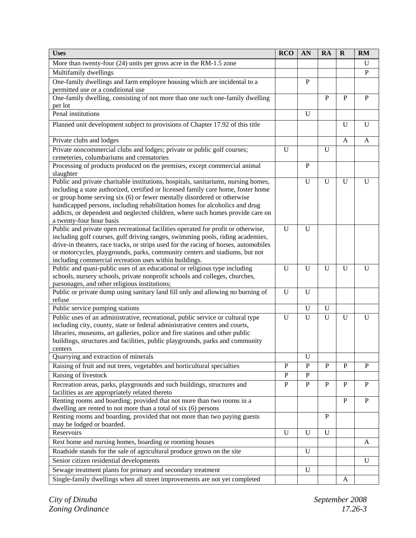| <b>Uses</b>                                                                                                                                                   | <b>RCO</b>   | AN           | RA           | $\mathbf R$  | <b>RM</b>    |
|---------------------------------------------------------------------------------------------------------------------------------------------------------------|--------------|--------------|--------------|--------------|--------------|
| More than twenty-four (24) units per gross acre in the RM-1.5 zone                                                                                            |              |              |              |              | U            |
| Multifamily dwellings                                                                                                                                         |              |              |              |              | $\mathbf{P}$ |
| One-family dwellings and farm employee housing which are incidental to a                                                                                      |              | P            |              |              |              |
| permitted use or a conditional use                                                                                                                            |              |              |              |              |              |
| One-family dwelling, consisting of not more than one such one-family dwelling                                                                                 |              |              | $\mathbf{P}$ | P            | $\mathbf{P}$ |
| per lot                                                                                                                                                       |              |              |              |              |              |
| Penal institutions                                                                                                                                            |              | U            |              |              |              |
| Planned unit development subject to provisions of Chapter 17.92 of this title                                                                                 |              |              |              | U            | U            |
| Private clubs and lodges                                                                                                                                      |              |              |              | A            | A            |
| Private noncommercial clubs and lodges; private or public golf courses;                                                                                       | $\mathbf U$  |              | $\mathbf U$  |              |              |
| cemeteries, columbariums and crematories                                                                                                                      |              |              |              |              |              |
| Processing of products produced on the premises, except commercial animal<br>slaughter                                                                        |              | $\mathbf{P}$ |              |              |              |
| Public and private charitable institutions, hospitals, sanitariums, nursing homes,                                                                            |              | U            | $\mathbf U$  | U            | $\mathbf{U}$ |
| including a state authorized, certified or licensed family care home, foster home                                                                             |              |              |              |              |              |
| or group home serving six (6) or fewer mentally disordered or otherwise                                                                                       |              |              |              |              |              |
| handicapped persons, including rehabilitation homes for alcoholics and drug<br>addicts, or dependent and neglected children, where such homes provide care on |              |              |              |              |              |
| a twenty-four hour basis                                                                                                                                      |              |              |              |              |              |
| Public and private open recreational facilities operated for profit or otherwise,                                                                             | $\mathbf U$  | U            |              |              |              |
| including golf courses, golf driving ranges, swimming pools, riding academies,                                                                                |              |              |              |              |              |
| drive-in theaters, race tracks, or strips used for the racing of horses, automobiles                                                                          |              |              |              |              |              |
| or motorcycles, playgrounds, parks, community centers and stadiums, but not                                                                                   |              |              |              |              |              |
| including commercial recreation uses within buildings.                                                                                                        |              |              |              |              |              |
| Public and quasi-public uses of an educational or religious type including                                                                                    | U            | U            | $\mathbf U$  | U            | U            |
| schools, nursery schools, private nonprofit schools and colleges, churches,                                                                                   |              |              |              |              |              |
| parsonages, and other religious institutions;<br>Public or private dump using sanitary land fill only and allowing no burning of                              | $\mathbf U$  | U            |              |              |              |
| refuse                                                                                                                                                        |              |              |              |              |              |
| Public service pumping stations                                                                                                                               |              | U            | U            |              |              |
| Public uses of an administrative, recreational, public service or cultural type                                                                               | U            | U            | U            | U            | U            |
| including city, county, state or federal administrative centers and courts,                                                                                   |              |              |              |              |              |
| libraries, museums, art galleries, police and fire stations and other public                                                                                  |              |              |              |              |              |
| buildings, structures and facilities, public playgrounds, parks and community                                                                                 |              |              |              |              |              |
| centers                                                                                                                                                       |              |              |              |              |              |
| Quarrying and extraction of minerals                                                                                                                          |              | U            |              |              |              |
| Raising of fruit and nut trees, vegetables and horticultural specialties                                                                                      | P            | $\mathbf{P}$ | P            | P            | P            |
| Raising of livestock                                                                                                                                          | $\mathbf{P}$ | $\mathbf{P}$ |              |              |              |
| Recreation areas, parks, playgrounds and such buildings, structures and                                                                                       | $\, {\bf P}$ | $\mathbf{P}$ | P            | P            | $\mathbf{P}$ |
| facilities as are appropriately related thereto                                                                                                               |              |              |              |              |              |
| Renting rooms and boarding; provided that not more than two rooms in a<br>dwelling are rented to not more than a total of six (6) persons                     |              |              |              | $\mathbf{P}$ | $\, {\bf P}$ |
| Renting rooms and boarding, provided that not more than two paying guests                                                                                     |              |              | P            |              |              |
| may be lodged or boarded.                                                                                                                                     |              |              |              |              |              |
| Reservoirs                                                                                                                                                    | $\mathbf U$  | U            | $\mathbf U$  |              |              |
| Rest home and nursing homes, boarding or rooming houses                                                                                                       |              |              |              |              | A            |
| Roadside stands for the sale of agricultural produce grown on the site                                                                                        |              | U            |              |              |              |
| Senior citizen residential developments                                                                                                                       |              |              |              |              | U            |
| Sewage treatment plants for primary and secondary treatment                                                                                                   |              | U            |              |              |              |
| Single-family dwellings when all street improvements are not yet completed                                                                                    |              |              |              | A            |              |
|                                                                                                                                                               |              |              |              |              |              |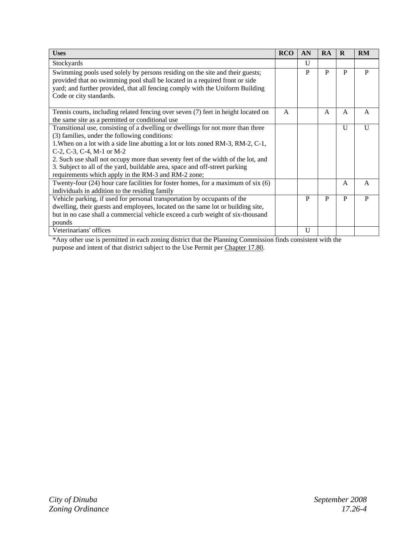| <b>Uses</b>                                                                                                                                                                                                                                                                                                                                                                                                                                                                | <b>RCO</b> | AN           | RA | R            | RM           |
|----------------------------------------------------------------------------------------------------------------------------------------------------------------------------------------------------------------------------------------------------------------------------------------------------------------------------------------------------------------------------------------------------------------------------------------------------------------------------|------------|--------------|----|--------------|--------------|
| Stockyards                                                                                                                                                                                                                                                                                                                                                                                                                                                                 |            | $\mathbf{U}$ |    |              |              |
| Swimming pools used solely by persons residing on the site and their guests;<br>provided that no swimming pool shall be located in a required front or side<br>yard; and further provided, that all fencing comply with the Uniform Building<br>Code or city standards.                                                                                                                                                                                                    |            | P            | P  | P            | P            |
| Tennis courts, including related fencing over seven (7) feet in height located on<br>the same site as a permitted or conditional use                                                                                                                                                                                                                                                                                                                                       | A          |              | A  | A            | A            |
| Transitional use, consisting of a dwelling or dwellings for not more than three<br>(3) families, under the following conditions:<br>1. When on a lot with a side line abutting a lot or lots zoned RM-3, RM-2, C-1,<br>C-2, C-3, C-4, M-1 or M-2<br>2. Such use shall not occupy more than seventy feet of the width of the lot, and<br>3. Subject to all of the yard, buildable area, space and off-street parking<br>requirements which apply in the RM-3 and RM-2 zone; |            |              |    | $\mathbf{U}$ | $\mathbf{U}$ |
| Twenty-four $(24)$ hour care facilities for foster homes, for a maximum of six $(6)$<br>individuals in addition to the residing family                                                                                                                                                                                                                                                                                                                                     |            |              |    | $\mathsf{A}$ | A            |
| Vehicle parking, if used for personal transportation by occupants of the<br>dwelling, their guests and employees, located on the same lot or building site,<br>but in no case shall a commercial vehicle exceed a curb weight of six-thousand<br>pounds                                                                                                                                                                                                                    |            | P            | P  | P            | P            |
| Veterinarians' offices                                                                                                                                                                                                                                                                                                                                                                                                                                                     |            | $\mathbf{U}$ |    |              |              |

\*Any other use is permitted in each zoning district that the Planning Commission finds consistent with the purpose and intent of that district subject to the Use Permit per Chapter 17.80.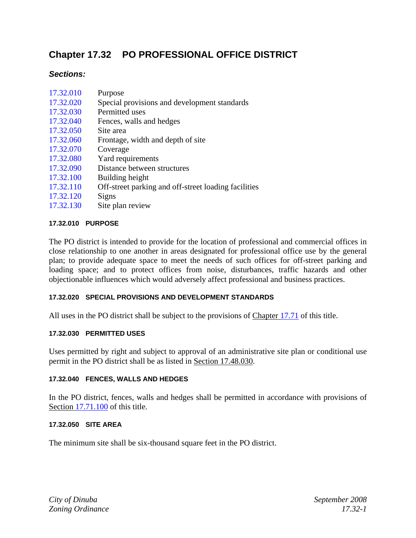# **Chapter 17.32 PO PROFESSIONAL OFFICE DISTRICT**

## *Sections:*

| 17.32.010 | Purpose |  |  |
|-----------|---------|--|--|
| $     -$  |         |  |  |

- 17.32.020 Special provisions and development standards
- 17.32.030 Permitted uses
- 17.32.040 Fences, walls and hedges
- 17.32.050 Site area
- 17.32.060 Frontage, width and depth of site
- 17.32.070 Coverage
- 17.32.080 Yard requirements
- 17.32.090 Distance between structures
- 17.32.100 Building height
- 17.32.110 Off-street parking and off-street loading facilities
- 17.32.120 Signs
- 17.32.130 Site plan review

## **17.32.010 PURPOSE**

The PO district is intended to provide for the location of professional and commercial offices in close relationship to one another in areas designated for professional office use by the general plan; to provide adequate space to meet the needs of such offices for off-street parking and loading space; and to protect offices from noise, disturbances, traffic hazards and other objectionable influences which would adversely affect professional and business practices.

#### **17.32.020 SPECIAL PROVISIONS AND DEVELOPMENT STANDARDS**

All uses in the PO district shall be subject to the provisions of Chapter 17.71 of this title.

#### **17.32.030 PERMITTED USES**

Uses permitted by right and subject to approval of an administrative site plan or conditional use permit in the PO district shall be as listed in Section 17.48.030.

#### **17.32.040 FENCES, WALLS AND HEDGES**

In the PO district, fences, walls and hedges shall be permitted in accordance with provisions of Section 17.71.100 of this title.

#### **17.32.050 SITE AREA**

The minimum site shall be six-thousand square feet in the PO district.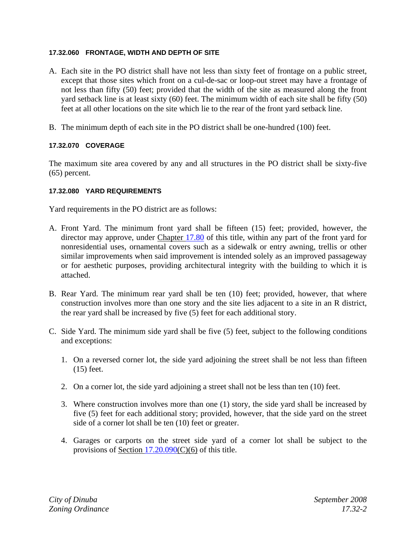#### **17.32.060 FRONTAGE, WIDTH AND DEPTH OF SITE**

- A. Each site in the PO district shall have not less than sixty feet of frontage on a public street, except that those sites which front on a cul-de-sac or loop-out street may have a frontage of not less than fifty (50) feet; provided that the width of the site as measured along the front yard setback line is at least sixty (60) feet. The minimum width of each site shall be fifty (50) feet at all other locations on the site which lie to the rear of the front yard setback line.
- B. The minimum depth of each site in the PO district shall be one-hundred (100) feet.

## **17.32.070 COVERAGE**

The maximum site area covered by any and all structures in the PO district shall be sixty-five (65) percent.

#### **17.32.080 YARD REQUIREMENTS**

Yard requirements in the PO district are as follows:

- A. Front Yard. The minimum front yard shall be fifteen (15) feet; provided, however, the director may approve, under Chapter 17.80 of this title, within any part of the front yard for nonresidential uses, ornamental covers such as a sidewalk or entry awning, trellis or other similar improvements when said improvement is intended solely as an improved passageway or for aesthetic purposes, providing architectural integrity with the building to which it is attached.
- B. Rear Yard. The minimum rear yard shall be ten (10) feet; provided, however, that where construction involves more than one story and the site lies adjacent to a site in an R district, the rear yard shall be increased by five (5) feet for each additional story.
- C. Side Yard. The minimum side yard shall be five (5) feet, subject to the following conditions and exceptions:
	- 1. On a reversed corner lot, the side yard adjoining the street shall be not less than fifteen (15) feet.
	- 2. On a corner lot, the side yard adjoining a street shall not be less than ten (10) feet.
	- 3. Where construction involves more than one (1) story, the side yard shall be increased by five (5) feet for each additional story; provided, however, that the side yard on the street side of a corner lot shall be ten (10) feet or greater.
	- 4. Garages or carports on the street side yard of a corner lot shall be subject to the provisions of Section 17.20.090(C)(6) of this title.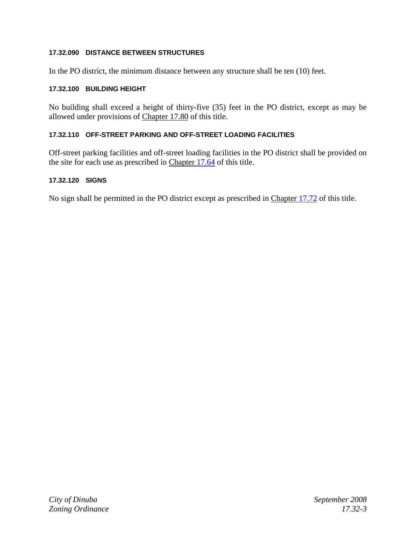## **17.32.090 DISTANCE BETWEEN STRUCTURES**

In the PO district, the minimum distance between any structure shall be ten (10) feet.

#### **17.32.100 BUILDING HEIGHT**

No building shall exceed a height of thirty-five (35) feet in the PO district, except as may be allowed under provisions of Chapter 17.80 of this title.

#### **17.32.110 OFF-STREET PARKING AND OFF-STREET LOADING FACILITIES**

Off-street parking facilities and off-street loading facilities in the PO district shall be provided on the site for each use as prescribed in Chapter 17.64 of this title.

#### **17.32.120 SIGNS**

No sign shall be permitted in the PO district except as prescribed in Chapter 17.72 of this title.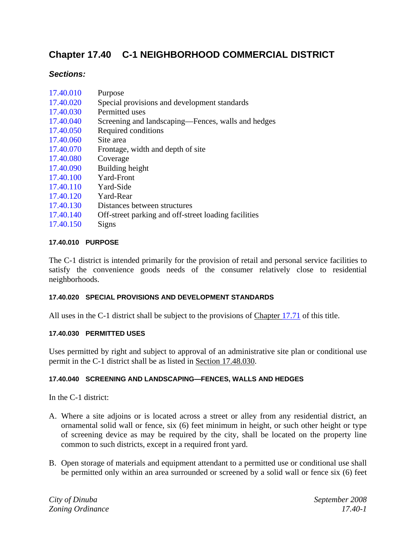# **Chapter 17.40 C-1 NEIGHBORHOOD COMMERCIAL DISTRICT**

# *Sections:*

| 17.40.010 | Purpose                                      |
|-----------|----------------------------------------------|
| 17.40.020 | Special provisions and development standards |
| 17.40.030 | Permitted uses                               |

- 17.40.040 Screening and landscaping—Fences, walls and hedges
- 17.40.050 Required conditions
- 17.40.060 Site area
- 17.40.070 Frontage, width and depth of site
- 17.40.080 Coverage
- 17.40.090 Building height
- 17.40.100 Yard-Front
- 17.40.110 Yard-Side
- 17.40.120 Yard-Rear
- 17.40.130 Distances between structures
- 17.40.140 Off-street parking and off-street loading facilities
- 17.40.150 Signs

## **17.40.010 PURPOSE**

The C-1 district is intended primarily for the provision of retail and personal service facilities to satisfy the convenience goods needs of the consumer relatively close to residential neighborhoods.

#### **17.40.020 SPECIAL PROVISIONS AND DEVELOPMENT STANDARDS**

All uses in the C-1 district shall be subject to the provisions of Chapter 17.71 of this title.

#### **17.40.030 PERMITTED USES**

Uses permitted by right and subject to approval of an administrative site plan or conditional use permit in the C-1 district shall be as listed in Section 17.48.030.

## **17.40.040 SCREENING AND LANDSCAPING—FENCES, WALLS AND HEDGES**

In the C-1 district:

- A. Where a site adjoins or is located across a street or alley from any residential district, an ornamental solid wall or fence, six (6) feet minimum in height, or such other height or type of screening device as may be required by the city, shall be located on the property line common to such districts, except in a required front yard.
- B. Open storage of materials and equipment attendant to a permitted use or conditional use shall be permitted only within an area surrounded or screened by a solid wall or fence six (6) feet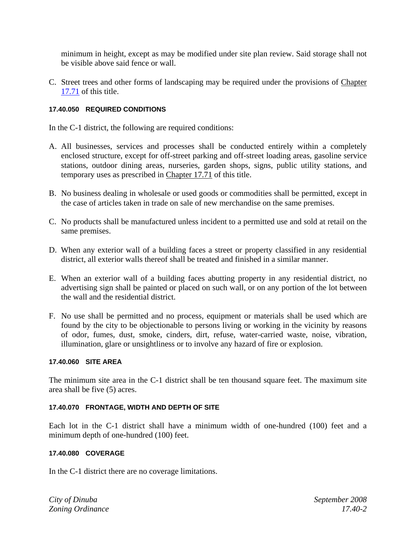minimum in height, except as may be modified under site plan review. Said storage shall not be visible above said fence or wall.

C. Street trees and other forms of landscaping may be required under the provisions of Chapter 17.71 of this title.

## **17.40.050 REQUIRED CONDITIONS**

In the C-1 district, the following are required conditions:

- A. All businesses, services and processes shall be conducted entirely within a completely enclosed structure, except for off-street parking and off-street loading areas, gasoline service stations, outdoor dining areas, nurseries, garden shops, signs, public utility stations, and temporary uses as prescribed in Chapter 17.71 of this title.
- B. No business dealing in wholesale or used goods or commodities shall be permitted, except in the case of articles taken in trade on sale of new merchandise on the same premises.
- C. No products shall be manufactured unless incident to a permitted use and sold at retail on the same premises.
- D. When any exterior wall of a building faces a street or property classified in any residential district, all exterior walls thereof shall be treated and finished in a similar manner.
- E. When an exterior wall of a building faces abutting property in any residential district, no advertising sign shall be painted or placed on such wall, or on any portion of the lot between the wall and the residential district.
- F. No use shall be permitted and no process, equipment or materials shall be used which are found by the city to be objectionable to persons living or working in the vicinity by reasons of odor, fumes, dust, smoke, cinders, dirt, refuse, water-carried waste, noise, vibration, illumination, glare or unsightliness or to involve any hazard of fire or explosion.

#### **17.40.060 SITE AREA**

The minimum site area in the C-1 district shall be ten thousand square feet. The maximum site area shall be five (5) acres.

#### **17.40.070 FRONTAGE, WIDTH AND DEPTH OF SITE**

Each lot in the C-1 district shall have a minimum width of one-hundred (100) feet and a minimum depth of one-hundred (100) feet.

#### **17.40.080 COVERAGE**

In the C-1 district there are no coverage limitations.

*City of Dinuba September 2008 Zoning Ordinance 17.40-2*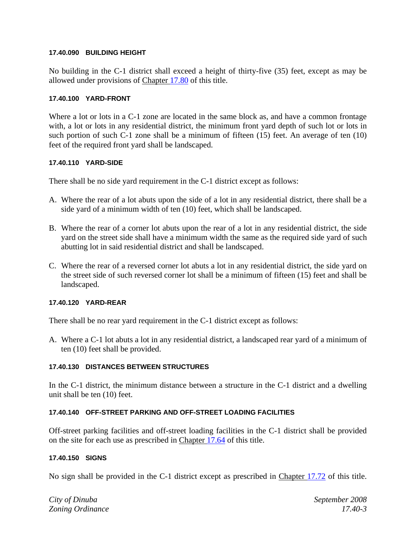#### **17.40.090 BUILDING HEIGHT**

No building in the C-1 district shall exceed a height of thirty-five (35) feet, except as may be allowed under provisions of Chapter 17.80 of this title.

#### **17.40.100 YARD-FRONT**

Where a lot or lots in a C-1 zone are located in the same block as, and have a common frontage with, a lot or lots in any residential district, the minimum front yard depth of such lot or lots in such portion of such C-1 zone shall be a minimum of fifteen (15) feet. An average of ten (10) feet of the required front yard shall be landscaped.

#### **17.40.110 YARD-SIDE**

There shall be no side yard requirement in the C-1 district except as follows:

- A. Where the rear of a lot abuts upon the side of a lot in any residential district, there shall be a side yard of a minimum width of ten (10) feet, which shall be landscaped.
- B. Where the rear of a corner lot abuts upon the rear of a lot in any residential district, the side yard on the street side shall have a minimum width the same as the required side yard of such abutting lot in said residential district and shall be landscaped.
- C. Where the rear of a reversed corner lot abuts a lot in any residential district, the side yard on the street side of such reversed corner lot shall be a minimum of fifteen (15) feet and shall be landscaped.

#### **17.40.120 YARD-REAR**

There shall be no rear yard requirement in the C-1 district except as follows:

A. Where a C-1 lot abuts a lot in any residential district, a landscaped rear yard of a minimum of ten (10) feet shall be provided.

#### **17.40.130 DISTANCES BETWEEN STRUCTURES**

In the C-1 district, the minimum distance between a structure in the C-1 district and a dwelling unit shall be ten (10) feet.

#### **17.40.140 OFF-STREET PARKING AND OFF-STREET LOADING FACILITIES**

Off-street parking facilities and off-street loading facilities in the C-1 district shall be provided on the site for each use as prescribed in Chapter 17.64 of this title.

#### **17.40.150 SIGNS**

No sign shall be provided in the C-1 district except as prescribed in Chapter 17.72 of this title.

*City of Dinuba September 2008 Zoning Ordinance 17.40-3*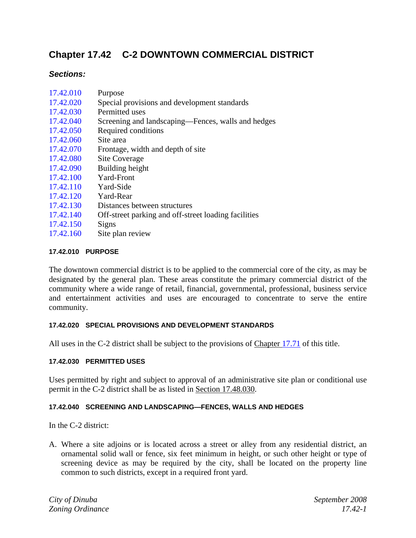# **Chapter 17.42 C-2 DOWNTOWN COMMERCIAL DISTRICT**

## *Sections:*

| 17.42.010 | Purpose |  |
|-----------|---------|--|
|-----------|---------|--|

- 17.42.020 Special provisions and development standards
- 17.42.030 Permitted uses
- 17.42.040 Screening and landscaping—Fences, walls and hedges
- 17.42.050 Required conditions
- 17.42.060 Site area
- 17.42.070 Frontage, width and depth of site
- 17.42.080 Site Coverage
- 17.42.090 Building height
- 17.42.100 Yard-Front
- 17.42.110 Yard-Side
- 17.42.120 Yard-Rear
- 17.42.130 Distances between structures
- 17.42.140 Off-street parking and off-street loading facilities
- 17.42.150 Signs
- 17.42.160 Site plan review

## **17.42.010 PURPOSE**

The downtown commercial district is to be applied to the commercial core of the city, as may be designated by the general plan. These areas constitute the primary commercial district of the community where a wide range of retail, financial, governmental, professional, business service and entertainment activities and uses are encouraged to concentrate to serve the entire community.

#### **17.42.020 SPECIAL PROVISIONS AND DEVELOPMENT STANDARDS**

All uses in the C-2 district shall be subject to the provisions of Chapter 17.71 of this title.

## **17.42.030 PERMITTED USES**

Uses permitted by right and subject to approval of an administrative site plan or conditional use permit in the C-2 district shall be as listed in Section 17.48.030.

## **17.42.040 SCREENING AND LANDSCAPING—FENCES, WALLS AND HEDGES**

In the C-2 district:

A. Where a site adjoins or is located across a street or alley from any residential district, an ornamental solid wall or fence, six feet minimum in height, or such other height or type of screening device as may be required by the city, shall be located on the property line common to such districts, except in a required front yard.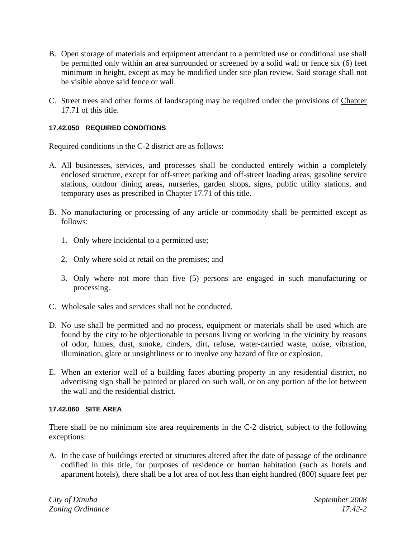- B. Open storage of materials and equipment attendant to a permitted use or conditional use shall be permitted only within an area surrounded or screened by a solid wall or fence six (6) feet minimum in height, except as may be modified under site plan review. Said storage shall not be visible above said fence or wall.
- C. Street trees and other forms of landscaping may be required under the provisions of Chapter 17.71 of this title.

## **17.42.050 REQUIRED CONDITIONS**

Required conditions in the C-2 district are as follows:

- A. All businesses, services, and processes shall be conducted entirely within a completely enclosed structure, except for off-street parking and off-street loading areas, gasoline service stations, outdoor dining areas, nurseries, garden shops, signs, public utility stations, and temporary uses as prescribed in Chapter 17.71 of this title.
- B. No manufacturing or processing of any article or commodity shall be permitted except as follows:
	- 1. Only where incidental to a permitted use;
	- 2. Only where sold at retail on the premises; and
	- 3. Only where not more than five (5) persons are engaged in such manufacturing or processing.
- C. Wholesale sales and services shall not be conducted.
- D. No use shall be permitted and no process, equipment or materials shall be used which are found by the city to be objectionable to persons living or working in the vicinity by reasons of odor, fumes, dust, smoke, cinders, dirt, refuse, water-carried waste, noise, vibration, illumination, glare or unsightliness or to involve any hazard of fire or explosion.
- E. When an exterior wall of a building faces abutting property in any residential district, no advertising sign shall be painted or placed on such wall, or on any portion of the lot between the wall and the residential district.

#### **17.42.060 SITE AREA**

There shall be no minimum site area requirements in the C-2 district, subject to the following exceptions:

A. In the case of buildings erected or structures altered after the date of passage of the ordinance codified in this title, for purposes of residence or human habitation (such as hotels and apartment hotels), there shall be a lot area of not less than eight hundred (800) square feet per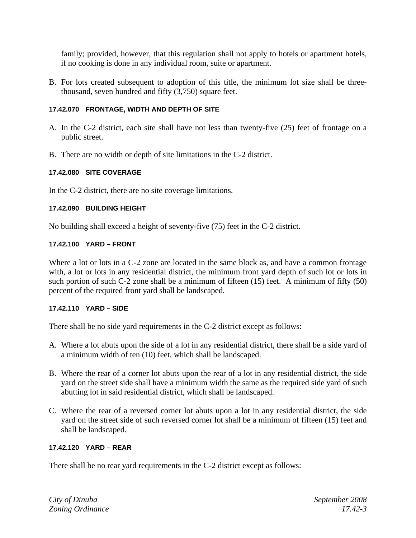family; provided, however, that this regulation shall not apply to hotels or apartment hotels, if no cooking is done in any individual room, suite or apartment.

B. For lots created subsequent to adoption of this title, the minimum lot size shall be threethousand, seven hundred and fifty (3,750) square feet.

#### **17.42.070 FRONTAGE, WIDTH AND DEPTH OF SITE**

- A. In the C-2 district, each site shall have not less than twenty-five (25) feet of frontage on a public street.
- B. There are no width or depth of site limitations in the C-2 district.

## **17.42.080 SITE COVERAGE**

In the C-2 district, there are no site coverage limitations.

#### **17.42.090 BUILDING HEIGHT**

No building shall exceed a height of seventy-five (75) feet in the C-2 district.

#### **17.42.100 YARD – FRONT**

Where a lot or lots in a C-2 zone are located in the same block as, and have a common frontage with, a lot or lots in any residential district, the minimum front yard depth of such lot or lots in such portion of such C-2 zone shall be a minimum of fifteen (15) feet. A minimum of fifty (50) percent of the required front yard shall be landscaped.

#### **17.42.110 YARD – SIDE**

There shall be no side yard requirements in the C-2 district except as follows:

- A. Where a lot abuts upon the side of a lot in any residential district, there shall be a side yard of a minimum width of ten (10) feet, which shall be landscaped.
- B. Where the rear of a corner lot abuts upon the rear of a lot in any residential district, the side yard on the street side shall have a minimum width the same as the required side yard of such abutting lot in said residential district, which shall be landscaped.
- C. Where the rear of a reversed corner lot abuts upon a lot in any residential district, the side yard on the street side of such reversed corner lot shall be a minimum of fifteen (15) feet and shall be landscaped.

#### **17.42.120 YARD – REAR**

There shall be no rear yard requirements in the C-2 district except as follows: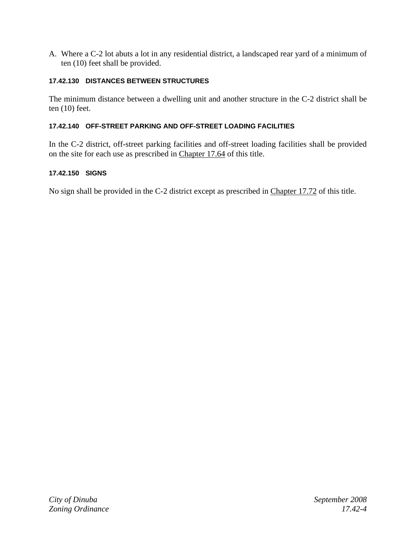A. Where a C-2 lot abuts a lot in any residential district, a landscaped rear yard of a minimum of ten (10) feet shall be provided.

#### **17.42.130 DISTANCES BETWEEN STRUCTURES**

The minimum distance between a dwelling unit and another structure in the C-2 district shall be ten (10) feet.

#### **17.42.140 OFF-STREET PARKING AND OFF-STREET LOADING FACILITIES**

In the C-2 district, off-street parking facilities and off-street loading facilities shall be provided on the site for each use as prescribed in Chapter 17.64 of this title.

#### **17.42.150 SIGNS**

No sign shall be provided in the C-2 district except as prescribed in Chapter 17.72 of this title.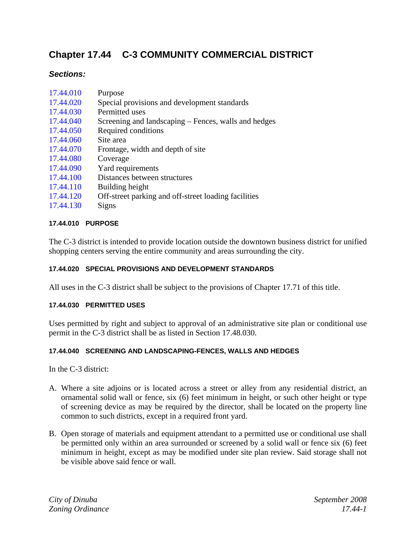# **Chapter 17.44 C-3 COMMUNITY COMMERCIAL DISTRICT**

# *Sections:*

| 17.44.010 | Purpose                                              |
|-----------|------------------------------------------------------|
| 17.44.020 | Special provisions and development standards         |
| 17.44.030 | Permitted uses                                       |
| 17.44.040 | Screening and landscaping – Fences, walls and hedges |
| 17.44.050 | Required conditions                                  |
| 17.44.060 | Site area                                            |
| 17.44.070 | Frontage, width and depth of site.                   |
| 17.44.080 | Coverage                                             |
| 17.44.090 | Yard requirements                                    |
| 17.44.100 | Distances between structures                         |
| 17.44.110 | Building height                                      |
| 17.44.120 | Off-street parking and off-street loading facilities |
| 17.44.130 | Signs                                                |
|           |                                                      |

## **17.44.010 PURPOSE**

The C-3 district is intended to provide location outside the downtown business district for unified shopping centers serving the entire community and areas surrounding the city.

## **17.44.020 SPECIAL PROVISIONS AND DEVELOPMENT STANDARDS**

All uses in the C-3 district shall be subject to the provisions of Chapter 17.71 of this title.

#### **17.44.030 PERMITTED USES**

Uses permitted by right and subject to approval of an administrative site plan or conditional use permit in the C-3 district shall be as listed in Section 17.48.030.

#### **17.44.040 SCREENING AND LANDSCAPING-FENCES, WALLS AND HEDGES**

In the C-3 district:

- A. Where a site adjoins or is located across a street or alley from any residential district, an ornamental solid wall or fence, six (6) feet minimum in height, or such other height or type of screening device as may be required by the director, shall be located on the property line common to such districts, except in a required front yard.
- B. Open storage of materials and equipment attendant to a permitted use or conditional use shall be permitted only within an area surrounded or screened by a solid wall or fence six (6) feet minimum in height, except as may be modified under site plan review. Said storage shall not be visible above said fence or wall.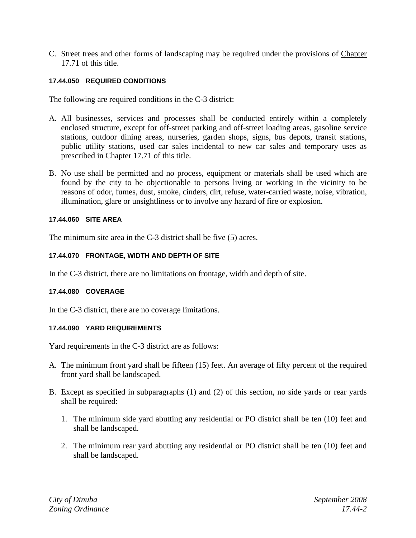C. Street trees and other forms of landscaping may be required under the provisions of Chapter 17.71 of this title.

## **17.44.050 REQUIRED CONDITIONS**

The following are required conditions in the C-3 district:

- A. All businesses, services and processes shall be conducted entirely within a completely enclosed structure, except for off-street parking and off-street loading areas, gasoline service stations, outdoor dining areas, nurseries, garden shops, signs, bus depots, transit stations, public utility stations, used car sales incidental to new car sales and temporary uses as prescribed in Chapter 17.71 of this title.
- B. No use shall be permitted and no process, equipment or materials shall be used which are found by the city to be objectionable to persons living or working in the vicinity to be reasons of odor, fumes, dust, smoke, cinders, dirt, refuse, water-carried waste, noise, vibration, illumination, glare or unsightliness or to involve any hazard of fire or explosion.

#### **17.44.060 SITE AREA**

The minimum site area in the C-3 district shall be five (5) acres.

#### **17.44.070 FRONTAGE, WIDTH AND DEPTH OF SITE**

In the C-3 district, there are no limitations on frontage, width and depth of site.

#### **17.44.080 COVERAGE**

In the C-3 district, there are no coverage limitations.

#### **17.44.090 YARD REQUIREMENTS**

Yard requirements in the C-3 district are as follows:

- A. The minimum front yard shall be fifteen (15) feet. An average of fifty percent of the required front yard shall be landscaped.
- B. Except as specified in subparagraphs (1) and (2) of this section, no side yards or rear yards shall be required:
	- 1. The minimum side yard abutting any residential or PO district shall be ten (10) feet and shall be landscaped.
	- 2. The minimum rear yard abutting any residential or PO district shall be ten (10) feet and shall be landscaped.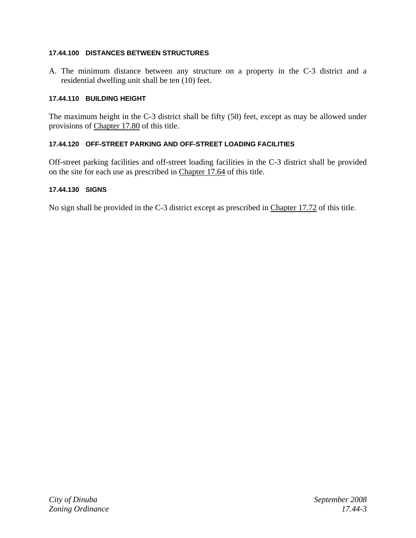## **17.44.100 DISTANCES BETWEEN STRUCTURES**

A. The minimum distance between any structure on a property in the C-3 district and a residential dwelling unit shall be ten (10) feet.

## **17.44.110 BUILDING HEIGHT**

The maximum height in the C-3 district shall be fifty (50) feet, except as may be allowed under provisions of Chapter 17.80 of this title.

## **17.44.120 OFF-STREET PARKING AND OFF-STREET LOADING FACILITIES**

Off-street parking facilities and off-street loading facilities in the C-3 district shall be provided on the site for each use as prescribed in Chapter 17.64 of this title.

## **17.44.130 SIGNS**

No sign shall be provided in the C-3 district except as prescribed in Chapter 17.72 of this title.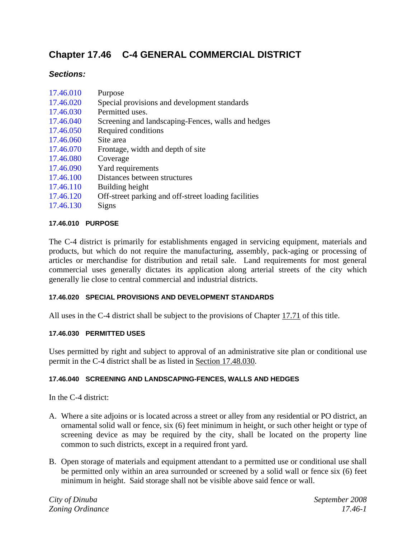# **Chapter 17.46 C-4 GENERAL COMMERCIAL DISTRICT**

## *Sections:*

| 17.46.010 | Purpose                                              |
|-----------|------------------------------------------------------|
| 17.46.020 | Special provisions and development standards         |
| 17.46.030 | Permitted uses.                                      |
| 17.46.040 | Screening and landscaping-Fences, walls and hedges   |
| 17.46.050 | Required conditions                                  |
| 17.46.060 | Site area                                            |
| 17.46.070 | Frontage, width and depth of site                    |
| 17.46.080 | Coverage                                             |
| 17.46.090 | Yard requirements                                    |
| 17.46.100 | Distances between structures                         |
| 17.46.110 | Building height                                      |
| 17.46.120 | Off-street parking and off-street loading facilities |
| 17.46.130 | Signs                                                |

## **17.46.010 PURPOSE**

The C-4 district is primarily for establishments engaged in servicing equipment, materials and products, but which do not require the manufacturing, assembly, pack-aging or processing of articles or merchandise for distribution and retail sale. Land requirements for most general commercial uses generally dictates its application along arterial streets of the city which generally lie close to central commercial and industrial districts.

## **17.46.020 SPECIAL PROVISIONS AND DEVELOPMENT STANDARDS**

All uses in the C-4 district shall be subject to the provisions of Chapter 17.71 of this title.

## **17.46.030 PERMITTED USES**

Uses permitted by right and subject to approval of an administrative site plan or conditional use permit in the C-4 district shall be as listed in Section 17.48.030.

## **17.46.040 SCREENING AND LANDSCAPING-FENCES, WALLS AND HEDGES**

In the C-4 district:

- A. Where a site adjoins or is located across a street or alley from any residential or PO district, an ornamental solid wall or fence, six (6) feet minimum in height, or such other height or type of screening device as may be required by the city, shall be located on the property line common to such districts, except in a required front yard.
- B. Open storage of materials and equipment attendant to a permitted use or conditional use shall be permitted only within an area surrounded or screened by a solid wall or fence six (6) feet minimum in height. Said storage shall not be visible above said fence or wall.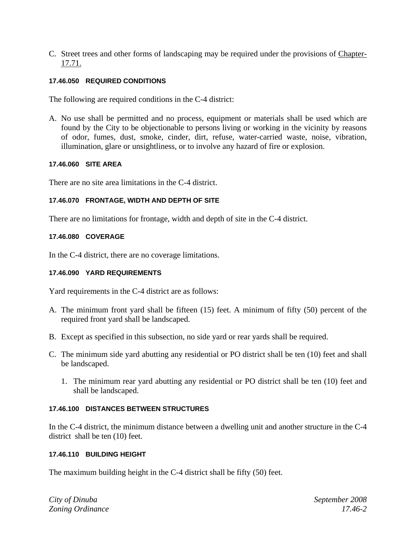C. Street trees and other forms of landscaping may be required under the provisions of Chapter-17.71.

## **17.46.050 REQUIRED CONDITIONS**

The following are required conditions in the C-4 district:

A. No use shall be permitted and no process, equipment or materials shall be used which are found by the City to be objectionable to persons living or working in the vicinity by reasons of odor, fumes, dust, smoke, cinder, dirt, refuse, water-carried waste, noise, vibration, illumination, glare or unsightliness, or to involve any hazard of fire or explosion.

## **17.46.060 SITE AREA**

There are no site area limitations in the C-4 district.

## **17.46.070 FRONTAGE, WIDTH AND DEPTH OF SITE**

There are no limitations for frontage, width and depth of site in the C-4 district.

## **17.46.080 COVERAGE**

In the C-4 district, there are no coverage limitations.

## **17.46.090 YARD REQUIREMENTS**

Yard requirements in the C-4 district are as follows:

- A. The minimum front yard shall be fifteen (15) feet. A minimum of fifty (50) percent of the required front yard shall be landscaped.
- B. Except as specified in this subsection, no side yard or rear yards shall be required.
- C. The minimum side yard abutting any residential or PO district shall be ten (10) feet and shall be landscaped.
	- 1. The minimum rear yard abutting any residential or PO district shall be ten (10) feet and shall be landscaped.

## **17.46.100 DISTANCES BETWEEN STRUCTURES**

In the C-4 district, the minimum distance between a dwelling unit and another structure in the C-4 district shall be ten (10) feet.

## **17.46.110 BUILDING HEIGHT**

The maximum building height in the C-4 district shall be fifty (50) feet.

*City of Dinuba September 2008 Zoning Ordinance 17.46-2*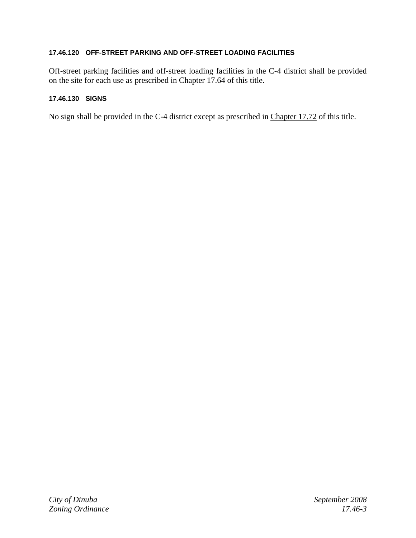## **17.46.120 OFF-STREET PARKING AND OFF-STREET LOADING FACILITIES**

Off-street parking facilities and off-street loading facilities in the C-4 district shall be provided on the site for each use as prescribed in Chapter 17.64 of this title.

## **17.46.130 SIGNS**

No sign shall be provided in the C-4 district except as prescribed in Chapter 17.72 of this title.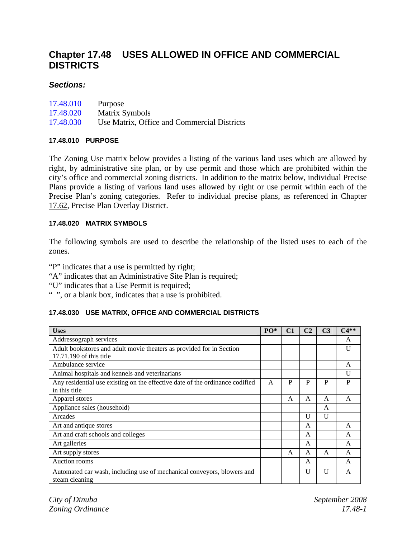# **Chapter 17.48 USES ALLOWED IN OFFICE AND COMMERCIAL DISTRICTS**

## *Sections:*

| 17.48.010 | Purpose                                     |
|-----------|---------------------------------------------|
| 17.48.020 | Matrix Symbols                              |
| 17.48.030 | Use Matrix, Office and Commercial Districts |

## **17.48.010 PURPOSE**

The Zoning Use matrix below provides a listing of the various land uses which are allowed by right, by administrative site plan, or by use permit and those which are prohibited within the city's office and commercial zoning districts. In addition to the matrix below, individual Precise Plans provide a listing of various land uses allowed by right or use permit within each of the Precise Plan's zoning categories. Refer to individual precise plans, as referenced in Chapter 17.62, Precise Plan Overlay District.

## **17.48.020 MATRIX SYMBOLS**

The following symbols are used to describe the relationship of the listed uses to each of the zones.

"P" indicates that a use is permitted by right;

- "A" indicates that an Administrative Site Plan is required;
- "U" indicates that a Use Permit is required;
- " ", or a blank box, indicates that a use is prohibited.

## **17.48.030 USE MATRIX, OFFICE AND COMMERCIAL DISTRICTS**

| <b>Uses</b>                                                                                     | $PO*$ | C <sub>1</sub> | C <sub>2</sub> | C <sub>3</sub> | $C4**$ |
|-------------------------------------------------------------------------------------------------|-------|----------------|----------------|----------------|--------|
| Addressograph services                                                                          |       |                |                |                | A      |
| Adult bookstores and adult movie theaters as provided for in Section<br>17.71.190 of this title |       |                |                |                | U      |
| Ambulance service                                                                               |       |                |                |                | A      |
| Animal hospitals and kennels and veterinarians                                                  |       |                |                |                | U      |
| Any residential use existing on the effective date of the ordinance codified<br>in this title   | A     | P              | P              | P              | P      |
| Apparel stores                                                                                  |       | A              | $\mathsf{A}$   | A              | A      |
| Appliance sales (household)                                                                     |       |                |                | A              |        |
| Arcades                                                                                         |       |                | U              | $\mathbf{U}$   |        |
| Art and antique stores                                                                          |       |                | A              |                | A      |
| Art and craft schools and colleges                                                              |       |                | A              |                | A      |
| Art galleries                                                                                   |       |                | A              |                | A      |
| Art supply stores                                                                               |       | A              | A              | A              | A      |
| Auction rooms                                                                                   |       |                | A              |                | A      |
| Automated car wash, including use of mechanical conveyors, blowers and<br>steam cleaning        |       |                | U              | $\mathbf{U}$   | A      |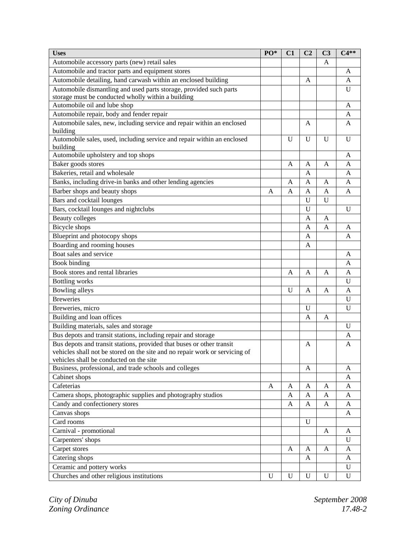| Automobile accessory parts (new) retail sales<br>A<br>Automobile and tractor parts and equipment stores<br>A<br>Automobile detailing, hand carwash within an enclosed building<br>A<br>A<br>Automobile dismantling and used parts storage, provided such parts<br>U<br>storage must be conducted wholly within a building<br>Automobile oil and lube shop<br>A<br>Automobile repair, body and fender repair<br>A<br>Automobile sales, new, including service and repair within an enclosed<br>A<br>A<br>building<br>Automobile sales, used, including service and repair within an enclosed<br>U<br>U<br>U<br>U<br>building<br>Automobile upholstery and top shops<br>A<br>Baker goods stores<br>A<br>A<br>A<br>A<br>Bakeries, retail and wholesale<br>A<br>A<br>Banks, including drive-in banks and other lending agencies<br>A<br>Α<br>A<br>A<br>Barber shops and beauty shops<br>A<br>A<br>A<br>A<br>A<br>Bars and cocktail lounges<br>U<br>U<br>Bars, cocktail lounges and nightclubs<br>U<br>$\mathbf{U}$<br><b>Beauty colleges</b><br>A<br>A<br>Bicycle shops<br>A<br>A<br>A<br>Blueprint and photocopy shops<br>A<br>Α<br>Boarding and rooming houses<br>A<br>Boat sales and service<br>A<br>Book binding<br>A<br>Book stores and rental libraries<br>$\overline{A}$<br>A<br>A<br>A<br><b>Bottling</b> works<br>U<br>Bowling alleys<br>U<br>A<br>A<br>A<br><b>Breweries</b><br>U<br>Breweries, micro<br>U<br>U<br>Building and loan offices<br>A<br>A<br>Building materials, sales and storage<br>U<br>Bus depots and transit stations, including repair and storage<br>A<br>Bus depots and transit stations, provided that buses or other transit<br>A<br>A<br>vehicles shall not be stored on the site and no repair work or servicing of<br>vehicles shall be conducted on the site<br>Business, professional, and trade schools and colleges<br>A<br>A<br>Cabinet shops<br>A<br>Cafeterias<br>A<br>A<br>A<br>A<br>A<br>Camera shops, photographic supplies and photography studios<br>A<br>A<br>A<br>A<br>Candy and confectionery stores<br>A<br>A<br>A<br>A<br>Canvas shops<br>A<br>Card rooms<br>$\mathbf{U}$<br>Carnival - promotional<br>A<br>A<br>Carpenters' shops<br>U<br>Carpet stores<br>A<br>A<br>A<br>A<br>Catering shops<br>A<br>A<br>Ceramic and pottery works<br>$\mathbf U$ | <b>Uses</b>                               | PO*         | C1          | C <sub>2</sub> | C <sub>3</sub> | $C4**$      |
|-------------------------------------------------------------------------------------------------------------------------------------------------------------------------------------------------------------------------------------------------------------------------------------------------------------------------------------------------------------------------------------------------------------------------------------------------------------------------------------------------------------------------------------------------------------------------------------------------------------------------------------------------------------------------------------------------------------------------------------------------------------------------------------------------------------------------------------------------------------------------------------------------------------------------------------------------------------------------------------------------------------------------------------------------------------------------------------------------------------------------------------------------------------------------------------------------------------------------------------------------------------------------------------------------------------------------------------------------------------------------------------------------------------------------------------------------------------------------------------------------------------------------------------------------------------------------------------------------------------------------------------------------------------------------------------------------------------------------------------------------------------------------------------------------------------------------------------------------------------------------------------------------------------------------------------------------------------------------------------------------------------------------------------------------------------------------------------------------------------------------------------------------------------------------------------------------------------------------------------------------------------------------------------------------------|-------------------------------------------|-------------|-------------|----------------|----------------|-------------|
|                                                                                                                                                                                                                                                                                                                                                                                                                                                                                                                                                                                                                                                                                                                                                                                                                                                                                                                                                                                                                                                                                                                                                                                                                                                                                                                                                                                                                                                                                                                                                                                                                                                                                                                                                                                                                                                                                                                                                                                                                                                                                                                                                                                                                                                                                                       |                                           |             |             |                |                |             |
|                                                                                                                                                                                                                                                                                                                                                                                                                                                                                                                                                                                                                                                                                                                                                                                                                                                                                                                                                                                                                                                                                                                                                                                                                                                                                                                                                                                                                                                                                                                                                                                                                                                                                                                                                                                                                                                                                                                                                                                                                                                                                                                                                                                                                                                                                                       |                                           |             |             |                |                |             |
|                                                                                                                                                                                                                                                                                                                                                                                                                                                                                                                                                                                                                                                                                                                                                                                                                                                                                                                                                                                                                                                                                                                                                                                                                                                                                                                                                                                                                                                                                                                                                                                                                                                                                                                                                                                                                                                                                                                                                                                                                                                                                                                                                                                                                                                                                                       |                                           |             |             |                |                |             |
|                                                                                                                                                                                                                                                                                                                                                                                                                                                                                                                                                                                                                                                                                                                                                                                                                                                                                                                                                                                                                                                                                                                                                                                                                                                                                                                                                                                                                                                                                                                                                                                                                                                                                                                                                                                                                                                                                                                                                                                                                                                                                                                                                                                                                                                                                                       |                                           |             |             |                |                |             |
|                                                                                                                                                                                                                                                                                                                                                                                                                                                                                                                                                                                                                                                                                                                                                                                                                                                                                                                                                                                                                                                                                                                                                                                                                                                                                                                                                                                                                                                                                                                                                                                                                                                                                                                                                                                                                                                                                                                                                                                                                                                                                                                                                                                                                                                                                                       |                                           |             |             |                |                |             |
|                                                                                                                                                                                                                                                                                                                                                                                                                                                                                                                                                                                                                                                                                                                                                                                                                                                                                                                                                                                                                                                                                                                                                                                                                                                                                                                                                                                                                                                                                                                                                                                                                                                                                                                                                                                                                                                                                                                                                                                                                                                                                                                                                                                                                                                                                                       |                                           |             |             |                |                |             |
|                                                                                                                                                                                                                                                                                                                                                                                                                                                                                                                                                                                                                                                                                                                                                                                                                                                                                                                                                                                                                                                                                                                                                                                                                                                                                                                                                                                                                                                                                                                                                                                                                                                                                                                                                                                                                                                                                                                                                                                                                                                                                                                                                                                                                                                                                                       |                                           |             |             |                |                |             |
|                                                                                                                                                                                                                                                                                                                                                                                                                                                                                                                                                                                                                                                                                                                                                                                                                                                                                                                                                                                                                                                                                                                                                                                                                                                                                                                                                                                                                                                                                                                                                                                                                                                                                                                                                                                                                                                                                                                                                                                                                                                                                                                                                                                                                                                                                                       |                                           |             |             |                |                |             |
|                                                                                                                                                                                                                                                                                                                                                                                                                                                                                                                                                                                                                                                                                                                                                                                                                                                                                                                                                                                                                                                                                                                                                                                                                                                                                                                                                                                                                                                                                                                                                                                                                                                                                                                                                                                                                                                                                                                                                                                                                                                                                                                                                                                                                                                                                                       |                                           |             |             |                |                |             |
|                                                                                                                                                                                                                                                                                                                                                                                                                                                                                                                                                                                                                                                                                                                                                                                                                                                                                                                                                                                                                                                                                                                                                                                                                                                                                                                                                                                                                                                                                                                                                                                                                                                                                                                                                                                                                                                                                                                                                                                                                                                                                                                                                                                                                                                                                                       |                                           |             |             |                |                |             |
|                                                                                                                                                                                                                                                                                                                                                                                                                                                                                                                                                                                                                                                                                                                                                                                                                                                                                                                                                                                                                                                                                                                                                                                                                                                                                                                                                                                                                                                                                                                                                                                                                                                                                                                                                                                                                                                                                                                                                                                                                                                                                                                                                                                                                                                                                                       |                                           |             |             |                |                |             |
|                                                                                                                                                                                                                                                                                                                                                                                                                                                                                                                                                                                                                                                                                                                                                                                                                                                                                                                                                                                                                                                                                                                                                                                                                                                                                                                                                                                                                                                                                                                                                                                                                                                                                                                                                                                                                                                                                                                                                                                                                                                                                                                                                                                                                                                                                                       |                                           |             |             |                |                |             |
|                                                                                                                                                                                                                                                                                                                                                                                                                                                                                                                                                                                                                                                                                                                                                                                                                                                                                                                                                                                                                                                                                                                                                                                                                                                                                                                                                                                                                                                                                                                                                                                                                                                                                                                                                                                                                                                                                                                                                                                                                                                                                                                                                                                                                                                                                                       |                                           |             |             |                |                |             |
|                                                                                                                                                                                                                                                                                                                                                                                                                                                                                                                                                                                                                                                                                                                                                                                                                                                                                                                                                                                                                                                                                                                                                                                                                                                                                                                                                                                                                                                                                                                                                                                                                                                                                                                                                                                                                                                                                                                                                                                                                                                                                                                                                                                                                                                                                                       |                                           |             |             |                |                |             |
|                                                                                                                                                                                                                                                                                                                                                                                                                                                                                                                                                                                                                                                                                                                                                                                                                                                                                                                                                                                                                                                                                                                                                                                                                                                                                                                                                                                                                                                                                                                                                                                                                                                                                                                                                                                                                                                                                                                                                                                                                                                                                                                                                                                                                                                                                                       |                                           |             |             |                |                |             |
|                                                                                                                                                                                                                                                                                                                                                                                                                                                                                                                                                                                                                                                                                                                                                                                                                                                                                                                                                                                                                                                                                                                                                                                                                                                                                                                                                                                                                                                                                                                                                                                                                                                                                                                                                                                                                                                                                                                                                                                                                                                                                                                                                                                                                                                                                                       |                                           |             |             |                |                |             |
|                                                                                                                                                                                                                                                                                                                                                                                                                                                                                                                                                                                                                                                                                                                                                                                                                                                                                                                                                                                                                                                                                                                                                                                                                                                                                                                                                                                                                                                                                                                                                                                                                                                                                                                                                                                                                                                                                                                                                                                                                                                                                                                                                                                                                                                                                                       |                                           |             |             |                |                |             |
|                                                                                                                                                                                                                                                                                                                                                                                                                                                                                                                                                                                                                                                                                                                                                                                                                                                                                                                                                                                                                                                                                                                                                                                                                                                                                                                                                                                                                                                                                                                                                                                                                                                                                                                                                                                                                                                                                                                                                                                                                                                                                                                                                                                                                                                                                                       |                                           |             |             |                |                |             |
|                                                                                                                                                                                                                                                                                                                                                                                                                                                                                                                                                                                                                                                                                                                                                                                                                                                                                                                                                                                                                                                                                                                                                                                                                                                                                                                                                                                                                                                                                                                                                                                                                                                                                                                                                                                                                                                                                                                                                                                                                                                                                                                                                                                                                                                                                                       |                                           |             |             |                |                |             |
|                                                                                                                                                                                                                                                                                                                                                                                                                                                                                                                                                                                                                                                                                                                                                                                                                                                                                                                                                                                                                                                                                                                                                                                                                                                                                                                                                                                                                                                                                                                                                                                                                                                                                                                                                                                                                                                                                                                                                                                                                                                                                                                                                                                                                                                                                                       |                                           |             |             |                |                |             |
|                                                                                                                                                                                                                                                                                                                                                                                                                                                                                                                                                                                                                                                                                                                                                                                                                                                                                                                                                                                                                                                                                                                                                                                                                                                                                                                                                                                                                                                                                                                                                                                                                                                                                                                                                                                                                                                                                                                                                                                                                                                                                                                                                                                                                                                                                                       |                                           |             |             |                |                |             |
|                                                                                                                                                                                                                                                                                                                                                                                                                                                                                                                                                                                                                                                                                                                                                                                                                                                                                                                                                                                                                                                                                                                                                                                                                                                                                                                                                                                                                                                                                                                                                                                                                                                                                                                                                                                                                                                                                                                                                                                                                                                                                                                                                                                                                                                                                                       |                                           |             |             |                |                |             |
|                                                                                                                                                                                                                                                                                                                                                                                                                                                                                                                                                                                                                                                                                                                                                                                                                                                                                                                                                                                                                                                                                                                                                                                                                                                                                                                                                                                                                                                                                                                                                                                                                                                                                                                                                                                                                                                                                                                                                                                                                                                                                                                                                                                                                                                                                                       |                                           |             |             |                |                |             |
|                                                                                                                                                                                                                                                                                                                                                                                                                                                                                                                                                                                                                                                                                                                                                                                                                                                                                                                                                                                                                                                                                                                                                                                                                                                                                                                                                                                                                                                                                                                                                                                                                                                                                                                                                                                                                                                                                                                                                                                                                                                                                                                                                                                                                                                                                                       |                                           |             |             |                |                |             |
|                                                                                                                                                                                                                                                                                                                                                                                                                                                                                                                                                                                                                                                                                                                                                                                                                                                                                                                                                                                                                                                                                                                                                                                                                                                                                                                                                                                                                                                                                                                                                                                                                                                                                                                                                                                                                                                                                                                                                                                                                                                                                                                                                                                                                                                                                                       |                                           |             |             |                |                |             |
|                                                                                                                                                                                                                                                                                                                                                                                                                                                                                                                                                                                                                                                                                                                                                                                                                                                                                                                                                                                                                                                                                                                                                                                                                                                                                                                                                                                                                                                                                                                                                                                                                                                                                                                                                                                                                                                                                                                                                                                                                                                                                                                                                                                                                                                                                                       |                                           |             |             |                |                |             |
|                                                                                                                                                                                                                                                                                                                                                                                                                                                                                                                                                                                                                                                                                                                                                                                                                                                                                                                                                                                                                                                                                                                                                                                                                                                                                                                                                                                                                                                                                                                                                                                                                                                                                                                                                                                                                                                                                                                                                                                                                                                                                                                                                                                                                                                                                                       |                                           |             |             |                |                |             |
|                                                                                                                                                                                                                                                                                                                                                                                                                                                                                                                                                                                                                                                                                                                                                                                                                                                                                                                                                                                                                                                                                                                                                                                                                                                                                                                                                                                                                                                                                                                                                                                                                                                                                                                                                                                                                                                                                                                                                                                                                                                                                                                                                                                                                                                                                                       |                                           |             |             |                |                |             |
|                                                                                                                                                                                                                                                                                                                                                                                                                                                                                                                                                                                                                                                                                                                                                                                                                                                                                                                                                                                                                                                                                                                                                                                                                                                                                                                                                                                                                                                                                                                                                                                                                                                                                                                                                                                                                                                                                                                                                                                                                                                                                                                                                                                                                                                                                                       |                                           |             |             |                |                |             |
|                                                                                                                                                                                                                                                                                                                                                                                                                                                                                                                                                                                                                                                                                                                                                                                                                                                                                                                                                                                                                                                                                                                                                                                                                                                                                                                                                                                                                                                                                                                                                                                                                                                                                                                                                                                                                                                                                                                                                                                                                                                                                                                                                                                                                                                                                                       |                                           |             |             |                |                |             |
|                                                                                                                                                                                                                                                                                                                                                                                                                                                                                                                                                                                                                                                                                                                                                                                                                                                                                                                                                                                                                                                                                                                                                                                                                                                                                                                                                                                                                                                                                                                                                                                                                                                                                                                                                                                                                                                                                                                                                                                                                                                                                                                                                                                                                                                                                                       |                                           |             |             |                |                |             |
|                                                                                                                                                                                                                                                                                                                                                                                                                                                                                                                                                                                                                                                                                                                                                                                                                                                                                                                                                                                                                                                                                                                                                                                                                                                                                                                                                                                                                                                                                                                                                                                                                                                                                                                                                                                                                                                                                                                                                                                                                                                                                                                                                                                                                                                                                                       |                                           |             |             |                |                |             |
|                                                                                                                                                                                                                                                                                                                                                                                                                                                                                                                                                                                                                                                                                                                                                                                                                                                                                                                                                                                                                                                                                                                                                                                                                                                                                                                                                                                                                                                                                                                                                                                                                                                                                                                                                                                                                                                                                                                                                                                                                                                                                                                                                                                                                                                                                                       |                                           |             |             |                |                |             |
|                                                                                                                                                                                                                                                                                                                                                                                                                                                                                                                                                                                                                                                                                                                                                                                                                                                                                                                                                                                                                                                                                                                                                                                                                                                                                                                                                                                                                                                                                                                                                                                                                                                                                                                                                                                                                                                                                                                                                                                                                                                                                                                                                                                                                                                                                                       |                                           |             |             |                |                |             |
|                                                                                                                                                                                                                                                                                                                                                                                                                                                                                                                                                                                                                                                                                                                                                                                                                                                                                                                                                                                                                                                                                                                                                                                                                                                                                                                                                                                                                                                                                                                                                                                                                                                                                                                                                                                                                                                                                                                                                                                                                                                                                                                                                                                                                                                                                                       |                                           |             |             |                |                |             |
|                                                                                                                                                                                                                                                                                                                                                                                                                                                                                                                                                                                                                                                                                                                                                                                                                                                                                                                                                                                                                                                                                                                                                                                                                                                                                                                                                                                                                                                                                                                                                                                                                                                                                                                                                                                                                                                                                                                                                                                                                                                                                                                                                                                                                                                                                                       |                                           |             |             |                |                |             |
|                                                                                                                                                                                                                                                                                                                                                                                                                                                                                                                                                                                                                                                                                                                                                                                                                                                                                                                                                                                                                                                                                                                                                                                                                                                                                                                                                                                                                                                                                                                                                                                                                                                                                                                                                                                                                                                                                                                                                                                                                                                                                                                                                                                                                                                                                                       |                                           |             |             |                |                |             |
|                                                                                                                                                                                                                                                                                                                                                                                                                                                                                                                                                                                                                                                                                                                                                                                                                                                                                                                                                                                                                                                                                                                                                                                                                                                                                                                                                                                                                                                                                                                                                                                                                                                                                                                                                                                                                                                                                                                                                                                                                                                                                                                                                                                                                                                                                                       |                                           |             |             |                |                |             |
|                                                                                                                                                                                                                                                                                                                                                                                                                                                                                                                                                                                                                                                                                                                                                                                                                                                                                                                                                                                                                                                                                                                                                                                                                                                                                                                                                                                                                                                                                                                                                                                                                                                                                                                                                                                                                                                                                                                                                                                                                                                                                                                                                                                                                                                                                                       |                                           |             |             |                |                |             |
|                                                                                                                                                                                                                                                                                                                                                                                                                                                                                                                                                                                                                                                                                                                                                                                                                                                                                                                                                                                                                                                                                                                                                                                                                                                                                                                                                                                                                                                                                                                                                                                                                                                                                                                                                                                                                                                                                                                                                                                                                                                                                                                                                                                                                                                                                                       |                                           |             |             |                |                |             |
|                                                                                                                                                                                                                                                                                                                                                                                                                                                                                                                                                                                                                                                                                                                                                                                                                                                                                                                                                                                                                                                                                                                                                                                                                                                                                                                                                                                                                                                                                                                                                                                                                                                                                                                                                                                                                                                                                                                                                                                                                                                                                                                                                                                                                                                                                                       |                                           |             |             |                |                |             |
|                                                                                                                                                                                                                                                                                                                                                                                                                                                                                                                                                                                                                                                                                                                                                                                                                                                                                                                                                                                                                                                                                                                                                                                                                                                                                                                                                                                                                                                                                                                                                                                                                                                                                                                                                                                                                                                                                                                                                                                                                                                                                                                                                                                                                                                                                                       |                                           |             |             |                |                |             |
|                                                                                                                                                                                                                                                                                                                                                                                                                                                                                                                                                                                                                                                                                                                                                                                                                                                                                                                                                                                                                                                                                                                                                                                                                                                                                                                                                                                                                                                                                                                                                                                                                                                                                                                                                                                                                                                                                                                                                                                                                                                                                                                                                                                                                                                                                                       |                                           |             |             |                |                |             |
|                                                                                                                                                                                                                                                                                                                                                                                                                                                                                                                                                                                                                                                                                                                                                                                                                                                                                                                                                                                                                                                                                                                                                                                                                                                                                                                                                                                                                                                                                                                                                                                                                                                                                                                                                                                                                                                                                                                                                                                                                                                                                                                                                                                                                                                                                                       |                                           |             |             |                |                |             |
|                                                                                                                                                                                                                                                                                                                                                                                                                                                                                                                                                                                                                                                                                                                                                                                                                                                                                                                                                                                                                                                                                                                                                                                                                                                                                                                                                                                                                                                                                                                                                                                                                                                                                                                                                                                                                                                                                                                                                                                                                                                                                                                                                                                                                                                                                                       |                                           |             |             |                |                |             |
|                                                                                                                                                                                                                                                                                                                                                                                                                                                                                                                                                                                                                                                                                                                                                                                                                                                                                                                                                                                                                                                                                                                                                                                                                                                                                                                                                                                                                                                                                                                                                                                                                                                                                                                                                                                                                                                                                                                                                                                                                                                                                                                                                                                                                                                                                                       |                                           |             |             |                |                |             |
|                                                                                                                                                                                                                                                                                                                                                                                                                                                                                                                                                                                                                                                                                                                                                                                                                                                                                                                                                                                                                                                                                                                                                                                                                                                                                                                                                                                                                                                                                                                                                                                                                                                                                                                                                                                                                                                                                                                                                                                                                                                                                                                                                                                                                                                                                                       |                                           |             |             |                |                |             |
|                                                                                                                                                                                                                                                                                                                                                                                                                                                                                                                                                                                                                                                                                                                                                                                                                                                                                                                                                                                                                                                                                                                                                                                                                                                                                                                                                                                                                                                                                                                                                                                                                                                                                                                                                                                                                                                                                                                                                                                                                                                                                                                                                                                                                                                                                                       | Churches and other religious institutions | $\mathbf U$ | $\mathbf U$ | $\mathbf U$    | U              | $\mathbf U$ |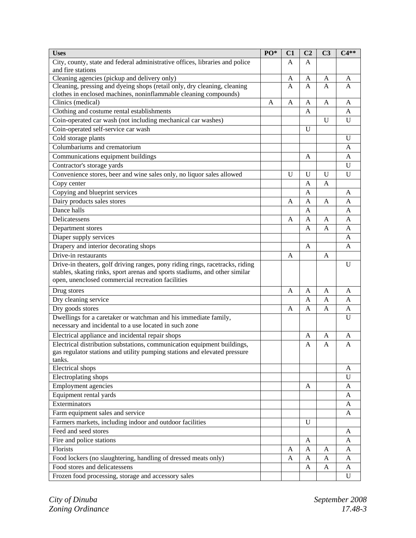| <b>Uses</b>                                                                                                                                  | PO* | C1           | C <sub>2</sub> | C <sub>3</sub> | $C4**$         |
|----------------------------------------------------------------------------------------------------------------------------------------------|-----|--------------|----------------|----------------|----------------|
| City, county, state and federal administrative offices, libraries and police<br>and fire stations                                            |     | A            | A              |                |                |
| Cleaning agencies (pickup and delivery only)                                                                                                 |     | A            | A              | A              | A              |
| Cleaning, pressing and dyeing shops (retail only, dry cleaning, cleaning<br>clothes in enclosed machines, noninflammable cleaning compounds) |     | A            | A              | A              | A              |
| Clinics (medical)                                                                                                                            | A   | A            | A              | A              | A              |
| Clothing and costume rental establishments                                                                                                   |     |              | A              |                | A              |
| Coin-operated car wash (not including mechanical car washes)                                                                                 |     |              |                | U              | U              |
| Coin-operated self-service car wash                                                                                                          |     |              | U              |                |                |
| Cold storage plants                                                                                                                          |     |              |                |                | U              |
| Columbariums and crematorium                                                                                                                 |     |              |                |                | A              |
| Communications equipment buildings                                                                                                           |     |              | A              |                | A              |
| Contractor's storage yards                                                                                                                   |     |              |                |                | U              |
| Convenience stores, beer and wine sales only, no liquor sales allowed                                                                        |     | $\mathbf{U}$ | U              | U              | U              |
| Copy center                                                                                                                                  |     |              | A              | A              |                |
| Copying and blueprint services                                                                                                               |     |              | A              |                | A              |
| Dairy products sales stores                                                                                                                  |     | A            | A              | A              | A              |
| Dance halls                                                                                                                                  |     |              | A              |                | A              |
| Delicatessens                                                                                                                                |     | A            | A              | A              | $\overline{A}$ |
| Department stores                                                                                                                            |     |              | A              | A              | A              |
| Diaper supply services                                                                                                                       |     |              |                |                | A              |
| Drapery and interior decorating shops                                                                                                        |     |              | A              |                | A              |
| Drive-in restaurants                                                                                                                         |     | A            |                | A              |                |
| Drive-in theaters, golf driving ranges, pony riding rings, racetracks, riding                                                                |     |              |                |                | U              |
| stables, skating rinks, sport arenas and sports stadiums, and other similar                                                                  |     |              |                |                |                |
| open, unenclosed commercial recreation facilities                                                                                            |     |              |                |                |                |
| Drug stores                                                                                                                                  |     | A            | A              | A              | A              |
| Dry cleaning service                                                                                                                         |     |              | A              | A              | A              |
| Dry goods stores                                                                                                                             |     | A            | A              | A              | A              |
| Dwellings for a caretaker or watchman and his immediate family,<br>necessary and incidental to a use located in such zone                    |     |              |                |                | U              |
| Electrical appliance and incidental repair shops                                                                                             |     |              | A              | A              | A              |
| Electrical distribution substations, communication equipment buildings,                                                                      |     |              | A              | A              | A              |
| gas regulator stations and utility pumping stations and elevated pressure                                                                    |     |              |                |                |                |
| tanks.                                                                                                                                       |     |              |                |                |                |
| Electrical shops                                                                                                                             |     |              |                |                | A              |
| Electroplating shops                                                                                                                         |     |              |                |                | U              |
| Employment agencies                                                                                                                          |     |              | A              |                | A              |
| Equipment rental yards                                                                                                                       |     |              |                |                | A              |
| Exterminators                                                                                                                                |     |              |                |                | A              |
| Farm equipment sales and service                                                                                                             |     |              |                |                | A              |
| Farmers markets, including indoor and outdoor facilities                                                                                     |     |              | U              |                |                |
| Feed and seed stores                                                                                                                         |     |              |                |                | A              |
| Fire and police stations                                                                                                                     |     |              | A              |                | A              |
| Florists                                                                                                                                     |     | A            | A              | A              | A              |
| Food lockers (no slaughtering, handling of dressed meats only)                                                                               |     | A            | A              | A              | A              |
| Food stores and delicatessens                                                                                                                |     |              | A              | A              | A              |
| Frozen food processing, storage and accessory sales                                                                                          |     |              |                |                | U              |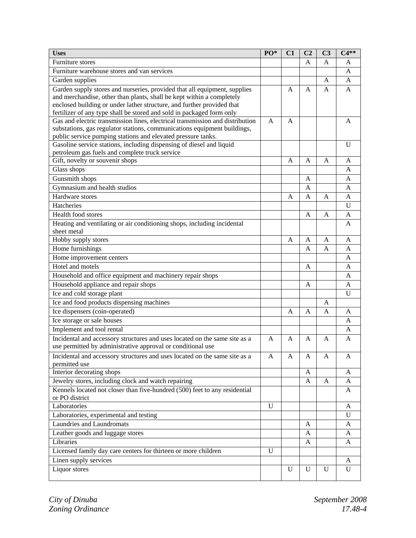| <b>Uses</b>                                                                                                                                               | PO*         | C1 | C <sub>2</sub> | C <sub>3</sub> | $C4**$ |
|-----------------------------------------------------------------------------------------------------------------------------------------------------------|-------------|----|----------------|----------------|--------|
| Furniture stores                                                                                                                                          |             |    | A              | A              | A      |
| Furniture warehouse stores and van services                                                                                                               |             |    |                |                | A      |
| Garden supplies                                                                                                                                           |             |    |                | A              | A      |
| Garden supply stores and nurseries, provided that all equipment, supplies                                                                                 |             | A  | A              | A              | A      |
| and merchandise, other than plants, shall be kept within a completely                                                                                     |             |    |                |                |        |
| enclosed building or under lather structure, and further provided that                                                                                    |             |    |                |                |        |
| fertilizer of any type shall be stored and sold in packaged form only                                                                                     |             |    |                |                |        |
| Gas and electric transmission lines, electrical transmission and distribution<br>substations, gas regulator stations, communications equipment buildings, | A           | A  |                |                | A      |
| public service pumping stations and elevated pressure tanks.                                                                                              |             |    |                |                |        |
| Gasoline service stations, including dispensing of diesel and liquid                                                                                      |             |    |                |                | U      |
| petroleum gas fuels and complete truck service                                                                                                            |             |    |                |                |        |
| Gift, novelty or souvenir shops                                                                                                                           |             | A  | A              | A              | A      |
| Glass shops                                                                                                                                               |             |    |                |                | A      |
| Gunsmith shops                                                                                                                                            |             |    | A              |                | A      |
| Gymnasium and health studios                                                                                                                              |             |    | Α              |                | A      |
| Hardware stores                                                                                                                                           |             | A  | A              | A              | A      |
| Hatcheries                                                                                                                                                |             |    |                |                | U      |
| Health food stores                                                                                                                                        |             |    | A              | A              | A      |
| Heating and ventilating or air conditioning shops, including incidental                                                                                   |             |    |                |                | A      |
| sheet metal                                                                                                                                               |             |    |                |                |        |
| Hobby supply stores                                                                                                                                       |             | A  | A              | A              | A      |
| Home furnishings                                                                                                                                          |             |    | A              | A              | A      |
| Home improvement centers                                                                                                                                  |             |    |                |                | A      |
| Hotel and motels                                                                                                                                          |             |    | A              |                | A      |
| Household and office equipment and machinery repair shops                                                                                                 |             |    |                |                | A      |
| Household appliance and repair shops                                                                                                                      |             |    | A              |                | A      |
| Ice and cold storage plant                                                                                                                                |             |    |                |                | U      |
| Ice and food products dispensing machines                                                                                                                 |             |    |                | A              |        |
| Ice dispensers (coin-operated)                                                                                                                            |             | A  | A              | A              | A      |
| Ice storage or sale houses                                                                                                                                |             |    |                |                | A      |
| Implement and tool rental                                                                                                                                 |             |    |                |                | A      |
| Incidental and accessory structures and uses located on the same site as a                                                                                | A           | A  | A              | A              | A      |
| use permitted by administrative approval or conditional use                                                                                               |             |    |                |                |        |
| Incidental and accessory structures and uses located on the same site as a                                                                                | A           | A  | A              | A              | A      |
| permitted use                                                                                                                                             |             |    |                |                |        |
| Interior decorating shops                                                                                                                                 |             |    | A              |                | A      |
| Jewelry stores, including clock and watch repairing                                                                                                       |             |    | A              | A              | A      |
| Kennels located not closer than five-hundred (500) feet to any residential                                                                                |             |    |                |                | A      |
| or PO district                                                                                                                                            |             |    |                |                |        |
| Laboratories                                                                                                                                              | U           |    |                |                | A      |
| Laboratories, experimental and testing                                                                                                                    |             |    |                |                | U      |
| Laundries and Laundromats                                                                                                                                 |             |    | A              |                | A      |
| Leather goods and luggage stores                                                                                                                          |             |    | A              |                | A      |
| Libraries                                                                                                                                                 |             |    | A              |                | A      |
| Licensed family day care centers for thirteen or more children                                                                                            | $\mathbf U$ |    |                |                |        |
| Linen supply services                                                                                                                                     |             |    |                |                | A      |
| Liquor stores                                                                                                                                             |             | U  | U              | U              | U      |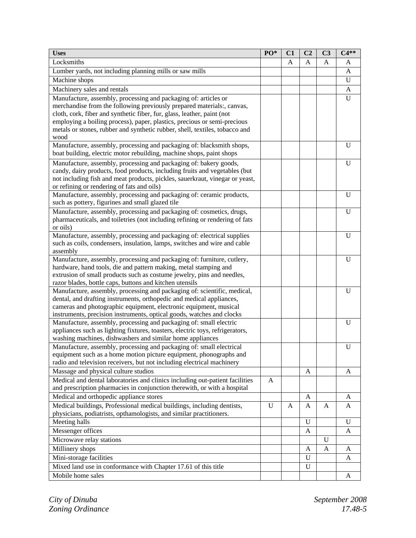| <b>Uses</b>                                                                         | PO* | C1 | C <sub>2</sub> | C <sub>3</sub> | $C4**$       |
|-------------------------------------------------------------------------------------|-----|----|----------------|----------------|--------------|
| Locksmiths                                                                          |     | Α  | A              | A              | A            |
| Lumber yards, not including planning mills or saw mills                             |     |    |                |                | A            |
| Machine shops                                                                       |     |    |                |                | U            |
| Machinery sales and rentals                                                         |     |    |                |                | $\mathbf{A}$ |
| Manufacture, assembly, processing and packaging of: articles or                     |     |    |                |                | U            |
| merchandise from the following previously prepared materials:, canvas,              |     |    |                |                |              |
| cloth, cork, fiber and synthetic fiber, fur, glass, leather, paint (not             |     |    |                |                |              |
| employing a boiling process), paper, plastics, precious or semi-precious            |     |    |                |                |              |
| metals or stones, rubber and synthetic rubber, shell, textiles, tobacco and         |     |    |                |                |              |
| wood                                                                                |     |    |                |                |              |
| Manufacture, assembly, processing and packaging of: blacksmith shops,               |     |    |                |                | U            |
| boat building, electric motor rebuilding, machine shops, paint shops                |     |    |                |                |              |
| Manufacture, assembly, processing and packaging of: bakery goods,                   |     |    |                |                | U            |
| candy, dairy products, food products, including fruits and vegetables (but          |     |    |                |                |              |
| not including fish and meat products, pickles, sauerkraut, vinegar or yeast,        |     |    |                |                |              |
| or refining or rendering of fats and oils)                                          |     |    |                |                |              |
| Manufacture, assembly, processing and packaging of: ceramic products,               |     |    |                |                | U            |
| such as pottery, figurines and small glazed tile                                    |     |    |                |                |              |
| Manufacture, assembly, processing and packaging of: cosmetics, drugs,               |     |    |                |                | U            |
| pharmaceuticals, and toiletries (not including refining or rendering of fats        |     |    |                |                |              |
| or oils)                                                                            |     |    |                |                |              |
| Manufacture, assembly, processing and packaging of: electrical supplies             |     |    |                |                | U            |
| such as coils, condensers, insulation, lamps, switches and wire and cable           |     |    |                |                |              |
| assembly<br>Manufacture, assembly, processing and packaging of: furniture, cutlery, |     |    |                |                | U            |
| hardware, hand tools, die and pattern making, metal stamping and                    |     |    |                |                |              |
| extrusion of small products such as costume jewelry, pins and needles,              |     |    |                |                |              |
| razor blades, bottle caps, buttons and kitchen utensils                             |     |    |                |                |              |
| Manufacture, assembly, processing and packaging of: scientific, medical,            |     |    |                |                | U            |
| dental, and drafting instruments, orthopedic and medical appliances,                |     |    |                |                |              |
| cameras and photographic equipment, electronic equipment, musical                   |     |    |                |                |              |
| instruments, precision instruments, optical goods, watches and clocks               |     |    |                |                |              |
| Manufacture, assembly, processing and packaging of: small electric                  |     |    |                |                | U            |
| appliances such as lighting fixtures, toasters, electric toys, refrigerators,       |     |    |                |                |              |
| washing machines, dishwashers and similar home appliances                           |     |    |                |                |              |
| Manufacture, assembly, processing and packaging of: small electrical                |     |    |                |                | U            |
| equipment such as a home motion picture equipment, phonographs and                  |     |    |                |                |              |
| radio and television receivers, but not including electrical machinery              |     |    |                |                |              |
| Massage and physical culture studios                                                |     |    | A              |                | A            |
| Medical and dental laboratories and clinics including out-patient facilities        | A   |    |                |                |              |
| and prescription pharmacies in conjunction therewith, or with a hospital            |     |    |                |                |              |
| Medical and orthopedic appliance stores                                             |     |    | A              |                | A            |
| Medical buildings, Professional medical buildings, including dentists,              | U   | A  | A              | A              | A            |
| physicians, podiatrists, opthamologists, and similar practitioners.                 |     |    |                |                |              |
| Meeting halls                                                                       |     |    | U              |                | $\mathbf U$  |
| Messenger offices                                                                   |     |    | A              |                | A            |
| Microwave relay stations                                                            |     |    |                | U              |              |
| Millinery shops                                                                     |     |    | A              | A              | A            |
| Mini-storage facilities                                                             |     |    | U              |                | A            |
| Mixed land use in conformance with Chapter 17.61 of this title                      |     |    | U              |                |              |
| Mobile home sales                                                                   |     |    |                |                | A            |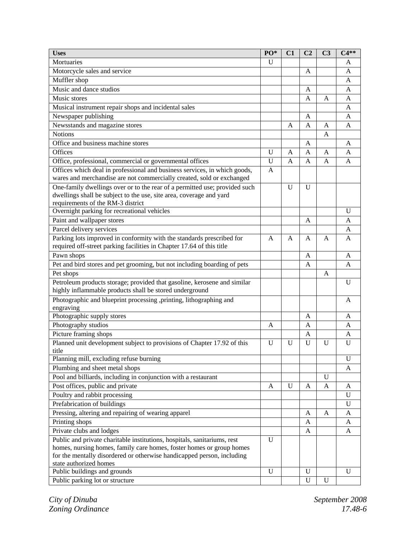| <b>Uses</b>                                                                | PO*          | C1 | C <sub>2</sub> | C <sub>3</sub> | $C4**$       |
|----------------------------------------------------------------------------|--------------|----|----------------|----------------|--------------|
| Mortuaries                                                                 | U            |    |                |                | A            |
| Motorcycle sales and service                                               |              |    | A              |                | A            |
| Muffler shop                                                               |              |    |                |                | A            |
| Music and dance studios                                                    |              |    | A              |                | A            |
| Music stores                                                               |              |    | Α              | A              | A            |
| Musical instrument repair shops and incidental sales                       |              |    |                |                | A            |
| Newspaper publishing                                                       |              |    | A              |                | A            |
| Newsstands and magazine stores                                             |              | A  | A              | A              | A            |
| <b>Notions</b>                                                             |              |    |                | A              |              |
| Office and business machine stores                                         |              |    | A              |                | A            |
| Offices                                                                    | U            | A  | A              | A              | A            |
| Office, professional, commercial or governmental offices                   | U            | A  | A              | A              | A            |
| Offices which deal in professional and business services, in which goods,  | A            |    |                |                |              |
| wares and merchandise are not commercially created, sold or exchanged      |              |    |                |                |              |
| One-family dwellings over or to the rear of a permitted use; provided such |              | U  | U              |                |              |
| dwellings shall be subject to the use, site area, coverage and yard        |              |    |                |                |              |
| requirements of the RM-3 district                                          |              |    |                |                |              |
| Overnight parking for recreational vehicles                                |              |    |                |                | $\mathbf{U}$ |
| Paint and wallpaper stores                                                 |              |    | A              |                | A            |
| Parcel delivery services                                                   |              |    |                |                | A            |
| Parking lots improved in conformity with the standards prescribed for      | A            | A  | A              | A              | A            |
| required off-street parking facilities in Chapter 17.64 of this title      |              |    |                |                |              |
| Pawn shops                                                                 |              |    | A              |                | A            |
| Pet and bird stores and pet grooming, but not including boarding of pets   |              |    | A              |                | A            |
| Pet shops                                                                  |              |    |                | A              |              |
| Petroleum products storage; provided that gasoline, kerosene and similar   |              |    |                |                | U            |
| highly inflammable products shall be stored underground                    |              |    |                |                |              |
| Photographic and blueprint processing ,printing, lithographing and         |              |    |                |                | A            |
| engraving                                                                  |              |    |                |                |              |
| Photographic supply stores                                                 |              |    | A              |                | A            |
| Photography studios                                                        | A            |    | A              |                | A            |
| Picture framing shops                                                      |              |    | A              |                | A            |
| Planned unit development subject to provisions of Chapter 17.92 of this    | U            | U  | U              | $\mathbf{U}$   | U            |
| title                                                                      |              |    |                |                |              |
| Planning mill, excluding refuse burning                                    |              |    |                |                | U            |
| Plumbing and sheet metal shops                                             |              |    |                |                | A            |
| Pool and billiards, including in conjunction with a restaurant             |              |    |                | $\mathbf{U}$   |              |
| Post offices, public and private                                           | A            | U  | A              | A              | A            |
| Poultry and rabbit processing                                              |              |    |                |                | U            |
| Prefabrication of buildings                                                |              |    |                |                | U            |
| Pressing, altering and repairing of wearing apparel                        |              |    | A              | A              | A            |
| Printing shops                                                             |              |    | A              |                | A            |
| Private clubs and lodges                                                   |              |    | A              |                | A            |
| Public and private charitable institutions, hospitals, sanitariums, rest   | $\mathbf{U}$ |    |                |                |              |
| homes, nursing homes, family care homes, foster homes or group homes       |              |    |                |                |              |
| for the mentally disordered or otherwise handicapped person, including     |              |    |                |                |              |
| state authorized homes                                                     |              |    |                |                |              |
| Public buildings and grounds                                               | U            |    | U              |                | U            |
| Public parking lot or structure                                            |              |    | U              | U              |              |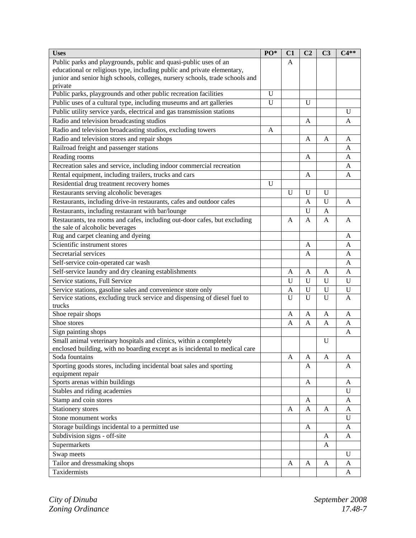| <b>Uses</b>                                                                  | PO* | C1           | C <sub>2</sub> | C <sub>3</sub> | $C4**$       |
|------------------------------------------------------------------------------|-----|--------------|----------------|----------------|--------------|
| Public parks and playgrounds, public and quasi-public uses of an             |     | A            |                |                |              |
| educational or religious type, including public and private elementary,      |     |              |                |                |              |
| junior and senior high schools, colleges, nursery schools, trade schools and |     |              |                |                |              |
| private                                                                      |     |              |                |                |              |
| Public parks, playgrounds and other public recreation facilities             | U   |              |                |                |              |
| Public uses of a cultural type, including museums and art galleries          | U   |              | U              |                |              |
| Public utility service yards, electrical and gas transmission stations       |     |              |                |                | $\mathbf{U}$ |
| Radio and television broadcasting studios                                    |     |              | A              |                | A            |
| Radio and television broadcasting studios, excluding towers                  | A   |              |                |                |              |
| Radio and television stores and repair shops                                 |     |              | A              | A              | A            |
| Railroad freight and passenger stations                                      |     |              |                |                | A            |
| Reading rooms                                                                |     |              | A              |                | A            |
| Recreation sales and service, including indoor commercial recreation         |     |              |                |                | A            |
| Rental equipment, including trailers, trucks and cars                        |     |              | A              |                | A            |
| Residential drug treatment recovery homes                                    | U   |              |                |                |              |
| Restaurants serving alcoholic beverages                                      |     | $\mathbf U$  | $\mathbf U$    | U              |              |
| Restaurants, including drive-in restaurants, cafes and outdoor cafes         |     |              | A              | U              | A            |
| Restaurants, including restaurant with bar/lounge                            |     |              | $\mathbf U$    | A              |              |
| Restaurants, tea rooms and cafes, including out-door cafes, but excluding    |     | A            | A              | A              | A            |
| the sale of alcoholic beverages                                              |     |              |                |                |              |
| Rug and carpet cleaning and dyeing                                           |     |              |                |                | A            |
| Scientific instrument stores                                                 |     |              | A              |                | A            |
| Secretarial services                                                         |     |              | A              |                | A            |
| Self-service coin-operated car wash                                          |     |              |                |                | A            |
| Self-service laundry and dry cleaning establishments                         |     | A            | A              | A              | A            |
| Service stations, Full Service                                               |     | $\mathbf{U}$ | $\mathbf U$    | U              | U            |
| Service stations, gasoline sales and convenience store only                  |     | A            | U              | U              | $\mathbf U$  |
| Service stations, excluding truck service and dispensing of diesel fuel to   |     | U            | $\mathbf U$    | U              | A            |
| trucks                                                                       |     |              |                |                |              |
| Shoe repair shops                                                            |     | A            | A              | A              | A            |
| Shoe stores                                                                  |     | A            | A              | A              | A            |
| Sign painting shops                                                          |     |              |                |                | A            |
| Small animal veterinary hospitals and clinics, within a completely           |     |              |                | U              |              |
| enclosed building, with no boarding except as is incidental to medical care  |     |              |                |                |              |
| Soda fountains                                                               |     | A            | A              | A              | A            |
| Sporting goods stores, including incidental boat sales and sporting          |     |              | A              |                | A            |
| equipment repair                                                             |     |              |                |                |              |
| Sports arenas within buildings                                               |     |              | A              |                | A            |
| Stables and riding academies                                                 |     |              |                |                | U            |
| Stamp and coin stores                                                        |     |              | A              |                | A            |
| Stationery stores                                                            |     | A            | A              | A              | A            |
| Stone monument works                                                         |     |              |                |                | U            |
| Storage buildings incidental to a permitted use                              |     |              | A              |                | A            |
| Subdivision signs - off-site                                                 |     |              |                | A              | A            |
| Supermarkets                                                                 |     |              |                | A              |              |
| Swap meets                                                                   |     |              |                |                | U            |
| Tailor and dressmaking shops                                                 |     | A            | $\mathbf{A}$   | A              | A            |
| Taxidermists                                                                 |     |              |                |                | A            |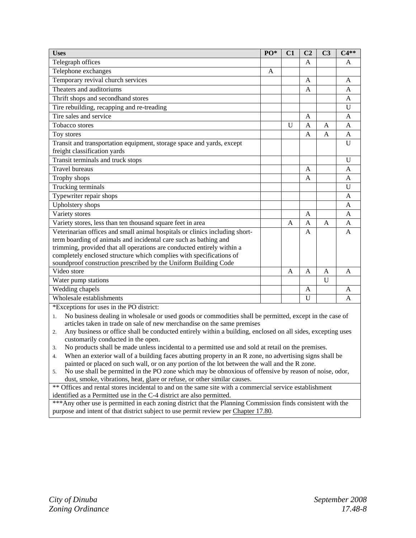| <b>Uses</b>                                                                                                                                                                                                                                                                                                                                                         | PO* | C1             | C <sub>2</sub> | C <sub>3</sub> | $C4**$         |
|---------------------------------------------------------------------------------------------------------------------------------------------------------------------------------------------------------------------------------------------------------------------------------------------------------------------------------------------------------------------|-----|----------------|----------------|----------------|----------------|
| Telegraph offices                                                                                                                                                                                                                                                                                                                                                   |     |                | A              |                | A              |
| Telephone exchanges                                                                                                                                                                                                                                                                                                                                                 | A   |                |                |                |                |
| Temporary revival church services                                                                                                                                                                                                                                                                                                                                   |     |                | A              |                | $\mathsf{A}$   |
| Theaters and auditoriums                                                                                                                                                                                                                                                                                                                                            |     |                | $\overline{A}$ |                | A              |
| Thrift shops and secondhand stores                                                                                                                                                                                                                                                                                                                                  |     |                |                |                | A              |
| Tire rebuilding, recapping and re-treading                                                                                                                                                                                                                                                                                                                          |     |                |                |                | $\mathbf U$    |
| Tire sales and service                                                                                                                                                                                                                                                                                                                                              |     |                | A              |                | $\mathbf{A}$   |
| <b>Tobacco</b> stores                                                                                                                                                                                                                                                                                                                                               |     | $\overline{U}$ | A              | $\overline{A}$ | $\mathsf{A}$   |
| Toy stores                                                                                                                                                                                                                                                                                                                                                          |     |                | A              | $\mathbf{A}$   | $\mathbf{A}$   |
| Transit and transportation equipment, storage space and yards, except<br>freight classification yards                                                                                                                                                                                                                                                               |     |                |                |                | U              |
| Transit terminals and truck stops                                                                                                                                                                                                                                                                                                                                   |     |                |                |                | $\mathbf U$    |
| <b>Travel bureaus</b>                                                                                                                                                                                                                                                                                                                                               |     |                | A              |                | A              |
| Trophy shops                                                                                                                                                                                                                                                                                                                                                        |     |                | A              |                | $\overline{A}$ |
| Trucking terminals                                                                                                                                                                                                                                                                                                                                                  |     |                |                |                | U              |
| Typewriter repair shops                                                                                                                                                                                                                                                                                                                                             |     |                |                |                | $\mathbf{A}$   |
| Upholstery shops                                                                                                                                                                                                                                                                                                                                                    |     |                |                |                | A              |
| Variety stores                                                                                                                                                                                                                                                                                                                                                      |     |                | A              |                | $\overline{A}$ |
| Variety stores, less than ten thousand square feet in area                                                                                                                                                                                                                                                                                                          |     | A              | $\mathsf{A}$   | $\overline{A}$ | $\mathbf{A}$   |
| Veterinarian offices and small animal hospitals or clinics including short-<br>term boarding of animals and incidental care such as bathing and<br>trimming, provided that all operations are conducted entirely within a<br>completely enclosed structure which complies with specifications of<br>soundproof construction prescribed by the Uniform Building Code |     |                | A              |                | A              |
| Video store                                                                                                                                                                                                                                                                                                                                                         |     | $\mathsf{A}$   | A              | $\overline{A}$ | $\overline{A}$ |
| Water pump stations                                                                                                                                                                                                                                                                                                                                                 |     |                |                | $\mathbf{U}$   |                |
| Wedding chapels                                                                                                                                                                                                                                                                                                                                                     |     |                | A              |                | $\overline{A}$ |
| Wholesale establishments                                                                                                                                                                                                                                                                                                                                            |     |                | U              |                | A              |
| *Exceptions for uses in the PO district:<br>No business dealing in wholesale or used goods or commodities shall be permitted, except in the case of<br>1.<br>articles taken in trade on sale of new merchandise on the same premises                                                                                                                                |     |                |                |                |                |

2. Any business or office shall be conducted entirely within a building, enclosed on all sides, excepting uses customarily conducted in the open.

3. No products shall be made unless incidental to a permitted use and sold at retail on the premises.

4. When an exterior wall of a building faces abutting property in an R zone, no advertising signs shall be painted or placed on such wall, or on any portion of the lot between the wall and the R zone.

5. No use shall be permitted in the PO zone which may be obnoxious of offensive by reason of noise, odor, dust, smoke, vibrations, heat, glare or refuse, or other similar causes.

\*\* Offices and rental stores incidental to and on the same site with a commercial service establishment identified as a Permitted use in the C-4 district are also permitted.

\*\*\*Any other use is permitted in each zoning district that the Planning Commission finds consistent with the purpose and intent of that district subject to use permit review per Chapter 17.80.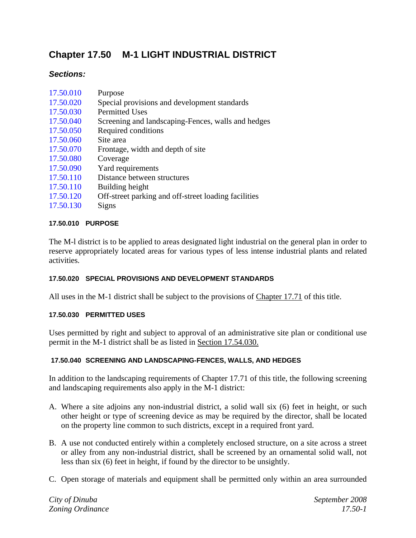# **Chapter 17.50 M-1 LIGHT INDUSTRIAL DISTRICT**

## *Sections:*

| 17.50.010 | Purpose                                              |
|-----------|------------------------------------------------------|
| 17.50.020 | Special provisions and development standards         |
| 17.50.030 | <b>Permitted Uses</b>                                |
| 17.50.040 | Screening and landscaping-Fences, walls and hedges   |
| 17.50.050 | Required conditions                                  |
| 17.50.060 | Site area                                            |
| 17.50.070 | Frontage, width and depth of site                    |
| 17.50.080 | Coverage                                             |
| 17.50.090 | Yard requirements                                    |
| 17.50.110 | Distance between structures                          |
| 17.50.110 | Building height                                      |
| 17.50.120 | Off-street parking and off-street loading facilities |
| 17.50.130 | Signs                                                |

## **17.50.010 PURPOSE**

The M-l district is to be applied to areas designated light industrial on the general plan in order to reserve appropriately located areas for various types of less intense industrial plants and related activities.

## **17.50.020 SPECIAL PROVISIONS AND DEVELOPMENT STANDARDS**

All uses in the M-1 district shall be subject to the provisions of Chapter 17.71 of this title.

## **17.50.030 PERMITTED USES**

Uses permitted by right and subject to approval of an administrative site plan or conditional use permit in the M-1 district shall be as listed in Section 17.54.030.

## **17.50.040 SCREENING AND LANDSCAPING-FENCES, WALLS, AND HEDGES**

In addition to the landscaping requirements of Chapter 17.71 of this title, the following screening and landscaping requirements also apply in the M-1 district:

- A. Where a site adjoins any non-industrial district, a solid wall six (6) feet in height, or such other height or type of screening device as may be required by the director, shall be located on the property line common to such districts, except in a required front yard.
- B. A use not conducted entirely within a completely enclosed structure, on a site across a street or alley from any non-industrial district, shall be screened by an ornamental solid wall, not less than six (6) feet in height, if found by the director to be unsightly.
- C. Open storage of materials and equipment shall be permitted only within an area surrounded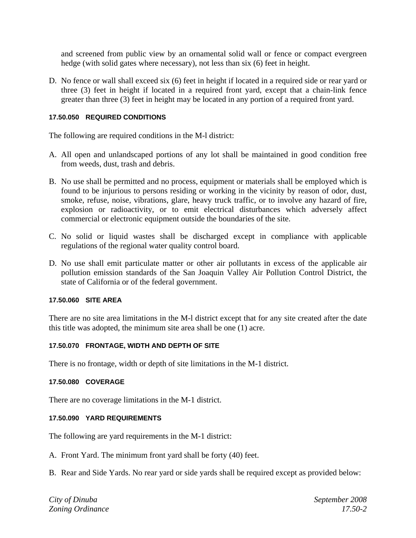and screened from public view by an ornamental solid wall or fence or compact evergreen hedge (with solid gates where necessary), not less than six (6) feet in height.

D. No fence or wall shall exceed six (6) feet in height if located in a required side or rear yard or three (3) feet in height if located in a required front yard, except that a chain-link fence greater than three (3) feet in height may be located in any portion of a required front yard.

#### **17.50.050 REQUIRED CONDITIONS**

The following are required conditions in the M-l district:

- A. All open and unlandscaped portions of any lot shall be maintained in good condition free from weeds, dust, trash and debris.
- B. No use shall be permitted and no process, equipment or materials shall be employed which is found to be injurious to persons residing or working in the vicinity by reason of odor, dust, smoke, refuse, noise, vibrations, glare, heavy truck traffic, or to involve any hazard of fire, explosion or radioactivity, or to emit electrical disturbances which adversely affect commercial or electronic equipment outside the boundaries of the site.
- C. No solid or liquid wastes shall be discharged except in compliance with applicable regulations of the regional water quality control board.
- D. No use shall emit particulate matter or other air pollutants in excess of the applicable air pollution emission standards of the San Joaquin Valley Air Pollution Control District, the state of California or of the federal government.

#### **17.50.060 SITE AREA**

There are no site area limitations in the M-l district except that for any site created after the date this title was adopted, the minimum site area shall be one (1) acre.

## **17.50.070 FRONTAGE, WIDTH AND DEPTH OF SITE**

There is no frontage, width or depth of site limitations in the M-1 district.

#### **17.50.080 COVERAGE**

There are no coverage limitations in the M-1 district.

#### **17.50.090 YARD REQUIREMENTS**

The following are yard requirements in the M-1 district:

A. Front Yard. The minimum front yard shall be forty (40) feet.

B. Rear and Side Yards. No rear yard or side yards shall be required except as provided below:

*City of Dinuba September 2008 Zoning Ordinance 17.50-2*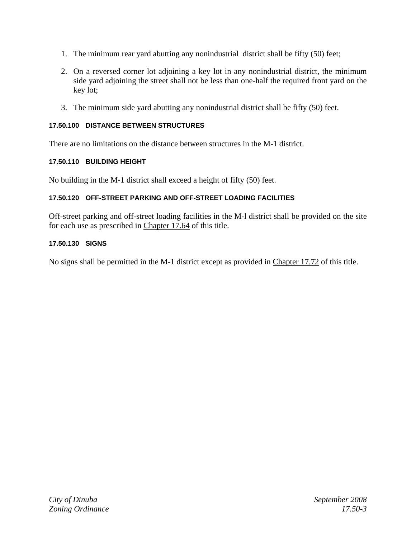- 1. The minimum rear yard abutting any nonindustrial district shall be fifty (50) feet;
- 2. On a reversed corner lot adjoining a key lot in any nonindustrial district, the minimum side yard adjoining the street shall not be less than one-half the required front yard on the key lot;
- 3. The minimum side yard abutting any nonindustrial district shall be fifty (50) feet.

## **17.50.100 DISTANCE BETWEEN STRUCTURES**

There are no limitations on the distance between structures in the M-1 district.

## **17.50.110 BUILDING HEIGHT**

No building in the M-1 district shall exceed a height of fifty (50) feet.

## **17.50.120 OFF-STREET PARKING AND OFF-STREET LOADING FACILITIES**

Off-street parking and off-street loading facilities in the M-l district shall be provided on the site for each use as prescribed in Chapter 17.64 of this title.

## **17.50.130 SIGNS**

No signs shall be permitted in the M-1 district except as provided in Chapter 17.72 of this title.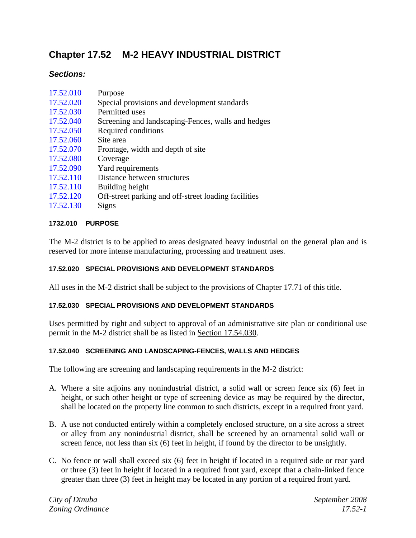# **Chapter 17.52 M-2 HEAVY INDUSTRIAL DISTRICT**

## *Sections:*

| 17.52.010 | Purpose                                              |
|-----------|------------------------------------------------------|
| 17.52.020 | Special provisions and development standards         |
| 17.52.030 | Permitted uses                                       |
| 17.52.040 | Screening and landscaping-Fences, walls and hedges   |
| 17.52.050 | Required conditions                                  |
| 17.52.060 | Site area                                            |
| 17.52.070 | Frontage, width and depth of site.                   |
| 17.52.080 | Coverage                                             |
| 17.52.090 | Yard requirements                                    |
| 17.52.110 | Distance between structures                          |
| 17.52.110 | Building height                                      |
| 17.52.120 | Off-street parking and off-street loading facilities |
| 17.52.130 | Signs                                                |
|           |                                                      |
|           |                                                      |

## **1732.010 PURPOSE**

The M-2 district is to be applied to areas designated heavy industrial on the general plan and is reserved for more intense manufacturing, processing and treatment uses.

## **17.52.020 SPECIAL PROVISIONS AND DEVELOPMENT STANDARDS**

All uses in the M-2 district shall be subject to the provisions of Chapter 17.71 of this title.

## **17.52.030 SPECIAL PROVISIONS AND DEVELOPMENT STANDARDS**

Uses permitted by right and subject to approval of an administrative site plan or conditional use permit in the M-2 district shall be as listed in Section 17.54.030.

## **17.52.040 SCREENING AND LANDSCAPING-FENCES, WALLS AND HEDGES**

The following are screening and landscaping requirements in the M-2 district:

- A. Where a site adjoins any nonindustrial district, a solid wall or screen fence six (6) feet in height, or such other height or type of screening device as may be required by the director, shall be located on the property line common to such districts, except in a required front yard.
- B. A use not conducted entirely within a completely enclosed structure, on a site across a street or alley from any nonindustrial district, shall be screened by an ornamental solid wall or screen fence, not less than six (6) feet in height, if found by the director to be unsightly.
- C. No fence or wall shall exceed six (6) feet in height if located in a required side or rear yard or three (3) feet in height if located in a required front yard, except that a chain-linked fence greater than three (3) feet in height may be located in any portion of a required front yard.

*City of Dinuba September 2008 Zoning Ordinance 17.52-1*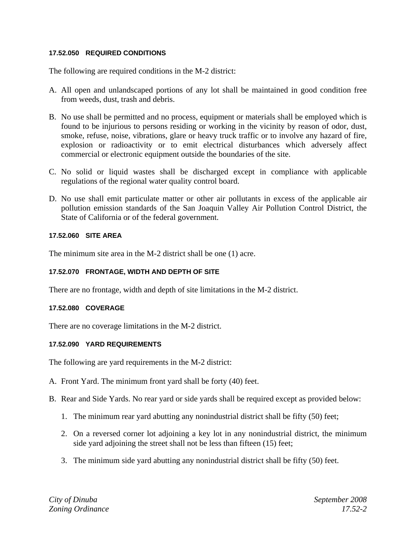#### **17.52.050 REQUIRED CONDITIONS**

The following are required conditions in the M-2 district:

- A. All open and unlandscaped portions of any lot shall be maintained in good condition free from weeds, dust, trash and debris.
- B. No use shall be permitted and no process, equipment or materials shall be employed which is found to be injurious to persons residing or working in the vicinity by reason of odor, dust, smoke, refuse, noise, vibrations, glare or heavy truck traffic or to involve any hazard of fire, explosion or radioactivity or to emit electrical disturbances which adversely affect commercial or electronic equipment outside the boundaries of the site.
- C. No solid or liquid wastes shall be discharged except in compliance with applicable regulations of the regional water quality control board.
- D. No use shall emit particulate matter or other air pollutants in excess of the applicable air pollution emission standards of the San Joaquin Valley Air Pollution Control District, the State of California or of the federal government.

#### **17.52.060 SITE AREA**

The minimum site area in the M-2 district shall be one (1) acre.

## **17.52.070 FRONTAGE, WIDTH AND DEPTH OF SITE**

There are no frontage, width and depth of site limitations in the M-2 district.

#### **17.52.080 COVERAGE**

There are no coverage limitations in the M-2 district.

#### **17.52.090 YARD REQUIREMENTS**

The following are yard requirements in the M-2 district:

- A. Front Yard. The minimum front yard shall be forty (40) feet.
- B. Rear and Side Yards. No rear yard or side yards shall be required except as provided below:
	- 1. The minimum rear yard abutting any nonindustrial district shall be fifty (50) feet;
	- 2. On a reversed corner lot adjoining a key lot in any nonindustrial district, the minimum side yard adjoining the street shall not be less than fifteen (15) feet;
	- 3. The minimum side yard abutting any nonindustrial district shall be fifty (50) feet.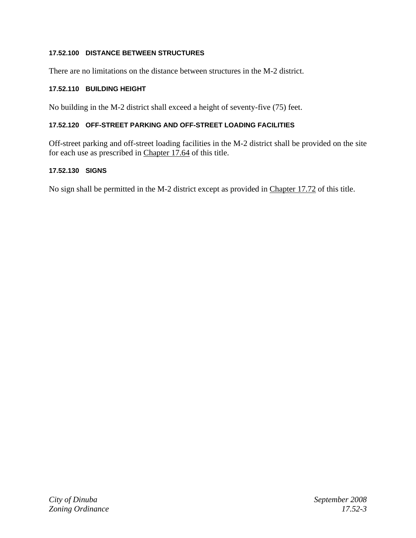## **17.52.100 DISTANCE BETWEEN STRUCTURES**

There are no limitations on the distance between structures in the M-2 district.

## **17.52.110 BUILDING HEIGHT**

No building in the M-2 district shall exceed a height of seventy-five (75) feet.

## **17.52.120 OFF-STREET PARKING AND OFF-STREET LOADING FACILITIES**

Off-street parking and off-street loading facilities in the M-2 district shall be provided on the site for each use as prescribed in Chapter 17.64 of this title.

## **17.52.130 SIGNS**

No sign shall be permitted in the M-2 district except as provided in Chapter 17.72 of this title.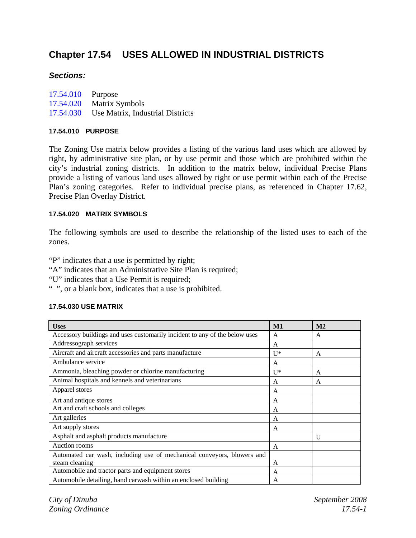# **Chapter 17.54 USES ALLOWED IN INDUSTRIAL DISTRICTS**

## *Sections:*

| 17.54.010 Purpose |                                            |
|-------------------|--------------------------------------------|
|                   | 17.54.020 Matrix Symbols                   |
|                   | 17.54.030 Use Matrix, Industrial Districts |

## **17.54.010 PURPOSE**

The Zoning Use matrix below provides a listing of the various land uses which are allowed by right, by administrative site plan, or by use permit and those which are prohibited within the city's industrial zoning districts. In addition to the matrix below, individual Precise Plans provide a listing of various land uses allowed by right or use permit within each of the Precise Plan's zoning categories. Refer to individual precise plans, as referenced in Chapter 17.62, Precise Plan Overlay District.

## **17.54.020 MATRIX SYMBOLS**

The following symbols are used to describe the relationship of the listed uses to each of the zones.

"P" indicates that a use is permitted by right;

- "A" indicates that an Administrative Site Plan is required;
- "U" indicates that a Use Permit is required;
- " ", or a blank box, indicates that a use is prohibited.

## **17.54.030 USE MATRIX**

| <b>Uses</b>                                                                | M1           | M <sub>2</sub> |
|----------------------------------------------------------------------------|--------------|----------------|
| Accessory buildings and uses customarily incident to any of the below uses | A            | A              |
| Addressograph services                                                     | A            |                |
| Aircraft and aircraft accessories and parts manufacture                    | $II*$        | A              |
| Ambulance service                                                          | A            |                |
| Ammonia, bleaching powder or chlorine manufacturing                        | $II^*$       | A              |
| Animal hospitals and kennels and veterinarians                             | A            | A              |
| Apparel stores                                                             | A            |                |
| Art and antique stores                                                     | A            |                |
| Art and craft schools and colleges                                         | A            |                |
| Art galleries                                                              | $\mathsf{A}$ |                |
| Art supply stores                                                          | A            |                |
| Asphalt and asphalt products manufacture                                   |              | U              |
| Auction rooms                                                              | A            |                |
| Automated car wash, including use of mechanical conveyors, blowers and     |              |                |
| steam cleaning                                                             | A            |                |
| Automobile and tractor parts and equipment stores                          | A            |                |
| Automobile detailing, hand carwash within an enclosed building             | A            |                |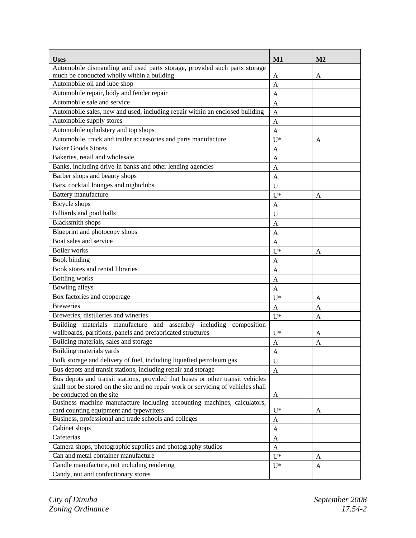| <b>Uses</b>                                                                                          | M1           | M <sub>2</sub> |
|------------------------------------------------------------------------------------------------------|--------------|----------------|
| Automobile dismantling and used parts storage, provided such parts storage                           |              |                |
| much be conducted wholly within a building                                                           | A            | A              |
| Automobile oil and lube shop                                                                         | A            |                |
| Automobile repair, body and fender repair                                                            | A            |                |
| Automobile sale and service                                                                          | $\mathsf{A}$ |                |
| Automobile sales, new and used, including repair within an enclosed building                         | A            |                |
| Automobile supply stores                                                                             | A            |                |
| Automobile upholstery and top shops                                                                  | A            |                |
| Automobile, truck and trailer accessories and parts manufacture                                      | $U^*$        | A              |
| <b>Baker Goods Stores</b>                                                                            | A            |                |
| Bakeries, retail and wholesale                                                                       | A            |                |
| Banks, including drive-in banks and other lending agencies                                           | A            |                |
| Barber shops and beauty shops                                                                        | A            |                |
| Bars, cocktail lounges and nightclubs                                                                | U            |                |
| Battery manufacture                                                                                  | $U^*$        | A              |
| Bicycle shops                                                                                        | A            |                |
| Billiards and pool halls                                                                             | U            |                |
| <b>Blacksmith shops</b>                                                                              |              |                |
| Blueprint and photocopy shops                                                                        | A            |                |
| Boat sales and service                                                                               | A            |                |
| <b>Boiler</b> works                                                                                  | A            |                |
|                                                                                                      | $U^*$        | A              |
| Book binding                                                                                         | A            |                |
| Book stores and rental libraries                                                                     | A            |                |
| <b>Bottling</b> works                                                                                | A            |                |
| <b>Bowling alleys</b>                                                                                | A            |                |
| Box factories and cooperage                                                                          | $U^*$        | A              |
| <b>Breweries</b>                                                                                     | A            | A              |
| Breweries, distilleries and wineries                                                                 | $U^*$        | A              |
| Building materials manufacture and assembly including composition                                    |              |                |
| wallboards, partitions, panels and prefabricated structures                                          | $U^*$        | A              |
| Building materials, sales and storage                                                                | A            | A              |
| Building materials yards                                                                             | A            |                |
| Bulk storage and delivery of fuel, including liquefied petroleum gas                                 | U            |                |
| Bus depots and transit stations, including repair and storage                                        | $\mathbf{A}$ |                |
| Bus depots and transit stations, provided that buses or other transit vehicles                       |              |                |
| shall not be stored on the site and no repair work or servicing of vehicles shall                    |              |                |
| be conducted on the site<br>Business machine manufacture including accounting machines, calculators, | A            |                |
| card counting equipment and typewriters                                                              | $U^*$        | A              |
| Business, professional and trade schools and colleges                                                | A            |                |
| Cabinet shops                                                                                        | A            |                |
| Cafeterias                                                                                           |              |                |
| Camera shops, photographic supplies and photography studios                                          | A            |                |
| Can and metal container manufacture                                                                  | A            |                |
| Candle manufacture, not including rendering                                                          | $U^*$        | A              |
|                                                                                                      | $U^*$        | A              |
| Candy, nut and confectionary stores                                                                  |              |                |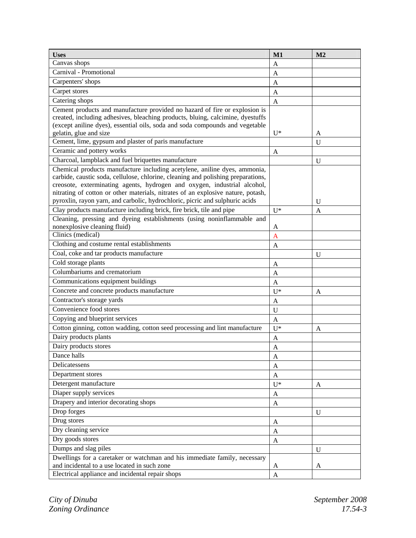| <b>Uses</b>                                                                                                                                                   | M1             | M <sub>2</sub> |
|---------------------------------------------------------------------------------------------------------------------------------------------------------------|----------------|----------------|
| Canvas shops                                                                                                                                                  | A              |                |
| Carnival - Promotional                                                                                                                                        | A              |                |
| Carpenters' shops                                                                                                                                             | A              |                |
| Carpet stores                                                                                                                                                 | A              |                |
| Catering shops                                                                                                                                                | $\mathbf{A}$   |                |
| Cement products and manufacture provided no hazard of fire or explosion is                                                                                    |                |                |
| created, including adhesives, bleaching products, bluing, calcimine, dyestuffs                                                                                |                |                |
| (except aniline dyes), essential oils, soda and soda compounds and vegetable                                                                                  |                |                |
| gelatin, glue and size                                                                                                                                        | $U^*$          | A              |
| Cement, lime, gypsum and plaster of paris manufacture                                                                                                         |                | $\mathbf U$    |
| Ceramic and pottery works                                                                                                                                     | A              |                |
| Charcoal, lampblack and fuel briquettes manufacture                                                                                                           |                | U              |
| Chemical products manufacture including acetylene, aniline dyes, ammonia,<br>carbide, caustic soda, cellulose, chlorine, cleaning and polishing preparations, |                |                |
| creosote, exterminating agents, hydrogen and oxygen, industrial alcohol,                                                                                      |                |                |
| nitrating of cotton or other materials, nitrates of an explosive nature, potash,                                                                              |                |                |
| pyroxlin, rayon yarn, and carbolic, hydrochloric, picric and sulphuric acids                                                                                  |                | U              |
| Clay products manufacture including brick, fire brick, tile and pipe                                                                                          | $U^*$          | A              |
| Cleaning, pressing and dyeing establishments (using noninflammable and                                                                                        |                |                |
| nonexplosive cleaning fluid)                                                                                                                                  | A              |                |
| Clinics (medical)                                                                                                                                             | $\overline{A}$ |                |
| Clothing and costume rental establishments                                                                                                                    | A              |                |
| Coal, coke and tar products manufacture                                                                                                                       |                | U              |
| Cold storage plants                                                                                                                                           | A              |                |
| Columbariums and crematorium                                                                                                                                  | A              |                |
| Communications equipment buildings                                                                                                                            | A              |                |
| Concrete and concrete products manufacture                                                                                                                    | $U^*$          | A              |
| Contractor's storage yards                                                                                                                                    | A              |                |
| Convenience food stores                                                                                                                                       | U              |                |
| Copying and blueprint services                                                                                                                                | $\mathbf{A}$   |                |
| Cotton ginning, cotton wadding, cotton seed processing and lint manufacture                                                                                   | $U^*$          | A              |
| Dairy products plants                                                                                                                                         | $\mathbf{A}$   |                |
| Dairy products stores                                                                                                                                         | A              |                |
| Dance halls                                                                                                                                                   | A              |                |
| Delicatessens                                                                                                                                                 | A              |                |
| Department stores                                                                                                                                             | $\mathbf{A}$   |                |
| Detergent manufacture                                                                                                                                         | $U^*$          | A              |
| Diaper supply services                                                                                                                                        | A              |                |
| Drapery and interior decorating shops                                                                                                                         | $\mathbf{A}$   |                |
| Drop forges                                                                                                                                                   |                | U              |
| Drug stores                                                                                                                                                   | $\mathbf{A}$   |                |
| Dry cleaning service                                                                                                                                          | A              |                |
| Dry goods stores                                                                                                                                              | A              |                |
| Dumps and slag piles                                                                                                                                          |                | U              |
| Dwellings for a caretaker or watchman and his immediate family, necessary                                                                                     |                |                |
| and incidental to a use located in such zone                                                                                                                  | A              | A              |
| Electrical appliance and incidental repair shops                                                                                                              |                |                |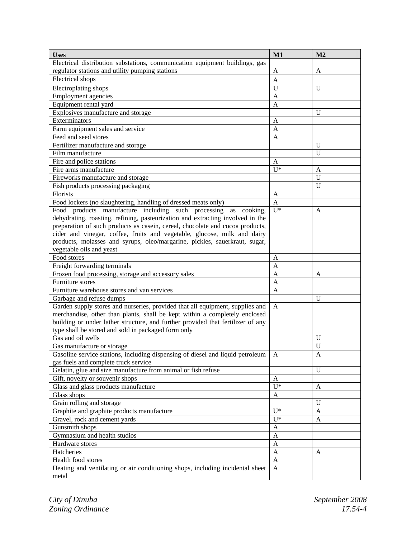| <b>Uses</b>                                                                     | M1               | M <sub>2</sub> |
|---------------------------------------------------------------------------------|------------------|----------------|
| Electrical distribution substations, communication equipment buildings, gas     |                  |                |
| regulator stations and utility pumping stations                                 | A                | A              |
| <b>Electrical</b> shops                                                         | $\mathbf{A}$     |                |
| Electroplating shops                                                            | $\mathbf{U}$     | U              |
| <b>Employment</b> agencies                                                      | A                |                |
| Equipment rental yard                                                           | A                |                |
| Explosives manufacture and storage                                              |                  | U              |
| Exterminators                                                                   | A                |                |
| Farm equipment sales and service                                                | A                |                |
| Feed and seed stores                                                            | A                |                |
| Fertilizer manufacture and storage                                              |                  | U              |
| Film manufacture                                                                |                  | $\mathbf U$    |
| Fire and police stations                                                        | A                |                |
| Fire arms manufacture                                                           | $U^*$            | A              |
| Fireworks manufacture and storage                                               |                  | $\mathbf U$    |
| Fish products processing packaging                                              |                  | $\mathbf U$    |
| Florists                                                                        | A                |                |
| Food lockers (no slaughtering, handling of dressed meats only)                  | $\mathbf{A}$     |                |
| Food products manufacture including such processing as cooking,                 | $U^*$            | A              |
| dehydrating, roasting, refining, pasteurization and extracting involved in the  |                  |                |
| preparation of such products as casein, cereal, chocolate and cocoa products,   |                  |                |
| cider and vinegar, coffee, fruits and vegetable, glucose, milk and dairy        |                  |                |
| products, molasses and syrups, oleo/margarine, pickles, sauerkraut, sugar,      |                  |                |
| vegetable oils and yeast                                                        |                  |                |
| Food stores                                                                     | A                |                |
| Freight forwarding terminals                                                    | A                |                |
| Frozen food processing, storage and accessory sales                             | A                | A              |
| Furniture stores                                                                | A                |                |
| Furniture warehouse stores and van services                                     | A                |                |
| Garbage and refuse dumps                                                        |                  | U              |
| Garden supply stores and nurseries, provided that all equipment, supplies and   | A                |                |
| merchandise, other than plants, shall be kept within a completely enclosed      |                  |                |
| building or under lather structure, and further provided that fertilizer of any |                  |                |
| type shall be stored and sold in packaged form only                             |                  |                |
| Gas and oil wells                                                               |                  | U              |
| Gas manufacture or storage                                                      |                  | U              |
| Gasoline service stations, including dispensing of diesel and liquid petroleum  | A                | A              |
| gas fuels and complete truck service                                            |                  |                |
| Gelatin, glue and size manufacture from animal or fish refuse                   |                  | $\mathbf U$    |
| Gift, novelty or souvenir shops                                                 | $\mathbf{A}$     |                |
| Glass and glass products manufacture                                            | $\overline{U^*}$ | A              |
| Glass shops                                                                     | A                |                |
| Grain rolling and storage                                                       |                  | $\mathbf U$    |
| Graphite and graphite products manufacture                                      | $U^*$            | $\mathbf{A}$   |
| Gravel, rock and cement yards                                                   | $U^*$            | $\mathbf{A}$   |
| Gunsmith shops                                                                  | $\mathbf{A}$     |                |
| Gymnasium and health studios                                                    | $\mathbf{A}$     |                |
| Hardware stores                                                                 | $\mathbf{A}$     |                |
| Hatcheries                                                                      | $\mathbf{A}$     | A              |
| Health food stores                                                              | $\mathbf{A}$     |                |
| Heating and ventilating or air conditioning shops, including incidental sheet   | $\mathbf{A}$     |                |
| metal                                                                           |                  |                |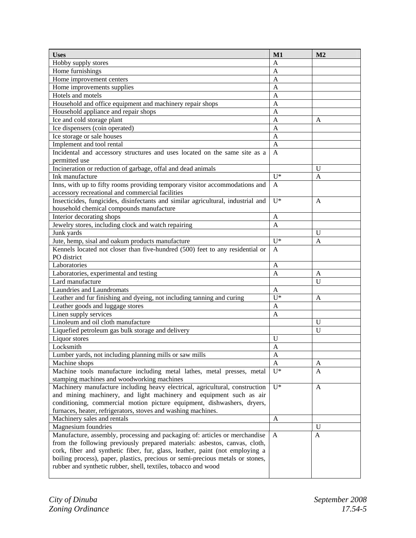| <b>Uses</b>                                                                      | M1           | M <sub>2</sub> |
|----------------------------------------------------------------------------------|--------------|----------------|
| Hobby supply stores                                                              | A            |                |
| Home furnishings                                                                 | A            |                |
| Home improvement centers                                                         | A            |                |
| Home improvements supplies                                                       | A            |                |
| Hotels and motels                                                                | A            |                |
| Household and office equipment and machinery repair shops                        | A            |                |
| Household appliance and repair shops                                             | A            |                |
| Ice and cold storage plant                                                       | A            | A              |
| Ice dispensers (coin operated)                                                   | A            |                |
| Ice storage or sale houses                                                       | A            |                |
| Implement and tool rental                                                        | A            |                |
| Incidental and accessory structures and uses located on the same site as a       | A            |                |
| permitted use                                                                    |              |                |
| Incineration or reduction of garbage, offal and dead animals                     |              | U              |
| Ink manufacture                                                                  | $U^*$        | A              |
| Inns, with up to fifty rooms providing temporary visitor accommodations and      | A            |                |
| accessory recreational and commercial facilities                                 |              |                |
| Insecticides, fungicides, disinfectants and similar agricultural, industrial and | $U^*$        | $\mathbf{A}$   |
| household chemical compounds manufacture                                         |              |                |
| Interior decorating shops                                                        | A            |                |
| Jewelry stores, including clock and watch repairing                              | A            |                |
| Junk yards                                                                       |              | U              |
| Jute, hemp, sisal and oakum products manufacture                                 | $U^*$        | A              |
| Kennels located not closer than five-hundred (500) feet to any residential or    | A            |                |
| PO district                                                                      |              |                |
| Laboratories                                                                     | A            |                |
| Laboratories, experimental and testing                                           | A            | A              |
| Lard manufacture                                                                 |              | $\mathbf U$    |
| Laundries and Laundromats                                                        | A            |                |
| Leather and fur finishing and dyeing, not including tanning and curing           | $II*$        | A              |
| Leather goods and luggage stores                                                 | A            |                |
| Linen supply services                                                            | A            |                |
| Linoleum and oil cloth manufacture                                               |              | U              |
| Liquefied petroleum gas bulk storage and delivery                                |              | U              |
| Liquor stores                                                                    | U            |                |
| Locksmith                                                                        | A            |                |
| Lumber yards, not including planning mills or saw mills                          | A            |                |
| Machine shops                                                                    | A            | A              |
| Machine tools manufacture including metal lathes, metal presses, metal           | $U^*$        | A              |
| stamping machines and woodworking machines                                       |              |                |
| Machinery manufacture including heavy electrical, agricultural, construction     | $U^*$        | $\mathbf{A}$   |
| and mining machinery, and light machinery and equipment such as air              |              |                |
| conditioning, commercial motion picture equipment, dishwashers, dryers,          |              |                |
| furnaces, heater, refrigerators, stoves and washing machines.                    |              |                |
| Machinery sales and rentals                                                      | A            |                |
| Magnesium foundries                                                              |              | U              |
| Manufacture, assembly, processing and packaging of: articles or merchandise      | $\mathbf{A}$ | A              |
| from the following previously prepared materials: asbestos, canvas, cloth,       |              |                |
| cork, fiber and synthetic fiber, fur, glass, leather, paint (not employing a     |              |                |
| boiling process), paper, plastics, precious or semi-precious metals or stones,   |              |                |
| rubber and synthetic rubber, shell, textiles, tobacco and wood                   |              |                |
|                                                                                  |              |                |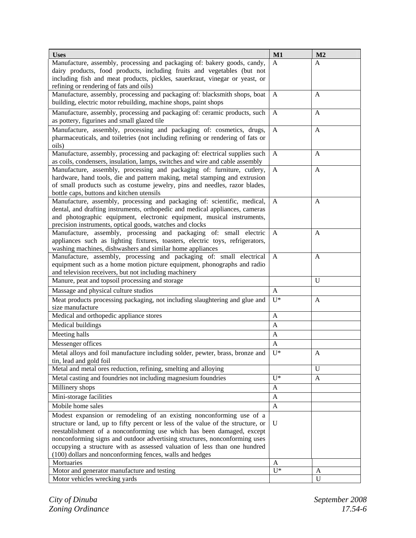| <b>Uses</b>                                                                                                                                             | M1           | M <sub>2</sub> |
|---------------------------------------------------------------------------------------------------------------------------------------------------------|--------------|----------------|
| Manufacture, assembly, processing and packaging of: bakery goods, candy,                                                                                | A            | A              |
| dairy products, food products, including fruits and vegetables (but not                                                                                 |              |                |
| including fish and meat products, pickles, sauerkraut, vinegar or yeast, or                                                                             |              |                |
| refining or rendering of fats and oils)                                                                                                                 |              |                |
| Manufacture, assembly, processing and packaging of: blacksmith shops, boat<br>building, electric motor rebuilding, machine shops, paint shops           | A            | A              |
|                                                                                                                                                         |              |                |
| Manufacture, assembly, processing and packaging of: ceramic products, such                                                                              | A            | A              |
| as pottery, figurines and small glazed tile                                                                                                             |              |                |
| Manufacture, assembly, processing and packaging of: cosmetics, drugs,                                                                                   | $\mathbf{A}$ | A              |
| pharmaceuticals, and toiletries (not including refining or rendering of fats or<br>oils)                                                                |              |                |
| Manufacture, assembly, processing and packaging of: electrical supplies such                                                                            | $\mathbf{A}$ | A              |
| as coils, condensers, insulation, lamps, switches and wire and cable assembly                                                                           |              |                |
| Manufacture, assembly, processing and packaging of: furniture, cutlery,                                                                                 | $\mathbf{A}$ | A              |
| hardware, hand tools, die and pattern making, metal stamping and extrusion                                                                              |              |                |
| of small products such as costume jewelry, pins and needles, razor blades,                                                                              |              |                |
| bottle caps, buttons and kitchen utensils                                                                                                               |              |                |
| Manufacture, assembly, processing and packaging of: scientific, medical,                                                                                | A            | A              |
| dental, and drafting instruments, orthopedic and medical appliances, cameras                                                                            |              |                |
| and photographic equipment, electronic equipment, musical instruments,                                                                                  |              |                |
| precision instruments, optical goods, watches and clocks                                                                                                |              |                |
| Manufacture, assembly, processing and packaging of: small electric                                                                                      | A            | A              |
| appliances such as lighting fixtures, toasters, electric toys, refrigerators,                                                                           |              |                |
| washing machines, dishwashers and similar home appliances                                                                                               |              |                |
| Manufacture, assembly, processing and packaging of: small electrical                                                                                    | A            | $\mathbf{A}$   |
| equipment such as a home motion picture equipment, phonographs and radio<br>and television receivers, but not including machinery                       |              |                |
| Manure, peat and topsoil processing and storage                                                                                                         |              | $\mathbf U$    |
| Massage and physical culture studios                                                                                                                    | $\mathbf{A}$ |                |
| Meat products processing packaging, not including slaughtering and glue and                                                                             | $U^*$        | $\mathbf{A}$   |
| size manufacture                                                                                                                                        |              |                |
| Medical and orthopedic appliance stores                                                                                                                 | $\mathbf{A}$ |                |
| Medical buildings                                                                                                                                       | A            |                |
| Meeting halls                                                                                                                                           | A            |                |
| Messenger offices                                                                                                                                       | $\mathbf{A}$ |                |
|                                                                                                                                                         |              |                |
| Metal alloys and foil manufacture including solder, pewter, brass, bronze and<br>tin, lead and gold foil                                                | $U^*$        | $\mathbf{A}$   |
| Metal and metal ores reduction, refining, smelting and alloying                                                                                         |              | $\mathbf{U}$   |
| Metal casting and foundries not including magnesium foundries                                                                                           | $II*$        | A              |
| Millinery shops                                                                                                                                         |              |                |
|                                                                                                                                                         | A            |                |
| Mini-storage facilities                                                                                                                                 | A            |                |
| Mobile home sales                                                                                                                                       | A            |                |
| Modest expansion or remodeling of an existing nonconforming use of a                                                                                    |              |                |
| structure or land, up to fifty percent or less of the value of the structure, or                                                                        | $\mathbf U$  |                |
| reestablishment of a nonconforming use which has been damaged, except                                                                                   |              |                |
| nonconforming signs and outdoor advertising structures, nonconforming uses<br>occupying a structure with as assessed valuation of less than one hundred |              |                |
| (100) dollars and nonconforming fences, walls and hedges                                                                                                |              |                |
| Mortuaries                                                                                                                                              | A            |                |
| Motor and generator manufacture and testing                                                                                                             | $U^*$        | A              |
| Motor vehicles wrecking yards                                                                                                                           |              | $\mathbf{U}$   |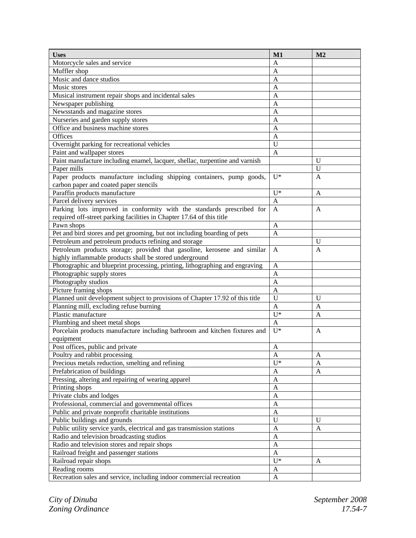| Motorcycle sales and service<br>A                                                                      |   | M1<br>M <sub>2</sub> |
|--------------------------------------------------------------------------------------------------------|---|----------------------|
|                                                                                                        |   |                      |
| Muffler shop                                                                                           | A |                      |
| Music and dance studios<br>A                                                                           |   |                      |
| Music stores<br>A                                                                                      |   |                      |
| Musical instrument repair shops and incidental sales<br>A                                              |   |                      |
| Newspaper publishing<br>A                                                                              |   |                      |
| Newsstands and magazine stores<br>A                                                                    |   |                      |
| Nurseries and garden supply stores<br>A                                                                |   |                      |
| Office and business machine stores<br>A                                                                |   |                      |
| Offices<br>A                                                                                           |   |                      |
| Overnight parking for recreational vehicles<br>U                                                       |   |                      |
| Paint and wallpaper stores<br>A                                                                        |   |                      |
| Paint manufacture including enamel, lacquer, shellac, turpentine and varnish<br>U                      |   |                      |
| Paper mills<br>U                                                                                       |   |                      |
| Paper products manufacture including shipping containers, pump goods,<br>$U^*$<br>A                    |   |                      |
| carbon paper and coated paper stencils                                                                 |   |                      |
| $U^*$<br>Paraffin products manufacture<br>A                                                            |   |                      |
| Parcel delivery services<br>$\mathbf{A}$                                                               |   |                      |
| Parking lots improved in conformity with the standards prescribed for<br>A<br>$\mathbf{A}$             |   |                      |
| required off-street parking facilities in Chapter 17.64 of this title                                  |   |                      |
| Pawn shops<br>A                                                                                        |   |                      |
| Pet and bird stores and pet grooming, but not including boarding of pets<br>$\mathbf{A}$               |   |                      |
| Petroleum and petroleum products refining and storage<br>U                                             |   |                      |
| Petroleum products storage; provided that gasoline, kerosene and similar<br>$\overline{A}$<br>A        |   |                      |
| highly inflammable products shall be stored underground                                                |   |                      |
| Photographic and blueprint processing, printing, lithographing and engraving<br>A                      |   |                      |
| Photographic supply stores<br>$\mathbf{A}$                                                             |   |                      |
| Photography studios<br>$\mathbf{A}$                                                                    |   |                      |
| Picture framing shops<br>$\mathbf{A}$                                                                  |   |                      |
| Planned unit development subject to provisions of Chapter 17.92 of this title<br>U<br>U                |   |                      |
| Planning mill, excluding refuse burning<br>$\mathbf{A}$<br>$\mathbf{A}$                                |   |                      |
| Plastic manufacture<br>$U^*$<br>A                                                                      |   |                      |
| Plumbing and sheet metal shops<br>$\mathbf{A}$                                                         |   |                      |
| Porcelain products manufacture including bathroom and kitchen fixtures and<br>$U^*$<br>A               |   |                      |
| equipment                                                                                              |   |                      |
| Post offices, public and private<br>A                                                                  |   |                      |
| Poultry and rabbit processing<br>$\overline{A}$<br>A                                                   |   |                      |
| $U^*$<br>Precious metals reduction, smelting and refining<br>$\mathbf{A}$                              |   |                      |
| Prefabrication of buildings<br>$\mathbf{A}$<br>$\mathbf{A}$                                            |   |                      |
| Pressing, altering and repairing of wearing apparel<br>$\mathbf{A}$                                    |   |                      |
| Printing shops<br>$\mathbf{A}$                                                                         |   |                      |
| Private clubs and lodges<br>$\mathbf{A}$                                                               |   |                      |
| Professional, commercial and governmental offices<br>$\mathbf{A}$                                      |   |                      |
| Public and private nonprofit charitable institutions<br>$\mathbf{A}$                                   |   |                      |
| Public buildings and grounds<br>U<br>U                                                                 |   |                      |
| Public utility service yards, electrical and gas transmission stations<br>$\mathbf{A}$<br>$\mathbf{A}$ |   |                      |
| Radio and television broadcasting studios<br>$\mathbf{A}$                                              |   |                      |
| Radio and television stores and repair shops<br>$\mathbf{A}$                                           |   |                      |
| Railroad freight and passenger stations<br>$\mathbf{A}$                                                |   |                      |
| $U^*$<br>Railroad repair shops<br>A                                                                    |   |                      |
| Reading rooms<br>$\mathbf{A}$                                                                          |   |                      |
| Recreation sales and service, including indoor commercial recreation<br>$\mathbf{A}$                   |   |                      |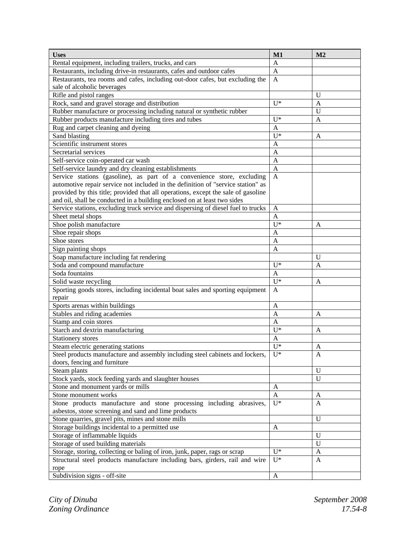| <b>Uses</b>                                                                       | M1                    | M <sub>2</sub> |
|-----------------------------------------------------------------------------------|-----------------------|----------------|
| Rental equipment, including trailers, trucks, and cars                            | $\mathbf{A}$          |                |
| Restaurants, including drive-in restaurants, cafes and outdoor cafes              | $\mathbf{A}$          |                |
| Restaurants, tea rooms and cafes, including out-door cafes, but excluding the     |                       |                |
| sale of alcoholic beverages                                                       |                       |                |
| Rifle and pistol ranges                                                           |                       | U              |
| Rock, sand and gravel storage and distribution                                    | $U^*$                 | A              |
| Rubber manufacture or processing including natural or synthetic rubber            |                       | U              |
| Rubber products manufacture including tires and tubes                             | $U^*$                 | A              |
| Rug and carpet cleaning and dyeing                                                | A                     |                |
| Sand blasting                                                                     | $U^*$                 | A              |
| Scientific instrument stores                                                      | A                     |                |
| Secretarial services                                                              | A                     |                |
| Self-service coin-operated car wash                                               | A                     |                |
| Self-service laundry and dry cleaning establishments                              | $\mathbf{A}$          |                |
| Service stations (gasoline), as part of a convenience store, excluding            | $\mathbf{A}$          |                |
| automotive repair service not included in the definition of "service station" as  |                       |                |
| provided by this title; provided that all operations, except the sale of gasoline |                       |                |
| and oil, shall be conducted in a building enclosed on at least two sides          |                       |                |
| Service stations, excluding truck service and dispersing of diesel fuel to trucks | A                     |                |
| Sheet metal shops                                                                 | A                     |                |
| Shoe polish manufacture                                                           | $U^*$                 | A              |
| Shoe repair shops                                                                 | A                     |                |
| Shoe stores                                                                       | A                     |                |
| Sign painting shops                                                               | A                     |                |
| Soap manufacture including fat rendering                                          |                       | U              |
| Soda and compound manufacture                                                     | $U^*$                 | A              |
| Soda fountains                                                                    | $\mathbf{A}$<br>$U^*$ |                |
| Solid waste recycling                                                             |                       | A              |
| Sporting goods stores, including incidental boat sales and sporting equipment     |                       |                |
| repair                                                                            |                       |                |
| Sports arenas within buildings                                                    |                       |                |
| Stables and riding academies                                                      |                       | A              |
| Stamp and coin stores                                                             |                       |                |
| Starch and dextrin manufacturing                                                  |                       | A              |
| Stationery stores                                                                 |                       |                |
| Steam electric generating stations                                                | $U^*$                 | A              |
| Steel products manufacture and assembly including steel cabinets and lockers,     | $U^*$                 | A              |
| doors, fencing and furniture                                                      |                       |                |
| Steam plants                                                                      |                       | $\mathbf U$    |
| Stock yards, stock feeding yards and slaughter houses                             |                       | $\mathbf U$    |
| Stone and monument yards or mills                                                 |                       |                |
| Stone monument works                                                              |                       | A              |
| Stone products manufacture and stone processing including abrasives,              |                       | A              |
| asbestos, stone screening and sand and lime products                              |                       |                |
| Stone quarries, gravel pits, mines and stone mills                                |                       | $\mathbf U$    |
| Storage buildings incidental to a permitted use                                   |                       |                |
| Storage of inflammable liquids                                                    |                       | U              |
| Storage of used building materials                                                |                       | $\mathbf U$    |
| Storage, storing, collecting or baling of iron, junk, paper, rags or scrap        | $U^*$                 | A              |
| Structural steel products manufacture including bars, girders, rail and wire      | $U^*$                 | $\mathbf{A}$   |
| rope                                                                              |                       |                |
| Subdivision signs - off-site                                                      | $\mathbf{A}$          |                |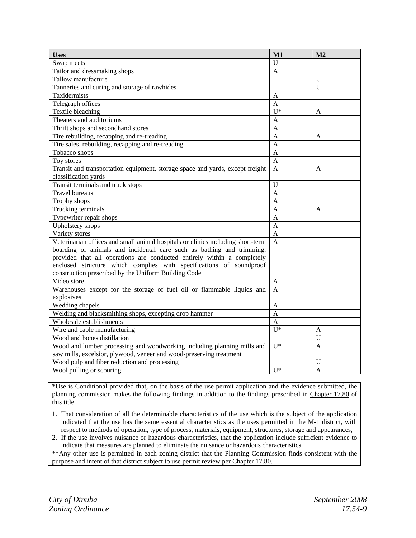| <b>Uses</b>                                                                     | M1             | M <sub>2</sub> |
|---------------------------------------------------------------------------------|----------------|----------------|
| Swap meets                                                                      | U              |                |
| Tailor and dressmaking shops                                                    | A              |                |
| Tallow manufacture                                                              |                | $\mathbf U$    |
| Tanneries and curing and storage of rawhides                                    |                | U              |
| Taxidermists                                                                    | A              |                |
| Telegraph offices                                                               | $\overline{A}$ |                |
| Textile bleaching                                                               | $U^*$          | $\mathbf{A}$   |
| Theaters and auditoriums                                                        | A              |                |
| Thrift shops and secondhand stores                                              | A              |                |
| Tire rebuilding, recapping and re-treading                                      | A              | A              |
| Tire sales, rebuilding, recapping and re-treading                               | $\overline{A}$ |                |
| Tobacco shops                                                                   | A              |                |
| Toy stores                                                                      | $\mathbf{A}$   |                |
| Transit and transportation equipment, storage space and yards, except freight   | A              | A              |
| classification yards                                                            |                |                |
| Transit terminals and truck stops                                               | $\mathbf{U}$   |                |
| <b>Travel bureaus</b>                                                           | A              |                |
| Trophy shops                                                                    | A              |                |
| Trucking terminals                                                              | A              | A              |
| Typewriter repair shops                                                         | A              |                |
| Upholstery shops                                                                | $\overline{A}$ |                |
| Variety stores                                                                  | $\mathbf{A}$   |                |
| Veterinarian offices and small animal hospitals or clinics including short-term | $\mathbf{A}$   |                |
| boarding of animals and incidental care such as bathing and trimming,           |                |                |
| provided that all operations are conducted entirely within a completely         |                |                |
| enclosed structure which complies with specifications of soundproof             |                |                |
| construction prescribed by the Uniform Building Code                            |                |                |
| Video store                                                                     | A              |                |
| Warehouses except for the storage of fuel oil or flammable liquids and          | A              |                |
| explosives                                                                      |                |                |
| Wedding chapels                                                                 | A              |                |
| Welding and blacksmithing shops, excepting drop hammer                          | A              |                |
| Wholesale establishments                                                        | $\overline{A}$ |                |
| Wire and cable manufacturing                                                    | $U^*$          | A              |
| Wood and bones distillation                                                     |                | U              |
| Wood and lumber processing and woodworking including planning mills and         | $U^*$          | A              |
| saw mills, excelsior, plywood, veneer and wood-preserving treatment             |                |                |
| Wood pulp and fiber reduction and processing                                    |                | U              |
| Wool pulling or scouring                                                        | $\mathbf{U}^*$ | A              |

\*Use is Conditional provided that, on the basis of the use permit application and the evidence submitted, the planning commission makes the following findings in addition to the findings prescribed in Chapter 17.80 of this title

- 1. That consideration of all the determinable characteristics of the use which is the subject of the application indicated that the use has the same essential characteristics as the uses permitted in the M-1 district, with respect to methods of operation, type of process, materials, equipment, structures, storage and appearances,
- 2. If the use involves nuisance or hazardous characteristics, that the application include sufficient evidence to indicate that measures are planned to eliminate the nuisance or hazardous characteristics

\*\*Any other use is permitted in each zoning district that the Planning Commission finds consistent with the purpose and intent of that district subject to use permit review per Chapter 17.80.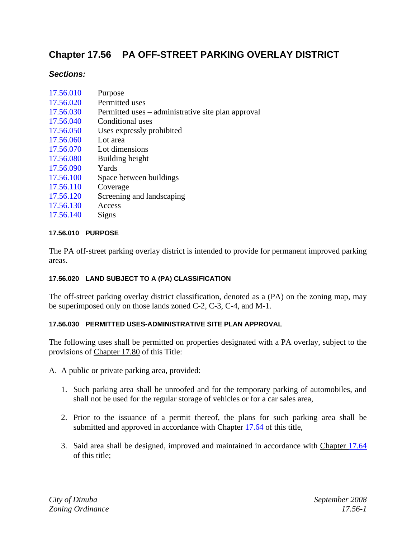# **Chapter 17.56 PA OFF-STREET PARKING OVERLAY DISTRICT**

## *Sections:*

| 17.56.010 | Purpose                                            |
|-----------|----------------------------------------------------|
| 17.56.020 | Permitted uses                                     |
| 17.56.030 | Permitted uses – administrative site plan approval |
| 17.56.040 | Conditional uses                                   |
| 17.56.050 | Uses expressly prohibited                          |
| 17.56.060 | Lot area                                           |
| 17.56.070 | Lot dimensions                                     |
| 17.56.080 | Building height                                    |
| 17.56.090 | Yards                                              |
| 17.56.100 | Space between buildings                            |
| 17.56.110 | Coverage                                           |
| 17.56.120 | Screening and landscaping                          |
| 17.56.130 | Access                                             |
| 17.56.140 | Signs                                              |
|           |                                                    |

## **17.56.010 PURPOSE**

The PA off-street parking overlay district is intended to provide for permanent improved parking areas.

## **17.56.020 LAND SUBJECT TO A (PA) CLASSIFICATION**

The off-street parking overlay district classification, denoted as a (PA) on the zoning map, may be superimposed only on those lands zoned C-2, C-3, C-4, and M-1.

## **17.56.030 PERMITTED USES-ADMINISTRATIVE SITE PLAN APPROVAL**

The following uses shall be permitted on properties designated with a PA overlay, subject to the provisions of Chapter 17.80 of this Title:

- A. A public or private parking area, provided:
	- 1. Such parking area shall be unroofed and for the temporary parking of automobiles, and shall not be used for the regular storage of vehicles or for a car sales area,
	- 2. Prior to the issuance of a permit thereof, the plans for such parking area shall be submitted and approved in accordance with Chapter 17.64 of this title,
	- 3. Said area shall be designed, improved and maintained in accordance with Chapter 17.64 of this title;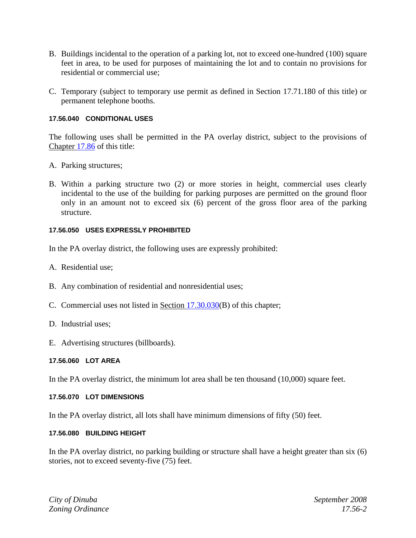- B. Buildings incidental to the operation of a parking lot, not to exceed one-hundred (100) square feet in area, to be used for purposes of maintaining the lot and to contain no provisions for residential or commercial use;
- C. Temporary (subject to temporary use permit as defined in Section 17.71.180 of this title) or permanent telephone booths.

## **17.56.040 CONDITIONAL USES**

The following uses shall be permitted in the PA overlay district, subject to the provisions of Chapter 17.86 of this title:

- A. Parking structures;
- B. Within a parking structure two (2) or more stories in height, commercial uses clearly incidental to the use of the building for parking purposes are permitted on the ground floor only in an amount not to exceed six (6) percent of the gross floor area of the parking structure.

#### **17.56.050 USES EXPRESSLY PROHIBITED**

In the PA overlay district, the following uses are expressly prohibited:

- A. Residential use;
- B. Any combination of residential and nonresidential uses;
- C. Commercial uses not listed in Section 17.30.030(B) of this chapter;
- D. Industrial uses;
- E. Advertising structures (billboards).

#### **17.56.060 LOT AREA**

In the PA overlay district, the minimum lot area shall be ten thousand (10,000) square feet.

#### **17.56.070 LOT DIMENSIONS**

In the PA overlay district, all lots shall have minimum dimensions of fifty (50) feet.

#### **17.56.080 BUILDING HEIGHT**

In the PA overlay district, no parking building or structure shall have a height greater than six (6) stories, not to exceed seventy-five (75) feet.

*City of Dinuba September 2008 Zoning Ordinance 17.56-2*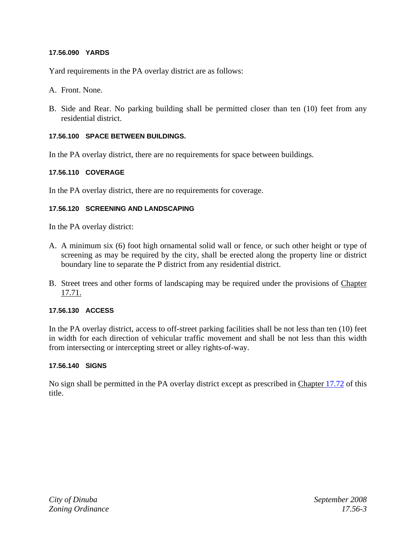## **17.56.090 YARDS**

Yard requirements in the PA overlay district are as follows:

- A. Front. None.
- B. Side and Rear. No parking building shall be permitted closer than ten (10) feet from any residential district.

#### **17.56.100 SPACE BETWEEN BUILDINGS.**

In the PA overlay district, there are no requirements for space between buildings.

#### **17.56.110 COVERAGE**

In the PA overlay district, there are no requirements for coverage.

#### **17.56.120 SCREENING AND LANDSCAPING**

In the PA overlay district:

- A. A minimum six (6) foot high ornamental solid wall or fence, or such other height or type of screening as may be required by the city, shall be erected along the property line or district boundary line to separate the P district from any residential district.
- B. Street trees and other forms of landscaping may be required under the provisions of Chapter 17.71.

## **17.56.130 ACCESS**

In the PA overlay district, access to off-street parking facilities shall be not less than ten (10) feet in width for each direction of vehicular traffic movement and shall be not less than this width from intersecting or intercepting street or alley rights-of-way.

#### **17.56.140 SIGNS**

No sign shall be permitted in the PA overlay district except as prescribed in Chapter 17.72 of this title.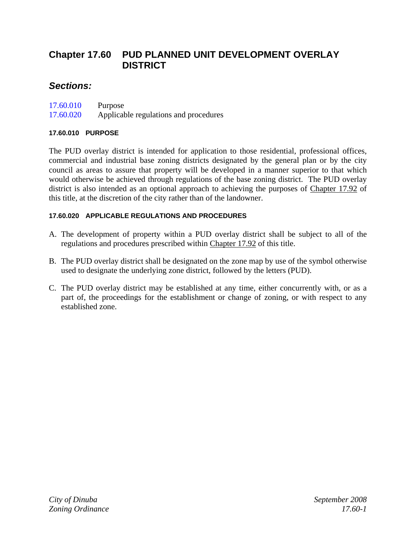# **Chapter 17.60 PUD PLANNED UNIT DEVELOPMENT OVERLAY DISTRICT**

## *Sections:*

| 17.60.010 | Purpose                               |
|-----------|---------------------------------------|
| 17.60.020 | Applicable regulations and procedures |

## **17.60.010 PURPOSE**

The PUD overlay district is intended for application to those residential, professional offices, commercial and industrial base zoning districts designated by the general plan or by the city council as areas to assure that property will be developed in a manner superior to that which would otherwise be achieved through regulations of the base zoning district. The PUD overlay district is also intended as an optional approach to achieving the purposes of Chapter 17.92 of this title, at the discretion of the city rather than of the landowner.

## **17.60.020 APPLICABLE REGULATIONS AND PROCEDURES**

- A. The development of property within a PUD overlay district shall be subject to all of the regulations and procedures prescribed within Chapter 17.92 of this title.
- B. The PUD overlay district shall be designated on the zone map by use of the symbol otherwise used to designate the underlying zone district, followed by the letters (PUD).
- C. The PUD overlay district may be established at any time, either concurrently with, or as a part of, the proceedings for the establishment or change of zoning, or with respect to any established zone.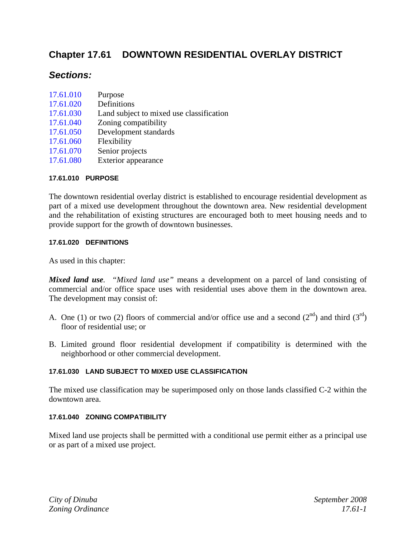# **Chapter 17.61 DOWNTOWN RESIDENTIAL OVERLAY DISTRICT**

## *Sections:*

| 17.61.010 | Purpose                                  |
|-----------|------------------------------------------|
| 17.61.020 | Definitions                              |
| 17.61.030 | Land subject to mixed use classification |
| 17.61.040 | Zoning compatibility                     |
| 17.61.050 | Development standards                    |
| 17.61.060 | Flexibility                              |
| 17.61.070 | Senior projects                          |
| 17.61.080 | Exterior appearance                      |

#### **17.61.010 PURPOSE**

The downtown residential overlay district is established to encourage residential development as part of a mixed use development throughout the downtown area. New residential development and the rehabilitation of existing structures are encouraged both to meet housing needs and to provide support for the growth of downtown businesses.

#### **17.61.020 DEFINITIONS**

As used in this chapter:

*Mixed land use. "Mixed land use"* means a development on a parcel of land consisting of commercial and/or office space uses with residential uses above them in the downtown area. The development may consist of:

- A. One (1) or two (2) floors of commercial and/or office use and a second ( $2<sup>nd</sup>$ ) and third ( $3<sup>rd</sup>$ ) floor of residential use; or
- B. Limited ground floor residential development if compatibility is determined with the neighborhood or other commercial development.

## **17.61.030 LAND SUBJECT TO MIXED USE CLASSIFICATION**

The mixed use classification may be superimposed only on those lands classified C-2 within the downtown area.

#### **17.61.040 ZONING COMPATIBILITY**

Mixed land use projects shall be permitted with a conditional use permit either as a principal use or as part of a mixed use project.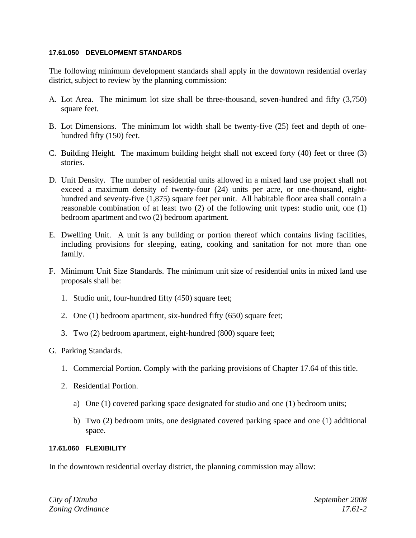#### **17.61.050 DEVELOPMENT STANDARDS**

The following minimum development standards shall apply in the downtown residential overlay district, subject to review by the planning commission:

- A. Lot Area. The minimum lot size shall be three-thousand, seven-hundred and fifty (3,750) square feet.
- B. Lot Dimensions. The minimum lot width shall be twenty-five (25) feet and depth of onehundred fifty (150) feet.
- C. Building Height. The maximum building height shall not exceed forty (40) feet or three (3) stories.
- D. Unit Density. The number of residential units allowed in a mixed land use project shall not exceed a maximum density of twenty-four (24) units per acre, or one-thousand, eighthundred and seventy-five (1,875) square feet per unit. All habitable floor area shall contain a reasonable combination of at least two (2) of the following unit types: studio unit, one (1) bedroom apartment and two (2) bedroom apartment.
- E. Dwelling Unit. A unit is any building or portion thereof which contains living facilities, including provisions for sleeping, eating, cooking and sanitation for not more than one family.
- F. Minimum Unit Size Standards. The minimum unit size of residential units in mixed land use proposals shall be:
	- 1. Studio unit, four-hundred fifty (450) square feet;
	- 2. One (1) bedroom apartment, six-hundred fifty (650) square feet;
	- 3. Two (2) bedroom apartment, eight-hundred (800) square feet;
- G. Parking Standards.
	- 1. Commercial Portion. Comply with the parking provisions of Chapter 17.64 of this title.
	- 2. Residential Portion.
		- a) One (1) covered parking space designated for studio and one (1) bedroom units;
		- b) Two (2) bedroom units, one designated covered parking space and one (1) additional space.

## **17.61.060 FLEXIBILITY**

In the downtown residential overlay district, the planning commission may allow: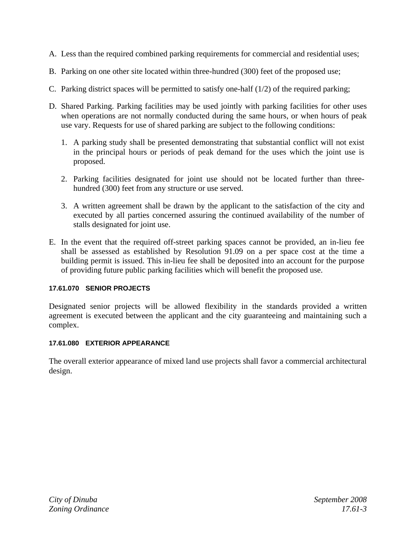- A. Less than the required combined parking requirements for commercial and residential uses;
- B. Parking on one other site located within three-hundred (300) feet of the proposed use;
- C. Parking district spaces will be permitted to satisfy one-half (1/2) of the required parking;
- D. Shared Parking. Parking facilities may be used jointly with parking facilities for other uses when operations are not normally conducted during the same hours, or when hours of peak use vary. Requests for use of shared parking are subject to the following conditions:
	- 1. A parking study shall be presented demonstrating that substantial conflict will not exist in the principal hours or periods of peak demand for the uses which the joint use is proposed.
	- 2. Parking facilities designated for joint use should not be located further than threehundred (300) feet from any structure or use served.
	- 3. A written agreement shall be drawn by the applicant to the satisfaction of the city and executed by all parties concerned assuring the continued availability of the number of stalls designated for joint use.
- E. In the event that the required off-street parking spaces cannot be provided, an in-lieu fee shall be assessed as established by Resolution 91.09 on a per space cost at the time a building permit is issued. This in-lieu fee shall be deposited into an account for the purpose of providing future public parking facilities which will benefit the proposed use.

## **17.61.070 SENIOR PROJECTS**

Designated senior projects will be allowed flexibility in the standards provided a written agreement is executed between the applicant and the city guaranteeing and maintaining such a complex.

## **17.61.080 EXTERIOR APPEARANCE**

The overall exterior appearance of mixed land use projects shall favor a commercial architectural design.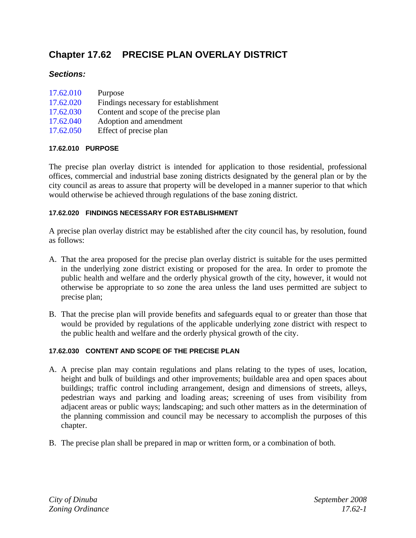# **Chapter 17.62 PRECISE PLAN OVERLAY DISTRICT**

## *Sections:*

| 17.62.010 | Purpose                               |
|-----------|---------------------------------------|
| 17.62.020 | Findings necessary for establishment  |
| 17.62.030 | Content and scope of the precise plan |
| 17.62.040 | Adoption and amendment                |
| 17.62.050 | Effect of precise plan                |

## **17.62.010 PURPOSE**

The precise plan overlay district is intended for application to those residential, professional offices, commercial and industrial base zoning districts designated by the general plan or by the city council as areas to assure that property will be developed in a manner superior to that which would otherwise be achieved through regulations of the base zoning district.

## **17.62.020 FINDINGS NECESSARY FOR ESTABLISHMENT**

A precise plan overlay district may be established after the city council has, by resolution, found as follows:

- A. That the area proposed for the precise plan overlay district is suitable for the uses permitted in the underlying zone district existing or proposed for the area. In order to promote the public health and welfare and the orderly physical growth of the city, however, it would not otherwise be appropriate to so zone the area unless the land uses permitted are subject to precise plan;
- B. That the precise plan will provide benefits and safeguards equal to or greater than those that would be provided by regulations of the applicable underlying zone district with respect to the public health and welfare and the orderly physical growth of the city.

## **17.62.030 CONTENT AND SCOPE OF THE PRECISE PLAN**

- A. A precise plan may contain regulations and plans relating to the types of uses, location, height and bulk of buildings and other improvements; buildable area and open spaces about buildings; traffic control including arrangement, design and dimensions of streets, alleys, pedestrian ways and parking and loading areas; screening of uses from visibility from adjacent areas or public ways; landscaping; and such other matters as in the determination of the planning commission and council may be necessary to accomplish the purposes of this chapter.
- B. The precise plan shall be prepared in map or written form, or a combination of both.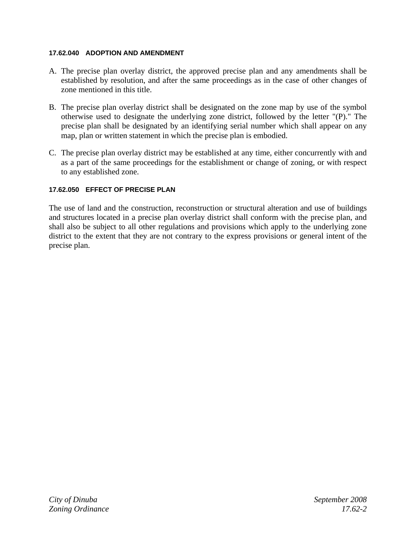## **17.62.040 ADOPTION AND AMENDMENT**

- A. The precise plan overlay district, the approved precise plan and any amendments shall be established by resolution, and after the same proceedings as in the case of other changes of zone mentioned in this title.
- B. The precise plan overlay district shall be designated on the zone map by use of the symbol otherwise used to designate the underlying zone district, followed by the letter "(P)." The precise plan shall be designated by an identifying serial number which shall appear on any map, plan or written statement in which the precise plan is embodied.
- C. The precise plan overlay district may be established at any time, either concurrently with and as a part of the same proceedings for the establishment or change of zoning, or with respect to any established zone.

## **17.62.050 EFFECT OF PRECISE PLAN**

The use of land and the construction, reconstruction or structural alteration and use of buildings and structures located in a precise plan overlay district shall conform with the precise plan, and shall also be subject to all other regulations and provisions which apply to the underlying zone district to the extent that they are not contrary to the express provisions or general intent of the precise plan.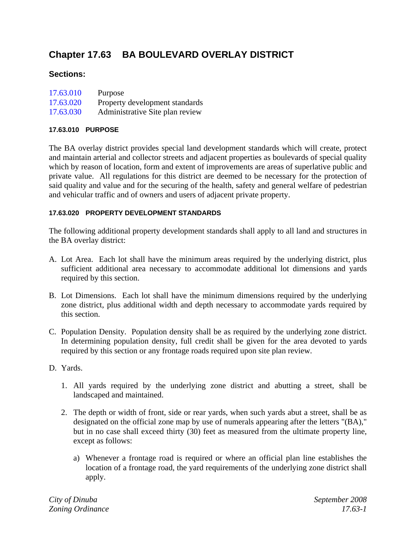# **Chapter 17.63 BA BOULEVARD OVERLAY DISTRICT**

## **Sections:**

| 17.63.010 | Purpose                         |
|-----------|---------------------------------|
| 17.63.020 | Property development standards  |
| 17.63.030 | Administrative Site plan review |

## **17.63.010 PURPOSE**

The BA overlay district provides special land development standards which will create, protect and maintain arterial and collector streets and adjacent properties as boulevards of special quality which by reason of location, form and extent of improvements are areas of superlative public and private value. All regulations for this district are deemed to be necessary for the protection of said quality and value and for the securing of the health, safety and general welfare of pedestrian and vehicular traffic and of owners and users of adjacent private property.

## **17.63.020 PROPERTY DEVELOPMENT STANDARDS**

The following additional property development standards shall apply to all land and structures in the BA overlay district:

- A. Lot Area. Each lot shall have the minimum areas required by the underlying district, plus sufficient additional area necessary to accommodate additional lot dimensions and yards required by this section.
- B. Lot Dimensions. Each lot shall have the minimum dimensions required by the underlying zone district, plus additional width and depth necessary to accommodate yards required by this section.
- C. Population Density. Population density shall be as required by the underlying zone district. In determining population density, full credit shall be given for the area devoted to yards required by this section or any frontage roads required upon site plan review.
- D. Yards.
	- 1. All yards required by the underlying zone district and abutting a street, shall be landscaped and maintained.
	- 2. The depth or width of front, side or rear yards, when such yards abut a street, shall be as designated on the official zone map by use of numerals appearing after the letters "(BA)," but in no case shall exceed thirty (30) feet as measured from the ultimate property line, except as follows:
		- a) Whenever a frontage road is required or where an official plan line establishes the location of a frontage road, the yard requirements of the underlying zone district shall apply.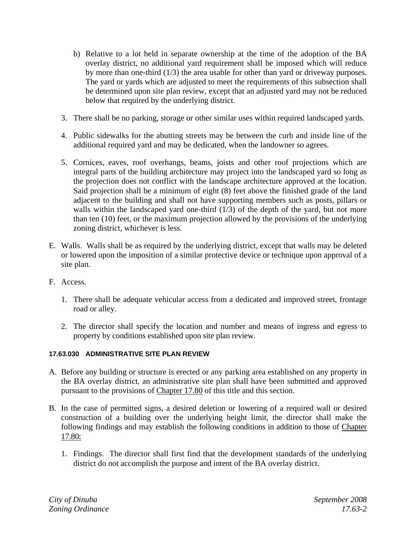- b) Relative to a lot held in separate ownership at the time of the adoption of the BA overlay district, no additional yard requirement shall be imposed which will reduce by more than one-third (1/3) the area usable for other than yard or driveway purposes. The yard or yards which are adjusted to meet the requirements of this subsection shall be determined upon site plan review, except that an adjusted yard may not be reduced below that required by the underlying district.
- 3. There shall be no parking, storage or other similar uses within required landscaped yards.
- 4. Public sidewalks for the abutting streets may be between the curb and inside line of the additional required yard and may be dedicated, when the landowner so agrees.
- 5. Cornices, eaves, roof overhangs, beams, joists and other roof projections which are integral parts of the building architecture may project into the landscaped yard so long as the projection does not conflict with the landscape architecture approved at the location. Said projection shall be a minimum of eight (8) feet above the finished grade of the land adjacent to the building and shall not have supporting members such as posts, pillars or walls within the landscaped yard one-third (1/3) of the depth of the yard, but not more than ten (10) feet, or the maximum projection allowed by the provisions of the underlying zoning district, whichever is less.
- E. Walls. Walls shall be as required by the underlying district, except that walls may be deleted or lowered upon the imposition of a similar protective device or technique upon approval of a site plan.
- F. Access.
	- 1. There shall be adequate vehicular access from a dedicated and improved street, frontage road or alley.
	- 2. The director shall specify the location and number and means of ingress and egress to property by conditions established upon site plan review.

## **17.63.030 ADMINISTRATIVE SITE PLAN REVIEW**

- A. Before any building or structure is erected or any parking area established on any property in the BA overlay district, an administrative site plan shall have been submitted and approved pursuant to the provisions of Chapter 17.80 of this title and this section.
- B. In the case of permitted signs, a desired deletion or lowering of a required wall or desired construction of a building over the underlying height limit, the director shall make the following findings and may establish the following conditions in addition to those of Chapter 17.80:
	- 1. Findings. The director shall first find that the development standards of the underlying district do not accomplish the purpose and intent of the BA overlay district.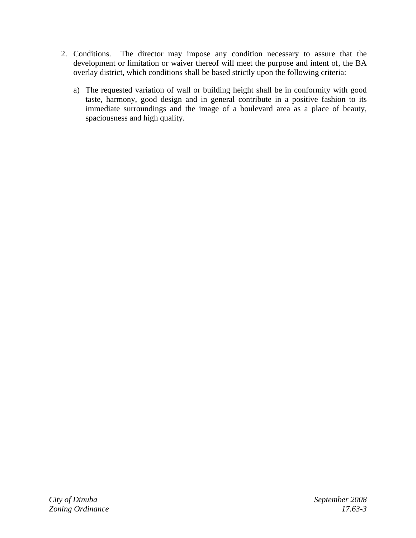- 2. Conditions. The director may impose any condition necessary to assure that the development or limitation or waiver thereof will meet the purpose and intent of, the BA overlay district, which conditions shall be based strictly upon the following criteria:
	- a) The requested variation of wall or building height shall be in conformity with good taste, harmony, good design and in general contribute in a positive fashion to its immediate surroundings and the image of a boulevard area as a place of beauty, spaciousness and high quality.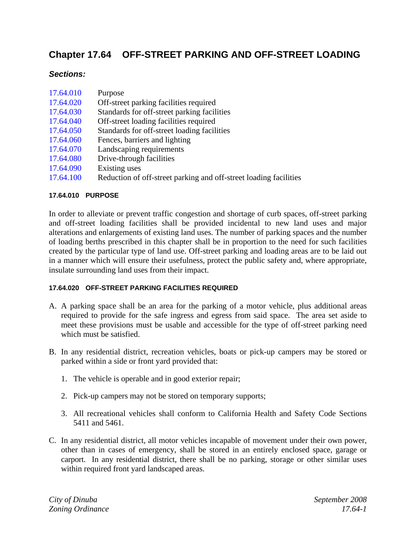# **Chapter 17.64 OFF-STREET PARKING AND OFF-STREET LOADING**

## *Sections:*

| 17.64.010 | Purpose                                                           |
|-----------|-------------------------------------------------------------------|
| 17.64.020 | Off-street parking facilities required                            |
| 17.64.030 | Standards for off-street parking facilities                       |
| 17.64.040 | Off-street loading facilities required                            |
| 17.64.050 | Standards for off-street loading facilities                       |
| 17.64.060 | Fences, barriers and lighting                                     |
| 17.64.070 | Landscaping requirements                                          |
| 17.64.080 | Drive-through facilities                                          |
| 17.64.090 | Existing uses                                                     |
| 17.64.100 | Reduction of off-street parking and off-street loading facilities |

## **17.64.010 PURPOSE**

In order to alleviate or prevent traffic congestion and shortage of curb spaces, off-street parking and off-street loading facilities shall be provided incidental to new land uses and major alterations and enlargements of existing land uses. The number of parking spaces and the number of loading berths prescribed in this chapter shall be in proportion to the need for such facilities created by the particular type of land use. Off-street parking and loading areas are to be laid out in a manner which will ensure their usefulness, protect the public safety and, where appropriate, insulate surrounding land uses from their impact.

## **17.64.020 OFF-STREET PARKING FACILITIES REQUIRED**

- A. A parking space shall be an area for the parking of a motor vehicle, plus additional areas required to provide for the safe ingress and egress from said space. The area set aside to meet these provisions must be usable and accessible for the type of off-street parking need which must be satisfied.
- B. In any residential district, recreation vehicles, boats or pick-up campers may be stored or parked within a side or front yard provided that:
	- 1. The vehicle is operable and in good exterior repair;
	- 2. Pick-up campers may not be stored on temporary supports;
	- 3. All recreational vehicles shall conform to California Health and Safety Code Sections 5411 and 5461.
- C. In any residential district, all motor vehicles incapable of movement under their own power, other than in cases of emergency, shall be stored in an entirely enclosed space, garage or carport. In any residential district, there shall be no parking, storage or other similar uses within required front yard landscaped areas.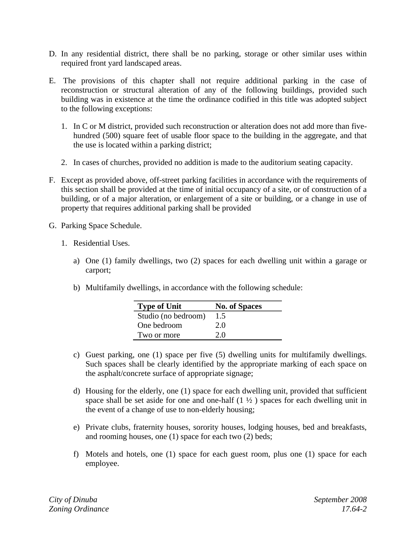- D. In any residential district, there shall be no parking, storage or other similar uses within required front yard landscaped areas.
- E. The provisions of this chapter shall not require additional parking in the case of reconstruction or structural alteration of any of the following buildings, provided such building was in existence at the time the ordinance codified in this title was adopted subject to the following exceptions:
	- 1. In C or M district, provided such reconstruction or alteration does not add more than fivehundred (500) square feet of usable floor space to the building in the aggregate, and that the use is located within a parking district;
	- 2. In cases of churches, provided no addition is made to the auditorium seating capacity.
- F. Except as provided above, off-street parking facilities in accordance with the requirements of this section shall be provided at the time of initial occupancy of a site, or of construction of a building, or of a major alteration, or enlargement of a site or building, or a change in use of property that requires additional parking shall be provided
- G. Parking Space Schedule.
	- 1. Residential Uses.
		- a) One (1) family dwellings, two (2) spaces for each dwelling unit within a garage or carport;
		- b) Multifamily dwellings, in accordance with the following schedule:

| <b>Type of Unit</b> | <b>No. of Spaces</b> |
|---------------------|----------------------|
| Studio (no bedroom) | 1.5                  |
| One bedroom         | 2.0                  |
| Two or more         | 20                   |

- c) Guest parking, one (1) space per five (5) dwelling units for multifamily dwellings. Such spaces shall be clearly identified by the appropriate marking of each space on the asphalt/concrete surface of appropriate signage;
- d) Housing for the elderly, one (1) space for each dwelling unit, provided that sufficient space shall be set aside for one and one-half  $(1 \frac{1}{2})$  spaces for each dwelling unit in the event of a change of use to non-elderly housing;
- e) Private clubs, fraternity houses, sorority houses, lodging houses, bed and breakfasts, and rooming houses, one (1) space for each two (2) beds;
- f) Motels and hotels, one (1) space for each guest room, plus one (1) space for each employee.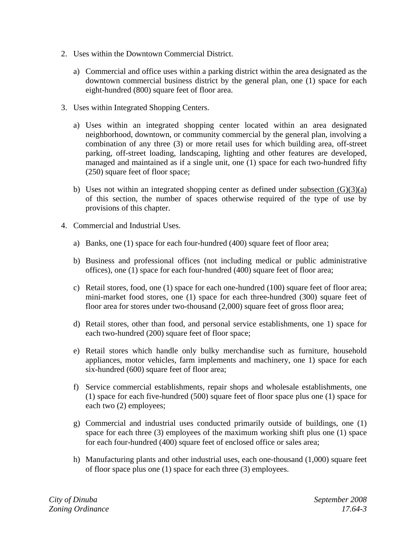- 2. Uses within the Downtown Commercial District.
	- a) Commercial and office uses within a parking district within the area designated as the downtown commercial business district by the general plan, one (1) space for each eight-hundred (800) square feet of floor area.
- 3. Uses within Integrated Shopping Centers.
	- a) Uses within an integrated shopping center located within an area designated neighborhood, downtown, or community commercial by the general plan, involving a combination of any three (3) or more retail uses for which building area, off-street parking, off-street loading, landscaping, lighting and other features are developed, managed and maintained as if a single unit, one (1) space for each two-hundred fifty (250) square feet of floor space;
	- b) Uses not within an integrated shopping center as defined under subsection  $(G)(3)(a)$ of this section, the number of spaces otherwise required of the type of use by provisions of this chapter.
- 4. Commercial and Industrial Uses.
	- a) Banks, one (1) space for each four-hundred (400) square feet of floor area;
	- b) Business and professional offices (not including medical or public administrative offices), one (1) space for each four-hundred (400) square feet of floor area;
	- c) Retail stores, food, one (1) space for each one-hundred (100) square feet of floor area; mini-market food stores, one (1) space for each three-hundred (300) square feet of floor area for stores under two-thousand (2,000) square feet of gross floor area;
	- d) Retail stores, other than food, and personal service establishments, one 1) space for each two-hundred (200) square feet of floor space;
	- e) Retail stores which handle only bulky merchandise such as furniture, household appliances, motor vehicles, farm implements and machinery, one 1) space for each six-hundred (600) square feet of floor area;
	- f) Service commercial establishments, repair shops and wholesale establishments, one (1) space for each five-hundred (500) square feet of floor space plus one (1) space for each two (2) employees;
	- g) Commercial and industrial uses conducted primarily outside of buildings, one (1) space for each three (3) employees of the maximum working shift plus one (1) space for each four-hundred (400) square feet of enclosed office or sales area;
	- h) Manufacturing plants and other industrial uses, each one-thousand (1,000) square feet of floor space plus one (1) space for each three (3) employees.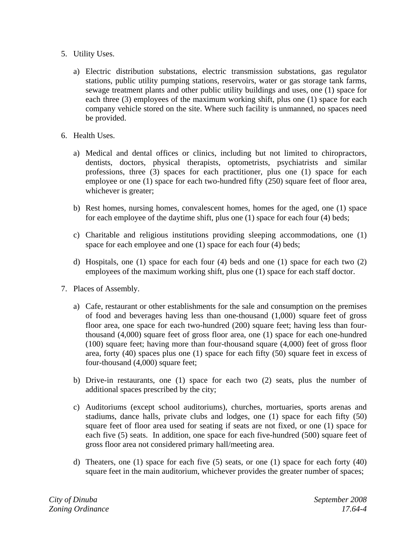- 5. Utility Uses.
	- a) Electric distribution substations, electric transmission substations, gas regulator stations, public utility pumping stations, reservoirs, water or gas storage tank farms, sewage treatment plants and other public utility buildings and uses, one (1) space for each three (3) employees of the maximum working shift, plus one (1) space for each company vehicle stored on the site. Where such facility is unmanned, no spaces need be provided.
- 6. Health Uses.
	- a) Medical and dental offices or clinics, including but not limited to chiropractors, dentists, doctors, physical therapists, optometrists, psychiatrists and similar professions, three (3) spaces for each practitioner, plus one (1) space for each employee or one (1) space for each two-hundred fifty (250) square feet of floor area, whichever is greater;
	- b) Rest homes, nursing homes, convalescent homes, homes for the aged, one (1) space for each employee of the daytime shift, plus one (1) space for each four (4) beds;
	- c) Charitable and religious institutions providing sleeping accommodations, one (1) space for each employee and one (1) space for each four (4) beds;
	- d) Hospitals, one (1) space for each four (4) beds and one (1) space for each two (2) employees of the maximum working shift, plus one (1) space for each staff doctor.
- 7. Places of Assembly.
	- a) Cafe, restaurant or other establishments for the sale and consumption on the premises of food and beverages having less than one-thousand (1,000) square feet of gross floor area, one space for each two-hundred (200) square feet; having less than fourthousand (4,000) square feet of gross floor area, one (1) space for each one-hundred (100) square feet; having more than four-thousand square (4,000) feet of gross floor area, forty (40) spaces plus one (1) space for each fifty (50) square feet in excess of four-thousand (4,000) square feet;
	- b) Drive-in restaurants, one (1) space for each two (2) seats, plus the number of additional spaces prescribed by the city;
	- c) Auditoriums (except school auditoriums), churches, mortuaries, sports arenas and stadiums, dance halls, private clubs and lodges, one (1) space for each fifty (50) square feet of floor area used for seating if seats are not fixed, or one (1) space for each five (5) seats. In addition, one space for each five-hundred (500) square feet of gross floor area not considered primary hall/meeting area.
	- d) Theaters, one (1) space for each five (5) seats, or one (1) space for each forty (40) square feet in the main auditorium, whichever provides the greater number of spaces;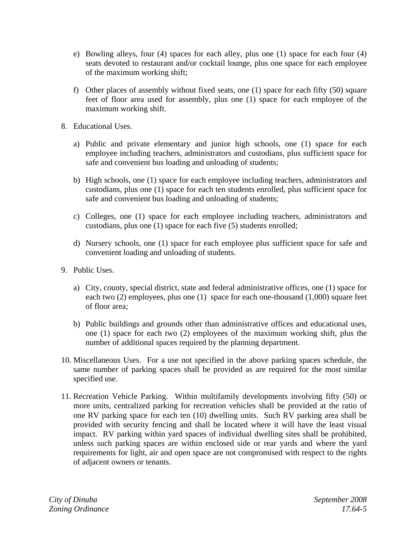- e) Bowling alleys, four (4) spaces for each alley, plus one (1) space for each four (4) seats devoted to restaurant and/or cocktail lounge, plus one space for each employee of the maximum working shift;
- f) Other places of assembly without fixed seats, one (1) space for each fifty (50) square feet of floor area used for assembly, plus one (1) space for each employee of the maximum working shift.
- 8. Educational Uses.
	- a) Public and private elementary and junior high schools, one (1) space for each employee including teachers, administrators and custodians, plus sufficient space for safe and convenient bus loading and unloading of students;
	- b) High schools, one (1) space for each employee including teachers, administrators and custodians, plus one (1) space for each ten students enrolled, plus sufficient space for safe and convenient bus loading and unloading of students;
	- c) Colleges, one (1) space for each employee including teachers, administrators and custodians, plus one (1) space for each five (5) students enrolled;
	- d) Nursery schools, one (1) space for each employee plus sufficient space for safe and convenient loading and unloading of students.
- 9. Public Uses.
	- a) City, county, special district, state and federal administrative offices, one (1) space for each two (2) employees, plus one (1) space for each one-thousand (1,000) square feet of floor area;
	- b) Public buildings and grounds other than administrative offices and educational uses, one (1) space for each two (2) employees of the maximum working shift, plus the number of additional spaces required by the planning department.
- 10. Miscellaneous Uses. For a use not specified in the above parking spaces schedule, the same number of parking spaces shall be provided as are required for the most similar specified use.
- 11. Recreation Vehicle Parking. Within multifamily developments involving fifty (50) or more units, centralized parking for recreation vehicles shall be provided at the ratio of one RV parking space for each ten (10) dwelling units. Such RV parking area shall be provided with security fencing and shall be located where it will have the least visual impact. RV parking within yard spaces of individual dwelling sites shall be prohibited, unless such parking spaces are within enclosed side or rear yards and where the yard requirements for light, air and open space are not compromised with respect to the rights of adjacent owners or tenants.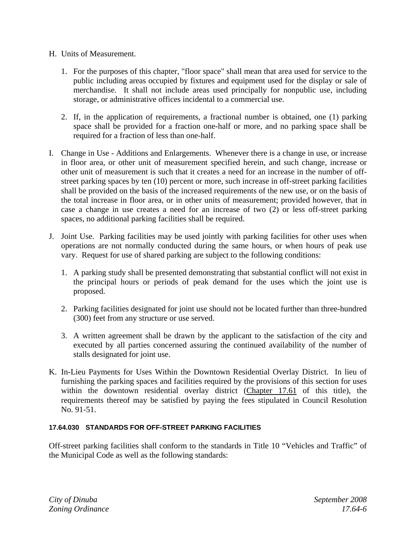- H. Units of Measurement.
	- 1. For the purposes of this chapter, "floor space" shall mean that area used for service to the public including areas occupied by fixtures and equipment used for the display or sale of merchandise. It shall not include areas used principally for nonpublic use, including storage, or administrative offices incidental to a commercial use.
	- 2. If, in the application of requirements, a fractional number is obtained, one (1) parking space shall be provided for a fraction one-half or more, and no parking space shall be required for a fraction of less than one-half.
- I. Change in Use Additions and Enlargements. Whenever there is a change in use, or increase in floor area, or other unit of measurement specified herein, and such change, increase or other unit of measurement is such that it creates a need for an increase in the number of offstreet parking spaces by ten (10) percent or more, such increase in off-street parking facilities shall be provided on the basis of the increased requirements of the new use, or on the basis of the total increase in floor area, or in other units of measurement; provided however, that in case a change in use creates a need for an increase of two (2) or less off-street parking spaces, no additional parking facilities shall be required.
- J. Joint Use. Parking facilities may be used jointly with parking facilities for other uses when operations are not normally conducted during the same hours, or when hours of peak use vary. Request for use of shared parking are subject to the following conditions:
	- 1. A parking study shall be presented demonstrating that substantial conflict will not exist in the principal hours or periods of peak demand for the uses which the joint use is proposed.
	- 2. Parking facilities designated for joint use should not be located further than three-hundred (300) feet from any structure or use served.
	- 3. A written agreement shall be drawn by the applicant to the satisfaction of the city and executed by all parties concerned assuring the continued availability of the number of stalls designated for joint use.
- K. In-Lieu Payments for Uses Within the Downtown Residential Overlay District. In lieu of furnishing the parking spaces and facilities required by the provisions of this section for uses within the downtown residential overlay district (Chapter 17.61 of this title), the requirements thereof may be satisfied by paying the fees stipulated in Council Resolution No. 91-51.

## **17.64.030 STANDARDS FOR OFF-STREET PARKING FACILITIES**

Off-street parking facilities shall conform to the standards in Title 10 "Vehicles and Traffic" of the Municipal Code as well as the following standards: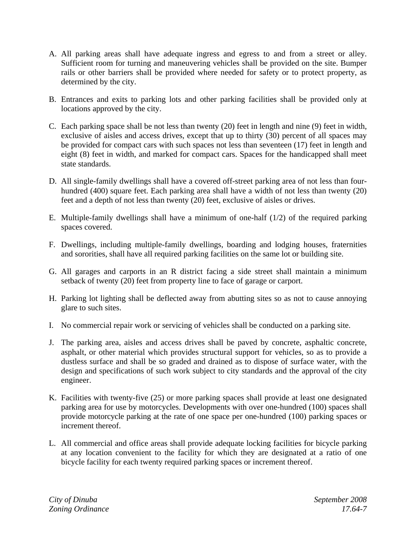- A. All parking areas shall have adequate ingress and egress to and from a street or alley. Sufficient room for turning and maneuvering vehicles shall be provided on the site. Bumper rails or other barriers shall be provided where needed for safety or to protect property, as determined by the city.
- B. Entrances and exits to parking lots and other parking facilities shall be provided only at locations approved by the city.
- C. Each parking space shall be not less than twenty (20) feet in length and nine (9) feet in width, exclusive of aisles and access drives, except that up to thirty (30) percent of all spaces may be provided for compact cars with such spaces not less than seventeen (17) feet in length and eight (8) feet in width, and marked for compact cars. Spaces for the handicapped shall meet state standards.
- D. All single-family dwellings shall have a covered off-street parking area of not less than fourhundred (400) square feet. Each parking area shall have a width of not less than twenty (20) feet and a depth of not less than twenty (20) feet, exclusive of aisles or drives.
- E. Multiple-family dwellings shall have a minimum of one-half (1/2) of the required parking spaces covered.
- F. Dwellings, including multiple-family dwellings, boarding and lodging houses, fraternities and sororities, shall have all required parking facilities on the same lot or building site.
- G. All garages and carports in an R district facing a side street shall maintain a minimum setback of twenty (20) feet from property line to face of garage or carport.
- H. Parking lot lighting shall be deflected away from abutting sites so as not to cause annoying glare to such sites.
- I. No commercial repair work or servicing of vehicles shall be conducted on a parking site.
- J. The parking area, aisles and access drives shall be paved by concrete, asphaltic concrete, asphalt, or other material which provides structural support for vehicles, so as to provide a dustless surface and shall be so graded and drained as to dispose of surface water, with the design and specifications of such work subject to city standards and the approval of the city engineer.
- K. Facilities with twenty-five (25) or more parking spaces shall provide at least one designated parking area for use by motorcycles. Developments with over one-hundred (100) spaces shall provide motorcycle parking at the rate of one space per one-hundred (100) parking spaces or increment thereof.
- L. All commercial and office areas shall provide adequate locking facilities for bicycle parking at any location convenient to the facility for which they are designated at a ratio of one bicycle facility for each twenty required parking spaces or increment thereof.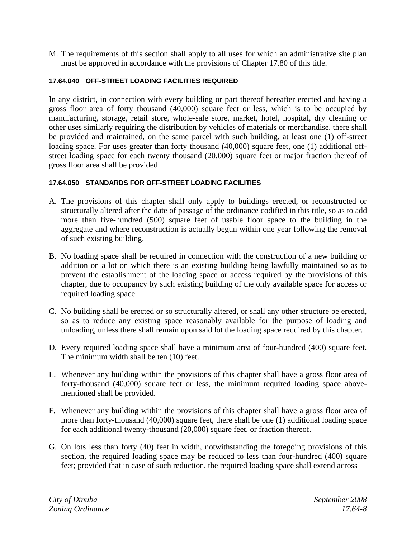M. The requirements of this section shall apply to all uses for which an administrative site plan must be approved in accordance with the provisions of Chapter 17.80 of this title.

## **17.64.040 OFF-STREET LOADING FACILITIES REQUIRED**

In any district, in connection with every building or part thereof hereafter erected and having a gross floor area of forty thousand (40,000) square feet or less, which is to be occupied by manufacturing, storage, retail store, whole-sale store, market, hotel, hospital, dry cleaning or other uses similarly requiring the distribution by vehicles of materials or merchandise, there shall be provided and maintained, on the same parcel with such building, at least one (1) off-street loading space. For uses greater than forty thousand (40,000) square feet, one (1) additional offstreet loading space for each twenty thousand (20,000) square feet or major fraction thereof of gross floor area shall be provided.

## **17.64.050 STANDARDS FOR OFF-STREET LOADING FACILITIES**

- A. The provisions of this chapter shall only apply to buildings erected, or reconstructed or structurally altered after the date of passage of the ordinance codified in this title, so as to add more than five-hundred (500) square feet of usable floor space to the building in the aggregate and where reconstruction is actually begun within one year following the removal of such existing building.
- B. No loading space shall be required in connection with the construction of a new building or addition on a lot on which there is an existing building being lawfully maintained so as to prevent the establishment of the loading space or access required by the provisions of this chapter, due to occupancy by such existing building of the only available space for access or required loading space.
- C. No building shall be erected or so structurally altered, or shall any other structure be erected, so as to reduce any existing space reasonably available for the purpose of loading and unloading, unless there shall remain upon said lot the loading space required by this chapter.
- D. Every required loading space shall have a minimum area of four-hundred (400) square feet. The minimum width shall be ten (10) feet.
- E. Whenever any building within the provisions of this chapter shall have a gross floor area of forty-thousand (40,000) square feet or less, the minimum required loading space abovementioned shall be provided.
- F. Whenever any building within the provisions of this chapter shall have a gross floor area of more than forty-thousand (40,000) square feet, there shall be one (1) additional loading space for each additional twenty-thousand (20,000) square feet, or fraction thereof.
- G. On lots less than forty (40) feet in width, notwithstanding the foregoing provisions of this section, the required loading space may be reduced to less than four-hundred (400) square feet; provided that in case of such reduction, the required loading space shall extend across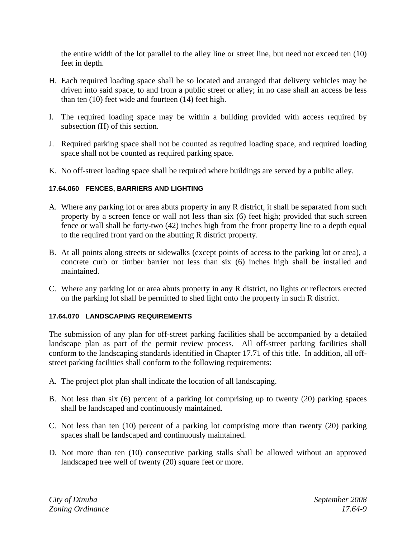the entire width of the lot parallel to the alley line or street line, but need not exceed ten (10) feet in depth.

- H. Each required loading space shall be so located and arranged that delivery vehicles may be driven into said space, to and from a public street or alley; in no case shall an access be less than ten (10) feet wide and fourteen (14) feet high.
- I. The required loading space may be within a building provided with access required by subsection (H) of this section.
- J. Required parking space shall not be counted as required loading space, and required loading space shall not be counted as required parking space.
- K. No off-street loading space shall be required where buildings are served by a public alley.

## **17.64.060 FENCES, BARRIERS AND LIGHTING**

- A. Where any parking lot or area abuts property in any R district, it shall be separated from such property by a screen fence or wall not less than six (6) feet high; provided that such screen fence or wall shall be forty-two (42) inches high from the front property line to a depth equal to the required front yard on the abutting R district property.
- B. At all points along streets or sidewalks (except points of access to the parking lot or area), a concrete curb or timber barrier not less than six (6) inches high shall be installed and maintained.
- C. Where any parking lot or area abuts property in any R district, no lights or reflectors erected on the parking lot shall be permitted to shed light onto the property in such R district.

## **17.64.070 LANDSCAPING REQUIREMENTS**

The submission of any plan for off-street parking facilities shall be accompanied by a detailed landscape plan as part of the permit review process. All off-street parking facilities shall conform to the landscaping standards identified in Chapter 17.71 of this title. In addition, all offstreet parking facilities shall conform to the following requirements:

- A. The project plot plan shall indicate the location of all landscaping.
- B. Not less than six (6) percent of a parking lot comprising up to twenty (20) parking spaces shall be landscaped and continuously maintained.
- C. Not less than ten (10) percent of a parking lot comprising more than twenty (20) parking spaces shall be landscaped and continuously maintained.
- D. Not more than ten (10) consecutive parking stalls shall be allowed without an approved landscaped tree well of twenty (20) square feet or more.

*City of Dinuba September 2008 Zoning Ordinance 17.64-9*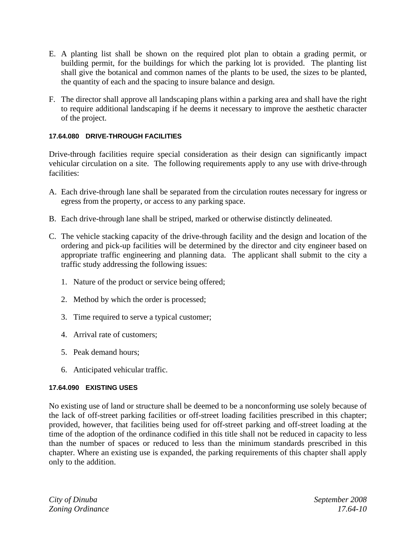- E. A planting list shall be shown on the required plot plan to obtain a grading permit, or building permit, for the buildings for which the parking lot is provided. The planting list shall give the botanical and common names of the plants to be used, the sizes to be planted, the quantity of each and the spacing to insure balance and design.
- F. The director shall approve all landscaping plans within a parking area and shall have the right to require additional landscaping if he deems it necessary to improve the aesthetic character of the project.

## **17.64.080 DRIVE-THROUGH FACILITIES**

Drive-through facilities require special consideration as their design can significantly impact vehicular circulation on a site. The following requirements apply to any use with drive-through facilities:

- A. Each drive-through lane shall be separated from the circulation routes necessary for ingress or egress from the property, or access to any parking space.
- B. Each drive-through lane shall be striped, marked or otherwise distinctly delineated.
- C. The vehicle stacking capacity of the drive-through facility and the design and location of the ordering and pick-up facilities will be determined by the director and city engineer based on appropriate traffic engineering and planning data. The applicant shall submit to the city a traffic study addressing the following issues:
	- 1. Nature of the product or service being offered;
	- 2. Method by which the order is processed;
	- 3. Time required to serve a typical customer;
	- 4. Arrival rate of customers;
	- 5. Peak demand hours;
	- 6. Anticipated vehicular traffic.

## **17.64.090 EXISTING USES**

No existing use of land or structure shall be deemed to be a nonconforming use solely because of the lack of off-street parking facilities or off-street loading facilities prescribed in this chapter; provided, however, that facilities being used for off-street parking and off-street loading at the time of the adoption of the ordinance codified in this title shall not be reduced in capacity to less than the number of spaces or reduced to less than the minimum standards prescribed in this chapter. Where an existing use is expanded, the parking requirements of this chapter shall apply only to the addition.

*City of Dinuba September 2008 Zoning Ordinance 17.64-10*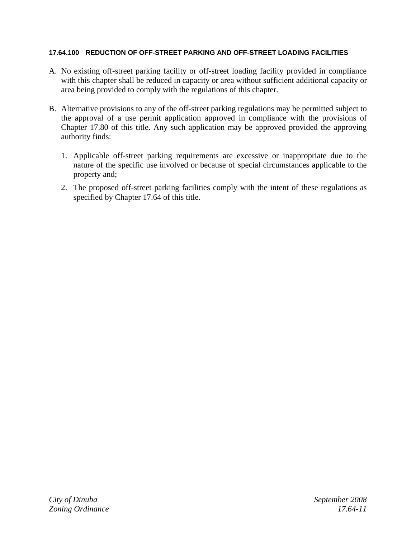## **17.64.100 REDUCTION OF OFF-STREET PARKING AND OFF-STREET LOADING FACILITIES**

- A. No existing off-street parking facility or off-street loading facility provided in compliance with this chapter shall be reduced in capacity or area without sufficient additional capacity or area being provided to comply with the regulations of this chapter.
- B. Alternative provisions to any of the off-street parking regulations may be permitted subject to the approval of a use permit application approved in compliance with the provisions of Chapter 17.80 of this title. Any such application may be approved provided the approving authority finds:
	- 1. Applicable off-street parking requirements are excessive or inappropriate due to the nature of the specific use involved or because of special circumstances applicable to the property and;
	- 2. The proposed off-street parking facilities comply with the intent of these regulations as specified by Chapter 17.64 of this title.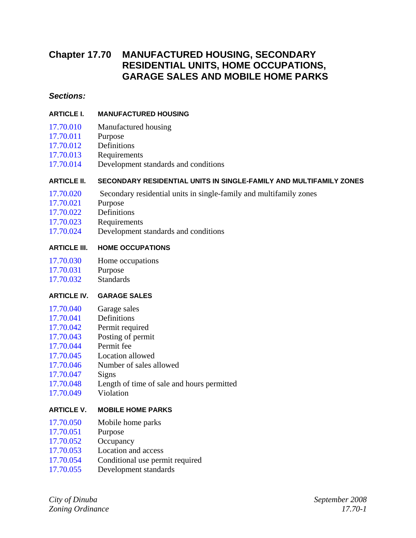# **Chapter 17.70 MANUFACTURED HOUSING, SECONDARY RESIDENTIAL UNITS, HOME OCCUPATIONS, GARAGE SALES AND MOBILE HOME PARKS**

## *Sections:*

## **ARTICLE I. MANUFACTURED HOUSING**

- 17.70.010 Manufactured housing
- 17.70.011 Purpose
- 17.70.012 Definitions
- 17.70.013 Requirements
- 17.70.014 Development standards and conditions

## **ARTICLE II. SECONDARY RESIDENTIAL UNITS IN SINGLE-FAMILY AND MULTIFAMILY ZONES**

- 17.70.020 Secondary residential units in single-family and multifamily zones
- 17.70.021 Purpose
- 17.70.022 Definitions
- 17.70.023 Requirements
- 17.70.024 Development standards and conditions

## **ARTICLE III. HOME OCCUPATIONS**

- 17.70.030 Home occupations
- 17.70.031 Purpose
- 17.70.032 Standards

## **ARTICLE IV. GARAGE SALES**

- 17.70.040 Garage sales
- 17.70.041 Definitions
- 17.70.042 Permit required
- 17.70.043 Posting of permit
- 17.70.044 Permit fee
- 17.70.045 Location allowed
- 17.70.046 Number of sales allowed
- 17.70.047 Signs
- 17.70.048 Length of time of sale and hours permitted
- 17.70.049 Violation

## **ARTICLE V. MOBILE HOME PARKS**

- 17.70.050 Mobile home parks
- 17.70.051 Purpose
- 17.70.052 Occupancy
- 17.70.053 Location and access
- 17.70.054 Conditional use permit required
- 17.70.055 Development standards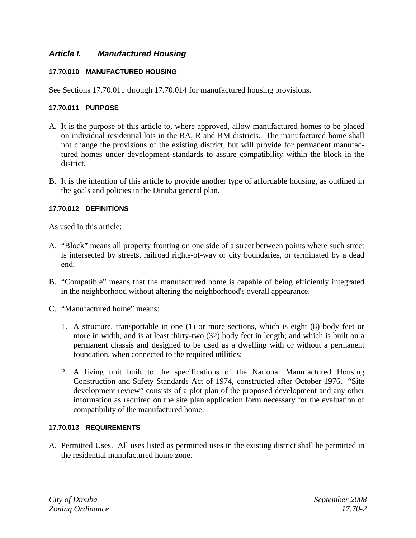## *Article I. Manufactured Housing*

## **17.70.010 MANUFACTURED HOUSING**

See Sections 17.70.011 through 17.70.014 for manufactured housing provisions.

## **17.70.011 PURPOSE**

- A. It is the purpose of this article to, where approved, allow manufactured homes to be placed on individual residential lots in the RA, R and RM districts. The manufactured home shall not change the provisions of the existing district, but will provide for permanent manufactured homes under development standards to assure compatibility within the block in the district.
- B. It is the intention of this article to provide another type of affordable housing, as outlined in the goals and policies in the Dinuba general plan.

## **17.70.012 DEFINITIONS**

As used in this article:

- A. "Block" means all property fronting on one side of a street between points where such street is intersected by streets, railroad rights-of-way or city boundaries, or terminated by a dead end.
- B. "Compatible" means that the manufactured home is capable of being efficiently integrated in the neighborhood without altering the neighborhood's overall appearance.
- C. "Manufactured home" means:
	- 1. A structure, transportable in one (1) or more sections, which is eight (8) body feet or more in width, and is at least thirty-two (32) body feet in length; and which is built on a permanent chassis and designed to be used as a dwelling with or without a permanent foundation, when connected to the required utilities;
	- 2. A living unit built to the specifications of the National Manufactured Housing Construction and Safety Standards Act of 1974, constructed after October 1976. "Site development review" consists of a plot plan of the proposed development and any other information as required on the site plan application form necessary for the evaluation of compatibility of the manufactured home.

## **17.70.013 REQUIREMENTS**

A. Permitted Uses. All uses listed as permitted uses in the existing district shall be permitted in the residential manufactured home zone.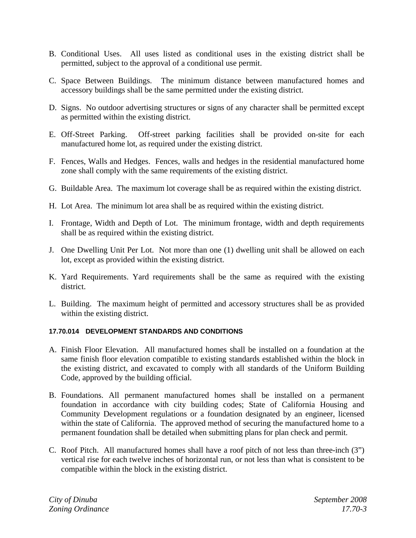- B. Conditional Uses. All uses listed as conditional uses in the existing district shall be permitted, subject to the approval of a conditional use permit.
- C. Space Between Buildings. The minimum distance between manufactured homes and accessory buildings shall be the same permitted under the existing district.
- D. Signs. No outdoor advertising structures or signs of any character shall be permitted except as permitted within the existing district.
- E. Off-Street Parking. Off-street parking facilities shall be provided on-site for each manufactured home lot, as required under the existing district.
- F. Fences, Walls and Hedges. Fences, walls and hedges in the residential manufactured home zone shall comply with the same requirements of the existing district.
- G. Buildable Area. The maximum lot coverage shall be as required within the existing district.
- H. Lot Area. The minimum lot area shall be as required within the existing district.
- I. Frontage, Width and Depth of Lot. The minimum frontage, width and depth requirements shall be as required within the existing district.
- J. One Dwelling Unit Per Lot. Not more than one (1) dwelling unit shall be allowed on each lot, except as provided within the existing district.
- K. Yard Requirements. Yard requirements shall be the same as required with the existing district.
- L. Building. The maximum height of permitted and accessory structures shall be as provided within the existing district.

## **17.70.014 DEVELOPMENT STANDARDS AND CONDITIONS**

- A. Finish Floor Elevation. All manufactured homes shall be installed on a foundation at the same finish floor elevation compatible to existing standards established within the block in the existing district, and excavated to comply with all standards of the Uniform Building Code, approved by the building official.
- B. Foundations. All permanent manufactured homes shall be installed on a permanent foundation in accordance with city building codes; State of California Housing and Community Development regulations or a foundation designated by an engineer, licensed within the state of California. The approved method of securing the manufactured home to a permanent foundation shall be detailed when submitting plans for plan check and permit.
- C. Roof Pitch. All manufactured homes shall have a roof pitch of not less than three-inch (3") vertical rise for each twelve inches of horizontal run, or not less than what is consistent to be compatible within the block in the existing district.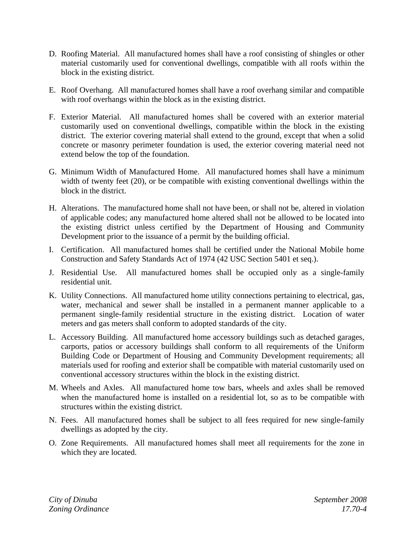- D. Roofing Material. All manufactured homes shall have a roof consisting of shingles or other material customarily used for conventional dwellings, compatible with all roofs within the block in the existing district.
- E. Roof Overhang. All manufactured homes shall have a roof overhang similar and compatible with roof overhangs within the block as in the existing district.
- F. Exterior Material. All manufactured homes shall be covered with an exterior material customarily used on conventional dwellings, compatible within the block in the existing district. The exterior covering material shall extend to the ground, except that when a solid concrete or masonry perimeter foundation is used, the exterior covering material need not extend below the top of the foundation.
- G. Minimum Width of Manufactured Home. All manufactured homes shall have a minimum width of twenty feet (20), or be compatible with existing conventional dwellings within the block in the district.
- H. Alterations. The manufactured home shall not have been, or shall not be, altered in violation of applicable codes; any manufactured home altered shall not be allowed to be located into the existing district unless certified by the Department of Housing and Community Development prior to the issuance of a permit by the building official.
- I. Certification. All manufactured homes shall be certified under the National Mobile home Construction and Safety Standards Act of 1974 (42 USC Section 5401 et seq.).
- J. Residential Use. All manufactured homes shall be occupied only as a single-family residential unit.
- K. Utility Connections. All manufactured home utility connections pertaining to electrical, gas, water, mechanical and sewer shall be installed in a permanent manner applicable to a permanent single-family residential structure in the existing district. Location of water meters and gas meters shall conform to adopted standards of the city.
- L. Accessory Building. All manufactured home accessory buildings such as detached garages, carports, patios or accessory buildings shall conform to all requirements of the Uniform Building Code or Department of Housing and Community Development requirements; all materials used for roofing and exterior shall be compatible with material customarily used on conventional accessory structures within the block in the existing district.
- M. Wheels and Axles. All manufactured home tow bars, wheels and axles shall be removed when the manufactured home is installed on a residential lot, so as to be compatible with structures within the existing district.
- N. Fees. All manufactured homes shall be subject to all fees required for new single-family dwellings as adopted by the city.
- O. Zone Requirements. All manufactured homes shall meet all requirements for the zone in which they are located.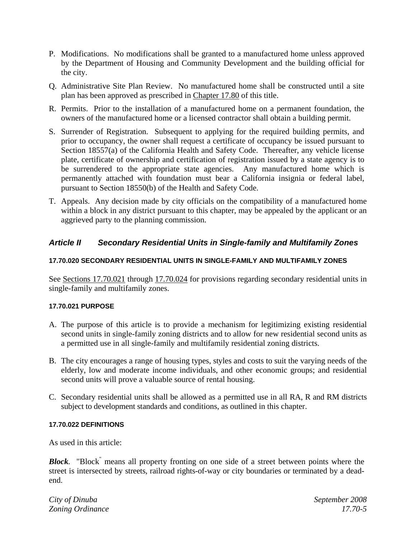- P. Modifications. No modifications shall be granted to a manufactured home unless approved by the Department of Housing and Community Development and the building official for the city.
- Q. Administrative Site Plan Review. No manufactured home shall be constructed until a site plan has been approved as prescribed in Chapter 17.80 of this title.
- R. Permits. Prior to the installation of a manufactured home on a permanent foundation, the owners of the manufactured home or a licensed contractor shall obtain a building permit.
- S. Surrender of Registration. Subsequent to applying for the required building permits, and prior to occupancy, the owner shall request a certificate of occupancy be issued pursuant to Section 18557(a) of the California Health and Safety Code. Thereafter, any vehicle license plate, certificate of ownership and certification of registration issued by a state agency is to be surrendered to the appropriate state agencies. Any manufactured home which is permanently attached with foundation must bear a California insignia or federal label, pursuant to Section 18550(b) of the Health and Safety Code.
- T. Appeals. Any decision made by city officials on the compatibility of a manufactured home within a block in any district pursuant to this chapter, may be appealed by the applicant or an aggrieved party to the planning commission.

## *Article II Secondary Residential Units in Single-family and Multifamily Zones*

## **17.70.020 SECONDARY RESIDENTIAL UNITS IN SINGLE-FAMILY AND MULTIFAMILY ZONES**

See Sections 17.70.021 through 17.70.024 for provisions regarding secondary residential units in single-family and multifamily zones.

## **17.70.021 PURPOSE**

- A. The purpose of this article is to provide a mechanism for legitimizing existing residential second units in single-family zoning districts and to allow for new residential second units as a permitted use in all single-family and multifamily residential zoning districts.
- B. The city encourages a range of housing types, styles and costs to suit the varying needs of the elderly, low and moderate income individuals, and other economic groups; and residential second units will prove a valuable source of rental housing.
- C. Secondary residential units shall be allowed as a permitted use in all RA, R and RM districts subject to development standards and conditions, as outlined in this chapter.

## **17.70.022 DEFINITIONS**

As used in this article:

*Block.* "Block" means all property fronting on one side of a street between points where the street is intersected by streets, railroad rights-of-way or city boundaries or terminated by a deadend.

*City of Dinuba September 2008 Zoning Ordinance 17.70-5*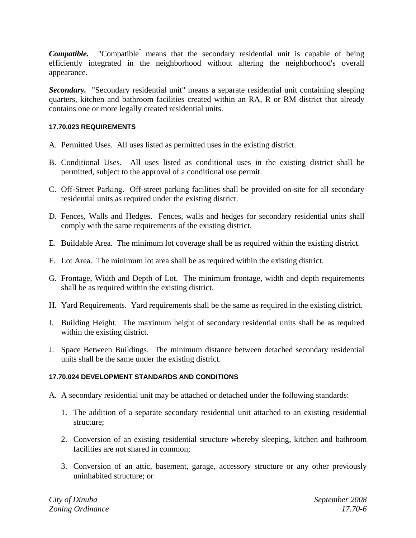Compatible. "Compatible<sup>"</sup> means that the secondary residential unit is capable of being efficiently integrated in the neighborhood without altering the neighborhood's overall appearance.

*Secondary.* "Secondary residential unit" means a separate residential unit containing sleeping quarters, kitchen and bathroom facilities created within an RA, R or RM district that already contains one or more legally created residential units.

## **17.70.023 REQUIREMENTS**

- A. Permitted Uses. All uses listed as permitted uses in the existing district.
- B. Conditional Uses. All uses listed as conditional uses in the existing district shall be permitted, subject to the approval of a conditional use permit.
- C. Off-Street Parking. Off-street parking facilities shall be provided on-site for all secondary residential units as required under the existing district.
- D. Fences, Walls and Hedges. Fences, walls and hedges for secondary residential units shall comply with the same requirements of the existing district.
- E. Buildable Area. The minimum lot coverage shall be as required within the existing district.
- F. Lot Area. The minimum lot area shall be as required within the existing district.
- G. Frontage, Width and Depth of Lot. The minimum frontage, width and depth requirements shall be as required within the existing district.
- H. Yard Requirements. Yard requirements shall be the same as required in the existing district.
- I. Building Height. The maximum height of secondary residential units shall be as required within the existing district.
- J. Space Between Buildings. The minimum distance between detached secondary residential units shall be the same under the existing district.

## **17.70.024 DEVELOPMENT STANDARDS AND CONDITIONS**

- A. A secondary residential unit may be attached or detached under the following standards:
	- 1. The addition of a separate secondary residential unit attached to an existing residential structure;
	- 2. Conversion of an existing residential structure whereby sleeping, kitchen and bathroom facilities are not shared in common;
	- 3. Conversion of an attic, basement, garage, accessory structure or any other previously uninhabited structure; or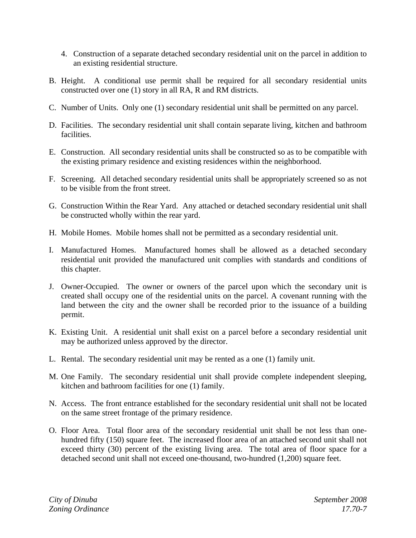- 4. Construction of a separate detached secondary residential unit on the parcel in addition to an existing residential structure.
- B. Height. A conditional use permit shall be required for all secondary residential units constructed over one (1) story in all RA, R and RM districts.
- C. Number of Units. Only one (1) secondary residential unit shall be permitted on any parcel.
- D. Facilities. The secondary residential unit shall contain separate living, kitchen and bathroom facilities.
- E. Construction. All secondary residential units shall be constructed so as to be compatible with the existing primary residence and existing residences within the neighborhood.
- F. Screening. All detached secondary residential units shall be appropriately screened so as not to be visible from the front street.
- G. Construction Within the Rear Yard. Any attached or detached secondary residential unit shall be constructed wholly within the rear yard.
- H. Mobile Homes. Mobile homes shall not be permitted as a secondary residential unit.
- I. Manufactured Homes. Manufactured homes shall be allowed as a detached secondary residential unit provided the manufactured unit complies with standards and conditions of this chapter.
- J. Owner-Occupied. The owner or owners of the parcel upon which the secondary unit is created shall occupy one of the residential units on the parcel. A covenant running with the land between the city and the owner shall be recorded prior to the issuance of a building permit.
- K. Existing Unit. A residential unit shall exist on a parcel before a secondary residential unit may be authorized unless approved by the director.
- L. Rental. The secondary residential unit may be rented as a one (1) family unit.
- M. One Family. The secondary residential unit shall provide complete independent sleeping, kitchen and bathroom facilities for one (1) family.
- N. Access. The front entrance established for the secondary residential unit shall not be located on the same street frontage of the primary residence.
- O. Floor Area. Total floor area of the secondary residential unit shall be not less than onehundred fifty (150) square feet. The increased floor area of an attached second unit shall not exceed thirty (30) percent of the existing living area. The total area of floor space for a detached second unit shall not exceed one-thousand, two-hundred (1,200) square feet.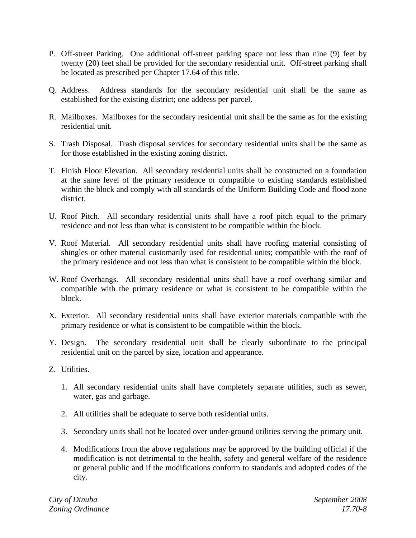- P. Off-street Parking. One additional off-street parking space not less than nine (9) feet by twenty (20) feet shall be provided for the secondary residential unit. Off-street parking shall be located as prescribed per Chapter 17.64 of this title.
- Q. Address. Address standards for the secondary residential unit shall be the same as established for the existing district; one address per parcel.
- R. Mailboxes. Mailboxes for the secondary residential unit shall be the same as for the existing residential unit.
- S. Trash Disposal. Trash disposal services for secondary residential units shall be the same as for those established in the existing zoning district.
- T. Finish Floor Elevation. All secondary residential units shall be constructed on a foundation at the same level of the primary residence or compatible to existing standards established within the block and comply with all standards of the Uniform Building Code and flood zone district.
- U. Roof Pitch. All secondary residential units shall have a roof pitch equal to the primary residence and not less than what is consistent to be compatible within the block.
- V. Roof Material. All secondary residential units shall have roofing material consisting of shingles or other material customarily used for residential units; compatible with the roof of the primary residence and not less than what is consistent to be compatible within the block.
- W. Roof Overhangs. All secondary residential units shall have a roof overhang similar and compatible with the primary residence or what is consistent to be compatible within the block.
- X. Exterior. All secondary residential units shall have exterior materials compatible with the primary residence or what is consistent to be compatible within the block.
- Y. Design. The secondary residential unit shall be clearly subordinate to the principal residential unit on the parcel by size, location and appearance.
- Z. Utilities.
	- 1. All secondary residential units shall have completely separate utilities, such as sewer, water, gas and garbage.
	- 2. All utilities shall be adequate to serve both residential units.
	- 3. Secondary units shall not be located over under-ground utilities serving the primary unit.
	- 4. Modifications from the above regulations may be approved by the building official if the modification is not detrimental to the health, safety and general welfare of the residence or general public and if the modifications conform to standards and adopted codes of the city.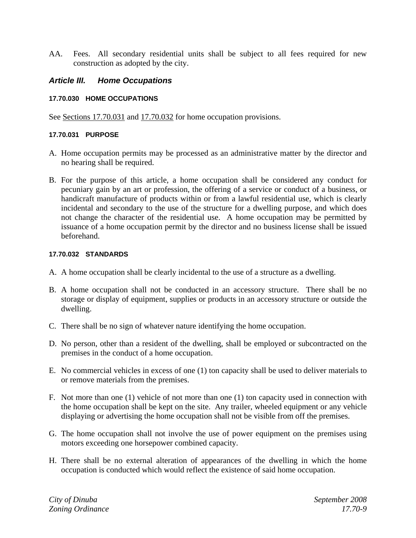AA. Fees. All secondary residential units shall be subject to all fees required for new construction as adopted by the city.

## *Article III. Home Occupations*

#### **17.70.030 HOME OCCUPATIONS**

See <u>Sections 17.70.031</u> and <u>17.70.032</u> for home occupation provisions.

#### **17.70.031 PURPOSE**

- A. Home occupation permits may be processed as an administrative matter by the director and no hearing shall be required.
- B. For the purpose of this article, a home occupation shall be considered any conduct for pecuniary gain by an art or profession, the offering of a service or conduct of a business, or handicraft manufacture of products within or from a lawful residential use, which is clearly incidental and secondary to the use of the structure for a dwelling purpose, and which does not change the character of the residential use. A home occupation may be permitted by issuance of a home occupation permit by the director and no business license shall be issued beforehand.

## **17.70.032 STANDARDS**

- A. A home occupation shall be clearly incidental to the use of a structure as a dwelling.
- B. A home occupation shall not be conducted in an accessory structure. There shall be no storage or display of equipment, supplies or products in an accessory structure or outside the dwelling.
- C. There shall be no sign of whatever nature identifying the home occupation.
- D. No person, other than a resident of the dwelling, shall be employed or subcontracted on the premises in the conduct of a home occupation.
- E. No commercial vehicles in excess of one (1) ton capacity shall be used to deliver materials to or remove materials from the premises.
- F. Not more than one (1) vehicle of not more than one (1) ton capacity used in connection with the home occupation shall be kept on the site. Any trailer, wheeled equipment or any vehicle displaying or advertising the home occupation shall not be visible from off the premises.
- G. The home occupation shall not involve the use of power equipment on the premises using motors exceeding one horsepower combined capacity.
- H. There shall be no external alteration of appearances of the dwelling in which the home occupation is conducted which would reflect the existence of said home occupation.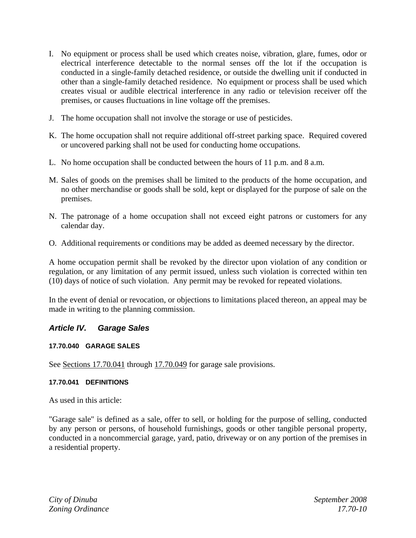- I. No equipment or process shall be used which creates noise, vibration, glare, fumes, odor or electrical interference detectable to the normal senses off the lot if the occupation is conducted in a single-family detached residence, or outside the dwelling unit if conducted in other than a single-family detached residence. No equipment or process shall be used which creates visual or audible electrical interference in any radio or television receiver off the premises, or causes fluctuations in line voltage off the premises.
- J. The home occupation shall not involve the storage or use of pesticides.
- K. The home occupation shall not require additional off-street parking space. Required covered or uncovered parking shall not be used for conducting home occupations.
- L. No home occupation shall be conducted between the hours of 11 p.m. and 8 a.m.
- M. Sales of goods on the premises shall be limited to the products of the home occupation, and no other merchandise or goods shall be sold, kept or displayed for the purpose of sale on the premises.
- N. The patronage of a home occupation shall not exceed eight patrons or customers for any calendar day.
- O. Additional requirements or conditions may be added as deemed necessary by the director.

A home occupation permit shall be revoked by the director upon violation of any condition or regulation, or any limitation of any permit issued, unless such violation is corrected within ten (10) days of notice of such violation. Any permit may be revoked for repeated violations.

In the event of denial or revocation, or objections to limitations placed thereon, an appeal may be made in writing to the planning commission.

## *Article IV. Garage Sales*

## **17.70.040 GARAGE SALES**

See Sections 17.70.041 through 17.70.049 for garage sale provisions.

## **17.70.041 DEFINITIONS**

As used in this article:

"Garage sale" is defined as a sale, offer to sell, or holding for the purpose of selling, conducted by any person or persons, of household furnishings, goods or other tangible personal property, conducted in a noncommercial garage, yard, patio, driveway or on any portion of the premises in a residential property.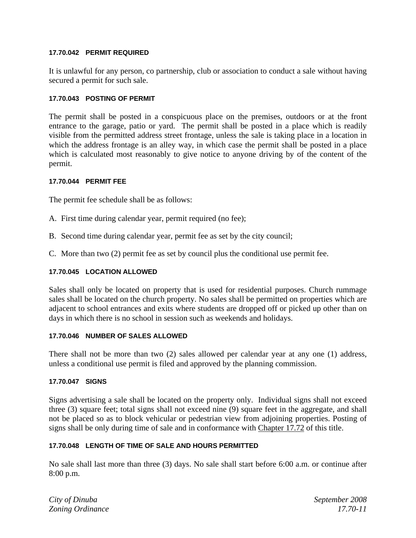## **17.70.042 PERMIT REQUIRED**

It is unlawful for any person, co partnership, club or association to conduct a sale without having secured a permit for such sale.

## **17.70.043 POSTING OF PERMIT**

The permit shall be posted in a conspicuous place on the premises, outdoors or at the front entrance to the garage, patio or yard. The permit shall be posted in a place which is readily visible from the permitted address street frontage, unless the sale is taking place in a location in which the address frontage is an alley way, in which case the permit shall be posted in a place which is calculated most reasonably to give notice to anyone driving by of the content of the permit.

## **17.70.044 PERMIT FEE**

The permit fee schedule shall be as follows:

- A. First time during calendar year, permit required (no fee);
- B. Second time during calendar year, permit fee as set by the city council;
- C. More than two (2) permit fee as set by council plus the conditional use permit fee.

## **17.70.045 LOCATION ALLOWED**

Sales shall only be located on property that is used for residential purposes. Church rummage sales shall be located on the church property. No sales shall be permitted on properties which are adjacent to school entrances and exits where students are dropped off or picked up other than on days in which there is no school in session such as weekends and holidays.

## **17.70.046 NUMBER OF SALES ALLOWED**

There shall not be more than two (2) sales allowed per calendar year at any one (1) address, unless a conditional use permit is filed and approved by the planning commission.

## **17.70.047 SIGNS**

Signs advertising a sale shall be located on the property only. Individual signs shall not exceed three (3) square feet; total signs shall not exceed nine (9) square feet in the aggregate, and shall not be placed so as to block vehicular or pedestrian view from adjoining properties. Posting of signs shall be only during time of sale and in conformance with Chapter 17.72 of this title.

## **17.70.048 LENGTH OF TIME OF SALE AND HOURS PERMITTED**

No sale shall last more than three (3) days. No sale shall start before 6:00 a.m. or continue after 8:00 p.m.

*City of Dinuba September 2008 Zoning Ordinance 17.70-11*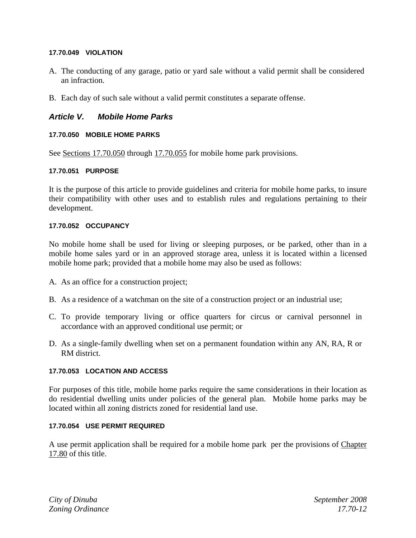### **17.70.049 VIOLATION**

- A. The conducting of any garage, patio or yard sale without a valid permit shall be considered an infraction.
- B. Each day of such sale without a valid permit constitutes a separate offense.

## *Article V. Mobile Home Parks*

#### **17.70.050 MOBILE HOME PARKS**

See <u>Sections 17.70.050</u> through 17.70.055 for mobile home park provisions.

#### **17.70.051 PURPOSE**

It is the purpose of this article to provide guidelines and criteria for mobile home parks, to insure their compatibility with other uses and to establish rules and regulations pertaining to their development.

#### **17.70.052 OCCUPANCY**

No mobile home shall be used for living or sleeping purposes, or be parked, other than in a mobile home sales yard or in an approved storage area, unless it is located within a licensed mobile home park; provided that a mobile home may also be used as follows:

- A. As an office for a construction project;
- B. As a residence of a watchman on the site of a construction project or an industrial use;
- C. To provide temporary living or office quarters for circus or carnival personnel in accordance with an approved conditional use permit; or
- D. As a single-family dwelling when set on a permanent foundation within any AN, RA, R or RM district.

#### **17.70.053 LOCATION AND ACCESS**

For purposes of this title, mobile home parks require the same considerations in their location as do residential dwelling units under policies of the general plan. Mobile home parks may be located within all zoning districts zoned for residential land use.

#### **17.70.054 USE PERMIT REQUIRED**

A use permit application shall be required for a mobile home park per the provisions of Chapter 17.80 of this title.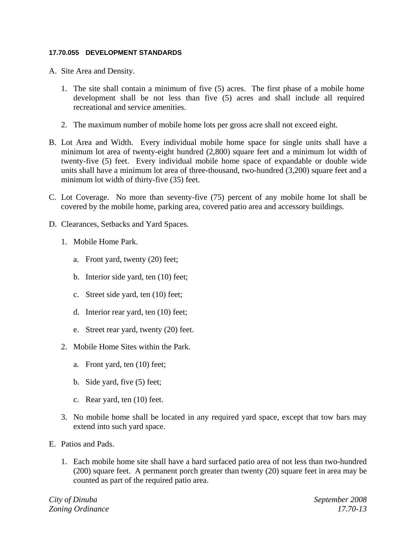#### **17.70.055 DEVELOPMENT STANDARDS**

- A. Site Area and Density.
	- 1. The site shall contain a minimum of five (5) acres. The first phase of a mobile home development shall be not less than five (5) acres and shall include all required recreational and service amenities.
	- 2. The maximum number of mobile home lots per gross acre shall not exceed eight.
- B. Lot Area and Width. Every individual mobile home space for single units shall have a minimum lot area of twenty-eight hundred (2,800) square feet and a minimum lot width of twenty-five (5) feet. Every individual mobile home space of expandable or double wide units shall have a minimum lot area of three-thousand, two-hundred (3,200) square feet and a minimum lot width of thirty-five (35) feet.
- C. Lot Coverage. No more than seventy-five (75) percent of any mobile home lot shall be covered by the mobile home, parking area, covered patio area and accessory buildings.
- D. Clearances, Setbacks and Yard Spaces.
	- 1. Mobile Home Park.
		- a. Front yard, twenty (20) feet;
		- b. Interior side yard, ten (10) feet;
		- c. Street side yard, ten (10) feet;
		- d. Interior rear yard, ten (10) feet;
		- e. Street rear yard, twenty (20) feet.
	- 2. Mobile Home Sites within the Park.
		- a. Front yard, ten (10) feet;
		- b. Side yard, five (5) feet;
		- c. Rear yard, ten (10) feet.
	- 3. No mobile home shall be located in any required yard space, except that tow bars may extend into such yard space.
- E. Patios and Pads.
	- 1. Each mobile home site shall have a hard surfaced patio area of not less than two-hundred (200) square feet. A permanent porch greater than twenty (20) square feet in area may be counted as part of the required patio area.

*City of Dinuba September 2008 Zoning Ordinance 17.70-13*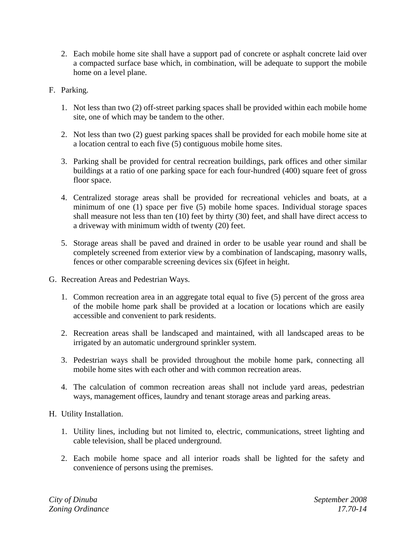- 2. Each mobile home site shall have a support pad of concrete or asphalt concrete laid over a compacted surface base which, in combination, will be adequate to support the mobile home on a level plane.
- F. Parking.
	- 1. Not less than two (2) off-street parking spaces shall be provided within each mobile home site, one of which may be tandem to the other.
	- 2. Not less than two (2) guest parking spaces shall be provided for each mobile home site at a location central to each five (5) contiguous mobile home sites.
	- 3. Parking shall be provided for central recreation buildings, park offices and other similar buildings at a ratio of one parking space for each four-hundred (400) square feet of gross floor space.
	- 4. Centralized storage areas shall be provided for recreational vehicles and boats, at a minimum of one (1) space per five (5) mobile home spaces. Individual storage spaces shall measure not less than ten (10) feet by thirty (30) feet, and shall have direct access to a driveway with minimum width of twenty (20) feet.
	- 5. Storage areas shall be paved and drained in order to be usable year round and shall be completely screened from exterior view by a combination of landscaping, masonry walls, fences or other comparable screening devices six (6)feet in height.
- G. Recreation Areas and Pedestrian Ways.
	- 1. Common recreation area in an aggregate total equal to five (5) percent of the gross area of the mobile home park shall be provided at a location or locations which are easily accessible and convenient to park residents.
	- 2. Recreation areas shall be landscaped and maintained, with all landscaped areas to be irrigated by an automatic underground sprinkler system.
	- 3. Pedestrian ways shall be provided throughout the mobile home park, connecting all mobile home sites with each other and with common recreation areas.
	- 4. The calculation of common recreation areas shall not include yard areas, pedestrian ways, management offices, laundry and tenant storage areas and parking areas.
- H. Utility Installation.
	- 1. Utility lines, including but not limited to, electric, communications, street lighting and cable television, shall be placed underground.
	- 2. Each mobile home space and all interior roads shall be lighted for the safety and convenience of persons using the premises.

*City of Dinuba September 2008 Zoning Ordinance 17.70-14*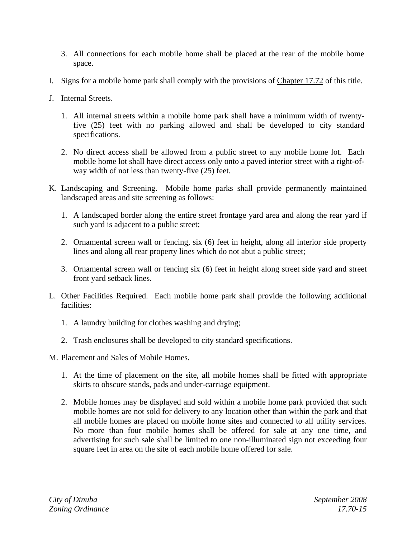- 3. All connections for each mobile home shall be placed at the rear of the mobile home space.
- I. Signs for a mobile home park shall comply with the provisions of Chapter 17.72 of this title.
- J. Internal Streets.
	- 1. All internal streets within a mobile home park shall have a minimum width of twentyfive (25) feet with no parking allowed and shall be developed to city standard specifications.
	- 2. No direct access shall be allowed from a public street to any mobile home lot. Each mobile home lot shall have direct access only onto a paved interior street with a right-ofway width of not less than twenty-five (25) feet.
- K. Landscaping and Screening. Mobile home parks shall provide permanently maintained landscaped areas and site screening as follows:
	- 1. A landscaped border along the entire street frontage yard area and along the rear yard if such yard is adjacent to a public street;
	- 2. Ornamental screen wall or fencing, six (6) feet in height, along all interior side property lines and along all rear property lines which do not abut a public street;
	- 3. Ornamental screen wall or fencing six (6) feet in height along street side yard and street front yard setback lines.
- L. Other Facilities Required. Each mobile home park shall provide the following additional facilities:
	- 1. A laundry building for clothes washing and drying;
	- 2. Trash enclosures shall be developed to city standard specifications.
- M. Placement and Sales of Mobile Homes.
	- 1. At the time of placement on the site, all mobile homes shall be fitted with appropriate skirts to obscure stands, pads and under-carriage equipment.
	- 2. Mobile homes may be displayed and sold within a mobile home park provided that such mobile homes are not sold for delivery to any location other than within the park and that all mobile homes are placed on mobile home sites and connected to all utility services. No more than four mobile homes shall be offered for sale at any one time, and advertising for such sale shall be limited to one non-illuminated sign not exceeding four square feet in area on the site of each mobile home offered for sale.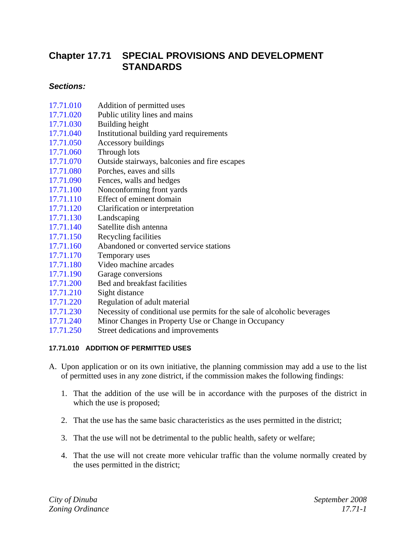# **Chapter 17.71 SPECIAL PROVISIONS AND DEVELOPMENT STANDARDS**

## *Sections:*

- 17.71.010 Addition of permitted uses
- 17.71.020 Public utility lines and mains
- 17.71.030 Building height
- 17.71.040 Institutional building yard requirements
- 17.71.050 Accessory buildings
- 17.71.060 Through lots
- 17.71.070 Outside stairways, balconies and fire escapes
- 17.71.080 Porches, eaves and sills
- 17.71.090 Fences, walls and hedges
- 17.71.100 Nonconforming front yards
- 17.71.110 Effect of eminent domain
- 17.71.120 Clarification or interpretation
- 17.71.130 Landscaping
- 17.71.140 Satellite dish antenna
- 17.71.150 Recycling facilities
- 17.71.160 Abandoned or converted service stations
- 17.71.170 Temporary uses
- 17.71.180 Video machine arcades
- 17.71.190 Garage conversions
- 17.71.200 Bed and breakfast facilities
- 17.71.210 Sight distance
- 17.71.220 Regulation of adult material
- 17.71.230 Necessity of conditional use permits for the sale of alcoholic beverages
- 17.71.240 Minor Changes in Property Use or Change in Occupancy
- 17.71.250 Street dedications and improvements

## **17.71.010 ADDITION OF PERMITTED USES**

- A. Upon application or on its own initiative, the planning commission may add a use to the list of permitted uses in any zone district, if the commission makes the following findings:
	- 1. That the addition of the use will be in accordance with the purposes of the district in which the use is proposed;
	- 2. That the use has the same basic characteristics as the uses permitted in the district;
	- 3. That the use will not be detrimental to the public health, safety or welfare;
	- 4. That the use will not create more vehicular traffic than the volume normally created by the uses permitted in the district;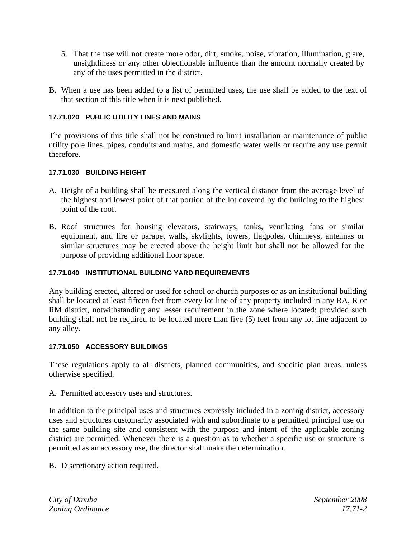- 5. That the use will not create more odor, dirt, smoke, noise, vibration, illumination, glare, unsightliness or any other objectionable influence than the amount normally created by any of the uses permitted in the district.
- B. When a use has been added to a list of permitted uses, the use shall be added to the text of that section of this title when it is next published.

## **17.71.020 PUBLIC UTILITY LINES AND MAINS**

The provisions of this title shall not be construed to limit installation or maintenance of public utility pole lines, pipes, conduits and mains, and domestic water wells or require any use permit therefore.

## **17.71.030 BUILDING HEIGHT**

- A. Height of a building shall be measured along the vertical distance from the average level of the highest and lowest point of that portion of the lot covered by the building to the highest point of the roof.
- B. Roof structures for housing elevators, stairways, tanks, ventilating fans or similar equipment, and fire or parapet walls, skylights, towers, flagpoles, chimneys, antennas or similar structures may be erected above the height limit but shall not be allowed for the purpose of providing additional floor space.

## **17.71.040 INSTITUTIONAL BUILDING YARD REQUIREMENTS**

Any building erected, altered or used for school or church purposes or as an institutional building shall be located at least fifteen feet from every lot line of any property included in any RA, R or RM district, notwithstanding any lesser requirement in the zone where located; provided such building shall not be required to be located more than five (5) feet from any lot line adjacent to any alley.

## **17.71.050 ACCESSORY BUILDINGS**

These regulations apply to all districts, planned communities, and specific plan areas, unless otherwise specified.

A. Permitted accessory uses and structures.

In addition to the principal uses and structures expressly included in a zoning district, accessory uses and structures customarily associated with and subordinate to a permitted principal use on the same building site and consistent with the purpose and intent of the applicable zoning district are permitted. Whenever there is a question as to whether a specific use or structure is permitted as an accessory use, the director shall make the determination.

B. Discretionary action required.

*City of Dinuba September 2008 Zoning Ordinance 17.71-2*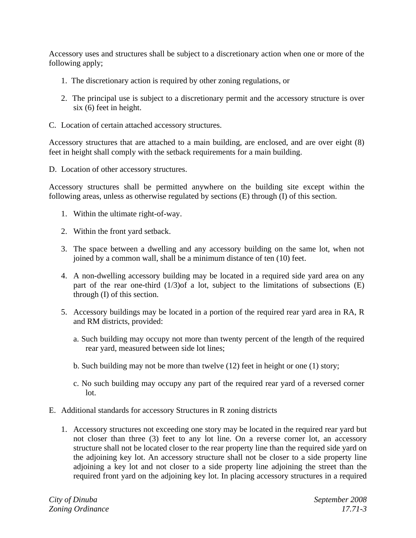Accessory uses and structures shall be subject to a discretionary action when one or more of the following apply;

- 1. The discretionary action is required by other zoning regulations, or
- 2. The principal use is subject to a discretionary permit and the accessory structure is over six (6) feet in height.
- C. Location of certain attached accessory structures.

Accessory structures that are attached to a main building, are enclosed, and are over eight (8) feet in height shall comply with the setback requirements for a main building.

D. Location of other accessory structures.

Accessory structures shall be permitted anywhere on the building site except within the following areas, unless as otherwise regulated by sections (E) through (I) of this section.

- 1. Within the ultimate right-of-way.
- 2. Within the front yard setback.
- 3. The space between a dwelling and any accessory building on the same lot, when not joined by a common wall, shall be a minimum distance of ten (10) feet.
- 4. A non-dwelling accessory building may be located in a required side yard area on any part of the rear one-third  $(1/3)$  of a lot, subject to the limitations of subsections  $(E)$ through (I) of this section.
- 5. Accessory buildings may be located in a portion of the required rear yard area in RA, R and RM districts, provided:
	- a. Such building may occupy not more than twenty percent of the length of the required rear yard, measured between side lot lines;
	- b. Such building may not be more than twelve (12) feet in height or one (1) story;
	- c. No such building may occupy any part of the required rear yard of a reversed corner lot.
- E. Additional standards for accessory Structures in R zoning districts
	- 1. Accessory structures not exceeding one story may be located in the required rear yard but not closer than three (3) feet to any lot line. On a reverse corner lot, an accessory structure shall not be located closer to the rear property line than the required side yard on the adjoining key lot. An accessory structure shall not be closer to a side property line adjoining a key lot and not closer to a side property line adjoining the street than the required front yard on the adjoining key lot. In placing accessory structures in a required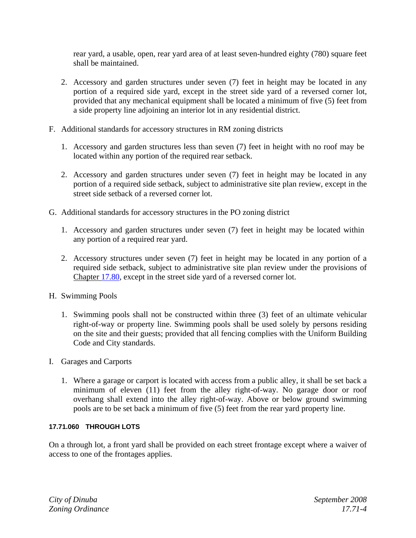rear yard, a usable, open, rear yard area of at least seven-hundred eighty (780) square feet shall be maintained.

- 2. Accessory and garden structures under seven (7) feet in height may be located in any portion of a required side yard, except in the street side yard of a reversed corner lot, provided that any mechanical equipment shall be located a minimum of five (5) feet from a side property line adjoining an interior lot in any residential district.
- F. Additional standards for accessory structures in RM zoning districts
	- 1. Accessory and garden structures less than seven (7) feet in height with no roof may be located within any portion of the required rear setback.
	- 2. Accessory and garden structures under seven (7) feet in height may be located in any portion of a required side setback, subject to administrative site plan review, except in the street side setback of a reversed corner lot.
- G. Additional standards for accessory structures in the PO zoning district
	- 1. Accessory and garden structures under seven (7) feet in height may be located within any portion of a required rear yard.
	- 2. Accessory structures under seven (7) feet in height may be located in any portion of a required side setback, subject to administrative site plan review under the provisions of Chapter 17.80, except in the street side yard of a reversed corner lot.
- H. Swimming Pools
	- 1. Swimming pools shall not be constructed within three (3) feet of an ultimate vehicular right-of-way or property line. Swimming pools shall be used solely by persons residing on the site and their guests; provided that all fencing complies with the Uniform Building Code and City standards.
- I. Garages and Carports
	- 1. Where a garage or carport is located with access from a public alley, it shall be set back a minimum of eleven (11) feet from the alley right-of-way. No garage door or roof overhang shall extend into the alley right-of-way. Above or below ground swimming pools are to be set back a minimum of five (5) feet from the rear yard property line.

## **17.71.060 THROUGH LOTS**

On a through lot, a front yard shall be provided on each street frontage except where a waiver of access to one of the frontages applies.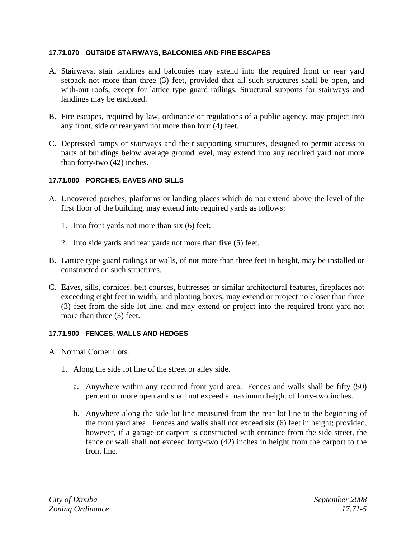## **17.71.070 OUTSIDE STAIRWAYS, BALCONIES AND FIRE ESCAPES**

- A. Stairways, stair landings and balconies may extend into the required front or rear yard setback not more than three (3) feet, provided that all such structures shall be open, and with-out roofs, except for lattice type guard railings. Structural supports for stairways and landings may be enclosed.
- B. Fire escapes, required by law, ordinance or regulations of a public agency, may project into any front, side or rear yard not more than four (4) feet.
- C. Depressed ramps or stairways and their supporting structures, designed to permit access to parts of buildings below average ground level, may extend into any required yard not more than forty-two (42) inches.

## **17.71.080 PORCHES, EAVES AND SILLS**

- A. Uncovered porches, platforms or landing places which do not extend above the level of the first floor of the building, may extend into required yards as follows:
	- 1. Into front yards not more than six (6) feet;
	- 2. Into side yards and rear yards not more than five (5) feet.
- B. Lattice type guard railings or walls, of not more than three feet in height, may be installed or constructed on such structures.
- C. Eaves, sills, cornices, belt courses, buttresses or similar architectural features, fireplaces not exceeding eight feet in width, and planting boxes, may extend or project no closer than three (3) feet from the side lot line, and may extend or project into the required front yard not more than three (3) feet.

#### **17.71.900 FENCES, WALLS AND HEDGES**

- A. Normal Corner Lots.
	- 1. Along the side lot line of the street or alley side.
		- a. Anywhere within any required front yard area. Fences and walls shall be fifty (50) percent or more open and shall not exceed a maximum height of forty-two inches.
		- b. Anywhere along the side lot line measured from the rear lot line to the beginning of the front yard area. Fences and walls shall not exceed six (6) feet in height; provided, however, if a garage or carport is constructed with entrance from the side street, the fence or wall shall not exceed forty-two (42) inches in height from the carport to the front line.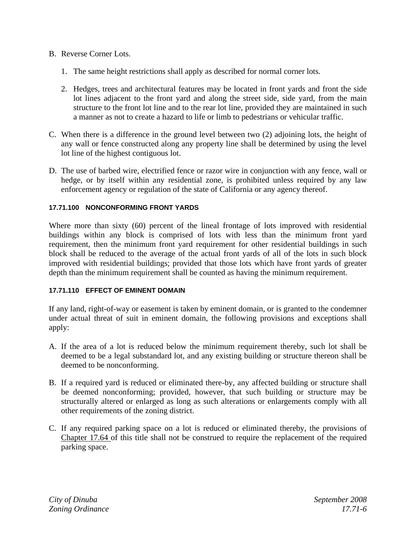## B. Reverse Corner Lots.

- 1. The same height restrictions shall apply as described for normal corner lots.
- 2. Hedges, trees and architectural features may be located in front yards and front the side lot lines adjacent to the front yard and along the street side, side yard, from the main structure to the front lot line and to the rear lot line, provided they are maintained in such a manner as not to create a hazard to life or limb to pedestrians or vehicular traffic.
- C. When there is a difference in the ground level between two (2) adjoining lots, the height of any wall or fence constructed along any property line shall be determined by using the level lot line of the highest contiguous lot.
- D. The use of barbed wire, electrified fence or razor wire in conjunction with any fence, wall or hedge, or by itself within any residential zone, is prohibited unless required by any law enforcement agency or regulation of the state of California or any agency thereof.

## **17.71.100 NONCONFORMING FRONT YARDS**

Where more than sixty (60) percent of the lineal frontage of lots improved with residential buildings within any block is comprised of lots with less than the minimum front yard requirement, then the minimum front yard requirement for other residential buildings in such block shall be reduced to the average of the actual front yards of all of the lots in such block improved with residential buildings; provided that those lots which have front yards of greater depth than the minimum requirement shall be counted as having the minimum requirement.

#### **17.71.110 EFFECT OF EMINENT DOMAIN**

If any land, right-of-way or easement is taken by eminent domain, or is granted to the condemner under actual threat of suit in eminent domain, the following provisions and exceptions shall apply:

- A. If the area of a lot is reduced below the minimum requirement thereby, such lot shall be deemed to be a legal substandard lot, and any existing building or structure thereon shall be deemed to be nonconforming.
- B. If a required yard is reduced or eliminated there-by, any affected building or structure shall be deemed nonconforming; provided, however, that such building or structure may be structurally altered or enlarged as long as such alterations or enlargements comply with all other requirements of the zoning district.
- C. If any required parking space on a lot is reduced or eliminated thereby, the provisions of Chapter 17.64 of this title shall not be construed to require the replacement of the required parking space.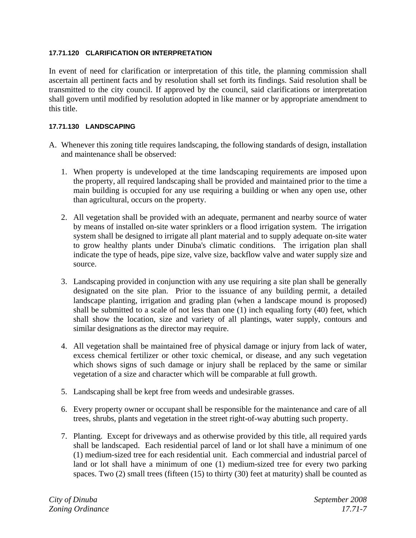# **17.71.120 CLARIFICATION OR INTERPRETATION**

In event of need for clarification or interpretation of this title, the planning commission shall ascertain all pertinent facts and by resolution shall set forth its findings. Said resolution shall be transmitted to the city council. If approved by the council, said clarifications or interpretation shall govern until modified by resolution adopted in like manner or by appropriate amendment to this title.

# **17.71.130 LANDSCAPING**

- A. Whenever this zoning title requires landscaping, the following standards of design, installation and maintenance shall be observed:
	- 1. When property is undeveloped at the time landscaping requirements are imposed upon the property, all required landscaping shall be provided and maintained prior to the time a main building is occupied for any use requiring a building or when any open use, other than agricultural, occurs on the property.
	- 2. All vegetation shall be provided with an adequate, permanent and nearby source of water by means of installed on-site water sprinklers or a flood irrigation system. The irrigation system shall be designed to irrigate all plant material and to supply adequate on-site water to grow healthy plants under Dinuba's climatic conditions. The irrigation plan shall indicate the type of heads, pipe size, valve size, backflow valve and water supply size and source.
	- 3. Landscaping provided in conjunction with any use requiring a site plan shall be generally designated on the site plan. Prior to the issuance of any building permit, a detailed landscape planting, irrigation and grading plan (when a landscape mound is proposed) shall be submitted to a scale of not less than one (1) inch equaling forty (40) feet, which shall show the location, size and variety of all plantings, water supply, contours and similar designations as the director may require.
	- 4. All vegetation shall be maintained free of physical damage or injury from lack of water, excess chemical fertilizer or other toxic chemical, or disease, and any such vegetation which shows signs of such damage or injury shall be replaced by the same or similar vegetation of a size and character which will be comparable at full growth.
	- 5. Landscaping shall be kept free from weeds and undesirable grasses.
	- 6. Every property owner or occupant shall be responsible for the maintenance and care of all trees, shrubs, plants and vegetation in the street right-of-way abutting such property.
	- 7. Planting. Except for driveways and as otherwise provided by this title, all required yards shall be landscaped. Each residential parcel of land or lot shall have a minimum of one (1) medium-sized tree for each residential unit. Each commercial and industrial parcel of land or lot shall have a minimum of one (1) medium-sized tree for every two parking spaces. Two (2) small trees (fifteen (15) to thirty (30) feet at maturity) shall be counted as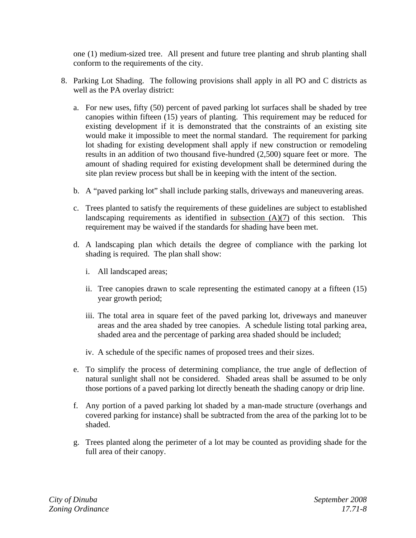one (1) medium-sized tree. All present and future tree planting and shrub planting shall conform to the requirements of the city.

- 8. Parking Lot Shading. The following provisions shall apply in all PO and C districts as well as the PA overlay district:
	- a. For new uses, fifty (50) percent of paved parking lot surfaces shall be shaded by tree canopies within fifteen (15) years of planting. This requirement may be reduced for existing development if it is demonstrated that the constraints of an existing site would make it impossible to meet the normal standard. The requirement for parking lot shading for existing development shall apply if new construction or remodeling results in an addition of two thousand five-hundred (2,500) square feet or more. The amount of shading required for existing development shall be determined during the site plan review process but shall be in keeping with the intent of the section.
	- b. A "paved parking lot" shall include parking stalls, driveways and maneuvering areas.
	- c. Trees planted to satisfy the requirements of these guidelines are subject to established landscaping requirements as identified in subsection (A)(7) of this section. This requirement may be waived if the standards for shading have been met.
	- d. A landscaping plan which details the degree of compliance with the parking lot shading is required. The plan shall show:
		- i. All landscaped areas;
		- ii. Tree canopies drawn to scale representing the estimated canopy at a fifteen (15) year growth period;
		- iii. The total area in square feet of the paved parking lot, driveways and maneuver areas and the area shaded by tree canopies. A schedule listing total parking area, shaded area and the percentage of parking area shaded should be included;
		- iv. A schedule of the specific names of proposed trees and their sizes.
	- e. To simplify the process of determining compliance, the true angle of deflection of natural sunlight shall not be considered. Shaded areas shall be assumed to be only those portions of a paved parking lot directly beneath the shading canopy or drip line.
	- f. Any portion of a paved parking lot shaded by a man-made structure (overhangs and covered parking for instance) shall be subtracted from the area of the parking lot to be shaded.
	- g. Trees planted along the perimeter of a lot may be counted as providing shade for the full area of their canopy.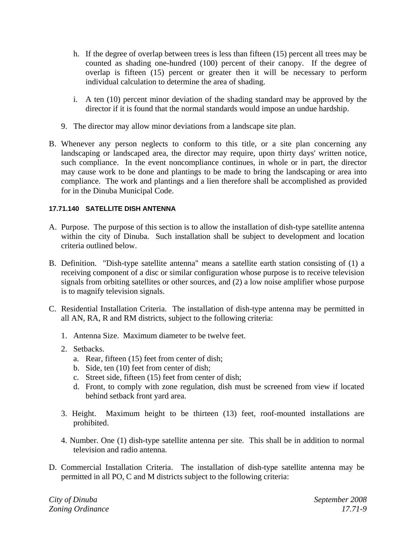- h. If the degree of overlap between trees is less than fifteen (15) percent all trees may be counted as shading one-hundred (100) percent of their canopy. If the degree of overlap is fifteen (15) percent or greater then it will be necessary to perform individual calculation to determine the area of shading.
- i. A ten (10) percent minor deviation of the shading standard may be approved by the director if it is found that the normal standards would impose an undue hardship.
- 9. The director may allow minor deviations from a landscape site plan.
- B. Whenever any person neglects to conform to this title, or a site plan concerning any landscaping or landscaped area, the director may require, upon thirty days' written notice, such compliance. In the event noncompliance continues, in whole or in part, the director may cause work to be done and plantings to be made to bring the landscaping or area into compliance. The work and plantings and a lien therefore shall be accomplished as provided for in the Dinuba Municipal Code.

# **17.71.140 SATELLITE DISH ANTENNA**

- A. Purpose. The purpose of this section is to allow the installation of dish-type satellite antenna within the city of Dinuba. Such installation shall be subject to development and location criteria outlined below.
- B. Definition. "Dish-type satellite antenna" means a satellite earth station consisting of (1) a receiving component of a disc or similar configuration whose purpose is to receive television signals from orbiting satellites or other sources, and (2) a low noise amplifier whose purpose is to magnify television signals.
- C. Residential Installation Criteria. The installation of dish-type antenna may be permitted in all AN, RA, R and RM districts, subject to the following criteria:
	- 1. Antenna Size. Maximum diameter to be twelve feet.
	- 2. Setbacks.
		- a. Rear, fifteen (15) feet from center of dish;
		- b. Side, ten (10) feet from center of dish;
		- c. Street side, fifteen (15) feet from center of dish;
		- d. Front, to comply with zone regulation, dish must be screened from view if located behind setback front yard area.
	- 3. Height. Maximum height to be thirteen (13) feet, roof-mounted installations are prohibited.
	- 4. Number. One (1) dish-type satellite antenna per site. This shall be in addition to normal television and radio antenna.
- D. Commercial Installation Criteria. The installation of dish-type satellite antenna may be permitted in all PO, C and M districts subject to the following criteria: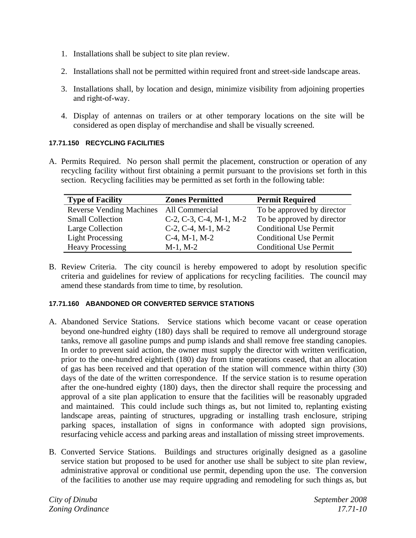- 1. Installations shall be subject to site plan review.
- 2. Installations shall not be permitted within required front and street-side landscape areas.
- 3. Installations shall, by location and design, minimize visibility from adjoining properties and right-of-way.
- 4. Display of antennas on trailers or at other temporary locations on the site will be considered as open display of merchandise and shall be visually screened.

# **17.71.150 RECYCLING FACILITIES**

A. Permits Required. No person shall permit the placement, construction or operation of any recycling facility without first obtaining a permit pursuant to the provisions set forth in this section. Recycling facilities may be permitted as set forth in the following table:

| <b>Type of Facility</b>         | <b>Zones Permitted</b>                | <b>Permit Required</b>        |
|---------------------------------|---------------------------------------|-------------------------------|
| <b>Reverse Vending Machines</b> | All Commercial                        | To be approved by director    |
| <b>Small Collection</b>         | $C-2$ , $C-3$ , $C-4$ , $M-1$ , $M-2$ | To be approved by director    |
| Large Collection                | $C-2$ , $C-4$ , M-1, M-2              | <b>Conditional Use Permit</b> |
| <b>Light Processing</b>         | $C-4$ , M-1, M-2                      | <b>Conditional Use Permit</b> |
| <b>Heavy Processing</b>         | $M-1$ , $M-2$                         | <b>Conditional Use Permit</b> |

B. Review Criteria. The city council is hereby empowered to adopt by resolution specific criteria and guidelines for review of applications for recycling facilities. The council may amend these standards from time to time, by resolution.

# **17.71.160 ABANDONED OR CONVERTED SERVICE STATIONS**

- A. Abandoned Service Stations. Service stations which become vacant or cease operation beyond one-hundred eighty (180) days shall be required to remove all underground storage tanks, remove all gasoline pumps and pump islands and shall remove free standing canopies. In order to prevent said action, the owner must supply the director with written verification, prior to the one-hundred eightieth (180) day from time operations ceased, that an allocation of gas has been received and that operation of the station will commence within thirty (30) days of the date of the written correspondence. If the service station is to resume operation after the one-hundred eighty (180) days, then the director shall require the processing and approval of a site plan application to ensure that the facilities will be reasonably upgraded and maintained. This could include such things as, but not limited to, replanting existing landscape areas, painting of structures, upgrading or installing trash enclosure, striping parking spaces, installation of signs in conformance with adopted sign provisions, resurfacing vehicle access and parking areas and installation of missing street improvements.
- B. Converted Service Stations. Buildings and structures originally designed as a gasoline service station but proposed to be used for another use shall be subject to site plan review, administrative approval or conditional use permit, depending upon the use. The conversion of the facilities to another use may require upgrading and remodeling for such things as, but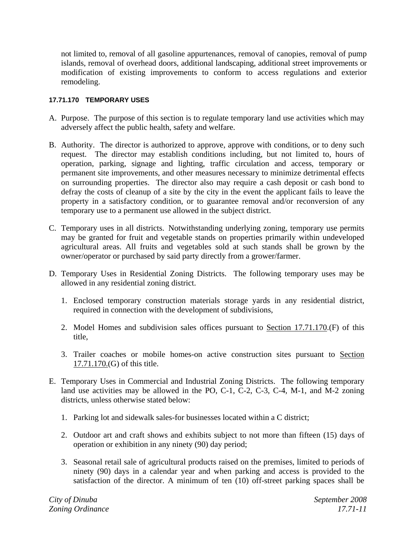not limited to, removal of all gasoline appurtenances, removal of canopies, removal of pump islands, removal of overhead doors, additional landscaping, additional street improvements or modification of existing improvements to conform to access regulations and exterior remodeling.

# **17.71.170 TEMPORARY USES**

- A. Purpose. The purpose of this section is to regulate temporary land use activities which may adversely affect the public health, safety and welfare.
- B. Authority. The director is authorized to approve, approve with conditions, or to deny such request. The director may establish conditions including, but not limited to, hours of operation, parking, signage and lighting, traffic circulation and access, temporary or permanent site improvements, and other measures necessary to minimize detrimental effects on surrounding properties. The director also may require a cash deposit or cash bond to defray the costs of cleanup of a site by the city in the event the applicant fails to leave the property in a satisfactory condition, or to guarantee removal and/or reconversion of any temporary use to a permanent use allowed in the subject district.
- C. Temporary uses in all districts. Notwithstanding underlying zoning, temporary use permits may be granted for fruit and vegetable stands on properties primarily within undeveloped agricultural areas. All fruits and vegetables sold at such stands shall be grown by the owner/operator or purchased by said party directly from a grower/farmer.
- D. Temporary Uses in Residential Zoning Districts. The following temporary uses may be allowed in any residential zoning district.
	- 1. Enclosed temporary construction materials storage yards in any residential district, required in connection with the development of subdivisions,
	- 2. Model Homes and subdivision sales offices pursuant to Section 17.71.170.(F) of this title,
	- 3. Trailer coaches or mobile homes-on active construction sites pursuant to Section 17.71.170.(G) of this title.
- E. Temporary Uses in Commercial and Industrial Zoning Districts. The following temporary land use activities may be allowed in the PO, C-1, C-2, C-3, C-4, M-1, and M-2 zoning districts, unless otherwise stated below:
	- 1. Parking lot and sidewalk sales-for businesses located within a C district;
	- 2. Outdoor art and craft shows and exhibits subject to not more than fifteen (15) days of operation or exhibition in any ninety (90) day period;
	- 3. Seasonal retail sale of agricultural products raised on the premises, limited to periods of ninety (90) days in a calendar year and when parking and access is provided to the satisfaction of the director. A minimum of ten (10) off-street parking spaces shall be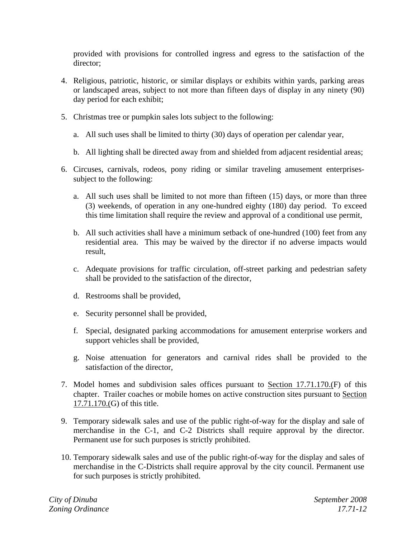provided with provisions for controlled ingress and egress to the satisfaction of the director;

- 4. Religious, patriotic, historic, or similar displays or exhibits within yards, parking areas or landscaped areas, subject to not more than fifteen days of display in any ninety (90) day period for each exhibit;
- 5. Christmas tree or pumpkin sales lots subject to the following:
	- a. All such uses shall be limited to thirty (30) days of operation per calendar year,
	- b. All lighting shall be directed away from and shielded from adjacent residential areas;
- 6. Circuses, carnivals, rodeos, pony riding or similar traveling amusement enterprisessubject to the following:
	- a. All such uses shall be limited to not more than fifteen (15) days, or more than three (3) weekends, of operation in any one-hundred eighty (180) day period. To exceed this time limitation shall require the review and approval of a conditional use permit,
	- b. All such activities shall have a minimum setback of one-hundred (100) feet from any residential area. This may be waived by the director if no adverse impacts would result,
	- c. Adequate provisions for traffic circulation, off-street parking and pedestrian safety shall be provided to the satisfaction of the director,
	- d. Restrooms shall be provided,
	- e. Security personnel shall be provided,
	- f. Special, designated parking accommodations for amusement enterprise workers and support vehicles shall be provided,
	- g. Noise attenuation for generators and carnival rides shall be provided to the satisfaction of the director,
- 7. Model homes and subdivision sales offices pursuant to Section 17.71.170.(F) of this chapter. Trailer coaches or mobile homes on active construction sites pursuant to Section 17.71.170.(G) of this title.
- 9. Temporary sidewalk sales and use of the public right-of-way for the display and sale of merchandise in the C-1, and C-2 Districts shall require approval by the director. Permanent use for such purposes is strictly prohibited.
- 10. Temporary sidewalk sales and use of the public right-of-way for the display and sales of merchandise in the C-Districts shall require approval by the city council. Permanent use for such purposes is strictly prohibited.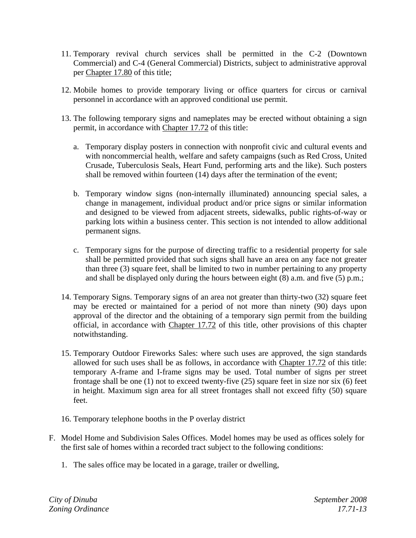- 11. Temporary revival church services shall be permitted in the C-2 (Downtown Commercial) and C-4 (General Commercial) Districts, subject to administrative approval per Chapter 17.80 of this title;
- 12. Mobile homes to provide temporary living or office quarters for circus or carnival personnel in accordance with an approved conditional use permit.
- 13. The following temporary signs and nameplates may be erected without obtaining a sign permit, in accordance with Chapter 17.72 of this title:
	- a. Temporary display posters in connection with nonprofit civic and cultural events and with noncommercial health, welfare and safety campaigns (such as Red Cross, United Crusade, Tuberculosis Seals, Heart Fund, performing arts and the like). Such posters shall be removed within fourteen (14) days after the termination of the event;
	- b. Temporary window signs (non-internally illuminated) announcing special sales, a change in management, individual product and/or price signs or similar information and designed to be viewed from adjacent streets, sidewalks, public rights-of-way or parking lots within a business center. This section is not intended to allow additional permanent signs.
	- c. Temporary signs for the purpose of directing traffic to a residential property for sale shall be permitted provided that such signs shall have an area on any face not greater than three (3) square feet, shall be limited to two in number pertaining to any property and shall be displayed only during the hours between eight (8) a.m. and five (5) p.m.;
- 14. Temporary Signs. Temporary signs of an area not greater than thirty-two (32) square feet may be erected or maintained for a period of not more than ninety (90) days upon approval of the director and the obtaining of a temporary sign permit from the building official, in accordance with Chapter 17.72 of this title, other provisions of this chapter notwithstanding.
- 15. Temporary Outdoor Fireworks Sales: where such uses are approved, the sign standards allowed for such uses shall be as follows, in accordance with Chapter 17.72 of this title: temporary A-frame and I-frame signs may be used. Total number of signs per street frontage shall be one (1) not to exceed twenty-five (25) square feet in size nor six (6) feet in height. Maximum sign area for all street frontages shall not exceed fifty (50) square feet.
- 16. Temporary telephone booths in the P overlay district
- F. Model Home and Subdivision Sales Offices. Model homes may be used as offices solely for the first sale of homes within a recorded tract subject to the following conditions:
	- 1. The sales office may be located in a garage, trailer or dwelling,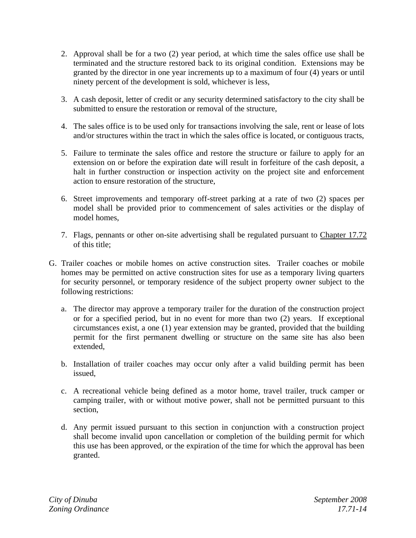- 2. Approval shall be for a two (2) year period, at which time the sales office use shall be terminated and the structure restored back to its original condition. Extensions may be granted by the director in one year increments up to a maximum of four (4) years or until ninety percent of the development is sold, whichever is less,
- 3. A cash deposit, letter of credit or any security determined satisfactory to the city shall be submitted to ensure the restoration or removal of the structure,
- 4. The sales office is to be used only for transactions involving the sale, rent or lease of lots and/or structures within the tract in which the sales office is located, or contiguous tracts,
- 5. Failure to terminate the sales office and restore the structure or failure to apply for an extension on or before the expiration date will result in forfeiture of the cash deposit, a halt in further construction or inspection activity on the project site and enforcement action to ensure restoration of the structure,
- 6. Street improvements and temporary off-street parking at a rate of two (2) spaces per model shall be provided prior to commencement of sales activities or the display of model homes,
- 7. Flags, pennants or other on-site advertising shall be regulated pursuant to Chapter 17.72 of this title;
- G. Trailer coaches or mobile homes on active construction sites. Trailer coaches or mobile homes may be permitted on active construction sites for use as a temporary living quarters for security personnel, or temporary residence of the subject property owner subject to the following restrictions:
	- a. The director may approve a temporary trailer for the duration of the construction project or for a specified period, but in no event for more than two (2) years. If exceptional circumstances exist, a one (1) year extension may be granted, provided that the building permit for the first permanent dwelling or structure on the same site has also been extended,
	- b. Installation of trailer coaches may occur only after a valid building permit has been issued,
	- c. A recreational vehicle being defined as a motor home, travel trailer, truck camper or camping trailer, with or without motive power, shall not be permitted pursuant to this section,
	- d. Any permit issued pursuant to this section in conjunction with a construction project shall become invalid upon cancellation or completion of the building permit for which this use has been approved, or the expiration of the time for which the approval has been granted.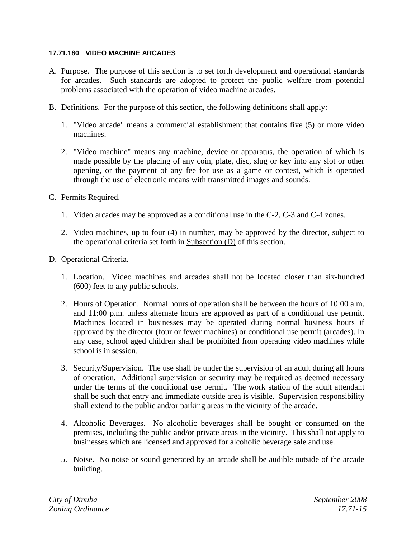#### **17.71.180 VIDEO MACHINE ARCADES**

- A. Purpose. The purpose of this section is to set forth development and operational standards for arcades. Such standards are adopted to protect the public welfare from potential problems associated with the operation of video machine arcades.
- B. Definitions. For the purpose of this section, the following definitions shall apply:
	- 1. "Video arcade" means a commercial establishment that contains five (5) or more video machines.
	- 2. "Video machine" means any machine, device or apparatus, the operation of which is made possible by the placing of any coin, plate, disc, slug or key into any slot or other opening, or the payment of any fee for use as a game or contest, which is operated through the use of electronic means with transmitted images and sounds.
- C. Permits Required.
	- 1. Video arcades may be approved as a conditional use in the C-2, C-3 and C-4 zones.
	- 2. Video machines, up to four (4) in number, may be approved by the director, subject to the operational criteria set forth in Subsection (D) of this section.
- D. Operational Criteria.
	- 1. Location. Video machines and arcades shall not be located closer than six-hundred (600) feet to any public schools.
	- 2. Hours of Operation. Normal hours of operation shall be between the hours of 10:00 a.m. and 11:00 p.m. unless alternate hours are approved as part of a conditional use permit. Machines located in businesses may be operated during normal business hours if approved by the director (four or fewer machines) or conditional use permit (arcades). In any case, school aged children shall be prohibited from operating video machines while school is in session.
	- 3. Security/Supervision. The use shall be under the supervision of an adult during all hours of operation. Additional supervision or security may be required as deemed necessary under the terms of the conditional use permit. The work station of the adult attendant shall be such that entry and immediate outside area is visible. Supervision responsibility shall extend to the public and/or parking areas in the vicinity of the arcade.
	- 4. Alcoholic Beverages. No alcoholic beverages shall be bought or consumed on the premises, including the public and/or private areas in the vicinity. This shall not apply to businesses which are licensed and approved for alcoholic beverage sale and use.
	- 5. Noise. No noise or sound generated by an arcade shall be audible outside of the arcade building.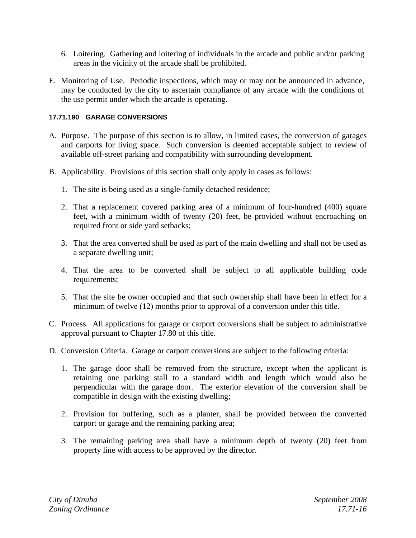- 6. Loitering. Gathering and loitering of individuals in the arcade and public and/or parking areas in the vicinity of the arcade shall be prohibited.
- E. Monitoring of Use. Periodic inspections, which may or may not be announced in advance, may be conducted by the city to ascertain compliance of any arcade with the conditions of the use permit under which the arcade is operating.

#### **17.71.190 GARAGE CONVERSIONS**

- A. Purpose. The purpose of this section is to allow, in limited cases, the conversion of garages and carports for living space. Such conversion is deemed acceptable subject to review of available off-street parking and compatibility with surrounding development.
- B. Applicability. Provisions of this section shall only apply in cases as follows:
	- 1. The site is being used as a single-family detached residence;
	- 2. That a replacement covered parking area of a minimum of four-hundred (400) square feet, with a minimum width of twenty (20) feet, be provided without encroaching on required front or side yard setbacks;
	- 3. That the area converted shall be used as part of the main dwelling and shall not be used as a separate dwelling unit;
	- 4. That the area to be converted shall be subject to all applicable building code requirements;
	- 5. That the site be owner occupied and that such ownership shall have been in effect for a minimum of twelve (12) months prior to approval of a conversion under this title.
- C. Process. All applications for garage or carport conversions shall be subject to administrative approval pursuant to Chapter 17.80 of this title.
- D. Conversion Criteria. Garage or carport conversions are subject to the following criteria:
	- 1. The garage door shall be removed from the structure, except when the applicant is retaining one parking stall to a standard width and length which would also be perpendicular with the garage door. The exterior elevation of the conversion shall be compatible in design with the existing dwelling;
	- 2. Provision for buffering, such as a planter, shall be provided between the converted carport or garage and the remaining parking area;
	- 3. The remaining parking area shall have a minimum depth of twenty (20) feet from property line with access to be approved by the director.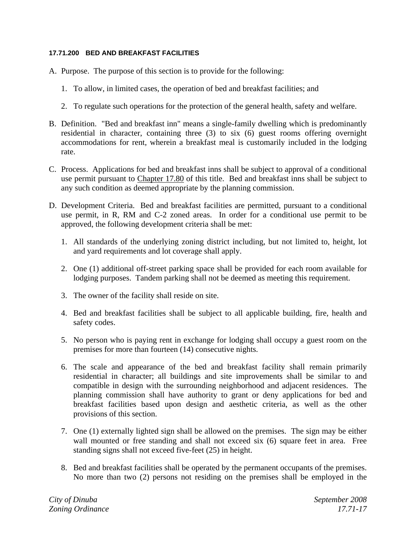# **17.71.200 BED AND BREAKFAST FACILITIES**

- A. Purpose. The purpose of this section is to provide for the following:
	- 1. To allow, in limited cases, the operation of bed and breakfast facilities; and
	- 2. To regulate such operations for the protection of the general health, safety and welfare.
- B. Definition. "Bed and breakfast inn" means a single-family dwelling which is predominantly residential in character, containing three (3) to six (6) guest rooms offering overnight accommodations for rent, wherein a breakfast meal is customarily included in the lodging rate.
- C. Process. Applications for bed and breakfast inns shall be subject to approval of a conditional use permit pursuant to Chapter 17.80 of this title. Bed and breakfast inns shall be subject to any such condition as deemed appropriate by the planning commission.
- D. Development Criteria. Bed and breakfast facilities are permitted, pursuant to a conditional use permit, in R, RM and C-2 zoned areas. In order for a conditional use permit to be approved, the following development criteria shall be met:
	- 1. All standards of the underlying zoning district including, but not limited to, height, lot and yard requirements and lot coverage shall apply.
	- 2. One (1) additional off-street parking space shall be provided for each room available for lodging purposes. Tandem parking shall not be deemed as meeting this requirement.
	- 3. The owner of the facility shall reside on site.
	- 4. Bed and breakfast facilities shall be subject to all applicable building, fire, health and safety codes.
	- 5. No person who is paying rent in exchange for lodging shall occupy a guest room on the premises for more than fourteen (14) consecutive nights.
	- 6. The scale and appearance of the bed and breakfast facility shall remain primarily residential in character; all buildings and site improvements shall be similar to and compatible in design with the surrounding neighborhood and adjacent residences. The planning commission shall have authority to grant or deny applications for bed and breakfast facilities based upon design and aesthetic criteria, as well as the other provisions of this section.
	- 7. One (1) externally lighted sign shall be allowed on the premises. The sign may be either wall mounted or free standing and shall not exceed six (6) square feet in area. Free standing signs shall not exceed five-feet (25) in height.
	- 8. Bed and breakfast facilities shall be operated by the permanent occupants of the premises. No more than two (2) persons not residing on the premises shall be employed in the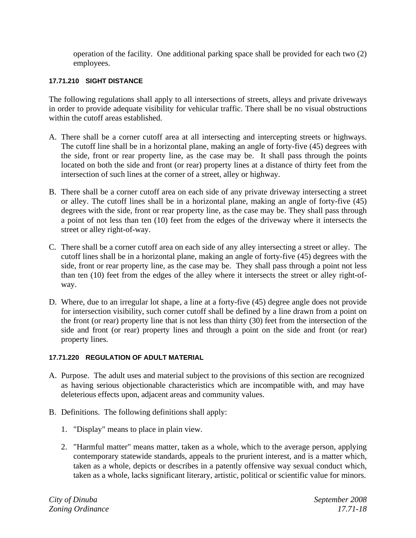operation of the facility. One additional parking space shall be provided for each two (2) employees.

#### **17.71.210 SIGHT DISTANCE**

The following regulations shall apply to all intersections of streets, alleys and private driveways in order to provide adequate visibility for vehicular traffic. There shall be no visual obstructions within the cutoff areas established.

- A. There shall be a corner cutoff area at all intersecting and intercepting streets or highways. The cutoff line shall be in a horizontal plane, making an angle of forty-five (45) degrees with the side, front or rear property line, as the case may be. It shall pass through the points located on both the side and front (or rear) property lines at a distance of thirty feet from the intersection of such lines at the corner of a street, alley or highway.
- B. There shall be a corner cutoff area on each side of any private driveway intersecting a street or alley. The cutoff lines shall be in a horizontal plane, making an angle of forty-five (45) degrees with the side, front or rear property line, as the case may be. They shall pass through a point of not less than ten (10) feet from the edges of the driveway where it intersects the street or alley right-of-way.
- C. There shall be a corner cutoff area on each side of any alley intersecting a street or alley. The cutoff lines shall be in a horizontal plane, making an angle of forty-five (45) degrees with the side, front or rear property line, as the case may be. They shall pass through a point not less than ten (10) feet from the edges of the alley where it intersects the street or alley right-ofway.
- D. Where, due to an irregular lot shape, a line at a forty-five (45) degree angle does not provide for intersection visibility, such corner cutoff shall be defined by a line drawn from a point on the front (or rear) property line that is not less than thirty (30) feet from the intersection of the side and front (or rear) property lines and through a point on the side and front (or rear) property lines.

#### **17.71.220 REGULATION OF ADULT MATERIAL**

- A. Purpose. The adult uses and material subject to the provisions of this section are recognized as having serious objectionable characteristics which are incompatible with, and may have deleterious effects upon, adjacent areas and community values.
- B. Definitions. The following definitions shall apply:
	- 1. "Display" means to place in plain view.
	- 2. "Harmful matter" means matter, taken as a whole, which to the average person, applying contemporary statewide standards, appeals to the prurient interest, and is a matter which, taken as a whole, depicts or describes in a patently offensive way sexual conduct which, taken as a whole, lacks significant literary, artistic, political or scientific value for minors.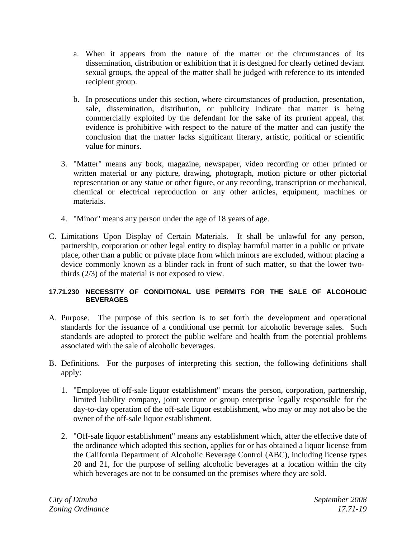- a. When it appears from the nature of the matter or the circumstances of its dissemination, distribution or exhibition that it is designed for clearly defined deviant sexual groups, the appeal of the matter shall be judged with reference to its intended recipient group.
- b. In prosecutions under this section, where circumstances of production, presentation, sale, dissemination, distribution, or publicity indicate that matter is being commercially exploited by the defendant for the sake of its prurient appeal, that evidence is prohibitive with respect to the nature of the matter and can justify the conclusion that the matter lacks significant literary, artistic, political or scientific value for minors.
- 3. "Matter" means any book, magazine, newspaper, video recording or other printed or written material or any picture, drawing, photograph, motion picture or other pictorial representation or any statue or other figure, or any recording, transcription or mechanical, chemical or electrical reproduction or any other articles, equipment, machines or materials.
- 4. "Minor" means any person under the age of 18 years of age.
- C. Limitations Upon Display of Certain Materials. It shall be unlawful for any person, partnership, corporation or other legal entity to display harmful matter in a public or private place, other than a public or private place from which minors are excluded, without placing a device commonly known as a blinder rack in front of such matter, so that the lower twothirds (2/3) of the material is not exposed to view.

# **17.71.230 NECESSITY OF CONDITIONAL USE PERMITS FOR THE SALE OF ALCOHOLIC BEVERAGES**

- A. Purpose. The purpose of this section is to set forth the development and operational standards for the issuance of a conditional use permit for alcoholic beverage sales. Such standards are adopted to protect the public welfare and health from the potential problems associated with the sale of alcoholic beverages.
- B. Definitions. For the purposes of interpreting this section, the following definitions shall apply:
	- 1. "Employee of off-sale liquor establishment" means the person, corporation, partnership, limited liability company, joint venture or group enterprise legally responsible for the day-to-day operation of the off-sale liquor establishment, who may or may not also be the owner of the off-sale liquor establishment.
	- 2. "Off-sale liquor establishment" means any establishment which, after the effective date of the ordinance which adopted this section, applies for or has obtained a liquor license from the California Department of Alcoholic Beverage Control (ABC), including license types 20 and 21, for the purpose of selling alcoholic beverages at a location within the city which beverages are not to be consumed on the premises where they are sold.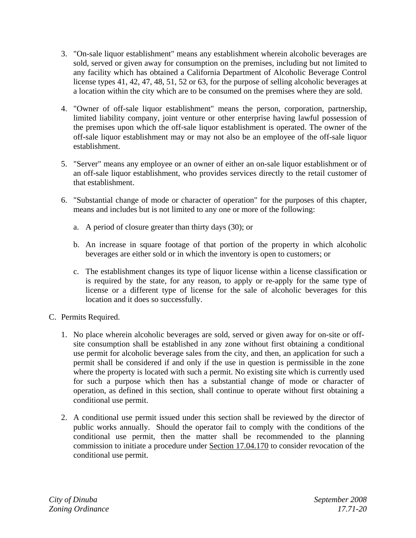- 3. "On-sale liquor establishment" means any establishment wherein alcoholic beverages are sold, served or given away for consumption on the premises, including but not limited to any facility which has obtained a California Department of Alcoholic Beverage Control license types 41, 42, 47, 48, 51, 52 or 63, for the purpose of selling alcoholic beverages at a location within the city which are to be consumed on the premises where they are sold.
- 4. "Owner of off-sale liquor establishment" means the person, corporation, partnership, limited liability company, joint venture or other enterprise having lawful possession of the premises upon which the off-sale liquor establishment is operated. The owner of the off-sale liquor establishment may or may not also be an employee of the off-sale liquor establishment.
- 5. "Server" means any employee or an owner of either an on-sale liquor establishment or of an off-sale liquor establishment, who provides services directly to the retail customer of that establishment.
- 6. "Substantial change of mode or character of operation" for the purposes of this chapter, means and includes but is not limited to any one or more of the following:
	- a. A period of closure greater than thirty days (30); or
	- b. An increase in square footage of that portion of the property in which alcoholic beverages are either sold or in which the inventory is open to customers; or
	- c. The establishment changes its type of liquor license within a license classification or is required by the state, for any reason, to apply or re-apply for the same type of license or a different type of license for the sale of alcoholic beverages for this location and it does so successfully.
- C. Permits Required.
	- 1. No place wherein alcoholic beverages are sold, served or given away for on-site or offsite consumption shall be established in any zone without first obtaining a conditional use permit for alcoholic beverage sales from the city, and then, an application for such a permit shall be considered if and only if the use in question is permissible in the zone where the property is located with such a permit. No existing site which is currently used for such a purpose which then has a substantial change of mode or character of operation, as defined in this section, shall continue to operate without first obtaining a conditional use permit.
	- 2. A conditional use permit issued under this section shall be reviewed by the director of public works annually. Should the operator fail to comply with the conditions of the conditional use permit, then the matter shall be recommended to the planning commission to initiate a procedure under Section 17.04.170 to consider revocation of the conditional use permit.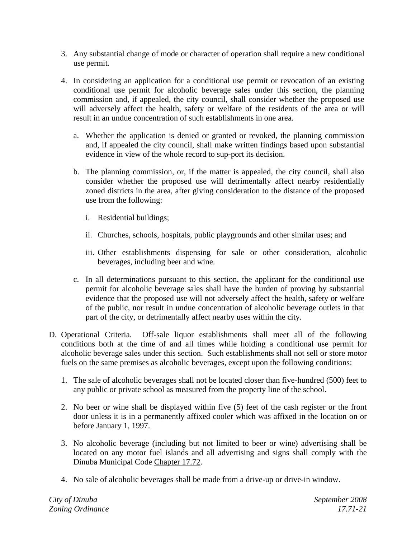- 3. Any substantial change of mode or character of operation shall require a new conditional use permit.
- 4. In considering an application for a conditional use permit or revocation of an existing conditional use permit for alcoholic beverage sales under this section, the planning commission and, if appealed, the city council, shall consider whether the proposed use will adversely affect the health, safety or welfare of the residents of the area or will result in an undue concentration of such establishments in one area.
	- a. Whether the application is denied or granted or revoked, the planning commission and, if appealed the city council, shall make written findings based upon substantial evidence in view of the whole record to sup-port its decision.
	- b. The planning commission, or, if the matter is appealed, the city council, shall also consider whether the proposed use will detrimentally affect nearby residentially zoned districts in the area, after giving consideration to the distance of the proposed use from the following:
		- i. Residential buildings;
		- ii. Churches, schools, hospitals, public playgrounds and other similar uses; and
		- iii. Other establishments dispensing for sale or other consideration, alcoholic beverages, including beer and wine.
	- c. In all determinations pursuant to this section, the applicant for the conditional use permit for alcoholic beverage sales shall have the burden of proving by substantial evidence that the proposed use will not adversely affect the health, safety or welfare of the public, nor result in undue concentration of alcoholic beverage outlets in that part of the city, or detrimentally affect nearby uses within the city.
- D. Operational Criteria. Off-sale liquor establishments shall meet all of the following conditions both at the time of and all times while holding a conditional use permit for alcoholic beverage sales under this section. Such establishments shall not sell or store motor fuels on the same premises as alcoholic beverages, except upon the following conditions:
	- 1. The sale of alcoholic beverages shall not be located closer than five-hundred (500) feet to any public or private school as measured from the property line of the school.
	- 2. No beer or wine shall be displayed within five (5) feet of the cash register or the front door unless it is in a permanently affixed cooler which was affixed in the location on or before January 1, 1997.
	- 3. No alcoholic beverage (including but not limited to beer or wine) advertising shall be located on any motor fuel islands and all advertising and signs shall comply with the Dinuba Municipal Code Chapter 17.72.
	- 4. No sale of alcoholic beverages shall be made from a drive-up or drive-in window.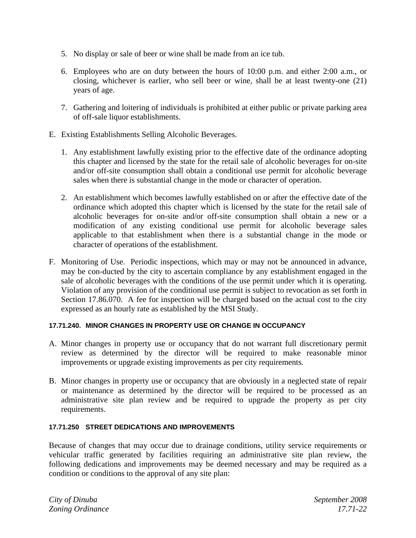- 5. No display or sale of beer or wine shall be made from an ice tub.
- 6. Employees who are on duty between the hours of 10:00 p.m. and either 2:00 a.m., or closing, whichever is earlier, who sell beer or wine, shall be at least twenty-one (21) years of age.
- 7. Gathering and loitering of individuals is prohibited at either public or private parking area of off-sale liquor establishments.
- E. Existing Establishments Selling Alcoholic Beverages.
	- 1. Any establishment lawfully existing prior to the effective date of the ordinance adopting this chapter and licensed by the state for the retail sale of alcoholic beverages for on-site and/or off-site consumption shall obtain a conditional use permit for alcoholic beverage sales when there is substantial change in the mode or character of operation.
	- 2. An establishment which becomes lawfully established on or after the effective date of the ordinance which adopted this chapter which is licensed by the state for the retail sale of alcoholic beverages for on-site and/or off-site consumption shall obtain a new or a modification of any existing conditional use permit for alcoholic beverage sales applicable to that establishment when there is a substantial change in the mode or character of operations of the establishment.
- F. Monitoring of Use. Periodic inspections, which may or may not be announced in advance, may be con-ducted by the city to ascertain compliance by any establishment engaged in the sale of alcoholic beverages with the conditions of the use permit under which it is operating. Violation of any provision of the conditional use permit is subject to revocation as set forth in Section 17.86.070. A fee for inspection will be charged based on the actual cost to the city expressed as an hourly rate as established by the MSI Study.

#### **17.71.240. MINOR CHANGES IN PROPERTY USE OR CHANGE IN OCCUPANCY**

- A. Minor changes in property use or occupancy that do not warrant full discretionary permit review as determined by the director will be required to make reasonable minor improvements or upgrade existing improvements as per city requirements.
- B. Minor changes in property use or occupancy that are obviously in a neglected state of repair or maintenance as determined by the director will be required to be processed as an administrative site plan review and be required to upgrade the property as per city requirements.

#### **17.71.250 STREET DEDICATIONS AND IMPROVEMENTS**

Because of changes that may occur due to drainage conditions, utility service requirements or vehicular traffic generated by facilities requiring an administrative site plan review, the following dedications and improvements may be deemed necessary and may be required as a condition or conditions to the approval of any site plan: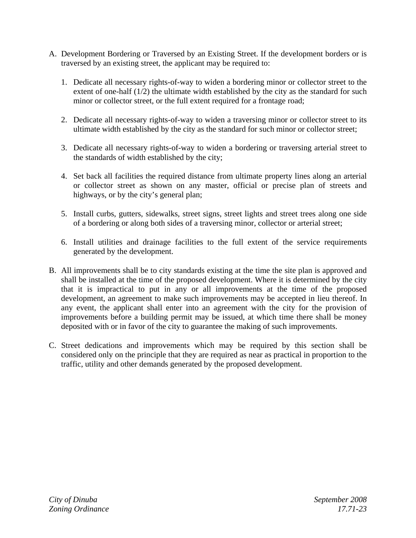- A. Development Bordering or Traversed by an Existing Street. If the development borders or is traversed by an existing street, the applicant may be required to:
	- 1. Dedicate all necessary rights-of-way to widen a bordering minor or collector street to the extent of one-half (1/2) the ultimate width established by the city as the standard for such minor or collector street, or the full extent required for a frontage road;
	- 2. Dedicate all necessary rights-of-way to widen a traversing minor or collector street to its ultimate width established by the city as the standard for such minor or collector street;
	- 3. Dedicate all necessary rights-of-way to widen a bordering or traversing arterial street to the standards of width established by the city;
	- 4. Set back all facilities the required distance from ultimate property lines along an arterial or collector street as shown on any master, official or precise plan of streets and highways, or by the city's general plan;
	- 5. Install curbs, gutters, sidewalks, street signs, street lights and street trees along one side of a bordering or along both sides of a traversing minor, collector or arterial street;
	- 6. Install utilities and drainage facilities to the full extent of the service requirements generated by the development.
- B. All improvements shall be to city standards existing at the time the site plan is approved and shall be installed at the time of the proposed development. Where it is determined by the city that it is impractical to put in any or all improvements at the time of the proposed development, an agreement to make such improvements may be accepted in lieu thereof. In any event, the applicant shall enter into an agreement with the city for the provision of improvements before a building permit may be issued, at which time there shall be money deposited with or in favor of the city to guarantee the making of such improvements.
- C. Street dedications and improvements which may be required by this section shall be considered only on the principle that they are required as near as practical in proportion to the traffic, utility and other demands generated by the proposed development.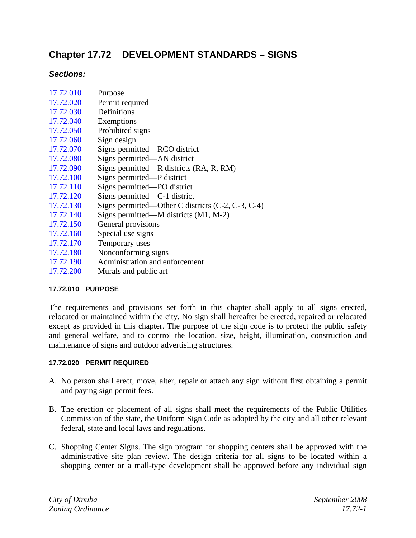# **Chapter 17.72 DEVELOPMENT STANDARDS – SIGNS**

# *Sections:*

| 17.72.010 | Purpose                                             |
|-----------|-----------------------------------------------------|
| 17.72.020 | Permit required                                     |
| 17.72.030 | Definitions                                         |
| 17.72.040 | Exemptions                                          |
| 17.72.050 | Prohibited signs                                    |
| 17.72.060 | Sign design                                         |
| 17.72.070 | Signs permitted—RCO district                        |
| 17.72.080 | Signs permitted—AN district                         |
| 17.72.090 | Signs permitted—R districts (RA, R, RM)             |
| 17.72.100 | Signs permitted—P district                          |
| 17.72.110 | Signs permitted—PO district                         |
| 17.72.120 | Signs permitted—C-1 district                        |
| 17.72.130 | Signs permitted—Other C districts $(C-2, C-3, C-4)$ |
| 17.72.140 | Signs permitted—M districts $(M1, M-2)$             |
| 17.72.150 | General provisions                                  |
| 17.72.160 | Special use signs                                   |
| 17.72.170 | Temporary uses                                      |
| 17.72.180 | Nonconforming signs                                 |
| 17.72.190 | Administration and enforcement                      |
| 17.72.200 | Murals and public art                               |

# **17.72.010 PURPOSE**

The requirements and provisions set forth in this chapter shall apply to all signs erected, relocated or maintained within the city. No sign shall hereafter be erected, repaired or relocated except as provided in this chapter. The purpose of the sign code is to protect the public safety and general welfare, and to control the location, size, height, illumination, construction and maintenance of signs and outdoor advertising structures.

#### **17.72.020 PERMIT REQUIRED**

- A. No person shall erect, move, alter, repair or attach any sign without first obtaining a permit and paying sign permit fees.
- B. The erection or placement of all signs shall meet the requirements of the Public Utilities Commission of the state, the Uniform Sign Code as adopted by the city and all other relevant federal, state and local laws and regulations.
- C. Shopping Center Signs. The sign program for shopping centers shall be approved with the administrative site plan review. The design criteria for all signs to be located within a shopping center or a mall-type development shall be approved before any individual sign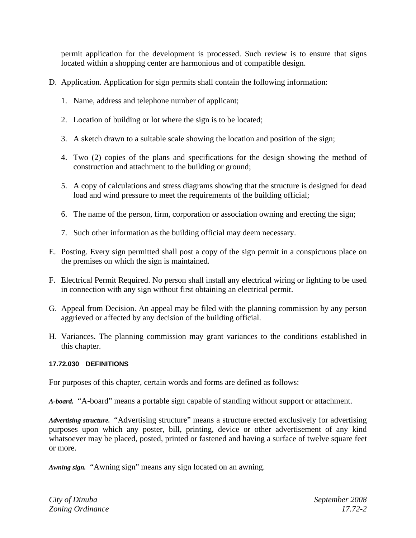permit application for the development is processed. Such review is to ensure that signs located within a shopping center are harmonious and of compatible design.

- D. Application. Application for sign permits shall contain the following information:
	- 1. Name, address and telephone number of applicant;
	- 2. Location of building or lot where the sign is to be located;
	- 3. A sketch drawn to a suitable scale showing the location and position of the sign;
	- 4. Two (2) copies of the plans and specifications for the design showing the method of construction and attachment to the building or ground;
	- 5. A copy of calculations and stress diagrams showing that the structure is designed for dead load and wind pressure to meet the requirements of the building official;
	- 6. The name of the person, firm, corporation or association owning and erecting the sign;
	- 7. Such other information as the building official may deem necessary.
- E. Posting. Every sign permitted shall post a copy of the sign permit in a conspicuous place on the premises on which the sign is maintained.
- F. Electrical Permit Required. No person shall install any electrical wiring or lighting to be used in connection with any sign without first obtaining an electrical permit.
- G. Appeal from Decision. An appeal may be filed with the planning commission by any person aggrieved or affected by any decision of the building official.
- H. Variances. The planning commission may grant variances to the conditions established in this chapter.

#### **17.72.030 DEFINITIONS**

For purposes of this chapter, certain words and forms are defined as follows:

*A-board.* "A-board" means a portable sign capable of standing without support or attachment.

*Advertising structure.* "Advertising structure" means a structure erected exclusively for advertising purposes upon which any poster, bill, printing, device or other advertisement of any kind whatsoever may be placed, posted, printed or fastened and having a surface of twelve square feet or more.

*Awning sign.* "Awning sign" means any sign located on an awning.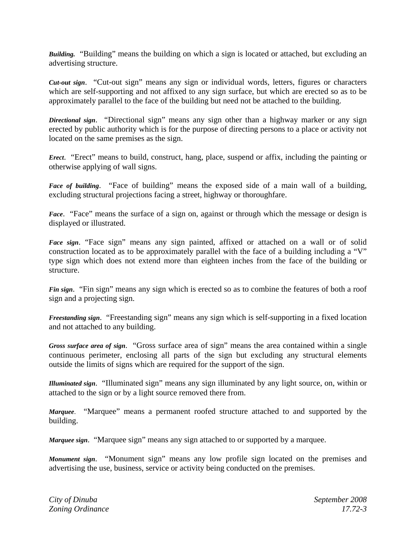*Building.* "Building" means the building on which a sign is located or attached, but excluding an advertising structure.

*Cut-out sign*. "Cut-out sign" means any sign or individual words, letters, figures or characters which are self-supporting and not affixed to any sign surface, but which are erected so as to be approximately parallel to the face of the building but need not be attached to the building.

*Directional sign*. "Directional sign" means any sign other than a highway marker or any sign erected by public authority which is for the purpose of directing persons to a place or activity not located on the same premises as the sign.

*Erect.* "Erect" means to build, construct, hang, place, suspend or affix, including the painting or otherwise applying of wall signs.

*Face of building*. "Face of building" means the exposed side of a main wall of a building, excluding structural projections facing a street, highway or thoroughfare.

*Face*. "Face" means the surface of a sign on, against or through which the message or design is displayed or illustrated.

*Face sign*. "Face sign" means any sign painted, affixed or attached on a wall or of solid construction located as to be approximately parallel with the face of a building including a "V" type sign which does not extend more than eighteen inches from the face of the building or structure.

*Fin sign*. "Fin sign" means any sign which is erected so as to combine the features of both a roof sign and a projecting sign.

*Freestanding sign*. "Freestanding sign" means any sign which is self-supporting in a fixed location and not attached to any building.

*Gross surface area of sign*. "Gross surface area of sign" means the area contained within a single continuous perimeter, enclosing all parts of the sign but excluding any structural elements outside the limits of signs which are required for the support of the sign.

*Illuminated sign*. "Illuminated sign" means any sign illuminated by any light source, on, within or attached to the sign or by a light source removed there from.

*Marquee*. "Marquee" means a permanent roofed structure attached to and supported by the building.

*Marquee sign*. "Marquee sign" means any sign attached to or supported by a marquee.

*Monument sign*. "Monument sign" means any low profile sign located on the premises and advertising the use, business, service or activity being conducted on the premises.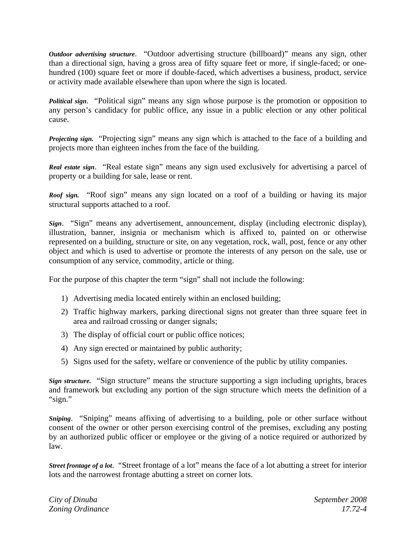*Outdoor advertising structure*. "Outdoor advertising structure (billboard)" means any sign, other than a directional sign, having a gross area of fifty square feet or more, if single-faced; or onehundred (100) square feet or more if double-faced, which advertises a business, product, service or activity made available elsewhere than upon where the sign is located.

*Political sign*. "Political sign" means any sign whose purpose is the promotion or opposition to any person's candidacy for public office, any issue in a public election or any other political cause.

*Projecting sign.* "Projecting sign" means any sign which is attached to the face of a building and projects more than eighteen inches from the face of the building.

*Real estate sign*. "Real estate sign" means any sign used exclusively for advertising a parcel of property or a building for sale, lease or rent.

*Roof sign.* "Roof sign" means any sign located on a roof of a building or having its major structural supports attached to a roof.

*Sign*. "Sign" means any advertisement, announcement, display (including electronic display), illustration, banner, insignia or mechanism which is affixed to, painted on or otherwise represented on a building, structure or site, on any vegetation, rock, wall, post, fence or any other object and which is used to advertise or promote the interests of any person on the sale, use or consumption of any service, commodity, article or thing.

For the purpose of this chapter the term "sign" shall not include the following:

- 1) Advertising media located entirely within an enclosed building;
- 2) Traffic highway markers, parking directional signs not greater than three square feet in area and railroad crossing or danger signals;
- 3) The display of official court or public office notices;
- 4) Any sign erected or maintained by public authority;
- 5) Signs used for the safety, welfare or convenience of the public by utility companies.

*Sign structure.* "Sign structure" means the structure supporting a sign including uprights, braces and framework but excluding any portion of the sign structure which meets the definition of a "sign."

*Sniping*. "Sniping" means affixing of advertising to a building, pole or other surface without consent of the owner or other person exercising control of the premises, excluding any posting by an authorized public officer or employee or the giving of a notice required or authorized by law.

*Street frontage of a lot*. "Street frontage of a lot" means the face of a lot abutting a street for interior lots and the narrowest frontage abutting a street on corner lots.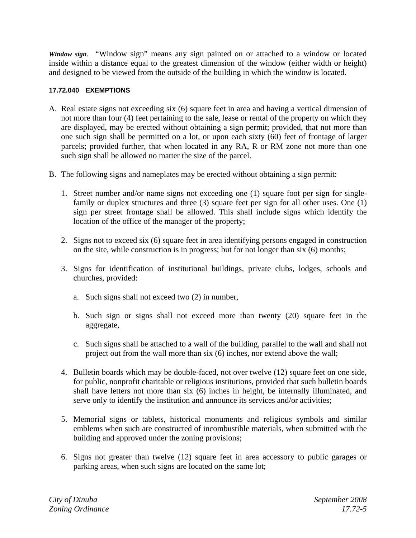*Window sign*. "Window sign" means any sign painted on or attached to a window or located inside within a distance equal to the greatest dimension of the window (either width or height) and designed to be viewed from the outside of the building in which the window is located.

# **17.72.040 EXEMPTIONS**

- A. Real estate signs not exceeding six (6) square feet in area and having a vertical dimension of not more than four (4) feet pertaining to the sale, lease or rental of the property on which they are displayed, may be erected without obtaining a sign permit; provided, that not more than one such sign shall be permitted on a lot, or upon each sixty (60) feet of frontage of larger parcels; provided further, that when located in any RA, R or RM zone not more than one such sign shall be allowed no matter the size of the parcel.
- B. The following signs and nameplates may be erected without obtaining a sign permit:
	- 1. Street number and/or name signs not exceeding one (1) square foot per sign for singlefamily or duplex structures and three (3) square feet per sign for all other uses. One (1) sign per street frontage shall be allowed. This shall include signs which identify the location of the office of the manager of the property;
	- 2. Signs not to exceed six (6) square feet in area identifying persons engaged in construction on the site, while construction is in progress; but for not longer than six (6) months;
	- 3. Signs for identification of institutional buildings, private clubs, lodges, schools and churches, provided:
		- a. Such signs shall not exceed two (2) in number,
		- b. Such sign or signs shall not exceed more than twenty (20) square feet in the aggregate,
		- c. Such signs shall be attached to a wall of the building, parallel to the wall and shall not project out from the wall more than six (6) inches, nor extend above the wall;
	- 4. Bulletin boards which may be double-faced, not over twelve (12) square feet on one side, for public, nonprofit charitable or religious institutions, provided that such bulletin boards shall have letters not more than six (6) inches in height, be internally illuminated, and serve only to identify the institution and announce its services and/or activities;
	- 5. Memorial signs or tablets, historical monuments and religious symbols and similar emblems when such are constructed of incombustible materials, when submitted with the building and approved under the zoning provisions;
	- 6. Signs not greater than twelve (12) square feet in area accessory to public garages or parking areas, when such signs are located on the same lot;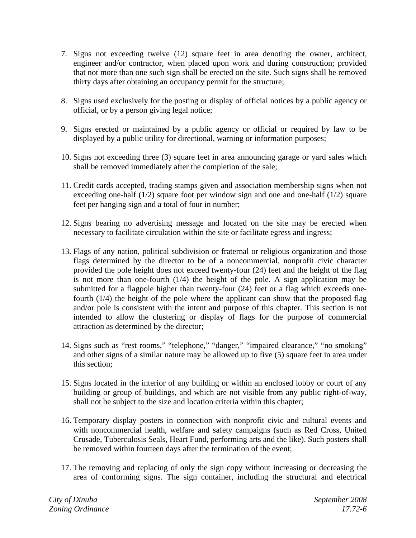- 7. Signs not exceeding twelve (12) square feet in area denoting the owner, architect, engineer and/or contractor, when placed upon work and during construction; provided that not more than one such sign shall be erected on the site. Such signs shall be removed thirty days after obtaining an occupancy permit for the structure;
- 8. Signs used exclusively for the posting or display of official notices by a public agency or official, or by a person giving legal notice;
- 9. Signs erected or maintained by a public agency or official or required by law to be displayed by a public utility for directional, warning or information purposes;
- 10. Signs not exceeding three (3) square feet in area announcing garage or yard sales which shall be removed immediately after the completion of the sale;
- 11. Credit cards accepted, trading stamps given and association membership signs when not exceeding one-half  $(1/2)$  square foot per window sign and one and one-half  $(1/2)$  square feet per hanging sign and a total of four in number;
- 12. Signs bearing no advertising message and located on the site may be erected when necessary to facilitate circulation within the site or facilitate egress and ingress;
- 13. Flags of any nation, political subdivision or fraternal or religious organization and those flags determined by the director to be of a noncommercial, nonprofit civic character provided the pole height does not exceed twenty-four (24) feet and the height of the flag is not more than one-fourth (1/4) the height of the pole. A sign application may be submitted for a flagpole higher than twenty-four (24) feet or a flag which exceeds onefourth (1/4) the height of the pole where the applicant can show that the proposed flag and/or pole is consistent with the intent and purpose of this chapter. This section is not intended to allow the clustering or display of flags for the purpose of commercial attraction as determined by the director;
- 14. Signs such as "rest rooms," "telephone," "danger," "impaired clearance," "no smoking" and other signs of a similar nature may be allowed up to five (5) square feet in area under this section;
- 15. Signs located in the interior of any building or within an enclosed lobby or court of any building or group of buildings, and which are not visible from any public right-of-way, shall not be subject to the size and location criteria within this chapter;
- 16. Temporary display posters in connection with nonprofit civic and cultural events and with noncommercial health, welfare and safety campaigns (such as Red Cross, United Crusade, Tuberculosis Seals, Heart Fund, performing arts and the like). Such posters shall be removed within fourteen days after the termination of the event;
- 17. The removing and replacing of only the sign copy without increasing or decreasing the area of conforming signs. The sign container, including the structural and electrical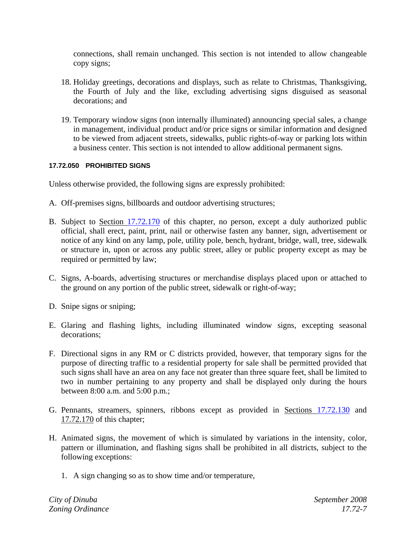connections, shall remain unchanged. This section is not intended to allow changeable copy signs;

- 18. Holiday greetings, decorations and displays, such as relate to Christmas, Thanksgiving, the Fourth of July and the like, excluding advertising signs disguised as seasonal decorations; and
- 19. Temporary window signs (non internally illuminated) announcing special sales, a change in management, individual product and/or price signs or similar information and designed to be viewed from adjacent streets, sidewalks, public rights-of-way or parking lots within a business center. This section is not intended to allow additional permanent signs.

# **17.72.050 PROHIBITED SIGNS**

Unless otherwise provided, the following signs are expressly prohibited:

- A. Off-premises signs, billboards and outdoor advertising structures;
- B. Subject to Section 17.72.170 of this chapter, no person, except a duly authorized public official, shall erect, paint, print, nail or otherwise fasten any banner, sign, advertisement or notice of any kind on any lamp, pole, utility pole, bench, hydrant, bridge, wall, tree, sidewalk or structure in, upon or across any public street, alley or public property except as may be required or permitted by law;
- C. Signs, A-boards, advertising structures or merchandise displays placed upon or attached to the ground on any portion of the public street, sidewalk or right-of-way;
- D. Snipe signs or sniping;
- E. Glaring and flashing lights, including illuminated window signs, excepting seasonal decorations;
- F. Directional signs in any RM or C districts provided, however, that temporary signs for the purpose of directing traffic to a residential property for sale shall be permitted provided that such signs shall have an area on any face not greater than three square feet, shall be limited to two in number pertaining to any property and shall be displayed only during the hours between 8:00 a.m. and 5:00 p.m.;
- G. Pennants, streamers, spinners, ribbons except as provided in <u>Sections 17.72.130</u> and 17.72.170 of this chapter;
- H. Animated signs, the movement of which is simulated by variations in the intensity, color, pattern or illumination, and flashing signs shall be prohibited in all districts, subject to the following exceptions:
	- 1. A sign changing so as to show time and/or temperature,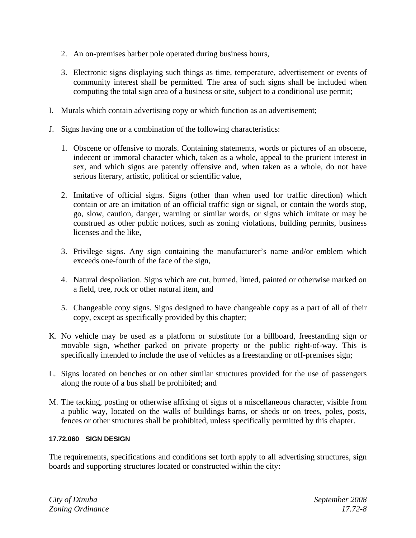- 2. An on-premises barber pole operated during business hours,
- 3. Electronic signs displaying such things as time, temperature, advertisement or events of community interest shall be permitted. The area of such signs shall be included when computing the total sign area of a business or site, subject to a conditional use permit;
- I. Murals which contain advertising copy or which function as an advertisement;
- J. Signs having one or a combination of the following characteristics:
	- 1. Obscene or offensive to morals. Containing statements, words or pictures of an obscene, indecent or immoral character which, taken as a whole, appeal to the prurient interest in sex, and which signs are patently offensive and, when taken as a whole, do not have serious literary, artistic, political or scientific value,
	- 2. Imitative of official signs. Signs (other than when used for traffic direction) which contain or are an imitation of an official traffic sign or signal, or contain the words stop, go, slow, caution, danger, warning or similar words, or signs which imitate or may be construed as other public notices, such as zoning violations, building permits, business licenses and the like,
	- 3. Privilege signs. Any sign containing the manufacturer's name and/or emblem which exceeds one-fourth of the face of the sign,
	- 4. Natural despoliation. Signs which are cut, burned, limed, painted or otherwise marked on a field, tree, rock or other natural item, and
	- 5. Changeable copy signs. Signs designed to have changeable copy as a part of all of their copy, except as specifically provided by this chapter;
- K. No vehicle may be used as a platform or substitute for a billboard, freestanding sign or movable sign, whether parked on private property or the public right-of-way. This is specifically intended to include the use of vehicles as a freestanding or off-premises sign;
- L. Signs located on benches or on other similar structures provided for the use of passengers along the route of a bus shall be prohibited; and
- M. The tacking, posting or otherwise affixing of signs of a miscellaneous character, visible from a public way, located on the walls of buildings barns, or sheds or on trees, poles, posts, fences or other structures shall be prohibited, unless specifically permitted by this chapter.

#### **17.72.060 SIGN DESIGN**

The requirements, specifications and conditions set forth apply to all advertising structures, sign boards and supporting structures located or constructed within the city: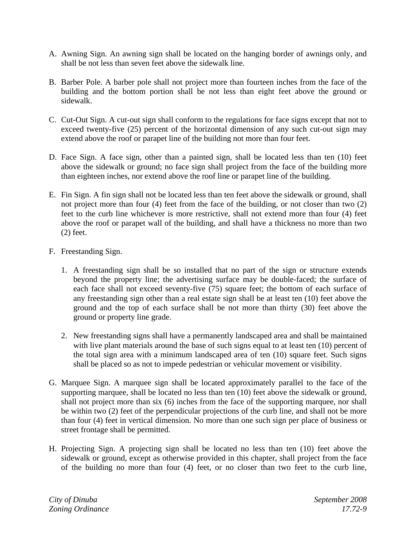- A. Awning Sign. An awning sign shall be located on the hanging border of awnings only, and shall be not less than seven feet above the sidewalk line.
- B. Barber Pole. A barber pole shall not project more than fourteen inches from the face of the building and the bottom portion shall be not less than eight feet above the ground or sidewalk.
- C. Cut-Out Sign. A cut-out sign shall conform to the regulations for face signs except that not to exceed twenty-five (25) percent of the horizontal dimension of any such cut-out sign may extend above the roof or parapet line of the building not more than four feet.
- D. Face Sign. A face sign, other than a painted sign, shall be located less than ten (10) feet above the sidewalk or ground; no face sign shall project from the face of the building more than eighteen inches, nor extend above the roof line or parapet line of the building.
- E. Fin Sign. A fin sign shall not be located less than ten feet above the sidewalk or ground, shall not project more than four (4) feet from the face of the building, or not closer than two (2) feet to the curb line whichever is more restrictive, shall not extend more than four (4) feet above the roof or parapet wall of the building, and shall have a thickness no more than two (2) feet.
- F. Freestanding Sign.
	- 1. A freestanding sign shall be so installed that no part of the sign or structure extends beyond the property line; the advertising surface may be double-faced; the surface of each face shall not exceed seventy-five (75) square feet; the bottom of each surface of any freestanding sign other than a real estate sign shall be at least ten (10) feet above the ground and the top of each surface shall be not more than thirty (30) feet above the ground or property line grade.
	- 2. New freestanding signs shall have a permanently landscaped area and shall be maintained with live plant materials around the base of such signs equal to at least ten (10) percent of the total sign area with a minimum landscaped area of ten (10) square feet. Such signs shall be placed so as not to impede pedestrian or vehicular movement or visibility.
- G. Marquee Sign. A marquee sign shall be located approximately parallel to the face of the supporting marquee, shall be located no less than ten (10) feet above the sidewalk or ground, shall not project more than six (6) inches from the face of the supporting marquee, nor shall be within two (2) feet of the perpendicular projections of the curb line, and shall not be more than four (4) feet in vertical dimension. No more than one such sign per place of business or street frontage shall be permitted.
- H. Projecting Sign. A projecting sign shall be located no less than ten (10) feet above the sidewalk or ground, except as otherwise provided in this chapter, shall project from the face of the building no more than four (4) feet, or no closer than two feet to the curb line,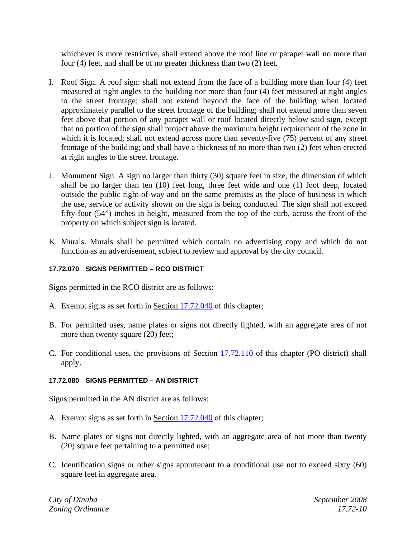whichever is more restrictive, shall extend above the roof line or parapet wall no more than four (4) feet, and shall be of no greater thickness than two (2) feet.

- I. Roof Sign. A roof sign: shall not extend from the face of a building more than four (4) feet measured at right angles to the building nor more than four (4) feet measured at right angles to the street frontage; shall not extend beyond the face of the building when located approximately parallel to the street frontage of the building; shall not extend more than seven feet above that portion of any parapet wall or roof located directly below said sign, except that no portion of the sign shall project above the maximum height requirement of the zone in which it is located; shall not extend across more than seventy-five (75) percent of any street frontage of the building; and shall have a thickness of no more than two (2) feet when erected at right angles to the street frontage.
- J. Monument Sign. A sign no larger than thirty (30) square feet in size, the dimension of which shall be no larger than ten (10) feet long, three feet wide and one (1) foot deep, located outside the public right-of-way and on the same premises as the place of business in which the use, service or activity shown on the sign is being conducted. The sign shall not exceed fifty-four (54") inches in height, measured from the top of the curb, across the front of the property on which subject sign is located.
- K. Murals. Murals shall be permitted which contain no advertising copy and which do not function as an advertisement, subject to review and approval by the city council.

# **17.72.070 SIGNS PERMITTED – RCO DISTRICT**

Signs permitted in the RCO district are as follows:

- A. Exempt signs as set forth in Section 17.72.040 of this chapter;
- B. For permitted uses, name plates or signs not directly lighted, with an aggregate area of not more than twenty square (20) feet;
- C. For conditional uses, the provisions of Section 17.72.110 of this chapter (PO district) shall apply.

#### **17.72.080 SIGNS PERMITTED – AN DISTRICT**

Signs permitted in the AN district are as follows:

- A. Exempt signs as set forth in Section 17.72.040 of this chapter;
- B. Name plates or signs not directly lighted, with an aggregate area of not more than twenty (20) square feet pertaining to a permitted use;
- C. Identification signs or other signs appurtenant to a conditional use not to exceed sixty (60) square feet in aggregate area.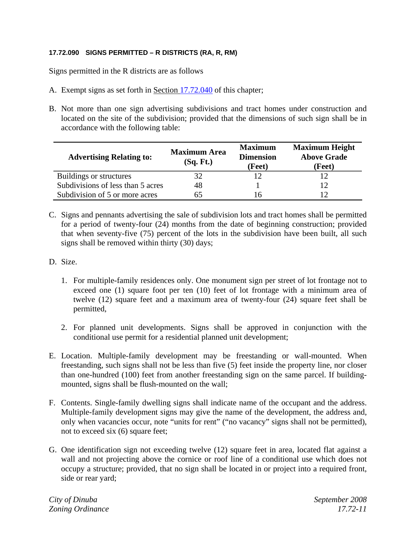# **17.72.090 SIGNS PERMITTED – R DISTRICTS (RA, R, RM)**

Signs permitted in the R districts are as follows

- A. Exempt signs as set forth in Section 17.72.040 of this chapter;
- B. Not more than one sign advertising subdivisions and tract homes under construction and located on the site of the subdivision; provided that the dimensions of such sign shall be in accordance with the following table:

| <b>Advertising Relating to:</b>   | <b>Maximum Area</b><br>(Sq. Ft.) | <b>Maximum</b><br><b>Dimension</b><br>(Feet) | <b>Maximum Height</b><br><b>Above Grade</b><br>(Feet) |
|-----------------------------------|----------------------------------|----------------------------------------------|-------------------------------------------------------|
| Buildings or structures           | 32                               |                                              |                                                       |
| Subdivisions of less than 5 acres | 48                               |                                              |                                                       |
| Subdivision of 5 or more acres    |                                  | რ                                            |                                                       |

- C. Signs and pennants advertising the sale of subdivision lots and tract homes shall be permitted for a period of twenty-four (24) months from the date of beginning construction; provided that when seventy-five (75) percent of the lots in the subdivision have been built, all such signs shall be removed within thirty (30) days;
- D. Size.
	- 1. For multiple-family residences only. One monument sign per street of lot frontage not to exceed one (1) square foot per ten (10) feet of lot frontage with a minimum area of twelve (12) square feet and a maximum area of twenty-four (24) square feet shall be permitted,
	- 2. For planned unit developments. Signs shall be approved in conjunction with the conditional use permit for a residential planned unit development;
- E. Location. Multiple-family development may be freestanding or wall-mounted. When freestanding, such signs shall not be less than five (5) feet inside the property line, nor closer than one-hundred (100) feet from another freestanding sign on the same parcel. If buildingmounted, signs shall be flush-mounted on the wall;
- F. Contents. Single-family dwelling signs shall indicate name of the occupant and the address. Multiple-family development signs may give the name of the development, the address and, only when vacancies occur, note "units for rent" ("no vacancy" signs shall not be permitted), not to exceed six (6) square feet;
- G. One identification sign not exceeding twelve (12) square feet in area, located flat against a wall and not projecting above the cornice or roof line of a conditional use which does not occupy a structure; provided, that no sign shall be located in or project into a required front, side or rear yard;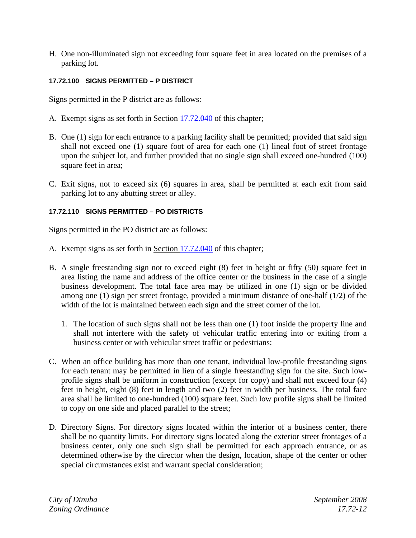H. One non-illuminated sign not exceeding four square feet in area located on the premises of a parking lot.

#### **17.72.100 SIGNS PERMITTED – P DISTRICT**

Signs permitted in the P district are as follows:

- A. Exempt signs as set forth in Section 17.72.040 of this chapter;
- B. One (1) sign for each entrance to a parking facility shall be permitted; provided that said sign shall not exceed one (1) square foot of area for each one (1) lineal foot of street frontage upon the subject lot, and further provided that no single sign shall exceed one-hundred (100) square feet in area;
- C. Exit signs, not to exceed six (6) squares in area, shall be permitted at each exit from said parking lot to any abutting street or alley.

# **17.72.110 SIGNS PERMITTED – PO DISTRICTS**

Signs permitted in the PO district are as follows:

- A. Exempt signs as set forth in Section 17.72.040 of this chapter;
- B. A single freestanding sign not to exceed eight (8) feet in height or fifty (50) square feet in area listing the name and address of the office center or the business in the case of a single business development. The total face area may be utilized in one (1) sign or be divided among one (1) sign per street frontage, provided a minimum distance of one-half (1/2) of the width of the lot is maintained between each sign and the street corner of the lot.
	- 1. The location of such signs shall not be less than one (1) foot inside the property line and shall not interfere with the safety of vehicular traffic entering into or exiting from a business center or with vehicular street traffic or pedestrians;
- C. When an office building has more than one tenant, individual low-profile freestanding signs for each tenant may be permitted in lieu of a single freestanding sign for the site. Such lowprofile signs shall be uniform in construction (except for copy) and shall not exceed four (4) feet in height, eight (8) feet in length and two (2) feet in width per business. The total face area shall be limited to one-hundred (100) square feet. Such low profile signs shall be limited to copy on one side and placed parallel to the street;
- D. Directory Signs. For directory signs located within the interior of a business center, there shall be no quantity limits. For directory signs located along the exterior street frontages of a business center, only one such sign shall be permitted for each approach entrance, or as determined otherwise by the director when the design, location, shape of the center or other special circumstances exist and warrant special consideration;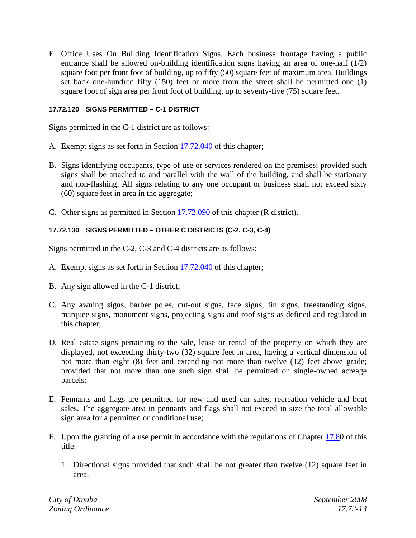E. Office Uses On Building Identification Signs. Each business frontage having a public entrance shall be allowed on-building identification signs having an area of one-half (1/2) square foot per front foot of building, up to fifty (50) square feet of maximum area. Buildings set back one-hundred fifty (150) feet or more from the street shall be permitted one (1) square foot of sign area per front foot of building, up to seventy-five (75) square feet.

# **17.72.120 SIGNS PERMITTED – C-1 DISTRICT**

Signs permitted in the C-1 district are as follows:

- A. Exempt signs as set forth in Section 17.72.040 of this chapter;
- B. Signs identifying occupants, type of use or services rendered on the premises; provided such signs shall be attached to and parallel with the wall of the building, and shall be stationary and non-flashing. All signs relating to any one occupant or business shall not exceed sixty (60) square feet in area in the aggregate;
- C. Other signs as permitted in Section 17.72.090 of this chapter (R district).

# **17.72.130 SIGNS PERMITTED – OTHER C DISTRICTS (C-2, C-3, C-4)**

Signs permitted in the C-2, C-3 and C-4 districts are as follows:

- A. Exempt signs as set forth in Section 17.72.040 of this chapter;
- B. Any sign allowed in the C-1 district;
- C. Any awning signs, barber poles, cut-out signs, face signs, fin signs, freestanding signs, marquee signs, monument signs, projecting signs and roof signs as defined and regulated in this chapter;
- D. Real estate signs pertaining to the sale, lease or rental of the property on which they are displayed, not exceeding thirty-two (32) square feet in area, having a vertical dimension of not more than eight (8) feet and extending not more than twelve (12) feet above grade; provided that not more than one such sign shall be permitted on single-owned acreage parcels;
- E. Pennants and flags are permitted for new and used car sales, recreation vehicle and boat sales. The aggregate area in pennants and flags shall not exceed in size the total allowable sign area for a permitted or conditional use;
- F. Upon the granting of a use permit in accordance with the regulations of Chapter 17.80 of this title:
	- 1. Directional signs provided that such shall be not greater than twelve (12) square feet in area,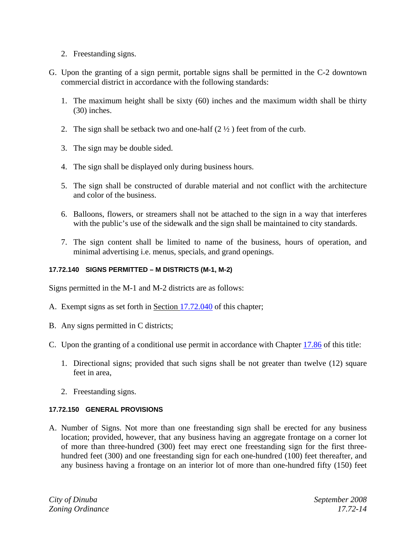- 2. Freestanding signs.
- G. Upon the granting of a sign permit, portable signs shall be permitted in the C-2 downtown commercial district in accordance with the following standards:
	- 1. The maximum height shall be sixty (60) inches and the maximum width shall be thirty (30) inches.
	- 2. The sign shall be setback two and one-half  $(2 \frac{1}{2})$  feet from of the curb.
	- 3. The sign may be double sided.
	- 4. The sign shall be displayed only during business hours.
	- 5. The sign shall be constructed of durable material and not conflict with the architecture and color of the business.
	- 6. Balloons, flowers, or streamers shall not be attached to the sign in a way that interferes with the public's use of the sidewalk and the sign shall be maintained to city standards.
	- 7. The sign content shall be limited to name of the business, hours of operation, and minimal advertising i.e. menus, specials, and grand openings.

# **17.72.140 SIGNS PERMITTED – M DISTRICTS (M-1, M-2)**

Signs permitted in the M-1 and M-2 districts are as follows:

- A. Exempt signs as set forth in Section 17.72.040 of this chapter;
- B. Any signs permitted in C districts;
- C. Upon the granting of a conditional use permit in accordance with Chapter 17.86 of this title:
	- 1. Directional signs; provided that such signs shall be not greater than twelve (12) square feet in area,
	- 2. Freestanding signs.

#### **17.72.150 GENERAL PROVISIONS**

A. Number of Signs. Not more than one freestanding sign shall be erected for any business location; provided, however, that any business having an aggregate frontage on a corner lot of more than three-hundred (300) feet may erect one freestanding sign for the first threehundred feet (300) and one freestanding sign for each one-hundred (100) feet thereafter, and any business having a frontage on an interior lot of more than one-hundred fifty (150) feet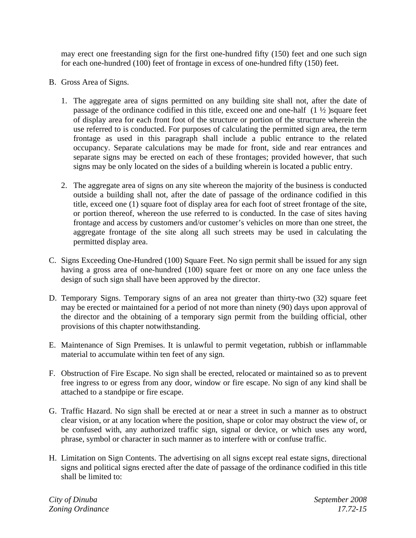may erect one freestanding sign for the first one-hundred fifty (150) feet and one such sign for each one-hundred (100) feet of frontage in excess of one-hundred fifty (150) feet.

- B. Gross Area of Signs.
	- 1. The aggregate area of signs permitted on any building site shall not, after the date of passage of the ordinance codified in this title, exceed one and one-half  $(1 \frac{1}{2})$  square feet of display area for each front foot of the structure or portion of the structure wherein the use referred to is conducted. For purposes of calculating the permitted sign area, the term frontage as used in this paragraph shall include a public entrance to the related occupancy. Separate calculations may be made for front, side and rear entrances and separate signs may be erected on each of these frontages; provided however, that such signs may be only located on the sides of a building wherein is located a public entry.
	- 2. The aggregate area of signs on any site whereon the majority of the business is conducted outside a building shall not, after the date of passage of the ordinance codified in this title, exceed one (1) square foot of display area for each foot of street frontage of the site, or portion thereof, whereon the use referred to is conducted. In the case of sites having frontage and access by customers and/or customer's vehicles on more than one street, the aggregate frontage of the site along all such streets may be used in calculating the permitted display area.
- C. Signs Exceeding One-Hundred (100) Square Feet. No sign permit shall be issued for any sign having a gross area of one-hundred (100) square feet or more on any one face unless the design of such sign shall have been approved by the director.
- D. Temporary Signs. Temporary signs of an area not greater than thirty-two (32) square feet may be erected or maintained for a period of not more than ninety (90) days upon approval of the director and the obtaining of a temporary sign permit from the building official, other provisions of this chapter notwithstanding.
- E. Maintenance of Sign Premises. It is unlawful to permit vegetation, rubbish or inflammable material to accumulate within ten feet of any sign.
- F. Obstruction of Fire Escape. No sign shall be erected, relocated or maintained so as to prevent free ingress to or egress from any door, window or fire escape. No sign of any kind shall be attached to a standpipe or fire escape.
- G. Traffic Hazard. No sign shall be erected at or near a street in such a manner as to obstruct clear vision, or at any location where the position, shape or color may obstruct the view of, or be confused with, any authorized traffic sign, signal or device, or which uses any word, phrase, symbol or character in such manner as to interfere with or confuse traffic.
- H. Limitation on Sign Contents. The advertising on all signs except real estate signs, directional signs and political signs erected after the date of passage of the ordinance codified in this title shall be limited to: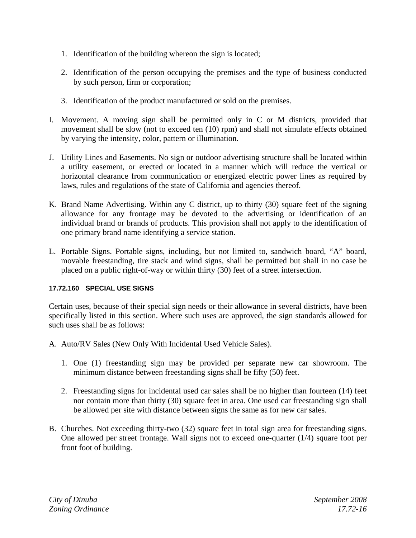- 1. Identification of the building whereon the sign is located;
- 2. Identification of the person occupying the premises and the type of business conducted by such person, firm or corporation;
- 3. Identification of the product manufactured or sold on the premises.
- I. Movement. A moving sign shall be permitted only in C or M districts, provided that movement shall be slow (not to exceed ten (10) rpm) and shall not simulate effects obtained by varying the intensity, color, pattern or illumination.
- J. Utility Lines and Easements. No sign or outdoor advertising structure shall be located within a utility easement, or erected or located in a manner which will reduce the vertical or horizontal clearance from communication or energized electric power lines as required by laws, rules and regulations of the state of California and agencies thereof.
- K. Brand Name Advertising. Within any C district, up to thirty (30) square feet of the signing allowance for any frontage may be devoted to the advertising or identification of an individual brand or brands of products. This provision shall not apply to the identification of one primary brand name identifying a service station.
- L. Portable Signs. Portable signs, including, but not limited to, sandwich board, "A" board, movable freestanding, tire stack and wind signs, shall be permitted but shall in no case be placed on a public right-of-way or within thirty (30) feet of a street intersection.

# **17.72.160 SPECIAL USE SIGNS**

Certain uses, because of their special sign needs or their allowance in several districts, have been specifically listed in this section. Where such uses are approved, the sign standards allowed for such uses shall be as follows:

- A. Auto/RV Sales (New Only With Incidental Used Vehicle Sales).
	- 1. One (1) freestanding sign may be provided per separate new car showroom. The minimum distance between freestanding signs shall be fifty (50) feet.
	- 2. Freestanding signs for incidental used car sales shall be no higher than fourteen (14) feet nor contain more than thirty (30) square feet in area. One used car freestanding sign shall be allowed per site with distance between signs the same as for new car sales.
- B. Churches. Not exceeding thirty-two (32) square feet in total sign area for freestanding signs. One allowed per street frontage. Wall signs not to exceed one-quarter (1/4) square foot per front foot of building.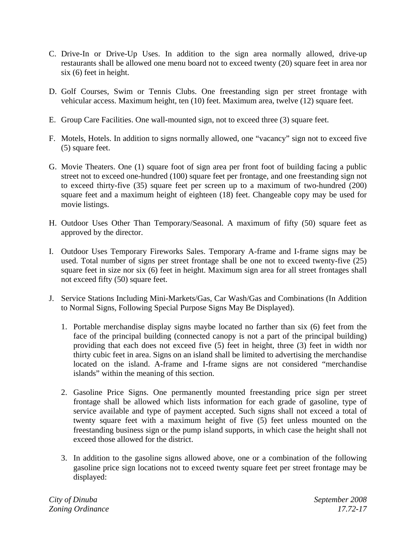- C. Drive-In or Drive-Up Uses. In addition to the sign area normally allowed, drive-up restaurants shall be allowed one menu board not to exceed twenty (20) square feet in area nor six (6) feet in height.
- D. Golf Courses, Swim or Tennis Clubs. One freestanding sign per street frontage with vehicular access. Maximum height, ten (10) feet. Maximum area, twelve (12) square feet.
- E. Group Care Facilities. One wall-mounted sign, not to exceed three (3) square feet.
- F. Motels, Hotels. In addition to signs normally allowed, one "vacancy" sign not to exceed five (5) square feet.
- G. Movie Theaters. One (1) square foot of sign area per front foot of building facing a public street not to exceed one-hundred (100) square feet per frontage, and one freestanding sign not to exceed thirty-five (35) square feet per screen up to a maximum of two-hundred (200) square feet and a maximum height of eighteen (18) feet. Changeable copy may be used for movie listings.
- H. Outdoor Uses Other Than Temporary/Seasonal. A maximum of fifty (50) square feet as approved by the director.
- I. Outdoor Uses Temporary Fireworks Sales. Temporary A-frame and I-frame signs may be used. Total number of signs per street frontage shall be one not to exceed twenty-five (25) square feet in size nor six (6) feet in height. Maximum sign area for all street frontages shall not exceed fifty (50) square feet.
- J. Service Stations Including Mini-Markets/Gas, Car Wash/Gas and Combinations (In Addition to Normal Signs, Following Special Purpose Signs May Be Displayed).
	- 1. Portable merchandise display signs maybe located no farther than six (6) feet from the face of the principal building (connected canopy is not a part of the principal building) providing that each does not exceed five (5) feet in height, three (3) feet in width nor thirty cubic feet in area. Signs on an island shall be limited to advertising the merchandise located on the island. A-frame and I-frame signs are not considered "merchandise islands" within the meaning of this section.
	- 2. Gasoline Price Signs. One permanently mounted freestanding price sign per street frontage shall be allowed which lists information for each grade of gasoline, type of service available and type of payment accepted. Such signs shall not exceed a total of twenty square feet with a maximum height of five (5) feet unless mounted on the freestanding business sign or the pump island supports, in which case the height shall not exceed those allowed for the district.
	- 3. In addition to the gasoline signs allowed above, one or a combination of the following gasoline price sign locations not to exceed twenty square feet per street frontage may be displayed: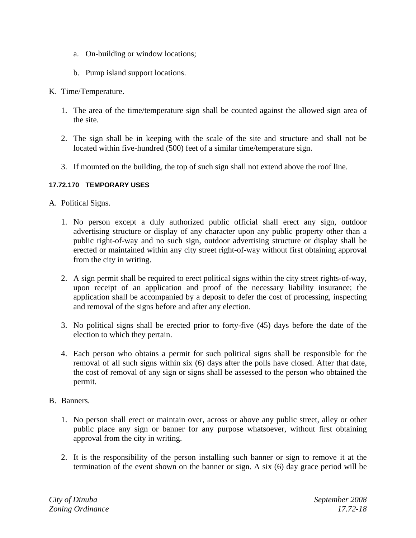- a. On-building or window locations;
- b. Pump island support locations.
- K. Time/Temperature.
	- 1. The area of the time/temperature sign shall be counted against the allowed sign area of the site.
	- 2. The sign shall be in keeping with the scale of the site and structure and shall not be located within five-hundred (500) feet of a similar time/temperature sign.
	- 3. If mounted on the building, the top of such sign shall not extend above the roof line.

# **17.72.170 TEMPORARY USES**

- A. Political Signs.
	- 1. No person except a duly authorized public official shall erect any sign, outdoor advertising structure or display of any character upon any public property other than a public right-of-way and no such sign, outdoor advertising structure or display shall be erected or maintained within any city street right-of-way without first obtaining approval from the city in writing.
	- 2. A sign permit shall be required to erect political signs within the city street rights-of-way, upon receipt of an application and proof of the necessary liability insurance; the application shall be accompanied by a deposit to defer the cost of processing, inspecting and removal of the signs before and after any election.
	- 3. No political signs shall be erected prior to forty-five (45) days before the date of the election to which they pertain.
	- 4. Each person who obtains a permit for such political signs shall be responsible for the removal of all such signs within six (6) days after the polls have closed. After that date, the cost of removal of any sign or signs shall be assessed to the person who obtained the permit.
- B. Banners.
	- 1. No person shall erect or maintain over, across or above any public street, alley or other public place any sign or banner for any purpose whatsoever, without first obtaining approval from the city in writing.
	- 2. It is the responsibility of the person installing such banner or sign to remove it at the termination of the event shown on the banner or sign. A six (6) day grace period will be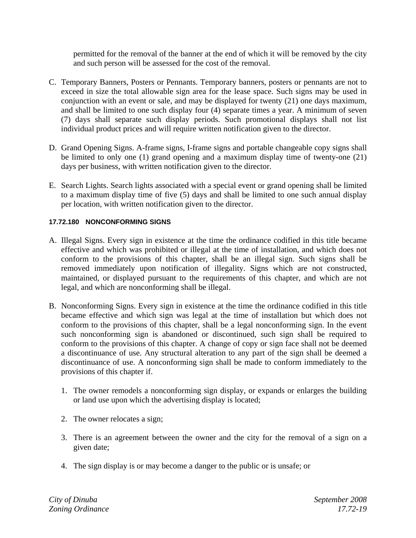permitted for the removal of the banner at the end of which it will be removed by the city and such person will be assessed for the cost of the removal.

- C. Temporary Banners, Posters or Pennants. Temporary banners, posters or pennants are not to exceed in size the total allowable sign area for the lease space. Such signs may be used in conjunction with an event or sale, and may be displayed for twenty (21) one days maximum, and shall be limited to one such display four (4) separate times a year. A minimum of seven (7) days shall separate such display periods. Such promotional displays shall not list individual product prices and will require written notification given to the director.
- D. Grand Opening Signs. A-frame signs, I-frame signs and portable changeable copy signs shall be limited to only one (1) grand opening and a maximum display time of twenty-one (21) days per business, with written notification given to the director.
- E. Search Lights. Search lights associated with a special event or grand opening shall be limited to a maximum display time of five (5) days and shall be limited to one such annual display per location, with written notification given to the director.

# **17.72.180 NONCONFORMING SIGNS**

- A. Illegal Signs. Every sign in existence at the time the ordinance codified in this title became effective and which was prohibited or illegal at the time of installation, and which does not conform to the provisions of this chapter, shall be an illegal sign. Such signs shall be removed immediately upon notification of illegality. Signs which are not constructed, maintained, or displayed pursuant to the requirements of this chapter, and which are not legal, and which are nonconforming shall be illegal.
- B. Nonconforming Signs. Every sign in existence at the time the ordinance codified in this title became effective and which sign was legal at the time of installation but which does not conform to the provisions of this chapter, shall be a legal nonconforming sign. In the event such nonconforming sign is abandoned or discontinued, such sign shall be required to conform to the provisions of this chapter. A change of copy or sign face shall not be deemed a discontinuance of use. Any structural alteration to any part of the sign shall be deemed a discontinuance of use. A nonconforming sign shall be made to conform immediately to the provisions of this chapter if.
	- 1. The owner remodels a nonconforming sign display, or expands or enlarges the building or land use upon which the advertising display is located;
	- 2. The owner relocates a sign;
	- 3. There is an agreement between the owner and the city for the removal of a sign on a given date;
	- 4. The sign display is or may become a danger to the public or is unsafe; or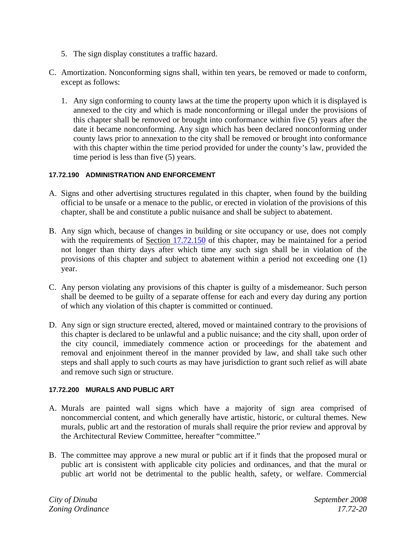- 5. The sign display constitutes a traffic hazard.
- C. Amortization. Nonconforming signs shall, within ten years, be removed or made to conform, except as follows:
	- 1. Any sign conforming to county laws at the time the property upon which it is displayed is annexed to the city and which is made nonconforming or illegal under the provisions of this chapter shall be removed or brought into conformance within five (5) years after the date it became nonconforming. Any sign which has been declared nonconforming under county laws prior to annexation to the city shall be removed or brought into conformance with this chapter within the time period provided for under the county's law, provided the time period is less than five (5) years.

## **17.72.190 ADMINISTRATION AND ENFORCEMENT**

- A. Signs and other advertising structures regulated in this chapter, when found by the building official to be unsafe or a menace to the public, or erected in violation of the provisions of this chapter, shall be and constitute a public nuisance and shall be subject to abatement.
- B. Any sign which, because of changes in building or site occupancy or use, does not comply with the requirements of Section 17.72.150 of this chapter, may be maintained for a period not longer than thirty days after which time any such sign shall be in violation of the provisions of this chapter and subject to abatement within a period not exceeding one (1) year.
- C. Any person violating any provisions of this chapter is guilty of a misdemeanor. Such person shall be deemed to be guilty of a separate offense for each and every day during any portion of which any violation of this chapter is committed or continued.
- D. Any sign or sign structure erected, altered, moved or maintained contrary to the provisions of this chapter is declared to be unlawful and a public nuisance; and the city shall, upon order of the city council, immediately commence action or proceedings for the abatement and removal and enjoinment thereof in the manner provided by law, and shall take such other steps and shall apply to such courts as may have jurisdiction to grant such relief as will abate and remove such sign or structure.

# **17.72.200 MURALS AND PUBLIC ART**

- A. Murals are painted wall signs which have a majority of sign area comprised of noncommercial content, and which generally have artistic, historic, or cultural themes. New murals, public art and the restoration of murals shall require the prior review and approval by the Architectural Review Committee, hereafter "committee."
- B. The committee may approve a new mural or public art if it finds that the proposed mural or public art is consistent with applicable city policies and ordinances, and that the mural or public art world not be detrimental to the public health, safety, or welfare. Commercial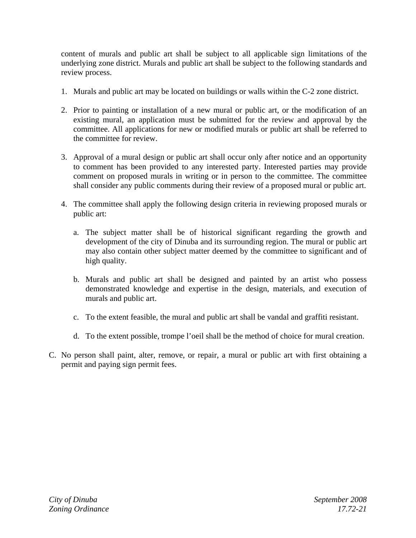content of murals and public art shall be subject to all applicable sign limitations of the underlying zone district. Murals and public art shall be subject to the following standards and review process.

- 1. Murals and public art may be located on buildings or walls within the C-2 zone district.
- 2. Prior to painting or installation of a new mural or public art, or the modification of an existing mural, an application must be submitted for the review and approval by the committee. All applications for new or modified murals or public art shall be referred to the committee for review.
- 3. Approval of a mural design or public art shall occur only after notice and an opportunity to comment has been provided to any interested party. Interested parties may provide comment on proposed murals in writing or in person to the committee. The committee shall consider any public comments during their review of a proposed mural or public art.
- 4. The committee shall apply the following design criteria in reviewing proposed murals or public art:
	- a. The subject matter shall be of historical significant regarding the growth and development of the city of Dinuba and its surrounding region. The mural or public art may also contain other subject matter deemed by the committee to significant and of high quality.
	- b. Murals and public art shall be designed and painted by an artist who possess demonstrated knowledge and expertise in the design, materials, and execution of murals and public art.
	- c. To the extent feasible, the mural and public art shall be vandal and graffiti resistant.
	- d. To the extent possible, trompe l'oeil shall be the method of choice for mural creation.
- C. No person shall paint, alter, remove, or repair, a mural or public art with first obtaining a permit and paying sign permit fees.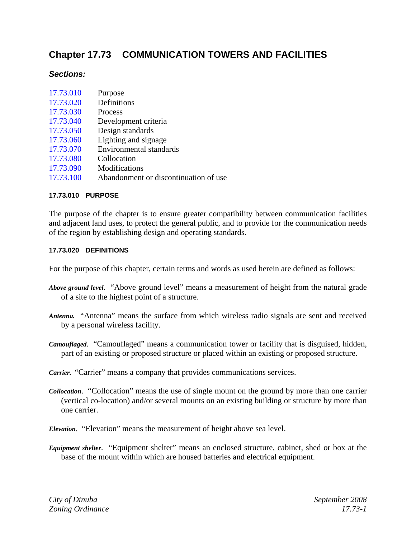# **Chapter 17.73 COMMUNICATION TOWERS AND FACILITIES**

# *Sections:*

| 17.73.010 | Purpose                               |
|-----------|---------------------------------------|
| 17.73.020 | Definitions                           |
| 17.73.030 | Process                               |
| 17.73.040 | Development criteria                  |
| 17.73.050 | Design standards                      |
| 17.73.060 | Lighting and signage                  |
| 17.73.070 | <b>Environmental standards</b>        |
| 17.73.080 | Collocation                           |
| 17.73.090 | Modifications                         |
| 17.73.100 | Abandonment or discontinuation of use |

#### **17.73.010 PURPOSE**

The purpose of the chapter is to ensure greater compatibility between communication facilities and adjacent land uses, to protect the general public, and to provide for the communication needs of the region by establishing design and operating standards.

#### **17.73.020 DEFINITIONS**

For the purpose of this chapter, certain terms and words as used herein are defined as follows:

- *Above ground level*. "Above ground level" means a measurement of height from the natural grade of a site to the highest point of a structure.
- *Antenna.* "Antenna" means the surface from which wireless radio signals are sent and received by a personal wireless facility.
- *Camouflaged*. "Camouflaged" means a communication tower or facility that is disguised, hidden, part of an existing or proposed structure or placed within an existing or proposed structure.
- *Carrier.* "Carrier" means a company that provides communications services.
- *Collocation*. "Collocation" means the use of single mount on the ground by more than one carrier (vertical co-location) and/or several mounts on an existing building or structure by more than one carrier.
- *Elevation*. "Elevation" means the measurement of height above sea level.
- *Equipment shelter*. "Equipment shelter" means an enclosed structure, cabinet, shed or box at the base of the mount within which are housed batteries and electrical equipment.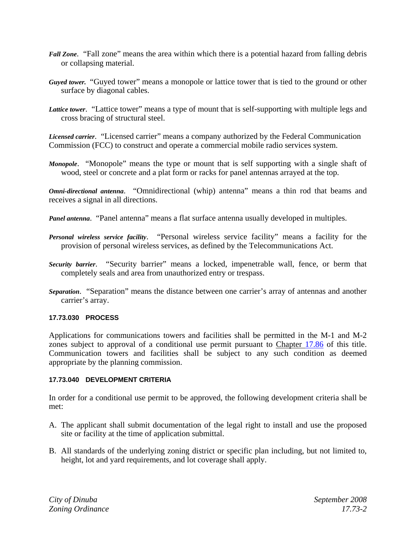- *Fall Zone*. "Fall zone" means the area within which there is a potential hazard from falling debris or collapsing material.
- *Guyed tower.* "Guyed tower" means a monopole or lattice tower that is tied to the ground or other surface by diagonal cables.
- *Lattice tower*. "Lattice tower" means a type of mount that is self-supporting with multiple legs and cross bracing of structural steel.

*Licensed carrier*. "Licensed carrier" means a company authorized by the Federal Communication Commission (FCC) to construct and operate a commercial mobile radio services system.

*Monopole*. "Monopole" means the type or mount that is self supporting with a single shaft of wood, steel or concrete and a plat form or racks for panel antennas arrayed at the top.

*Omni-directional antenna*. "Omnidirectional (whip) antenna" means a thin rod that beams and receives a signal in all directions.

*Panel antenna*. "Panel antenna" means a flat surface antenna usually developed in multiples.

- *Personal wireless service facility*. "Personal wireless service facility" means a facility for the provision of personal wireless services, as defined by the Telecommunications Act.
- *Security barrier*. "Security barrier" means a locked, impenetrable wall, fence, or berm that completely seals and area from unauthorized entry or trespass.
- *Separation*. "Separation" means the distance between one carrier's array of antennas and another carrier's array.

#### **17.73.030 PROCESS**

Applications for communications towers and facilities shall be permitted in the M-1 and M-2 zones subject to approval of a conditional use permit pursuant to Chapter 17.86 of this title. Communication towers and facilities shall be subject to any such condition as deemed appropriate by the planning commission.

#### **17.73.040 DEVELOPMENT CRITERIA**

In order for a conditional use permit to be approved, the following development criteria shall be met:

- A. The applicant shall submit documentation of the legal right to install and use the proposed site or facility at the time of application submittal.
- B. All standards of the underlying zoning district or specific plan including, but not limited to, height, lot and yard requirements, and lot coverage shall apply.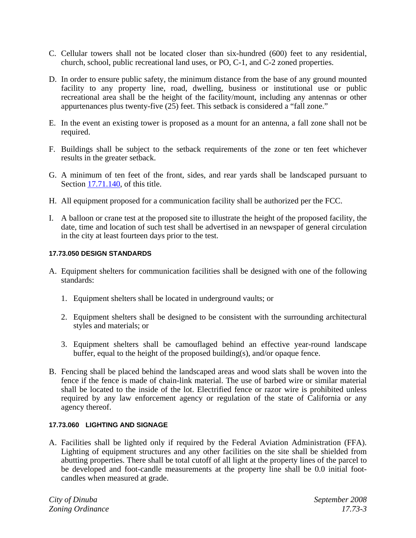- C. Cellular towers shall not be located closer than six-hundred (600) feet to any residential, church, school, public recreational land uses, or PO, C-1, and C-2 zoned properties.
- D. In order to ensure public safety, the minimum distance from the base of any ground mounted facility to any property line, road, dwelling, business or institutional use or public recreational area shall be the height of the facility/mount, including any antennas or other appurtenances plus twenty-five  $(25)$  feet. This setback is considered a "fall zone."
- E. In the event an existing tower is proposed as a mount for an antenna, a fall zone shall not be required.
- F. Buildings shall be subject to the setback requirements of the zone or ten feet whichever results in the greater setback.
- G. A minimum of ten feet of the front, sides, and rear yards shall be landscaped pursuant to Section 17.71.140, of this title.
- H. All equipment proposed for a communication facility shall be authorized per the FCC.
- I. A balloon or crane test at the proposed site to illustrate the height of the proposed facility, the date, time and location of such test shall be advertised in an newspaper of general circulation in the city at least fourteen days prior to the test.

#### **17.73.050 DESIGN STANDARDS**

- A. Equipment shelters for communication facilities shall be designed with one of the following standards:
	- 1. Equipment shelters shall be located in underground vaults; or
	- 2. Equipment shelters shall be designed to be consistent with the surrounding architectural styles and materials; or
	- 3. Equipment shelters shall be camouflaged behind an effective year-round landscape buffer, equal to the height of the proposed building(s), and/or opaque fence.
- B. Fencing shall be placed behind the landscaped areas and wood slats shall be woven into the fence if the fence is made of chain-link material. The use of barbed wire or similar material shall be located to the inside of the lot. Electrified fence or razor wire is prohibited unless required by any law enforcement agency or regulation of the state of California or any agency thereof.

## **17.73.060 LIGHTING AND SIGNAGE**

A. Facilities shall be lighted only if required by the Federal Aviation Administration (FFA). Lighting of equipment structures and any other facilities on the site shall be shielded from abutting properties. There shall be total cutoff of all light at the property lines of the parcel to be developed and foot-candle measurements at the property line shall be 0.0 initial footcandles when measured at grade.

*City of Dinuba September 2008 Zoning Ordinance 17.73-3*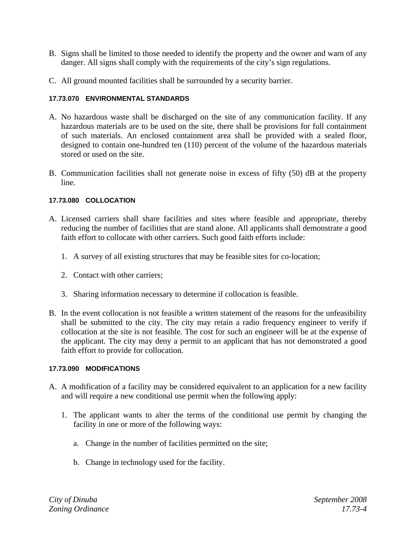- B. Signs shall be limited to those needed to identify the property and the owner and warn of any danger. All signs shall comply with the requirements of the city's sign regulations.
- C. All ground mounted facilities shall be surrounded by a security barrier.

## **17.73.070 ENVIRONMENTAL STANDARDS**

- A. No hazardous waste shall be discharged on the site of any communication facility. If any hazardous materials are to be used on the site, there shall be provisions for full containment of such materials. An enclosed containment area shall be provided with a sealed floor, designed to contain one-hundred ten (110) percent of the volume of the hazardous materials stored or used on the site.
- B. Communication facilities shall not generate noise in excess of fifty (50) dB at the property line.

## **17.73.080 COLLOCATION**

- A. Licensed carriers shall share facilities and sites where feasible and appropriate, thereby reducing the number of facilities that are stand alone. All applicants shall demonstrate a good faith effort to collocate with other carriers. Such good faith efforts include:
	- 1. A survey of all existing structures that may be feasible sites for co-location;
	- 2. Contact with other carriers;
	- 3. Sharing information necessary to determine if collocation is feasible.
- B. In the event collocation is not feasible a written statement of the reasons for the unfeasibility shall be submitted to the city. The city may retain a radio frequency engineer to verify if collocation at the site is not feasible. The cost for such an engineer will be at the expense of the applicant. The city may deny a permit to an applicant that has not demonstrated a good faith effort to provide for collocation.

## **17.73.090 MODIFICATIONS**

- A. A modification of a facility may be considered equivalent to an application for a new facility and will require a new conditional use permit when the following apply:
	- 1. The applicant wants to alter the terms of the conditional use permit by changing the facility in one or more of the following ways:
		- a. Change in the number of facilities permitted on the site;
		- b. Change in technology used for the facility.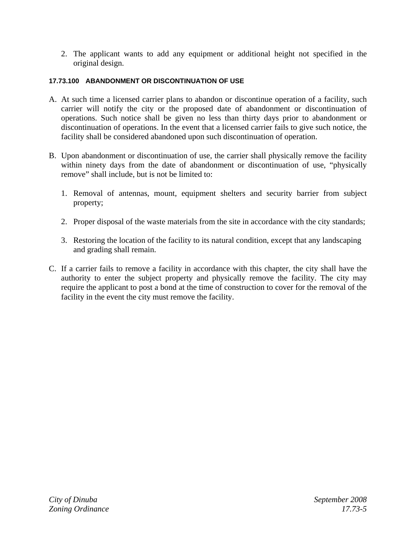2. The applicant wants to add any equipment or additional height not specified in the original design.

## **17.73.100 ABANDONMENT OR DISCONTINUATION OF USE**

- A. At such time a licensed carrier plans to abandon or discontinue operation of a facility, such carrier will notify the city or the proposed date of abandonment or discontinuation of operations. Such notice shall be given no less than thirty days prior to abandonment or discontinuation of operations. In the event that a licensed carrier fails to give such notice, the facility shall be considered abandoned upon such discontinuation of operation.
- B. Upon abandonment or discontinuation of use, the carrier shall physically remove the facility within ninety days from the date of abandonment or discontinuation of use, "physically remove" shall include, but is not be limited to:
	- 1. Removal of antennas, mount, equipment shelters and security barrier from subject property;
	- 2. Proper disposal of the waste materials from the site in accordance with the city standards;
	- 3. Restoring the location of the facility to its natural condition, except that any landscaping and grading shall remain.
- C. If a carrier fails to remove a facility in accordance with this chapter, the city shall have the authority to enter the subject property and physically remove the facility. The city may require the applicant to post a bond at the time of construction to cover for the removal of the facility in the event the city must remove the facility.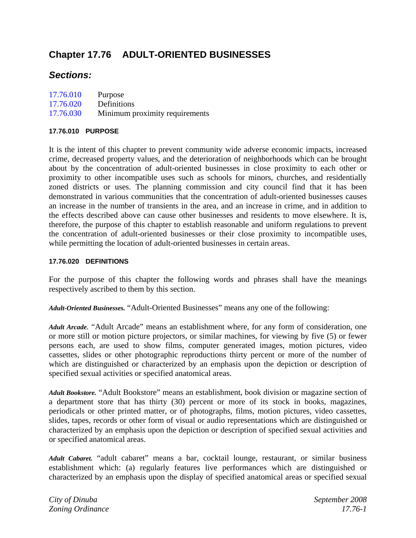# **Chapter 17.76 ADULT-ORIENTED BUSINESSES**

# *Sections:*

| 17.76.010 | Purpose                        |
|-----------|--------------------------------|
| 17.76.020 | Definitions                    |
| 17.76.030 | Minimum proximity requirements |

## **17.76.010 PURPOSE**

It is the intent of this chapter to prevent community wide adverse economic impacts, increased crime, decreased property values, and the deterioration of neighborhoods which can be brought about by the concentration of adult-oriented businesses in close proximity to each other or proximity to other incompatible uses such as schools for minors, churches, and residentially zoned districts or uses. The planning commission and city council find that it has been demonstrated in various communities that the concentration of adult-oriented businesses causes an increase in the number of transients in the area, and an increase in crime, and in addition to the effects described above can cause other businesses and residents to move elsewhere. It is, therefore, the purpose of this chapter to establish reasonable and uniform regulations to prevent the concentration of adult-oriented businesses or their close proximity to incompatible uses, while permitting the location of adult-oriented businesses in certain areas.

## **17.76.020 DEFINITIONS**

For the purpose of this chapter the following words and phrases shall have the meanings respectively ascribed to them by this section.

*Adult-Oriented Businesses.* "Adult-Oriented Businesses" means any one of the following:

*Adult Arcade.* "Adult Arcade" means an establishment where, for any form of consideration, one or more still or motion picture projectors, or similar machines, for viewing by five (5) or fewer persons each, are used to show films, computer generated images, motion pictures, video cassettes, slides or other photographic reproductions thirty percent or more of the number of which are distinguished or characterized by an emphasis upon the depiction or description of specified sexual activities or specified anatomical areas.

*Adult Bookstore.* "Adult Bookstore" means an establishment, book division or magazine section of a department store that has thirty (30) percent or more of its stock in books, magazines, periodicals or other printed matter, or of photographs, films, motion pictures, video cassettes, slides, tapes, records or other form of visual or audio representations which are distinguished or characterized by an emphasis upon the depiction or description of specified sexual activities and or specified anatomical areas.

*Adult Cabaret.* "adult cabaret" means a bar, cocktail lounge, restaurant, or similar business establishment which: (a) regularly features live performances which are distinguished or characterized by an emphasis upon the display of specified anatomical areas or specified sexual

*City of Dinuba September 2008 Zoning Ordinance 17.76-1*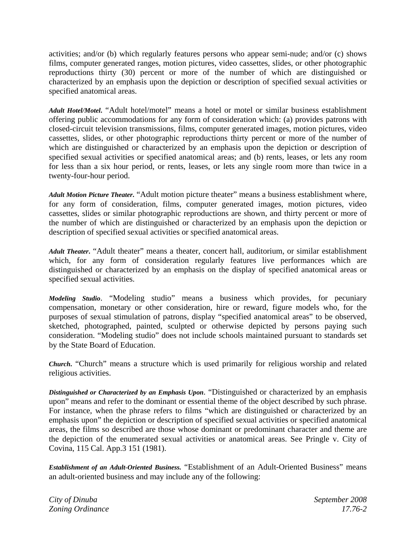activities; and/or (b) which regularly features persons who appear semi-nude; and/or (c) shows films, computer generated ranges, motion pictures, video cassettes, slides, or other photographic reproductions thirty (30) percent or more of the number of which are distinguished or characterized by an emphasis upon the depiction or description of specified sexual activities or specified anatomical areas.

*Adult Hotel/Motel***.** "Adult hotel/motel" means a hotel or motel or similar business establishment offering public accommodations for any form of consideration which: (a) provides patrons with closed-circuit television transmissions, films, computer generated images, motion pictures, video cassettes, slides, or other photographic reproductions thirty percent or more of the number of which are distinguished or characterized by an emphasis upon the depiction or description of specified sexual activities or specified anatomical areas; and (b) rents, leases, or lets any room for less than a six hour period, or rents, leases, or lets any single room more than twice in a twenty-four-hour period.

*Adult Motion Picture Theater***.** "Adult motion picture theater" means a business establishment where, for any form of consideration, films, computer generated images, motion pictures, video cassettes, slides or similar photographic reproductions are shown, and thirty percent or more of the number of which are distinguished or characterized by an emphasis upon the depiction or description of specified sexual activities or specified anatomical areas.

*Adult Theater***.** "Adult theater" means a theater, concert hall, auditorium, or similar establishment which, for any form of consideration regularly features live performances which are distinguished or characterized by an emphasis on the display of specified anatomical areas or specified sexual activities.

*Modeling Studio*. "Modeling studio" means a business which provides, for pecuniary compensation, monetary or other consideration, hire or reward, figure models who, for the purposes of sexual stimulation of patrons, display "specified anatomical areas" to be observed, sketched, photographed, painted, sculpted or otherwise depicted by persons paying such consideration. "Modeling studio" does not include schools maintained pursuant to standards set by the State Board of Education.

*Church***.** "Church" means a structure which is used primarily for religious worship and related religious activities.

*Distinguished or Characterized by an Emphasis Upon*. "Distinguished or characterized by an emphasis upon" means and refer to the dominant or essential theme of the object described by such phrase. For instance, when the phrase refers to films "which are distinguished or characterized by an emphasis upon" the depiction or description of specified sexual activities or specified anatomical areas, the films so described are those whose dominant or predominant character and theme are the depiction of the enumerated sexual activities or anatomical areas. See Pringle v. City of Covina, 115 Cal. App.3 151 (1981).

*Establishment of an Adult-Oriented Business.* "Establishment of an Adult-Oriented Business" means an adult-oriented business and may include any of the following:

*City of Dinuba September 2008 Zoning Ordinance 17.76-2*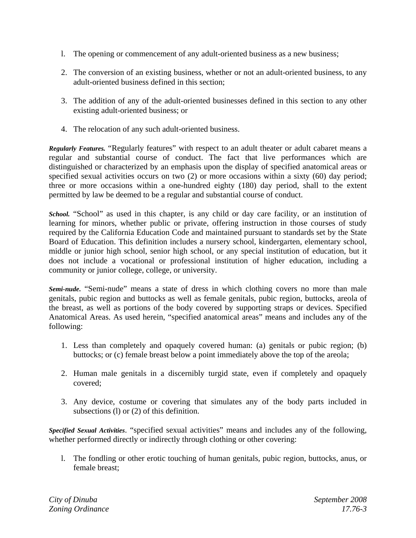- l. The opening or commencement of any adult-oriented business as a new business;
- 2. The conversion of an existing business, whether or not an adult-oriented business, to any adult-oriented business defined in this section;
- 3. The addition of any of the adult-oriented businesses defined in this section to any other existing adult-oriented business; or
- 4. The relocation of any such adult-oriented business.

*Regularly Features.* "Regularly features" with respect to an adult theater or adult cabaret means a regular and substantial course of conduct. The fact that live performances which are distinguished or characterized by an emphasis upon the display of specified anatomical areas or specified sexual activities occurs on two (2) or more occasions within a sixty (60) day period; three or more occasions within a one-hundred eighty (180) day period, shall to the extent permitted by law be deemed to be a regular and substantial course of conduct.

*School.* "School" as used in this chapter, is any child or day care facility, or an institution of learning for minors, whether public or private, offering instruction in those courses of study required by the California Education Code and maintained pursuant to standards set by the State Board of Education. This definition includes a nursery school, kindergarten, elementary school, middle or junior high school, senior high school, or any special institution of education, but it does not include a vocational or professional institution of higher education, including a community or junior college, college, or university.

*Semi-nude***.** "Semi-nude" means a state of dress in which clothing covers no more than male genitals, pubic region and buttocks as well as female genitals, pubic region, buttocks, areola of the breast, as well as portions of the body covered by supporting straps or devices. Specified Anatomical Areas. As used herein, "specified anatomical areas" means and includes any of the following:

- 1. Less than completely and opaquely covered human: (a) genitals or pubic region; (b) buttocks; or (c) female breast below a point immediately above the top of the areola;
- 2. Human male genitals in a discernibly turgid state, even if completely and opaquely covered;
- 3. Any device, costume or covering that simulates any of the body parts included in subsections (l) or (2) of this definition.

*Specified Sexual Activities*. "specified sexual activities" means and includes any of the following, whether performed directly or indirectly through clothing or other covering:

l. The fondling or other erotic touching of human genitals, pubic region, buttocks, anus, or female breast;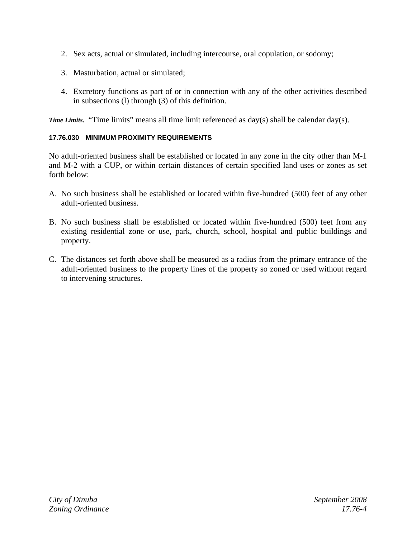- 2. Sex acts, actual or simulated, including intercourse, oral copulation, or sodomy;
- 3. Masturbation, actual or simulated;
- 4. Excretory functions as part of or in connection with any of the other activities described in subsections (l) through (3) of this definition.

*Time Limits.* "Time limits" means all time limit referenced as day(s) shall be calendar day(s).

# **17.76.030 MINIMUM PROXIMITY REQUIREMENTS**

No adult-oriented business shall be established or located in any zone in the city other than M-1 and M-2 with a CUP, or within certain distances of certain specified land uses or zones as set forth below:

- A. No such business shall be established or located within five-hundred (500) feet of any other adult-oriented business.
- B. No such business shall be established or located within five-hundred (500) feet from any existing residential zone or use, park, church, school, hospital and public buildings and property.
- C. The distances set forth above shall be measured as a radius from the primary entrance of the adult-oriented business to the property lines of the property so zoned or used without regard to intervening structures.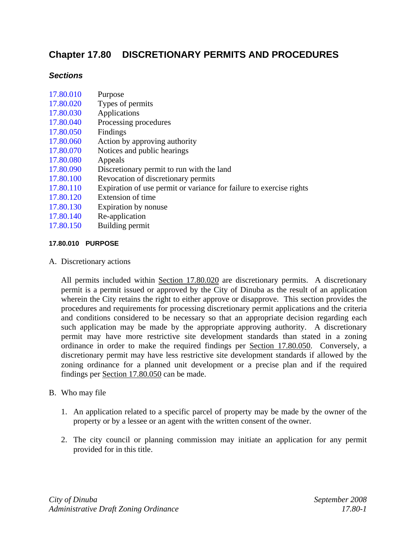# **Chapter 17.80 DISCRETIONARY PERMITS AND PROCEDURES**

# *Sections*

| 17.80.010 | <b>PURPOSE</b>                                                      |
|-----------|---------------------------------------------------------------------|
| 17.80.150 | Building permit                                                     |
| 17.80.140 | Re-application                                                      |
| 17.80.130 | Expiration by nonuse                                                |
| 17.80.120 | Extension of time                                                   |
| 17.80.110 | Expiration of use permit or variance for failure to exercise rights |
| 17.80.100 | Revocation of discretionary permits                                 |
| 17.80.090 | Discretionary permit to run with the land                           |
| 17.80.080 | Appeals                                                             |
| 17.80.070 | Notices and public hearings                                         |
| 17.80.060 | Action by approving authority                                       |
| 17.80.050 | Findings                                                            |
| 17.80.040 | Processing procedures                                               |
| 17.80.030 | Applications                                                        |
| 17.80.020 | Types of permits                                                    |
| 17.80.010 | Purpose                                                             |
|           |                                                                     |

A. Discretionary actions

 All permits included within Section 17.80.020 are discretionary permits. A discretionary permit is a permit issued or approved by the City of Dinuba as the result of an application wherein the City retains the right to either approve or disapprove. This section provides the procedures and requirements for processing discretionary permit applications and the criteria and conditions considered to be necessary so that an appropriate decision regarding each such application may be made by the appropriate approving authority. A discretionary permit may have more restrictive site development standards than stated in a zoning ordinance in order to make the required findings per Section 17.80.050. Conversely, a discretionary permit may have less restrictive site development standards if allowed by the zoning ordinance for a planned unit development or a precise plan and if the required findings per Section 17.80.050 can be made.

# B. Who may file

- 1. An application related to a specific parcel of property may be made by the owner of the property or by a lessee or an agent with the written consent of the owner.
- 2. The city council or planning commission may initiate an application for any permit provided for in this title.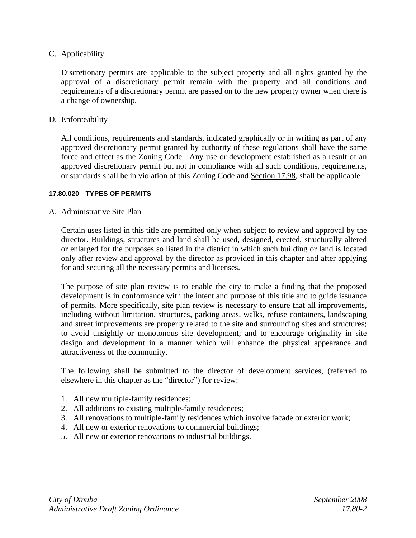# C. Applicability

 Discretionary permits are applicable to the subject property and all rights granted by the approval of a discretionary permit remain with the property and all conditions and requirements of a discretionary permit are passed on to the new property owner when there is a change of ownership.

## D. Enforceability

 All conditions, requirements and standards, indicated graphically or in writing as part of any approved discretionary permit granted by authority of these regulations shall have the same force and effect as the Zoning Code. Any use or development established as a result of an approved discretionary permit but not in compliance with all such conditions, requirements, or standards shall be in violation of this Zoning Code and Section 17.98, shall be applicable.

#### **17.80.020 TYPES OF PERMITS**

## A. Administrative Site Plan

Certain uses listed in this title are permitted only when subject to review and approval by the director. Buildings, structures and land shall be used, designed, erected, structurally altered or enlarged for the purposes so listed in the district in which such building or land is located only after review and approval by the director as provided in this chapter and after applying for and securing all the necessary permits and licenses.

The purpose of site plan review is to enable the city to make a finding that the proposed development is in conformance with the intent and purpose of this title and to guide issuance of permits. More specifically, site plan review is necessary to ensure that all improvements, including without limitation, structures, parking areas, walks, refuse containers, landscaping and street improvements are properly related to the site and surrounding sites and structures; to avoid unsightly or monotonous site development; and to encourage originality in site design and development in a manner which will enhance the physical appearance and attractiveness of the community.

The following shall be submitted to the director of development services, (referred to elsewhere in this chapter as the "director") for review:

- 1. All new multiple-family residences;
- 2. All additions to existing multiple-family residences;
- 3. All renovations to multiple-family residences which involve facade or exterior work;
- 4. All new or exterior renovations to commercial buildings;
- 5. All new or exterior renovations to industrial buildings.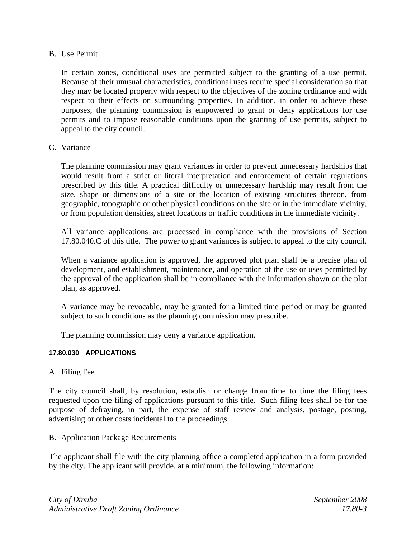## B. Use Permit

In certain zones, conditional uses are permitted subject to the granting of a use permit. Because of their unusual characteristics, conditional uses require special consideration so that they may be located properly with respect to the objectives of the zoning ordinance and with respect to their effects on surrounding properties. In addition, in order to achieve these purposes, the planning commission is empowered to grant or deny applications for use permits and to impose reasonable conditions upon the granting of use permits, subject to appeal to the city council.

## C. Variance

The planning commission may grant variances in order to prevent unnecessary hardships that would result from a strict or literal interpretation and enforcement of certain regulations prescribed by this title. A practical difficulty or unnecessary hardship may result from the size, shape or dimensions of a site or the location of existing structures thereon, from geographic, topographic or other physical conditions on the site or in the immediate vicinity, or from population densities, street locations or traffic conditions in the immediate vicinity.

All variance applications are processed in compliance with the provisions of Section 17.80.040.C of this title. The power to grant variances is subject to appeal to the city council.

When a variance application is approved, the approved plot plan shall be a precise plan of development, and establishment, maintenance, and operation of the use or uses permitted by the approval of the application shall be in compliance with the information shown on the plot plan, as approved.

A variance may be revocable, may be granted for a limited time period or may be granted subject to such conditions as the planning commission may prescribe.

The planning commission may deny a variance application.

## **17.80.030 APPLICATIONS**

A. Filing Fee

The city council shall, by resolution, establish or change from time to time the filing fees requested upon the filing of applications pursuant to this title. Such filing fees shall be for the purpose of defraying, in part, the expense of staff review and analysis, postage, posting, advertising or other costs incidental to the proceedings.

B. Application Package Requirements

The applicant shall file with the city planning office a completed application in a form provided by the city. The applicant will provide, at a minimum, the following information: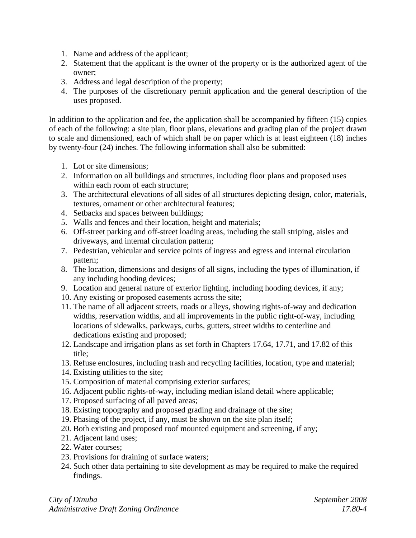- 1. Name and address of the applicant;
- 2. Statement that the applicant is the owner of the property or is the authorized agent of the owner;
- 3. Address and legal description of the property;
- 4. The purposes of the discretionary permit application and the general description of the uses proposed.

In addition to the application and fee, the application shall be accompanied by fifteen (15) copies of each of the following: a site plan, floor plans, elevations and grading plan of the project drawn to scale and dimensioned, each of which shall be on paper which is at least eighteen (18) inches by twenty-four (24) inches. The following information shall also be submitted:

- 1. Lot or site dimensions;
- 2. Information on all buildings and structures, including floor plans and proposed uses within each room of each structure;
- 3. The architectural elevations of all sides of all structures depicting design, color, materials, textures, ornament or other architectural features;
- 4. Setbacks and spaces between buildings;
- 5. Walls and fences and their location, height and materials;
- 6. Off-street parking and off-street loading areas, including the stall striping, aisles and driveways, and internal circulation pattern;
- 7. Pedestrian, vehicular and service points of ingress and egress and internal circulation pattern;
- 8. The location, dimensions and designs of all signs, including the types of illumination, if any including hooding devices;
- 9. Location and general nature of exterior lighting, including hooding devices, if any;
- 10. Any existing or proposed easements across the site;
- 11. The name of all adjacent streets, roads or alleys, showing rights-of-way and dedication widths, reservation widths, and all improvements in the public right-of-way, including locations of sidewalks, parkways, curbs, gutters, street widths to centerline and dedications existing and proposed;
- 12. Landscape and irrigation plans as set forth in Chapters 17.64, 17.71, and 17.82 of this title;
- 13. Refuse enclosures, including trash and recycling facilities, location, type and material;
- 14. Existing utilities to the site;
- 15. Composition of material comprising exterior surfaces;
- 16. Adjacent public rights-of-way, including median island detail where applicable;
- 17. Proposed surfacing of all paved areas;
- 18. Existing topography and proposed grading and drainage of the site;
- 19. Phasing of the project, if any, must be shown on the site plan itself;
- 20. Both existing and proposed roof mounted equipment and screening, if any;
- 21. Adjacent land uses;
- 22. Water courses;
- 23. Provisions for draining of surface waters;
- 24. Such other data pertaining to site development as may be required to make the required findings.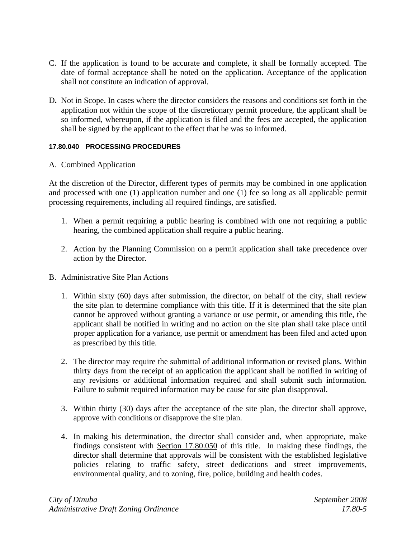- C. If the application is found to be accurate and complete, it shall be formally accepted. The date of formal acceptance shall be noted on the application. Acceptance of the application shall not constitute an indication of approval.
- D**.** Not in Scope. In cases where the director considers the reasons and conditions set forth in the application not within the scope of the discretionary permit procedure, the applicant shall be so informed, whereupon, if the application is filed and the fees are accepted, the application shall be signed by the applicant to the effect that he was so informed.

## **17.80.040 PROCESSING PROCEDURES**

## A. Combined Application

At the discretion of the Director, different types of permits may be combined in one application and processed with one (1) application number and one (1) fee so long as all applicable permit processing requirements, including all required findings, are satisfied.

- 1. When a permit requiring a public hearing is combined with one not requiring a public hearing, the combined application shall require a public hearing.
- 2. Action by the Planning Commission on a permit application shall take precedence over action by the Director.
- B. Administrative Site Plan Actions
	- 1. Within sixty (60) days after submission, the director, on behalf of the city, shall review the site plan to determine compliance with this title. If it is determined that the site plan cannot be approved without granting a variance or use permit, or amending this title, the applicant shall be notified in writing and no action on the site plan shall take place until proper application for a variance, use permit or amendment has been filed and acted upon as prescribed by this title.
	- 2. The director may require the submittal of additional information or revised plans. Within thirty days from the receipt of an application the applicant shall be notified in writing of any revisions or additional information required and shall submit such information. Failure to submit required information may be cause for site plan disapproval.
	- 3. Within thirty (30) days after the acceptance of the site plan, the director shall approve, approve with conditions or disapprove the site plan.
	- 4. In making his determination, the director shall consider and, when appropriate, make findings consistent with Section 17.80.050 of this title. In making these findings, the director shall determine that approvals will be consistent with the established legislative policies relating to traffic safety, street dedications and street improvements, environmental quality, and to zoning, fire, police, building and health codes.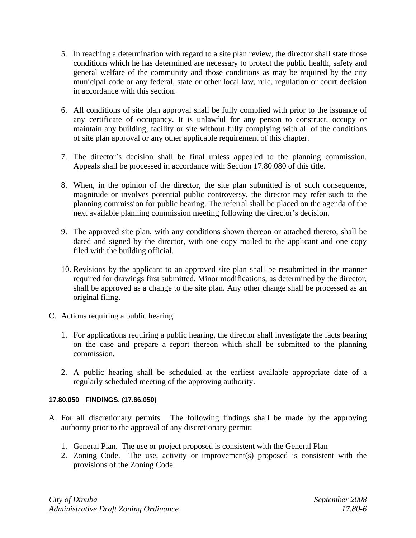- 5. In reaching a determination with regard to a site plan review, the director shall state those conditions which he has determined are necessary to protect the public health, safety and general welfare of the community and those conditions as may be required by the city municipal code or any federal, state or other local law, rule, regulation or court decision in accordance with this section.
- 6. All conditions of site plan approval shall be fully complied with prior to the issuance of any certificate of occupancy. It is unlawful for any person to construct, occupy or maintain any building, facility or site without fully complying with all of the conditions of site plan approval or any other applicable requirement of this chapter.
- 7. The director's decision shall be final unless appealed to the planning commission. Appeals shall be processed in accordance with Section 17.80.080 of this title.
- 8. When, in the opinion of the director, the site plan submitted is of such consequence, magnitude or involves potential public controversy, the director may refer such to the planning commission for public hearing. The referral shall be placed on the agenda of the next available planning commission meeting following the director's decision.
- 9. The approved site plan, with any conditions shown thereon or attached thereto, shall be dated and signed by the director, with one copy mailed to the applicant and one copy filed with the building official.
- 10. Revisions by the applicant to an approved site plan shall be resubmitted in the manner required for drawings first submitted. Minor modifications, as determined by the director, shall be approved as a change to the site plan. Any other change shall be processed as an original filing.
- C. Actions requiring a public hearing
	- 1. For applications requiring a public hearing, the director shall investigate the facts bearing on the case and prepare a report thereon which shall be submitted to the planning commission.
	- 2. A public hearing shall be scheduled at the earliest available appropriate date of a regularly scheduled meeting of the approving authority.

# **17.80.050 FINDINGS. (17.86.050)**

- A. For all discretionary permits. The following findings shall be made by the approving authority prior to the approval of any discretionary permit:
	- 1. General Plan. The use or project proposed is consistent with the General Plan
	- 2. Zoning Code. The use, activity or improvement(s) proposed is consistent with the provisions of the Zoning Code.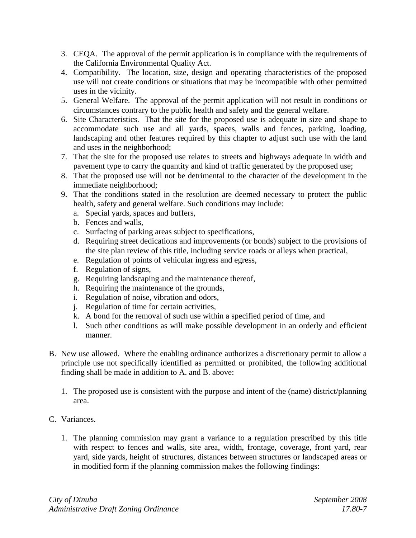- 3. CEQA. The approval of the permit application is in compliance with the requirements of the California Environmental Quality Act.
- 4. Compatibility. The location, size, design and operating characteristics of the proposed use will not create conditions or situations that may be incompatible with other permitted uses in the vicinity.
- 5. General Welfare. The approval of the permit application will not result in conditions or circumstances contrary to the public health and safety and the general welfare.
- 6. Site Characteristics. That the site for the proposed use is adequate in size and shape to accommodate such use and all yards, spaces, walls and fences, parking, loading, landscaping and other features required by this chapter to adjust such use with the land and uses in the neighborhood;
- 7. That the site for the proposed use relates to streets and highways adequate in width and pavement type to carry the quantity and kind of traffic generated by the proposed use;
- 8. That the proposed use will not be detrimental to the character of the development in the immediate neighborhood;
- 9. That the conditions stated in the resolution are deemed necessary to protect the public health, safety and general welfare. Such conditions may include:
	- a. Special yards, spaces and buffers,
	- b. Fences and walls,
	- c. Surfacing of parking areas subject to specifications,
	- d. Requiring street dedications and improvements (or bonds) subject to the provisions of the site plan review of this title, including service roads or alleys when practical,
	- e. Regulation of points of vehicular ingress and egress,
	- f. Regulation of signs,
	- g. Requiring landscaping and the maintenance thereof,
	- h. Requiring the maintenance of the grounds,
	- i. Regulation of noise, vibration and odors,
	- j. Regulation of time for certain activities,
	- k. A bond for the removal of such use within a specified period of time, and
	- l. Such other conditions as will make possible development in an orderly and efficient manner.
- B. New use allowed. Where the enabling ordinance authorizes a discretionary permit to allow a principle use not specifically identified as permitted or prohibited, the following additional finding shall be made in addition to A. and B. above:
	- 1. The proposed use is consistent with the purpose and intent of the (name) district/planning area.
- C. Variances.
	- 1. The planning commission may grant a variance to a regulation prescribed by this title with respect to fences and walls, site area, width, frontage, coverage, front yard, rear yard, side yards, height of structures, distances between structures or landscaped areas or in modified form if the planning commission makes the following findings: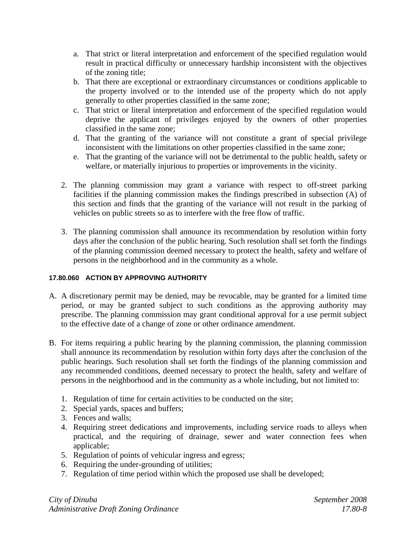- a. That strict or literal interpretation and enforcement of the specified regulation would result in practical difficulty or unnecessary hardship inconsistent with the objectives of the zoning title;
- b. That there are exceptional or extraordinary circumstances or conditions applicable to the property involved or to the intended use of the property which do not apply generally to other properties classified in the same zone;
- c. That strict or literal interpretation and enforcement of the specified regulation would deprive the applicant of privileges enjoyed by the owners of other properties classified in the same zone;
- d. That the granting of the variance will not constitute a grant of special privilege inconsistent with the limitations on other properties classified in the same zone;
- e. That the granting of the variance will not be detrimental to the public health, safety or welfare, or materially injurious to properties or improvements in the vicinity.
- 2. The planning commission may grant a variance with respect to off-street parking facilities if the planning commission makes the findings prescribed in subsection (A) of this section and finds that the granting of the variance will not result in the parking of vehicles on public streets so as to interfere with the free flow of traffic.
- 3. The planning commission shall announce its recommendation by resolution within forty days after the conclusion of the public hearing. Such resolution shall set forth the findings of the planning commission deemed necessary to protect the health, safety and welfare of persons in the neighborhood and in the community as a whole.

# **17.80.060 ACTION BY APPROVING AUTHORITY**

- A. A discretionary permit may be denied, may be revocable, may be granted for a limited time period, or may be granted subject to such conditions as the approving authority may prescribe. The planning commission may grant conditional approval for a use permit subject to the effective date of a change of zone or other ordinance amendment.
- B. For items requiring a public hearing by the planning commission, the planning commission shall announce its recommendation by resolution within forty days after the conclusion of the public hearings. Such resolution shall set forth the findings of the planning commission and any recommended conditions, deemed necessary to protect the health, safety and welfare of persons in the neighborhood and in the community as a whole including, but not limited to:
	- 1. Regulation of time for certain activities to be conducted on the site;
	- 2. Special yards, spaces and buffers;
	- 3. Fences and walls;
	- 4. Requiring street dedications and improvements, including service roads to alleys when practical, and the requiring of drainage, sewer and water connection fees when applicable;
	- 5. Regulation of points of vehicular ingress and egress;
	- 6. Requiring the under-grounding of utilities;
	- 7. Regulation of time period within which the proposed use shall be developed;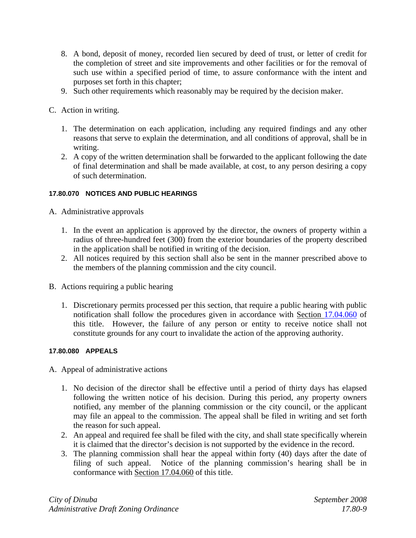- 8. A bond, deposit of money, recorded lien secured by deed of trust, or letter of credit for the completion of street and site improvements and other facilities or for the removal of such use within a specified period of time, to assure conformance with the intent and purposes set forth in this chapter;
- 9. Such other requirements which reasonably may be required by the decision maker.
- C. Action in writing.
	- 1. The determination on each application, including any required findings and any other reasons that serve to explain the determination, and all conditions of approval, shall be in writing.
	- 2. A copy of the written determination shall be forwarded to the applicant following the date of final determination and shall be made available, at cost, to any person desiring a copy of such determination.

## **17.80.070 NOTICES AND PUBLIC HEARINGS**

- A. Administrative approvals
	- 1. In the event an application is approved by the director, the owners of property within a radius of three-hundred feet (300) from the exterior boundaries of the property described in the application shall be notified in writing of the decision.
	- 2. All notices required by this section shall also be sent in the manner prescribed above to the members of the planning commission and the city council.
- B. Actions requiring a public hearing
	- 1. Discretionary permits processed per this section, that require a public hearing with public notification shall follow the procedures given in accordance with Section 17.04.060 of this title. However, the failure of any person or entity to receive notice shall not constitute grounds for any court to invalidate the action of the approving authority.

## **17.80.080 APPEALS**

- A. Appeal of administrative actions
	- 1. No decision of the director shall be effective until a period of thirty days has elapsed following the written notice of his decision. During this period, any property owners notified, any member of the planning commission or the city council, or the applicant may file an appeal to the commission. The appeal shall be filed in writing and set forth the reason for such appeal.
	- 2. An appeal and required fee shall be filed with the city, and shall state specifically wherein it is claimed that the director's decision is not supported by the evidence in the record.
	- 3. The planning commission shall hear the appeal within forty (40) days after the date of filing of such appeal. Notice of the planning commission's hearing shall be in conformance with Section 17.04.060 of this title.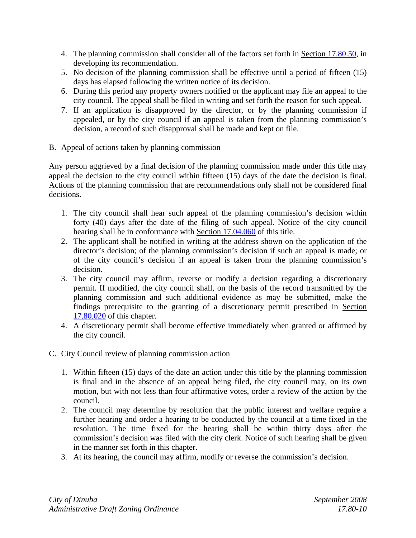- 4. The planning commission shall consider all of the factors set forth in Section 17.80.50, in developing its recommendation.
- 5. No decision of the planning commission shall be effective until a period of fifteen (15) days has elapsed following the written notice of its decision.
- 6. During this period any property owners notified or the applicant may file an appeal to the city council. The appeal shall be filed in writing and set forth the reason for such appeal.
- 7. If an application is disapproved by the director, or by the planning commission if appealed, or by the city council if an appeal is taken from the planning commission's decision, a record of such disapproval shall be made and kept on file.
- B. Appeal of actions taken by planning commission

Any person aggrieved by a final decision of the planning commission made under this title may appeal the decision to the city council within fifteen (15) days of the date the decision is final. Actions of the planning commission that are recommendations only shall not be considered final decisions.

- 1. The city council shall hear such appeal of the planning commission's decision within forty (40) days after the date of the filing of such appeal. Notice of the city council hearing shall be in conformance with Section 17.04.060 of this title.
- 2. The applicant shall be notified in writing at the address shown on the application of the director's decision; of the planning commission's decision if such an appeal is made; or of the city council's decision if an appeal is taken from the planning commission's decision.
- 3. The city council may affirm, reverse or modify a decision regarding a discretionary permit. If modified, the city council shall, on the basis of the record transmitted by the planning commission and such additional evidence as may be submitted, make the findings prerequisite to the granting of a discretionary permit prescribed in Section 17.80.020 of this chapter.
- 4. A discretionary permit shall become effective immediately when granted or affirmed by the city council.
- C. City Council review of planning commission action
	- 1. Within fifteen (15) days of the date an action under this title by the planning commission is final and in the absence of an appeal being filed, the city council may, on its own motion, but with not less than four affirmative votes, order a review of the action by the council.
	- 2. The council may determine by resolution that the public interest and welfare require a further hearing and order a hearing to be conducted by the council at a time fixed in the resolution. The time fixed for the hearing shall be within thirty days after the commission's decision was filed with the city clerk. Notice of such hearing shall be given in the manner set forth in this chapter.
	- 3. At its hearing, the council may affirm, modify or reverse the commission's decision.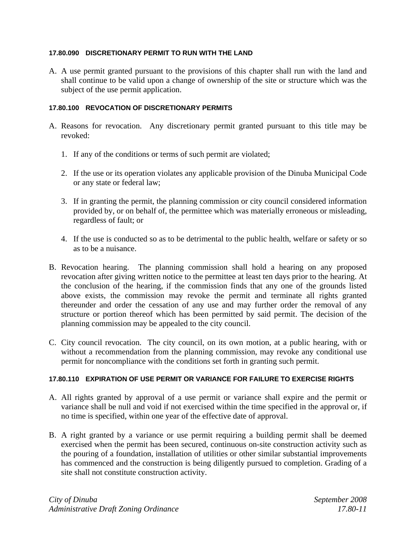## **17.80.090 DISCRETIONARY PERMIT TO RUN WITH THE LAND**

A. A use permit granted pursuant to the provisions of this chapter shall run with the land and shall continue to be valid upon a change of ownership of the site or structure which was the subject of the use permit application.

#### **17.80.100 REVOCATION OF DISCRETIONARY PERMITS**

- A. Reasons for revocation. Any discretionary permit granted pursuant to this title may be revoked:
	- 1. If any of the conditions or terms of such permit are violated;
	- 2. If the use or its operation violates any applicable provision of the Dinuba Municipal Code or any state or federal law;
	- 3. If in granting the permit, the planning commission or city council considered information provided by, or on behalf of, the permittee which was materially erroneous or misleading, regardless of fault; or
	- 4. If the use is conducted so as to be detrimental to the public health, welfare or safety or so as to be a nuisance.
- B. Revocation hearing. The planning commission shall hold a hearing on any proposed revocation after giving written notice to the permittee at least ten days prior to the hearing. At the conclusion of the hearing, if the commission finds that any one of the grounds listed above exists, the commission may revoke the permit and terminate all rights granted thereunder and order the cessation of any use and may further order the removal of any structure or portion thereof which has been permitted by said permit. The decision of the planning commission may be appealed to the city council.
- C. City council revocation. The city council, on its own motion, at a public hearing, with or without a recommendation from the planning commission, may revoke any conditional use permit for noncompliance with the conditions set forth in granting such permit.

## **17.80.110 EXPIRATION OF USE PERMIT OR VARIANCE FOR FAILURE TO EXERCISE RIGHTS**

- A. All rights granted by approval of a use permit or variance shall expire and the permit or variance shall be null and void if not exercised within the time specified in the approval or, if no time is specified, within one year of the effective date of approval.
- B. A right granted by a variance or use permit requiring a building permit shall be deemed exercised when the permit has been secured, continuous on-site construction activity such as the pouring of a foundation, installation of utilities or other similar substantial improvements has commenced and the construction is being diligently pursued to completion. Grading of a site shall not constitute construction activity.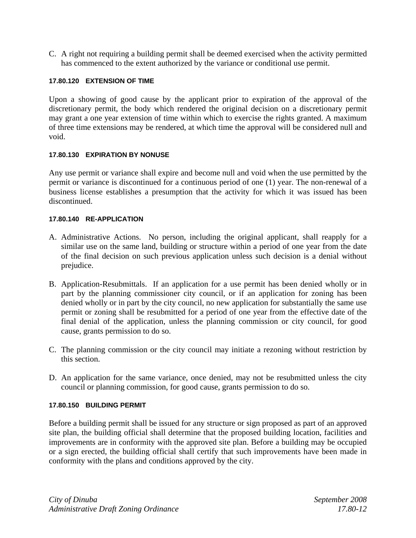C. A right not requiring a building permit shall be deemed exercised when the activity permitted has commenced to the extent authorized by the variance or conditional use permit.

## **17.80.120 EXTENSION OF TIME**

Upon a showing of good cause by the applicant prior to expiration of the approval of the discretionary permit, the body which rendered the original decision on a discretionary permit may grant a one year extension of time within which to exercise the rights granted. A maximum of three time extensions may be rendered, at which time the approval will be considered null and void.

## **17.80.130 EXPIRATION BY NONUSE**

Any use permit or variance shall expire and become null and void when the use permitted by the permit or variance is discontinued for a continuous period of one (1) year. The non-renewal of a business license establishes a presumption that the activity for which it was issued has been discontinued.

## **17.80.140 RE-APPLICATION**

- A. Administrative Actions. No person, including the original applicant, shall reapply for a similar use on the same land, building or structure within a period of one year from the date of the final decision on such previous application unless such decision is a denial without prejudice.
- B. Application-Resubmittals. If an application for a use permit has been denied wholly or in part by the planning commissioner city council, or if an application for zoning has been denied wholly or in part by the city council, no new application for substantially the same use permit or zoning shall be resubmitted for a period of one year from the effective date of the final denial of the application, unless the planning commission or city council, for good cause, grants permission to do so.
- C. The planning commission or the city council may initiate a rezoning without restriction by this section.
- D. An application for the same variance, once denied, may not be resubmitted unless the city council or planning commission, for good cause, grants permission to do so.

## **17.80.150 BUILDING PERMIT**

Before a building permit shall be issued for any structure or sign proposed as part of an approved site plan, the building official shall determine that the proposed building location, facilities and improvements are in conformity with the approved site plan. Before a building may be occupied or a sign erected, the building official shall certify that such improvements have been made in conformity with the plans and conditions approved by the city.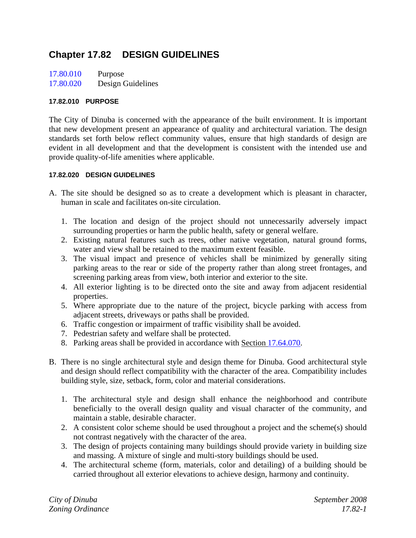# **Chapter 17.82 DESIGN GUIDELINES**

| 17.80.010 | Purpose           |
|-----------|-------------------|
| 17.80.020 | Design Guidelines |

#### **17.82.010 PURPOSE**

The City of Dinuba is concerned with the appearance of the built environment. It is important that new development present an appearance of quality and architectural variation. The design standards set forth below reflect community values, ensure that high standards of design are evident in all development and that the development is consistent with the intended use and provide quality-of-life amenities where applicable.

#### **17.82.020 DESIGN GUIDELINES**

- A. The site should be designed so as to create a development which is pleasant in character, human in scale and facilitates on-site circulation.
	- 1. The location and design of the project should not unnecessarily adversely impact surrounding properties or harm the public health, safety or general welfare.
	- 2. Existing natural features such as trees, other native vegetation, natural ground forms, water and view shall be retained to the maximum extent feasible.
	- 3. The visual impact and presence of vehicles shall be minimized by generally siting parking areas to the rear or side of the property rather than along street frontages, and screening parking areas from view, both interior and exterior to the site.
	- 4. All exterior lighting is to be directed onto the site and away from adjacent residential properties.
	- 5. Where appropriate due to the nature of the project, bicycle parking with access from adjacent streets, driveways or paths shall be provided.
	- 6. Traffic congestion or impairment of traffic visibility shall be avoided.
	- 7. Pedestrian safety and welfare shall be protected.
	- 8. Parking areas shall be provided in accordance with Section 17.64.070.
- B. There is no single architectural style and design theme for Dinuba. Good architectural style and design should reflect compatibility with the character of the area. Compatibility includes building style, size, setback, form, color and material considerations.
	- 1. The architectural style and design shall enhance the neighborhood and contribute beneficially to the overall design quality and visual character of the community, and maintain a stable, desirable character.
	- 2. A consistent color scheme should be used throughout a project and the scheme(s) should not contrast negatively with the character of the area.
	- 3. The design of projects containing many buildings should provide variety in building size and massing. A mixture of single and multi-story buildings should be used.
	- 4. The architectural scheme (form, materials, color and detailing) of a building should be carried throughout all exterior elevations to achieve design, harmony and continuity.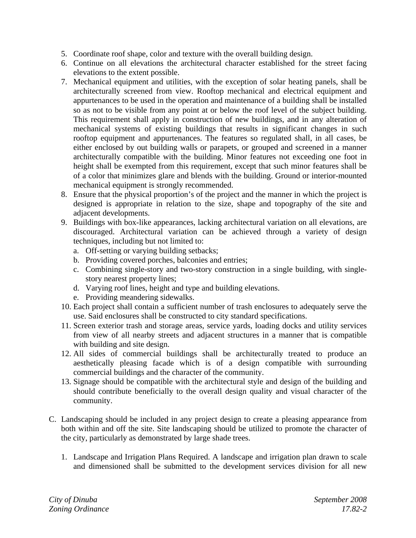- 5. Coordinate roof shape, color and texture with the overall building design.
- 6. Continue on all elevations the architectural character established for the street facing elevations to the extent possible.
- 7. Mechanical equipment and utilities, with the exception of solar heating panels, shall be architecturally screened from view. Rooftop mechanical and electrical equipment and appurtenances to be used in the operation and maintenance of a building shall be installed so as not to be visible from any point at or below the roof level of the subject building. This requirement shall apply in construction of new buildings, and in any alteration of mechanical systems of existing buildings that results in significant changes in such rooftop equipment and appurtenances. The features so regulated shall, in all cases, be either enclosed by out building walls or parapets, or grouped and screened in a manner architecturally compatible with the building. Minor features not exceeding one foot in height shall be exempted from this requirement, except that such minor features shall be of a color that minimizes glare and blends with the building. Ground or interior-mounted mechanical equipment is strongly recommended.
- 8. Ensure that the physical proportion's of the project and the manner in which the project is designed is appropriate in relation to the size, shape and topography of the site and adjacent developments.
- 9. Buildings with box-like appearances, lacking architectural variation on all elevations, are discouraged. Architectural variation can be achieved through a variety of design techniques, including but not limited to:
	- a. Off-setting or varying building setbacks;
	- b. Providing covered porches, balconies and entries;
	- c. Combining single-story and two-story construction in a single building, with singlestory nearest property lines;
	- d. Varying roof lines, height and type and building elevations.
	- e. Providing meandering sidewalks.
- 10. Each project shall contain a sufficient number of trash enclosures to adequately serve the use. Said enclosures shall be constructed to city standard specifications.
- 11. Screen exterior trash and storage areas, service yards, loading docks and utility services from view of all nearby streets and adjacent structures in a manner that is compatible with building and site design.
- 12. All sides of commercial buildings shall be architecturally treated to produce an aesthetically pleasing facade which is of a design compatible with surrounding commercial buildings and the character of the community.
- 13. Signage should be compatible with the architectural style and design of the building and should contribute beneficially to the overall design quality and visual character of the community.
- C. Landscaping should be included in any project design to create a pleasing appearance from both within and off the site. Site landscaping should be utilized to promote the character of the city, particularly as demonstrated by large shade trees.
	- 1. Landscape and Irrigation Plans Required. A landscape and irrigation plan drawn to scale and dimensioned shall be submitted to the development services division for all new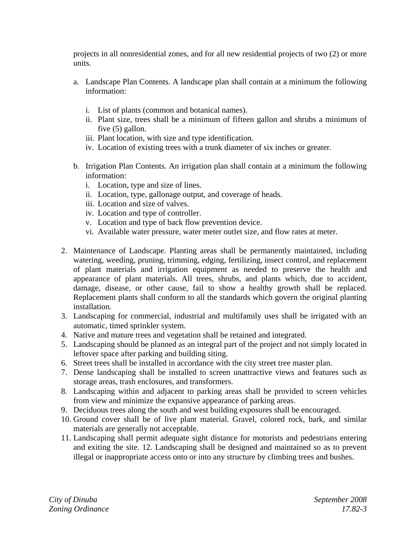projects in all nonresidential zones, and for all new residential projects of two (2) or more units.

- a. Landscape Plan Contents. A landscape plan shall contain at a minimum the following information:
	- i. List of plants (common and botanical names).
	- ii. Plant size, trees shall be a minimum of fifteen gallon and shrubs a minimum of five (5) gallon.
	- iii. Plant location, with size and type identification.
	- iv. Location of existing trees with a trunk diameter of six inches or greater.
- b. Irrigation Plan Contents. An irrigation plan shall contain at a minimum the following information:
	- i. Location, type and size of lines.
	- ii. Location, type, gallonage output, and coverage of heads.
	- iii. Location and size of valves.
	- iv. Location and type of controller.
	- v. Location and type of back flow prevention device.
	- vi. Available water pressure, water meter outlet size, and flow rates at meter.
- 2. Maintenance of Landscape. Planting areas shall be permanently maintained, including watering, weeding, pruning, trimming, edging, fertilizing, insect control, and replacement of plant materials and irrigation equipment as needed to preserve the health and appearance of plant materials. All trees, shrubs, and plants which, due to accident, damage, disease, or other cause, fail to show a healthy growth shall be replaced. Replacement plants shall conform to all the standards which govern the original planting installation.
- 3. Landscaping for commercial, industrial and multifamily uses shall be irrigated with an automatic, timed sprinkler system.
- 4. Native and mature trees and vegetation shall be retained and integrated.
- 5. Landscaping should be planned as an integral part of the project and not simply located in leftover space after parking and building siting.
- 6. Street trees shall be installed in accordance with the city street tree master plan.
- 7. Dense landscaping shall be installed to screen unattractive views and features such as storage areas, trash enclosures, and transformers.
- 8. Landscaping within and adjacent to parking areas shall be provided to screen vehicles from view and minimize the expansive appearance of parking areas.
- 9. Deciduous trees along the south and west building exposures shall be encouraged.
- 10. Ground cover shall be of live plant material. Gravel, colored rock, bark, and similar materials are generally not acceptable.
- 11. Landscaping shall permit adequate sight distance for motorists and pedestrians entering and exiting the site. 12. Landscaping shall be designed and maintained so as to prevent illegal or inappropriate access onto or into any structure by climbing trees and bushes.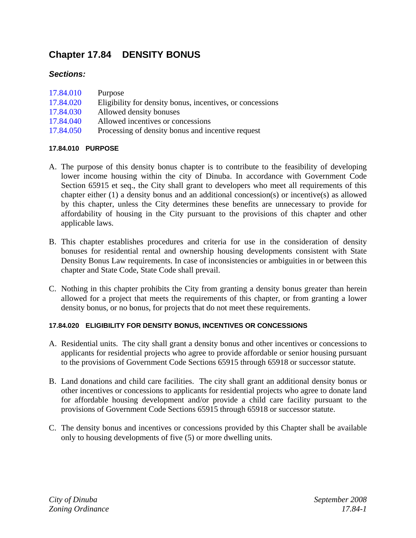# **Chapter 17.84 DENSITY BONUS**

# *Sections:*

| 17.84.010 | Purpose                                                   |
|-----------|-----------------------------------------------------------|
| 17.84.020 | Eligibility for density bonus, incentives, or concessions |
| 17.84.030 | Allowed density bonuses                                   |
| 17.84.040 | Allowed incentives or concessions                         |
| 1701070   |                                                           |

17.84.050 Processing of density bonus and incentive request

# **17.84.010 PURPOSE**

- A. The purpose of this density bonus chapter is to contribute to the feasibility of developing lower income housing within the city of Dinuba. In accordance with Government Code Section 65915 et seq., the City shall grant to developers who meet all requirements of this chapter either (1) a density bonus and an additional concession(s) or incentive(s) as allowed by this chapter, unless the City determines these benefits are unnecessary to provide for affordability of housing in the City pursuant to the provisions of this chapter and other applicable laws.
- B. This chapter establishes procedures and criteria for use in the consideration of density bonuses for residential rental and ownership housing developments consistent with State Density Bonus Law requirements. In case of inconsistencies or ambiguities in or between this chapter and State Code, State Code shall prevail.
- C. Nothing in this chapter prohibits the City from granting a density bonus greater than herein allowed for a project that meets the requirements of this chapter, or from granting a lower density bonus, or no bonus, for projects that do not meet these requirements.

# **17.84.020 ELIGIBILITY FOR DENSITY BONUS, INCENTIVES OR CONCESSIONS**

- A. Residential units. The city shall grant a density bonus and other incentives or concessions to applicants for residential projects who agree to provide affordable or senior housing pursuant to the provisions of Government Code Sections 65915 through 65918 or successor statute.
- B. Land donations and child care facilities. The city shall grant an additional density bonus or other incentives or concessions to applicants for residential projects who agree to donate land for affordable housing development and/or provide a child care facility pursuant to the provisions of Government Code Sections 65915 through 65918 or successor statute.
- C. The density bonus and incentives or concessions provided by this Chapter shall be available only to housing developments of five (5) or more dwelling units.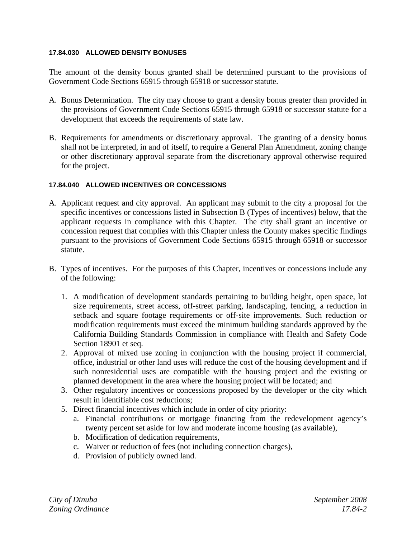#### **17.84.030 ALLOWED DENSITY BONUSES**

The amount of the density bonus granted shall be determined pursuant to the provisions of Government Code Sections 65915 through 65918 or successor statute.

- A. Bonus Determination. The city may choose to grant a density bonus greater than provided in the provisions of Government Code Sections 65915 through 65918 or successor statute for a development that exceeds the requirements of state law.
- B. Requirements for amendments or discretionary approval. The granting of a density bonus shall not be interpreted, in and of itself, to require a General Plan Amendment, zoning change or other discretionary approval separate from the discretionary approval otherwise required for the project.

## **17.84.040 ALLOWED INCENTIVES OR CONCESSIONS**

- A. Applicant request and city approval. An applicant may submit to the city a proposal for the specific incentives or concessions listed in Subsection B (Types of incentives) below, that the applicant requests in compliance with this Chapter. The city shall grant an incentive or concession request that complies with this Chapter unless the County makes specific findings pursuant to the provisions of Government Code Sections 65915 through 65918 or successor statute.
- B. Types of incentives. For the purposes of this Chapter, incentives or concessions include any of the following:
	- 1. A modification of development standards pertaining to building height, open space, lot size requirements, street access, off-street parking, landscaping, fencing, a reduction in setback and square footage requirements or off-site improvements. Such reduction or modification requirements must exceed the minimum building standards approved by the California Building Standards Commission in compliance with Health and Safety Code Section 18901 et seq.
	- 2. Approval of mixed use zoning in conjunction with the housing project if commercial, office, industrial or other land uses will reduce the cost of the housing development and if such nonresidential uses are compatible with the housing project and the existing or planned development in the area where the housing project will be located; and
	- 3. Other regulatory incentives or concessions proposed by the developer or the city which result in identifiable cost reductions;
	- 5. Direct financial incentives which include in order of city priority:
		- a. Financial contributions or mortgage financing from the redevelopment agency's twenty percent set aside for low and moderate income housing (as available),
		- b. Modification of dedication requirements,
		- c. Waiver or reduction of fees (not including connection charges),
		- d. Provision of publicly owned land.

*City of Dinuba September 2008 Zoning Ordinance 17.84-2*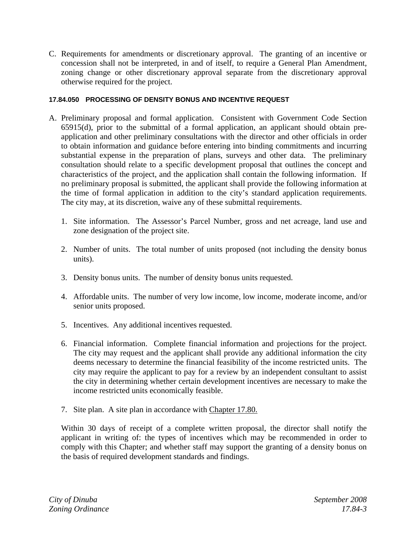C. Requirements for amendments or discretionary approval. The granting of an incentive or concession shall not be interpreted, in and of itself, to require a General Plan Amendment, zoning change or other discretionary approval separate from the discretionary approval otherwise required for the project.

## **17.84.050 PROCESSING OF DENSITY BONUS AND INCENTIVE REQUEST**

- A. Preliminary proposal and formal application. Consistent with Government Code Section 65915(d), prior to the submittal of a formal application, an applicant should obtain preapplication and other preliminary consultations with the director and other officials in order to obtain information and guidance before entering into binding commitments and incurring substantial expense in the preparation of plans, surveys and other data. The preliminary consultation should relate to a specific development proposal that outlines the concept and characteristics of the project, and the application shall contain the following information. If no preliminary proposal is submitted, the applicant shall provide the following information at the time of formal application in addition to the city's standard application requirements. The city may, at its discretion, waive any of these submittal requirements.
	- 1. Site information. The Assessor's Parcel Number, gross and net acreage, land use and zone designation of the project site.
	- 2. Number of units. The total number of units proposed (not including the density bonus units).
	- 3. Density bonus units. The number of density bonus units requested.
	- 4. Affordable units. The number of very low income, low income, moderate income, and/or senior units proposed.
	- 5. Incentives. Any additional incentives requested.
	- 6. Financial information. Complete financial information and projections for the project. The city may request and the applicant shall provide any additional information the city deems necessary to determine the financial feasibility of the income restricted units. The city may require the applicant to pay for a review by an independent consultant to assist the city in determining whether certain development incentives are necessary to make the income restricted units economically feasible.
	- 7. Site plan. A site plan in accordance with Chapter 17.80.

Within 30 days of receipt of a complete written proposal, the director shall notify the applicant in writing of: the types of incentives which may be recommended in order to comply with this Chapter; and whether staff may support the granting of a density bonus on the basis of required development standards and findings.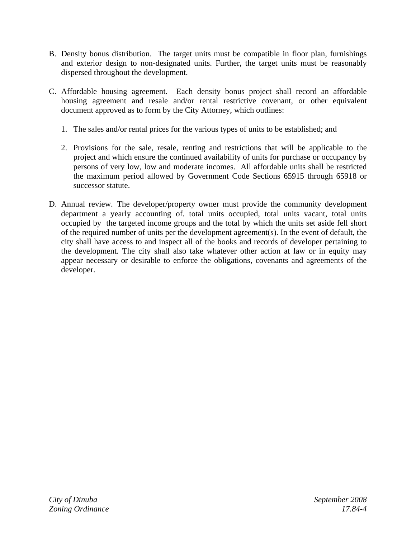- B. Density bonus distribution. The target units must be compatible in floor plan, furnishings and exterior design to non-designated units. Further, the target units must be reasonably dispersed throughout the development.
- C. Affordable housing agreement. Each density bonus project shall record an affordable housing agreement and resale and/or rental restrictive covenant, or other equivalent document approved as to form by the City Attorney, which outlines:
	- 1. The sales and/or rental prices for the various types of units to be established; and
	- 2. Provisions for the sale, resale, renting and restrictions that will be applicable to the project and which ensure the continued availability of units for purchase or occupancy by persons of very low, low and moderate incomes. All affordable units shall be restricted the maximum period allowed by Government Code Sections 65915 through 65918 or successor statute.
- D. Annual review. The developer/property owner must provide the community development department a yearly accounting of. total units occupied, total units vacant, total units occupied by the targeted income groups and the total by which the units set aside fell short of the required number of units per the development agreement(s). In the event of default, the city shall have access to and inspect all of the books and records of developer pertaining to the development. The city shall also take whatever other action at law or in equity may appear necessary or desirable to enforce the obligations, covenants and agreements of the developer.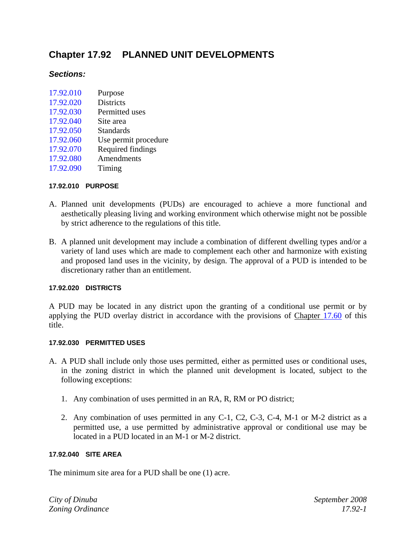# **Chapter 17.92 PLANNED UNIT DEVELOPMENTS**

# *Sections:*

| 17.92.010 | Purpose              |
|-----------|----------------------|
| 17.92.020 | <b>Districts</b>     |
| 17.92.030 | Permitted uses       |
| 17.92.040 | Site area            |
| 17.92.050 | <b>Standards</b>     |
| 17.92.060 | Use permit procedure |
| 17.92.070 | Required findings    |
| 17.92.080 | Amendments           |
| 17.92.090 | Timing               |

## **17.92.010 PURPOSE**

- A. Planned unit developments (PUDs) are encouraged to achieve a more functional and aesthetically pleasing living and working environment which otherwise might not be possible by strict adherence to the regulations of this title.
- B. A planned unit development may include a combination of different dwelling types and/or a variety of land uses which are made to complement each other and harmonize with existing and proposed land uses in the vicinity, by design. The approval of a PUD is intended to be discretionary rather than an entitlement.

# **17.92.020 DISTRICTS**

A PUD may be located in any district upon the granting of a conditional use permit or by applying the PUD overlay district in accordance with the provisions of Chapter 17.60 of this title.

#### **17.92.030 PERMITTED USES**

- A. A PUD shall include only those uses permitted, either as permitted uses or conditional uses, in the zoning district in which the planned unit development is located, subject to the following exceptions:
	- 1. Any combination of uses permitted in an RA, R, RM or PO district;
	- 2. Any combination of uses permitted in any C-1, C2, C-3, C-4, M-1 or M-2 district as a permitted use, a use permitted by administrative approval or conditional use may be located in a PUD located in an M-1 or M-2 district.

#### **17.92.040 SITE AREA**

The minimum site area for a PUD shall be one (1) acre.

*City of Dinuba September 2008 Zoning Ordinance 17.92-1*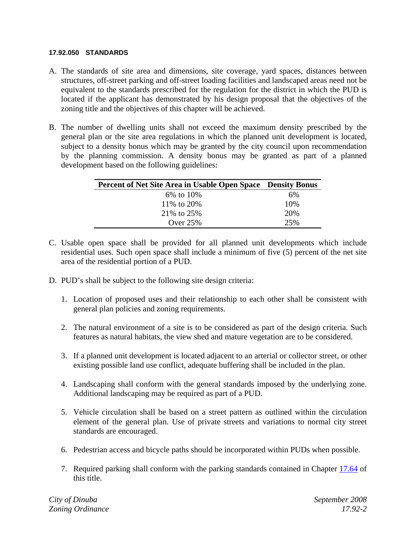#### **17.92.050 STANDARDS**

- A. The standards of site area and dimensions, site coverage, yard spaces, distances between structures, off-street parking and off-street loading facilities and landscaped areas need not be equivalent to the standards prescribed for the regulation for the district in which the PUD is located if the applicant has demonstrated by his design proposal that the objectives of the zoning title and the objectives of this chapter will be achieved.
- B. The number of dwelling units shall not exceed the maximum density prescribed by the general plan or the site area regulations in which the planned unit development is located, subject to a density bonus which may be granted by the city council upon recommendation by the planning commission. A density bonus may be granted as part of a planned development based on the following guidelines:

| Percent of Net Site Area in Usable Open Space Density Bonus |     |
|-------------------------------------------------------------|-----|
| 6% to 10%                                                   | 6%  |
| 11\% to 20\%                                                | 10% |
| 21\% to 25\%                                                | 20% |
| Over $25%$                                                  | 25% |

- C. Usable open space shall be provided for all planned unit developments which include residential uses. Such open space shall include a minimum of five (5) percent of the net site area of the residential portion of a PUD.
- D. PUD's shall be subject to the following site design criteria:
	- 1. Location of proposed uses and their relationship to each other shall be consistent with general plan policies and zoning requirements.
	- 2. The natural environment of a site is to be considered as part of the design criteria. Such features as natural habitats, the view shed and mature vegetation are to be considered.
	- 3. If a planned unit development is located adjacent to an arterial or collector street, or other existing possible land use conflict, adequate buffering shall be included in the plan.
	- 4. Landscaping shall conform with the general standards imposed by the underlying zone. Additional landscaping may be required as part of a PUD.
	- 5. Vehicle circulation shall be based on a street pattern as outlined within the circulation element of the general plan. Use of private streets and variations to normal city street standards are encouraged.
	- 6. Pedestrian access and bicycle paths should be incorporated within PUDs when possible.
	- 7. Required parking shall conform with the parking standards contained in Chapter 17.64 of this title.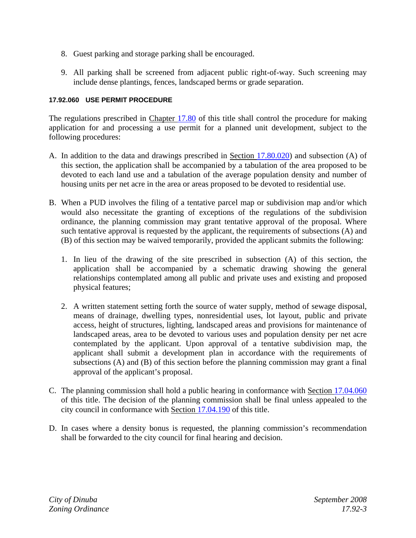- 8. Guest parking and storage parking shall be encouraged.
- 9. All parking shall be screened from adjacent public right-of-way. Such screening may include dense plantings, fences, landscaped berms or grade separation.

## **17.92.060 USE PERMIT PROCEDURE**

The regulations prescribed in Chapter 17.80 of this title shall control the procedure for making application for and processing a use permit for a planned unit development, subject to the following procedures:

- A. In addition to the data and drawings prescribed in Section 17.80.020) and subsection (A) of this section, the application shall be accompanied by a tabulation of the area proposed to be devoted to each land use and a tabulation of the average population density and number of housing units per net acre in the area or areas proposed to be devoted to residential use.
- B. When a PUD involves the filing of a tentative parcel map or subdivision map and/or which would also necessitate the granting of exceptions of the regulations of the subdivision ordinance, the planning commission may grant tentative approval of the proposal. Where such tentative approval is requested by the applicant, the requirements of subsections (A) and (B) of this section may be waived temporarily, provided the applicant submits the following:
	- 1. In lieu of the drawing of the site prescribed in subsection (A) of this section, the application shall be accompanied by a schematic drawing showing the general relationships contemplated among all public and private uses and existing and proposed physical features;
	- 2. A written statement setting forth the source of water supply, method of sewage disposal, means of drainage, dwelling types, nonresidential uses, lot layout, public and private access, height of structures, lighting, landscaped areas and provisions for maintenance of landscaped areas, area to be devoted to various uses and population density per net acre contemplated by the applicant. Upon approval of a tentative subdivision map, the applicant shall submit a development plan in accordance with the requirements of subsections (A) and (B) of this section before the planning commission may grant a final approval of the applicant's proposal.
- C. The planning commission shall hold a public hearing in conformance with Section 17.04.060 of this title. The decision of the planning commission shall be final unless appealed to the city council in conformance with Section 17.04.190 of this title.
- D. In cases where a density bonus is requested, the planning commission's recommendation shall be forwarded to the city council for final hearing and decision.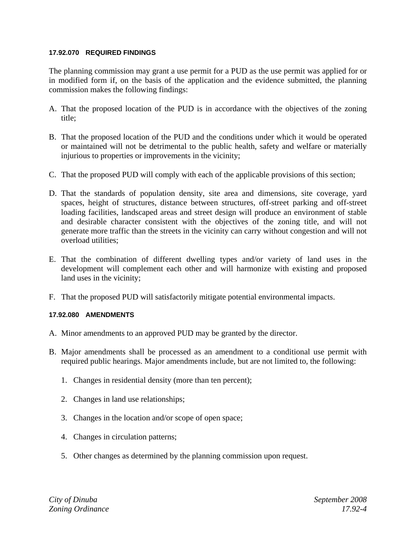#### **17.92.070 REQUIRED FINDINGS**

The planning commission may grant a use permit for a PUD as the use permit was applied for or in modified form if, on the basis of the application and the evidence submitted, the planning commission makes the following findings:

- A. That the proposed location of the PUD is in accordance with the objectives of the zoning title;
- B. That the proposed location of the PUD and the conditions under which it would be operated or maintained will not be detrimental to the public health, safety and welfare or materially injurious to properties or improvements in the vicinity;
- C. That the proposed PUD will comply with each of the applicable provisions of this section;
- D. That the standards of population density, site area and dimensions, site coverage, yard spaces, height of structures, distance between structures, off-street parking and off-street loading facilities, landscaped areas and street design will produce an environment of stable and desirable character consistent with the objectives of the zoning title, and will not generate more traffic than the streets in the vicinity can carry without congestion and will not overload utilities;
- E. That the combination of different dwelling types and/or variety of land uses in the development will complement each other and will harmonize with existing and proposed land uses in the vicinity;
- F. That the proposed PUD will satisfactorily mitigate potential environmental impacts.

## **17.92.080 AMENDMENTS**

- A. Minor amendments to an approved PUD may be granted by the director.
- B. Major amendments shall be processed as an amendment to a conditional use permit with required public hearings. Major amendments include, but are not limited to, the following:
	- 1. Changes in residential density (more than ten percent);
	- 2. Changes in land use relationships;
	- 3. Changes in the location and/or scope of open space;
	- 4. Changes in circulation patterns;
	- 5. Other changes as determined by the planning commission upon request.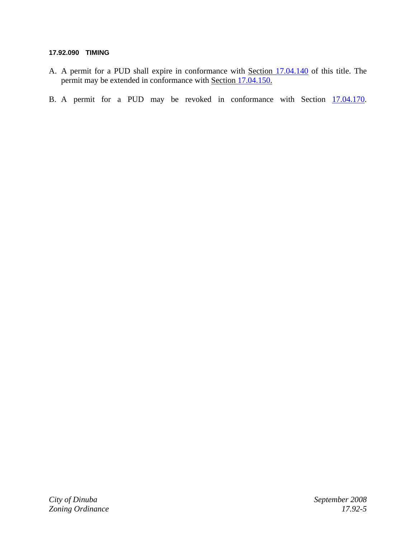#### **17.92.090 TIMING**

- A. A permit for a PUD shall expire in conformance with Section 17.04.140 of this title. The permit may be extended in conformance with Section 17.04.150.
- B. A permit for a PUD may be revoked in conformance with Section  $17.04.170$ .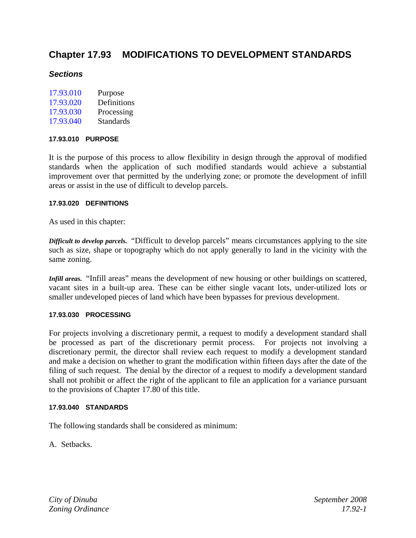# **Chapter 17.93 MODIFICATIONS TO DEVELOPMENT STANDARDS**

# *Sections*

| 17.93.010 | Purpose          |
|-----------|------------------|
| 17.93.020 | Definitions      |
| 17.93.030 | Processing       |
| 17.93.040 | <b>Standards</b> |

#### **17.93.010 PURPOSE**

It is the purpose of this process to allow flexibility in design through the approval of modified standards when the application of such modified standards would achieve a substantial improvement over that permitted by the underlying zone; or promote the development of infill areas or assist in the use of difficult to develop parcels.

#### **17.93.020 DEFINITIONS**

As used in this chapter:

*Difficult to develop parcels.* "Difficult to develop parcels" means circumstances applying to the site such as size, shape or topography which do not apply generally to land in the vicinity with the same zoning.

*Infill areas.* "Infill areas" means the development of new housing or other buildings on scattered, vacant sites in a built-up area. These can be either single vacant lots, under-utilized lots or smaller undeveloped pieces of land which have been bypasses for previous development.

#### **17.93.030 PROCESSING**

For projects involving a discretionary permit, a request to modify a development standard shall be processed as part of the discretionary permit process. For projects not involving a discretionary permit, the director shall review each request to modify a development standard and make a decision on whether to grant the modification within fifteen days after the date of the filing of such request. The denial by the director of a request to modify a development standard shall not prohibit or affect the right of the applicant to file an application for a variance pursuant to the provisions of Chapter 17.80 of this title.

#### **17.93.040 STANDARDS**

The following standards shall be considered as minimum:

A. Setbacks.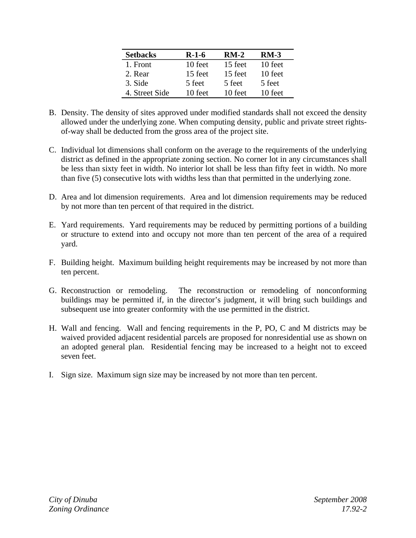| <b>Setbacks</b> | R-1-6   | $RM-2$  | $RM-3$  |
|-----------------|---------|---------|---------|
| 1. Front        | 10 feet | 15 feet | 10 feet |
| 2. Rear         | 15 feet | 15 feet | 10 feet |
| 3. Side         | 5 feet  | 5 feet  | 5 feet  |
| 4. Street Side  | 10 feet | 10 feet | 10 feet |

- B. Density. The density of sites approved under modified standards shall not exceed the density allowed under the underlying zone. When computing density, public and private street rightsof-way shall be deducted from the gross area of the project site.
- C. Individual lot dimensions shall conform on the average to the requirements of the underlying district as defined in the appropriate zoning section. No corner lot in any circumstances shall be less than sixty feet in width. No interior lot shall be less than fifty feet in width. No more than five (5) consecutive lots with widths less than that permitted in the underlying zone.
- D. Area and lot dimension requirements. Area and lot dimension requirements may be reduced by not more than ten percent of that required in the district.
- E. Yard requirements. Yard requirements may be reduced by permitting portions of a building or structure to extend into and occupy not more than ten percent of the area of a required yard.
- F. Building height. Maximum building height requirements may be increased by not more than ten percent.
- G. Reconstruction or remodeling. The reconstruction or remodeling of nonconforming buildings may be permitted if, in the director's judgment, it will bring such buildings and subsequent use into greater conformity with the use permitted in the district.
- H. Wall and fencing. Wall and fencing requirements in the P, PO, C and M districts may be waived provided adjacent residential parcels are proposed for nonresidential use as shown on an adopted general plan. Residential fencing may be increased to a height not to exceed seven feet.
- I. Sign size. Maximum sign size may be increased by not more than ten percent.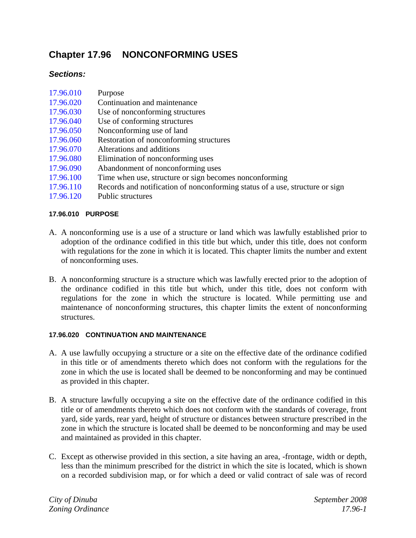# **Chapter 17.96 NONCONFORMING USES**

# *Sections:*

| 17.96.010 | Purpose |
|-----------|---------|
|-----------|---------|

- 17.96.020 Continuation and maintenance
- 17.96.030 Use of nonconforming structures
- 17.96.040 Use of conforming structures
- 17.96.050 Nonconforming use of land
- 17.96.060 Restoration of nonconforming structures
- 17.96.070 Alterations and additions
- 17.96.080 Elimination of nonconforming uses
- 17.96.090 Abandonment of nonconforming uses
- 17.96.100 Time when use, structure or sign becomes nonconforming
- 17.96.110 Records and notification of nonconforming status of a use, structure or sign
- 17.96.120 Public structures

## **17.96.010 PURPOSE**

- A. A nonconforming use is a use of a structure or land which was lawfully established prior to adoption of the ordinance codified in this title but which, under this title, does not conform with regulations for the zone in which it is located. This chapter limits the number and extent of nonconforming uses.
- B. A nonconforming structure is a structure which was lawfully erected prior to the adoption of the ordinance codified in this title but which, under this title, does not conform with regulations for the zone in which the structure is located. While permitting use and maintenance of nonconforming structures, this chapter limits the extent of nonconforming structures.

#### **17.96.020 CONTINUATION AND MAINTENANCE**

- A. A use lawfully occupying a structure or a site on the effective date of the ordinance codified in this title or of amendments thereto which does not conform with the regulations for the zone in which the use is located shall be deemed to be nonconforming and may be continued as provided in this chapter.
- B. A structure lawfully occupying a site on the effective date of the ordinance codified in this title or of amendments thereto which does not conform with the standards of coverage, front yard, side yards, rear yard, height of structure or distances between structure prescribed in the zone in which the structure is located shall be deemed to be nonconforming and may be used and maintained as provided in this chapter.
- C. Except as otherwise provided in this section, a site having an area, -frontage, width or depth, less than the minimum prescribed for the district in which the site is located, which is shown on a recorded subdivision map, or for which a deed or valid contract of sale was of record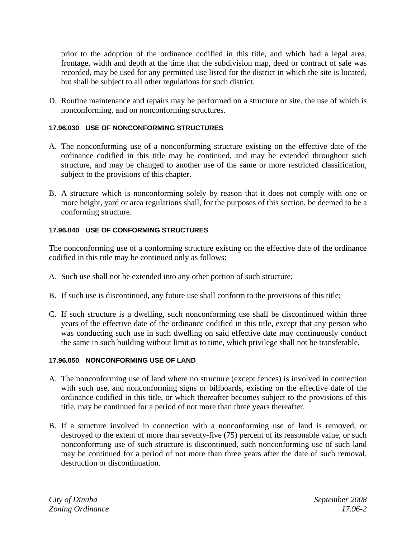prior to the adoption of the ordinance codified in this title, and which had a legal area, frontage, width and depth at the time that the subdivision map, deed or contract of sale was recorded, may be used for any permitted use listed for the district in which the site is located, but shall be subject to all other regulations for such district.

D. Routine maintenance and repairs may be performed on a structure or site, the use of which is nonconforming, and on nonconforming structures.

#### **17.96.030 USE OF NONCONFORMING STRUCTURES**

- A. The nonconforming use of a nonconforming structure existing on the effective date of the ordinance codified in this title may be continued, and may be extended throughout such structure, and may be changed to another use of the same or more restricted classification, subject to the provisions of this chapter.
- B. A structure which is nonconforming solely by reason that it does not comply with one or more height, yard or area regulations shall, for the purposes of this section, be deemed to be a conforming structure.

## **17.96.040 USE OF CONFORMING STRUCTURES**

The nonconforming use of a conforming structure existing on the effective date of the ordinance codified in this title may be continued only as follows:

- A. Such use shall not be extended into any other portion of such structure;
- B. If such use is discontinued, any future use shall conform to the provisions of this title;
- C. If such structure is a dwelling, such nonconforming use shall be discontinued within three years of the effective date of the ordinance codified in this title, except that any person who was conducting such use in such dwelling on said effective date may continuously conduct the same in such building without limit as to time, which privilege shall not be transferable.

#### **17.96.050 NONCONFORMING USE OF LAND**

- A. The nonconforming use of land where no structure (except fences) is involved in connection with such use, and nonconforming signs or billboards, existing on the effective date of the ordinance codified in this title, or which thereafter becomes subject to the provisions of this title, may be continued for a period of not more than three years thereafter.
- B. If a structure involved in connection with a nonconforming use of land is removed, or destroyed to the extent of more than seventy-five (75) percent of its reasonable value, or such nonconforming use of such structure is discontinued, such nonconforming use of such land may be continued for a period of not more than three years after the date of such removal, destruction or discontinuation.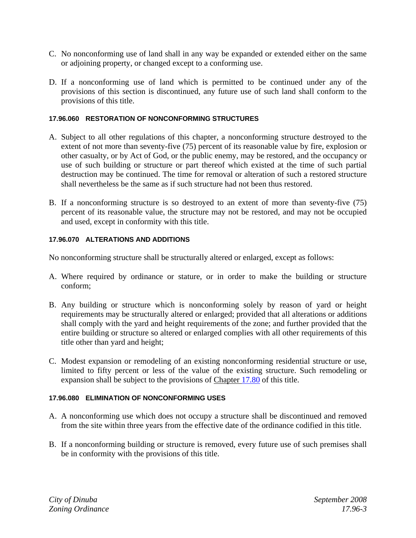- C. No nonconforming use of land shall in any way be expanded or extended either on the same or adjoining property, or changed except to a conforming use.
- D. If a nonconforming use of land which is permitted to be continued under any of the provisions of this section is discontinued, any future use of such land shall conform to the provisions of this title.

#### **17.96.060 RESTORATION OF NONCONFORMING STRUCTURES**

- A. Subject to all other regulations of this chapter, a nonconforming structure destroyed to the extent of not more than seventy-five (75) percent of its reasonable value by fire, explosion or other casualty, or by Act of God, or the public enemy, may be restored, and the occupancy or use of such building or structure or part thereof which existed at the time of such partial destruction may be continued. The time for removal or alteration of such a restored structure shall nevertheless be the same as if such structure had not been thus restored.
- B. If a nonconforming structure is so destroyed to an extent of more than seventy-five (75) percent of its reasonable value, the structure may not be restored, and may not be occupied and used, except in conformity with this title.

#### **17.96.070 ALTERATIONS AND ADDITIONS**

No nonconforming structure shall be structurally altered or enlarged, except as follows:

- A. Where required by ordinance or stature, or in order to make the building or structure conform;
- B. Any building or structure which is nonconforming solely by reason of yard or height requirements may be structurally altered or enlarged; provided that all alterations or additions shall comply with the yard and height requirements of the zone; and further provided that the entire building or structure so altered or enlarged complies with all other requirements of this title other than yard and height;
- C. Modest expansion or remodeling of an existing nonconforming residential structure or use, limited to fifty percent or less of the value of the existing structure. Such remodeling or expansion shall be subject to the provisions of Chapter 17.80 of this title.

#### **17.96.080 ELIMINATION OF NONCONFORMING USES**

- A. A nonconforming use which does not occupy a structure shall be discontinued and removed from the site within three years from the effective date of the ordinance codified in this title.
- B. If a nonconforming building or structure is removed, every future use of such premises shall be in conformity with the provisions of this title.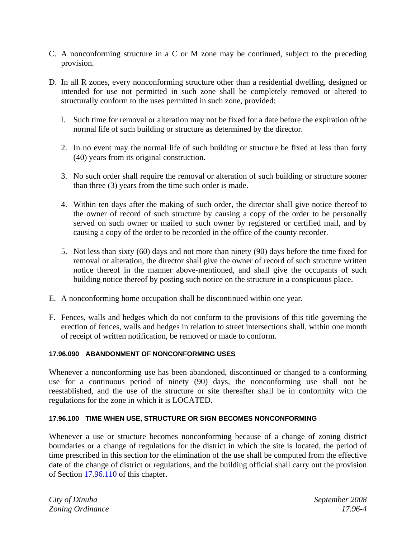- C. A nonconforming structure in a C or M zone may be continued, subject to the preceding provision.
- D. In all R zones, every nonconforming structure other than a residential dwelling, designed or intended for use not permitted in such zone shall be completely removed or altered to structurally conform to the uses permitted in such zone, provided:
	- l. Such time for removal or alteration may not be fixed for a date before the expiration ofthe normal life of such building or structure as determined by the director.
	- 2. In no event may the normal life of such building or structure be fixed at less than forty (40) years from its original construction.
	- 3. No such order shall require the removal or alteration of such building or structure sooner than three (3) years from the time such order is made.
	- 4. Within ten days after the making of such order, the director shall give notice thereof to the owner of record of such structure by causing a copy of the order to be personally served on such owner or mailed to such owner by registered or certified mail, and by causing a copy of the order to be recorded in the office of the county recorder.
	- 5. Not less than sixty (60) days and not more than ninety (90) days before the time fixed for removal or alteration, the director shall give the owner of record of such structure written notice thereof in the manner above-mentioned, and shall give the occupants of such building notice thereof by posting such notice on the structure in a conspicuous place.
- E. A nonconforming home occupation shall be discontinued within one year.
- F. Fences, walls and hedges which do not conform to the provisions of this title governing the erection of fences, walls and hedges in relation to street intersections shall, within one month of receipt of written notification, be removed or made to conform.

#### **17.96.090 ABANDONMENT OF NONCONFORMING USES**

Whenever a nonconforming use has been abandoned, discontinued or changed to a conforming use for a continuous period of ninety (90) days, the nonconforming use shall not be reestablished, and the use of the structure or site thereafter shall be in conformity with the regulations for the zone in which it is LOCATED.

#### **17.96.100 TIME WHEN USE, STRUCTURE OR SIGN BECOMES NONCONFORMING**

Whenever a use or structure becomes nonconforming because of a change of zoning district boundaries or a change of regulations for the district in which the site is located, the period of time prescribed in this section for the elimination of the use shall be computed from the effective date of the change of district or regulations, and the building official shall carry out the provision of Section 17.96.110 of this chapter.

*City of Dinuba September 2008 Zoning Ordinance 17.96-4*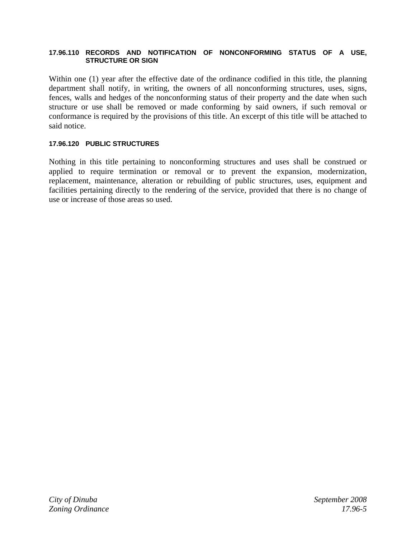#### **17.96.110 RECORDS AND NOTIFICATION OF NONCONFORMING STATUS OF A USE, STRUCTURE OR SIGN**

Within one (1) year after the effective date of the ordinance codified in this title, the planning department shall notify, in writing, the owners of all nonconforming structures, uses, signs, fences, walls and hedges of the nonconforming status of their property and the date when such structure or use shall be removed or made conforming by said owners, if such removal or conformance is required by the provisions of this title. An excerpt of this title will be attached to said notice.

#### **17.96.120 PUBLIC STRUCTURES**

Nothing in this title pertaining to nonconforming structures and uses shall be construed or applied to require termination or removal or to prevent the expansion, modernization, replacement, maintenance, alteration or rebuilding of public structures, uses, equipment and facilities pertaining directly to the rendering of the service, provided that there is no change of use or increase of those areas so used.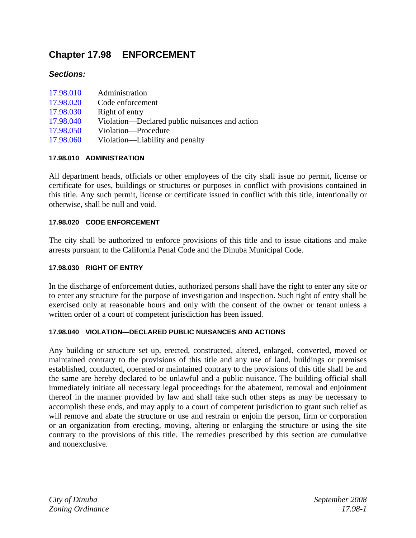# **Chapter 17.98 ENFORCEMENT**

# *Sections:*

| 17.98.010 | Administration                                 |
|-----------|------------------------------------------------|
| 17.98.020 | Code enforcement                               |
| 17.98.030 | Right of entry                                 |
| 17.98.040 | Violation—Declared public nuisances and action |
| 17.98.050 | Violation-Procedure                            |
| 17.98.060 | Violation—Liability and penalty                |

## **17.98.010 ADMINISTRATION**

All department heads, officials or other employees of the city shall issue no permit, license or certificate for uses, buildings or structures or purposes in conflict with provisions contained in this title. Any such permit, license or certificate issued in conflict with this title, intentionally or otherwise, shall be null and void.

## **17.98.020 CODE ENFORCEMENT**

The city shall be authorized to enforce provisions of this title and to issue citations and make arrests pursuant to the California Penal Code and the Dinuba Municipal Code.

#### **17.98.030 RIGHT OF ENTRY**

In the discharge of enforcement duties, authorized persons shall have the right to enter any site or to enter any structure for the purpose of investigation and inspection. Such right of entry shall be exercised only at reasonable hours and only with the consent of the owner or tenant unless a written order of a court of competent jurisdiction has been issued.

#### **17.98.040 VIOLATION—DECLARED PUBLIC NUISANCES AND ACTIONS**

Any building or structure set up, erected, constructed, altered, enlarged, converted, moved or maintained contrary to the provisions of this title and any use of land, buildings or premises established, conducted, operated or maintained contrary to the provisions of this title shall be and the same are hereby declared to be unlawful and a public nuisance. The building official shall immediately initiate all necessary legal proceedings for the abatement, removal and enjoinment thereof in the manner provided by law and shall take such other steps as may be necessary to accomplish these ends, and may apply to a court of competent jurisdiction to grant such relief as will remove and abate the structure or use and restrain or enjoin the person, firm or corporation or an organization from erecting, moving, altering or enlarging the structure or using the site contrary to the provisions of this title. The remedies prescribed by this section are cumulative and nonexclusive.